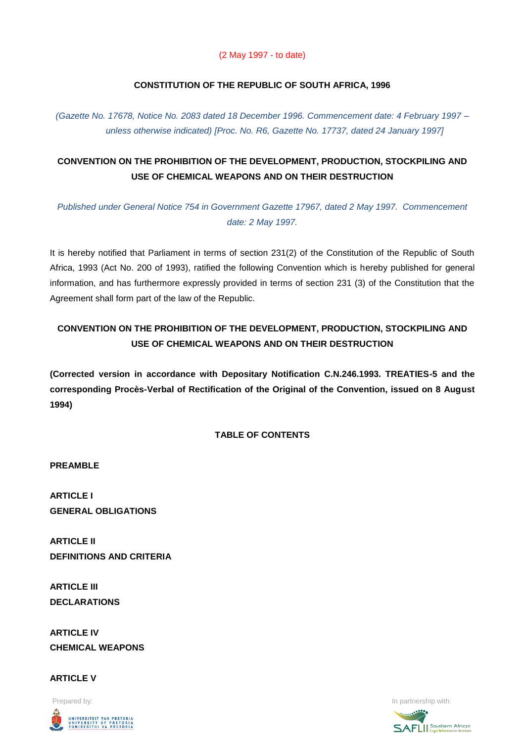(2 May 1997 - to date)

### **CONSTITUTION OF THE REPUBLIC OF SOUTH AFRICA, 1996**

*(Gazette No. 17678, Notice No. 2083 dated 18 December 1996. Commencement date: 4 February 1997 – unless otherwise indicated) [Proc. No. R6, Gazette No. 17737, dated 24 January 1997]*

# **CONVENTION ON THE PROHIBITION OF THE DEVELOPMENT, PRODUCTION, STOCKPILING AND USE OF CHEMICAL WEAPONS AND ON THEIR DESTRUCTION**

*Published under General Notice 754 in Government Gazette 17967, dated 2 May 1997. Commencement date: 2 May 1997.*

It is hereby notified that Parliament in terms of section 231(2) of the Constitution of the Republic of South Africa, 1993 (Act No. 200 of 1993), ratified the following Convention which is hereby published for general information, and has furthermore expressly provided in terms of section 231 (3) of the Constitution that the Agreement shall form part of the law of the Republic.

## **CONVENTION ON THE PROHIBITION OF THE DEVELOPMENT, PRODUCTION, STOCKPILING AND USE OF CHEMICAL WEAPONS AND ON THEIR DESTRUCTION**

**(Corrected version in accordance with Depositary Notification C.N.246.1993. TREATIES-5 and the corresponding Procès-Verbal of Rectification of the Original of the Convention, issued on 8 August 1994)**

## **TABLE OF CONTENTS**

**PREAMBLE**

**ARTICLE I GENERAL OBLIGATIONS**

**ARTICLE II DEFINITIONS AND CRITERIA**

**ARTICLE III DECLARATIONS**

**ARTICLE IV CHEMICAL WEAPONS**

**ARTICLE V**

UNIVERSITEIT VAN PRETORIA<br>UNIVERSITY OF PRETORIA<br>YUNIBESITHI YA PRETORIA

Prepared by: **In partnership with:**  $\blacksquare$  **In partnership with:**  $\blacksquare$  **In partnership with:**  $\blacksquare$ 

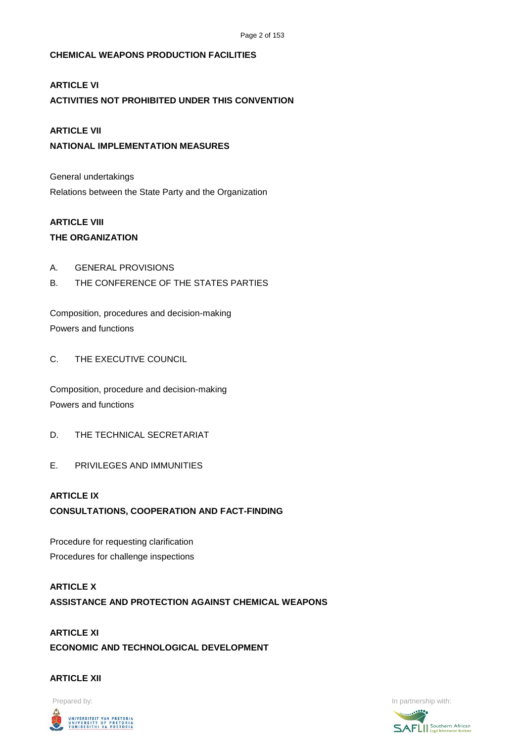### **CHEMICAL WEAPONS PRODUCTION FACILITIES**

### **ARTICLE VI**

**ACTIVITIES NOT PROHIBITED UNDER THIS CONVENTION**

### **ARTICLE VII**

### **NATIONAL IMPLEMENTATION MEASURES**

General undertakings Relations between the State Party and the Organization

# **ARTICLE VIII THE ORGANIZATION**

- A. GENERAL PROVISIONS
- B. THE CONFERENCE OF THE STATES PARTIES

Composition, procedures and decision-making Powers and functions

C. THE EXECUTIVE COUNCIL

Composition, procedure and decision-making Powers and functions

- D. THE TECHNICAL SECRETARIAT
- E. PRIVILEGES AND IMMUNITIES

#### **ARTICLE IX**

### **CONSULTATIONS, COOPERATION AND FACT-FINDING**

Procedure for requesting clarification Procedures for challenge inspections

# **ARTICLE X ASSISTANCE AND PROTECTION AGAINST CHEMICAL WEAPONS**

# **ARTICLE XI ECONOMIC AND TECHNOLOGICAL DEVELOPMENT**

### **ARTICLE XII**



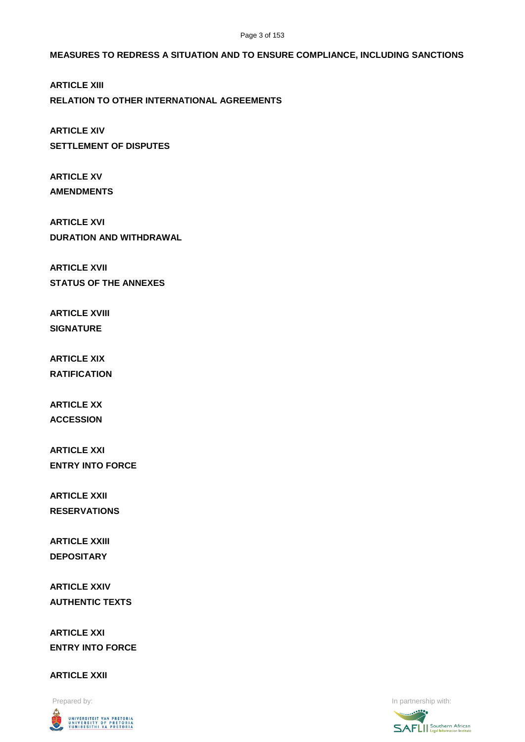#### Page 3 of 153

**MEASURES TO REDRESS A SITUATION AND TO ENSURE COMPLIANCE, INCLUDING SANCTIONS**

**ARTICLE XIII RELATION TO OTHER INTERNATIONAL AGREEMENTS**

**ARTICLE XIV SETTLEMENT OF DISPUTES**

**ARTICLE XV AMENDMENTS**

**ARTICLE XVI DURATION AND WITHDRAWAL**

**ARTICLE XVII STATUS OF THE ANNEXES**

**ARTICLE XVIII SIGNATURE**

**ARTICLE XIX RATIFICATION**

**ARTICLE XX ACCESSION**

**ARTICLE XXI ENTRY INTO FORCE**

**ARTICLE XXII RESERVATIONS**

**ARTICLE XXIII DEPOSITARY**

**ARTICLE XXIV AUTHENTIC TEXTS**

**ARTICLE XXI ENTRY INTO FORCE**

**ARTICLE XXII**

Prepared by: In partnership with: UNIVERSITEIT VAN PRETORIA<br>UNIVERSITY OF PRETORIA<br>YUNIBESITHI YA PRETORIA



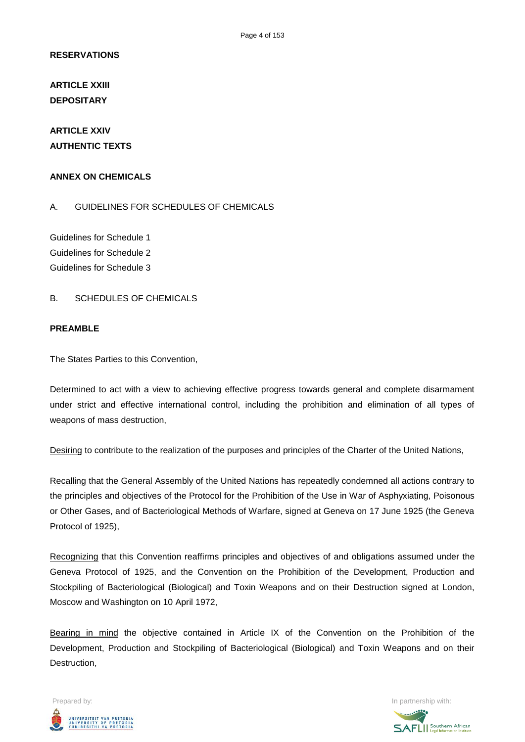### **RESERVATIONS**

**ARTICLE XXIII DEPOSITARY**

## **ARTICLE XXIV AUTHENTIC TEXTS**

### **ANNEX ON CHEMICALS**

### A. GUIDELINES FOR SCHEDULES OF CHEMICALS

Guidelines for Schedule 1 Guidelines for Schedule 2 Guidelines for Schedule 3

B. SCHEDULES OF CHEMICALS

#### **PREAMBLE**

The States Parties to this Convention,

Determined to act with a view to achieving effective progress towards general and complete disarmament under strict and effective international control, including the prohibition and elimination of all types of weapons of mass destruction,

Desiring to contribute to the realization of the purposes and principles of the Charter of the United Nations,

Recalling that the General Assembly of the United Nations has repeatedly condemned all actions contrary to the principles and objectives of the Protocol for the Prohibition of the Use in War of Asphyxiating, Poisonous or Other Gases, and of Bacteriological Methods of Warfare, signed at Geneva on 17 June 1925 (the Geneva Protocol of 1925),

Recognizing that this Convention reaffirms principles and objectives of and obligations assumed under the Geneva Protocol of 1925, and the Convention on the Prohibition of the Development, Production and Stockpiling of Bacteriological (Biological) and Toxin Weapons and on their Destruction signed at London, Moscow and Washington on 10 April 1972,

Bearing in mind the objective contained in Article IX of the Convention on the Prohibition of the Development, Production and Stockpiling of Bacteriological (Biological) and Toxin Weapons and on their Destruction,

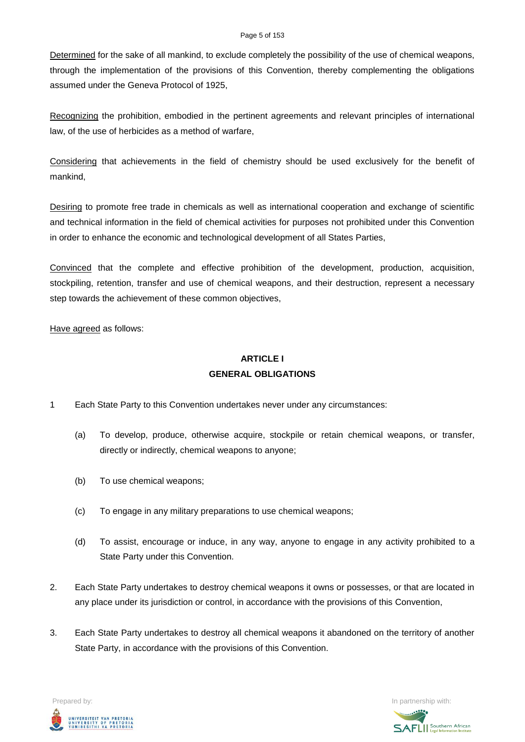#### Page 5 of 153

Determined for the sake of all mankind, to exclude completely the possibility of the use of chemical weapons, through the implementation of the provisions of this Convention, thereby complementing the obligations assumed under the Geneva Protocol of 1925,

Recognizing the prohibition, embodied in the pertinent agreements and relevant principles of international law, of the use of herbicides as a method of warfare,

Considering that achievements in the field of chemistry should be used exclusively for the benefit of mankind,

Desiring to promote free trade in chemicals as well as international cooperation and exchange of scientific and technical information in the field of chemical activities for purposes not prohibited under this Convention in order to enhance the economic and technological development of all States Parties,

Convinced that the complete and effective prohibition of the development, production, acquisition, stockpiling, retention, transfer and use of chemical weapons, and their destruction, represent a necessary step towards the achievement of these common objectives,

Have agreed as follows:

## **ARTICLE I GENERAL OBLIGATIONS**

- 1 Each State Party to this Convention undertakes never under any circumstances:
	- (a) To develop, produce, otherwise acquire, stockpile or retain chemical weapons, or transfer, directly or indirectly, chemical weapons to anyone;
	- (b) To use chemical weapons;
	- (c) To engage in any military preparations to use chemical weapons;
	- (d) To assist, encourage or induce, in any way, anyone to engage in any activity prohibited to a State Party under this Convention.
- 2. Each State Party undertakes to destroy chemical weapons it owns or possesses, or that are located in any place under its jurisdiction or control, in accordance with the provisions of this Convention,
- 3. Each State Party undertakes to destroy all chemical weapons it abandoned on the territory of another State Party, in accordance with the provisions of this Convention.

Prepared by: In partnership with:  $\blacksquare$  is the partnership with:  $\blacksquare$  is the partnership with:  $\blacksquare$ UNIVERSITEIT VAN PRETORIA<br>UNIVERSITY OF PRETORIA<br>YUNIBESITHI YA PRETORIA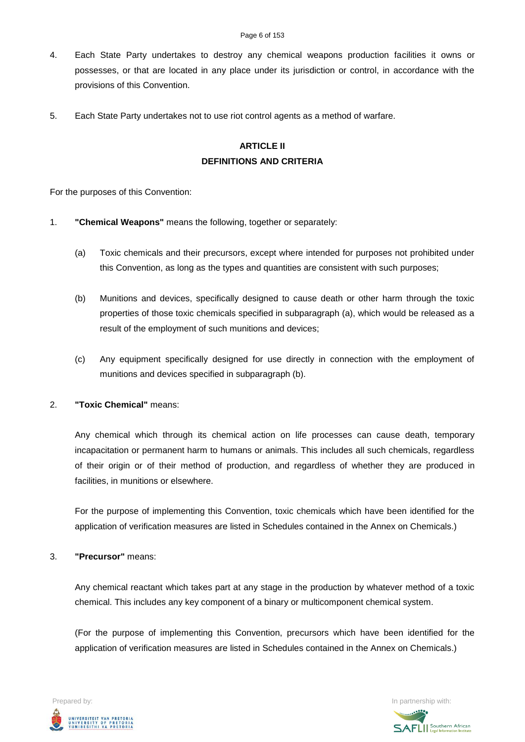- 4. Each State Party undertakes to destroy any chemical weapons production facilities it owns or possesses, or that are located in any place under its jurisdiction or control, in accordance with the provisions of this Convention.
- 5. Each State Party undertakes not to use riot control agents as a method of warfare.

## **ARTICLE II DEFINITIONS AND CRITERIA**

For the purposes of this Convention:

- 1. **"Chemical Weapons"** means the following, together or separately:
	- (a) Toxic chemicals and their precursors, except where intended for purposes not prohibited under this Convention, as long as the types and quantities are consistent with such purposes;
	- (b) Munitions and devices, specifically designed to cause death or other harm through the toxic properties of those toxic chemicals specified in subparagraph (a), which would be released as a result of the employment of such munitions and devices;
	- (c) Any equipment specifically designed for use directly in connection with the employment of munitions and devices specified in subparagraph (b).

## 2. **"Toxic Chemical"** means:

Any chemical which through its chemical action on life processes can cause death, temporary incapacitation or permanent harm to humans or animals. This includes all such chemicals, regardless of their origin or of their method of production, and regardless of whether they are produced in facilities, in munitions or elsewhere.

For the purpose of implementing this Convention, toxic chemicals which have been identified for the application of verification measures are listed in Schedules contained in the Annex on Chemicals.)

3. **"Precursor"** means:

Any chemical reactant which takes part at any stage in the production by whatever method of a toxic chemical. This includes any key component of a binary or multicomponent chemical system.

(For the purpose of implementing this Convention, precursors which have been identified for the application of verification measures are listed in Schedules contained in the Annex on Chemicals.)



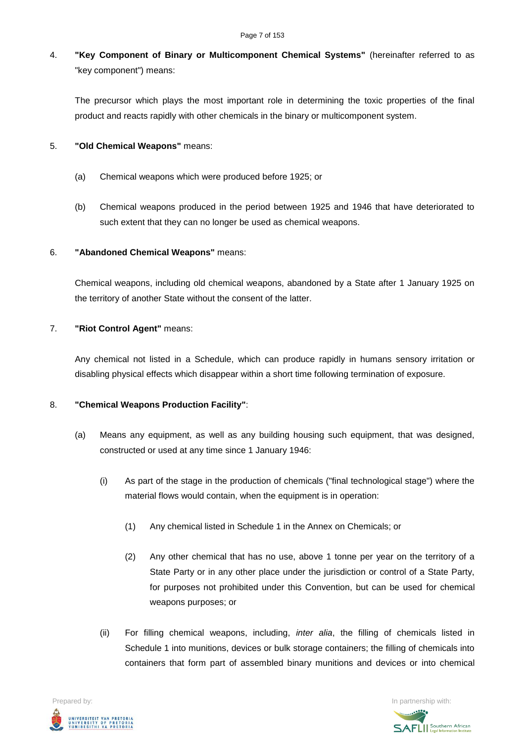# 4. **"Key Component of Binary or Multicomponent Chemical Systems"** (hereinafter referred to as "key component") means:

The precursor which plays the most important role in determining the toxic properties of the final product and reacts rapidly with other chemicals in the binary or multicomponent system.

### 5. **"Old Chemical Weapons"** means:

- (a) Chemical weapons which were produced before 1925; or
- (b) Chemical weapons produced in the period between 1925 and 1946 that have deteriorated to such extent that they can no longer be used as chemical weapons.

### 6. **"Abandoned Chemical Weapons"** means:

Chemical weapons, including old chemical weapons, abandoned by a State after 1 January 1925 on the territory of another State without the consent of the latter.

### 7. **"Riot Control Agent"** means:

Any chemical not listed in a Schedule, which can produce rapidly in humans sensory irritation or disabling physical effects which disappear within a short time following termination of exposure.

## 8. **"Chemical Weapons Production Facility"**:

- (a) Means any equipment, as well as any building housing such equipment, that was designed, constructed or used at any time since 1 January 1946:
	- (i) As part of the stage in the production of chemicals ("final technological stage") where the material flows would contain, when the equipment is in operation:
		- (1) Any chemical listed in Schedule 1 in the Annex on Chemicals; or
		- (2) Any other chemical that has no use, above 1 tonne per year on the territory of a State Party or in any other place under the jurisdiction or control of a State Party, for purposes not prohibited under this Convention, but can be used for chemical weapons purposes; or
	- (ii) For filling chemical weapons, including, *inter alia*, the filling of chemicals listed in Schedule 1 into munitions, devices or bulk storage containers; the filling of chemicals into containers that form part of assembled binary munitions and devices or into chemical

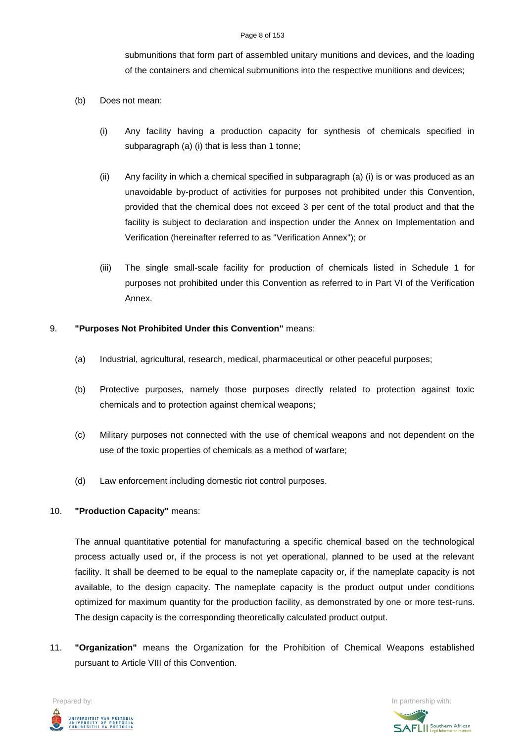#### Page 8 of 153

submunitions that form part of assembled unitary munitions and devices, and the loading of the containers and chemical submunitions into the respective munitions and devices;

- (b) Does not mean:
	- (i) Any facility having a production capacity for synthesis of chemicals specified in subparagraph (a) (i) that is less than 1 tonne;
	- (ii) Any facility in which a chemical specified in subparagraph (a) (i) is or was produced as an unavoidable by-product of activities for purposes not prohibited under this Convention, provided that the chemical does not exceed 3 per cent of the total product and that the facility is subject to declaration and inspection under the Annex on Implementation and Verification (hereinafter referred to as "Verification Annex"); or
	- (iii) The single small-scale facility for production of chemicals listed in Schedule 1 for purposes not prohibited under this Convention as referred to in Part VI of the Verification Annex.

### 9. **"Purposes Not Prohibited Under this Convention"** means:

- (a) Industrial, agricultural, research, medical, pharmaceutical or other peaceful purposes;
- (b) Protective purposes, namely those purposes directly related to protection against toxic chemicals and to protection against chemical weapons;
- (c) Military purposes not connected with the use of chemical weapons and not dependent on the use of the toxic properties of chemicals as a method of warfare;
- (d) Law enforcement including domestic riot control purposes.

### 10. **"Production Capacity"** means:

The annual quantitative potential for manufacturing a specific chemical based on the technological process actually used or, if the process is not yet operational, planned to be used at the relevant facility. It shall be deemed to be equal to the nameplate capacity or, if the nameplate capacity is not available, to the design capacity. The nameplate capacity is the product output under conditions optimized for maximum quantity for the production facility, as demonstrated by one or more test-runs. The design capacity is the corresponding theoretically calculated product output.

11. **"Organization"** means the Organization for the Prohibition of Chemical Weapons established pursuant to Article VIII of this Convention.



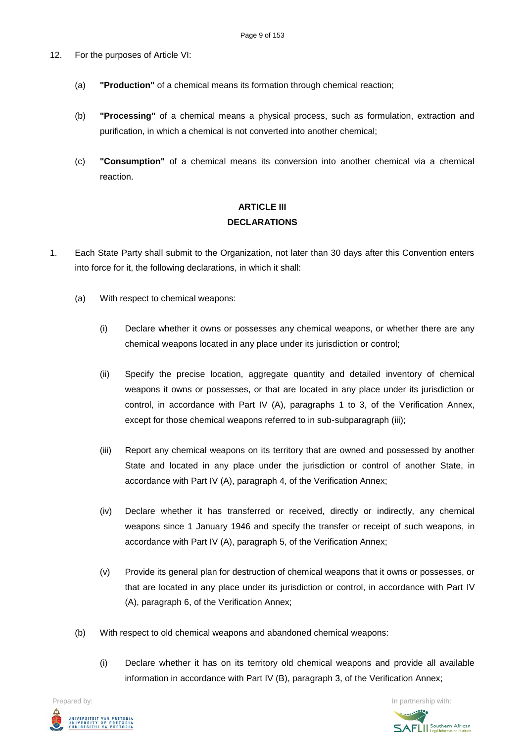- 12. For the purposes of Article VI:
	- (a) **"Production"** of a chemical means its formation through chemical reaction;
	- (b) **"Processing"** of a chemical means a physical process, such as formulation, extraction and purification, in which a chemical is not converted into another chemical;
	- (c) **"Consumption"** of a chemical means its conversion into another chemical via a chemical reaction.

## **ARTICLE III DECLARATIONS**

- 1. Each State Party shall submit to the Organization, not later than 30 days after this Convention enters into force for it, the following declarations, in which it shall:
	- (a) With respect to chemical weapons:
		- (i) Declare whether it owns or possesses any chemical weapons, or whether there are any chemical weapons located in any place under its jurisdiction or control;
		- (ii) Specify the precise location, aggregate quantity and detailed inventory of chemical weapons it owns or possesses, or that are located in any place under its jurisdiction or control, in accordance with Part IV (A), paragraphs 1 to 3, of the Verification Annex, except for those chemical weapons referred to in sub-subparagraph (iii);
		- (iii) Report any chemical weapons on its territory that are owned and possessed by another State and located in any place under the jurisdiction or control of another State, in accordance with Part IV (A), paragraph 4, of the Verification Annex;
		- (iv) Declare whether it has transferred or received, directly or indirectly, any chemical weapons since 1 January 1946 and specify the transfer or receipt of such weapons, in accordance with Part IV (A), paragraph 5, of the Verification Annex;
		- (v) Provide its general plan for destruction of chemical weapons that it owns or possesses, or that are located in any place under its jurisdiction or control, in accordance with Part IV (A), paragraph 6, of the Verification Annex;
	- (b) With respect to old chemical weapons and abandoned chemical weapons:
		- (i) Declare whether it has on its territory old chemical weapons and provide all available information in accordance with Part IV (B), paragraph 3, of the Verification Annex;

Prepared by: In partnership with:  $\blacksquare$  is the partnership with:  $\blacksquare$  is the partnership with:  $\blacksquare$ .<br>Iniversiteit van Pretori*i*<br>Yunibesithi ya Pretori*i* 

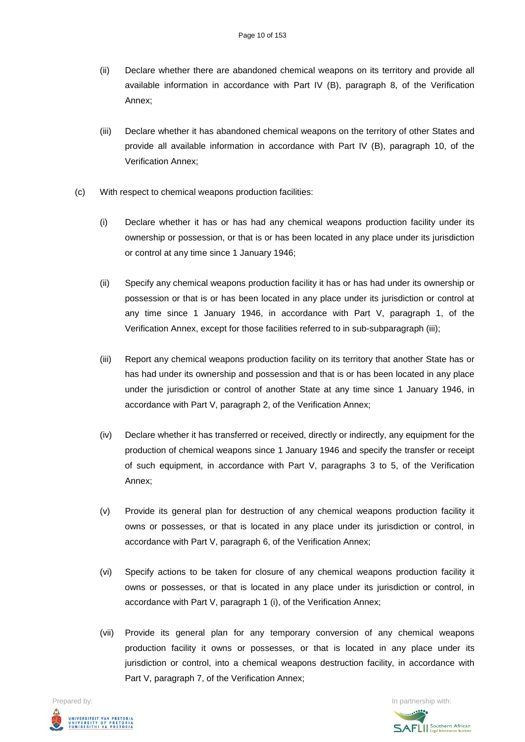- (ii) Declare whether there are abandoned chemical weapons on its territory and provide all available information in accordance with Part IV (B), paragraph 8, of the Verification Annex;
- (iii) Declare whether it has abandoned chemical weapons on the territory of other States and provide all available information in accordance with Part IV (B), paragraph 10, of the Verification Annex;
- (c) With respect to chemical weapons production facilities:
	- (i) Declare whether it has or has had any chemical weapons production facility under its ownership or possession, or that is or has been located in any place under its jurisdiction or control at any time since 1 January 1946;
	- (ii) Specify any chemical weapons production facility it has or has had under its ownership or possession or that is or has been located in any place under its jurisdiction or control at any time since 1 January 1946, in accordance with Part V, paragraph 1, of the Verification Annex, except for those facilities referred to in sub-subparagraph (iii);
	- (iii) Report any chemical weapons production facility on its territory that another State has or has had under its ownership and possession and that is or has been located in any place under the jurisdiction or control of another State at any time since 1 January 1946, in accordance with Part V, paragraph 2, of the Verification Annex;
	- (iv) Declare whether it has transferred or received, directly or indirectly, any equipment for the production of chemical weapons since 1 January 1946 and specify the transfer or receipt of such equipment, in accordance with Part V, paragraphs 3 to 5, of the Verification Annex;
	- (v) Provide its general plan for destruction of any chemical weapons production facility it owns or possesses, or that is located in any place under its jurisdiction or control, in accordance with Part V, paragraph 6, of the Verification Annex;
	- (vi) Specify actions to be taken for closure of any chemical weapons production facility it owns or possesses, or that is located in any place under its jurisdiction or control, in accordance with Part V, paragraph 1 (i), of the Verification Annex;
	- (vii) Provide its general plan for any temporary conversion of any chemical weapons production facility it owns or possesses, or that is located in any place under its jurisdiction or control, into a chemical weapons destruction facility, in accordance with Part V, paragraph 7, of the Verification Annex;

Prepared by: In partnership with:  $\blacksquare$  is the partnership with:  $\blacksquare$  is the partnership with:  $\blacksquare$ .<br>UNIVERSITY OF PRETORI<br>YUNIBESITHI YA PRETORI

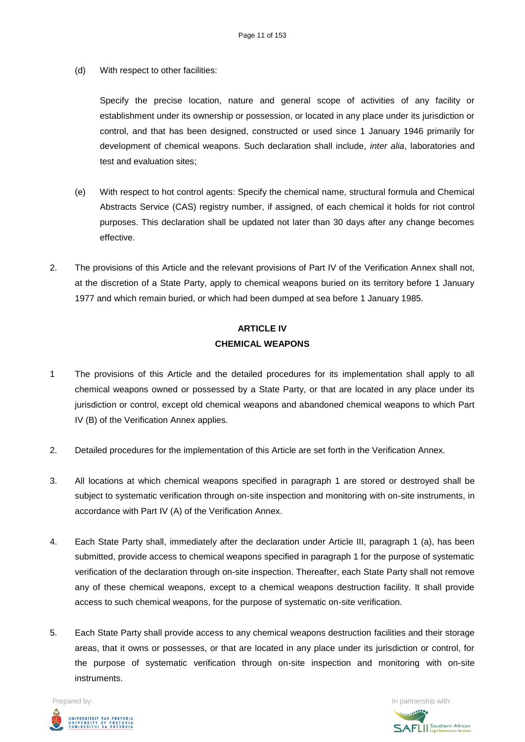(d) With respect to other facilities:

Specify the precise location, nature and general scope of activities of any facility or establishment under its ownership or possession, or located in any place under its jurisdiction or control, and that has been designed, constructed or used since 1 January 1946 primarily for development of chemical weapons. Such declaration shall include, *inter alia*, laboratories and test and evaluation sites;

- (e) With respect to hot control agents: Specify the chemical name, structural formula and Chemical Abstracts Service (CAS) registry number, if assigned, of each chemical it holds for riot control purposes. This declaration shall be updated not later than 30 days after any change becomes effective.
- 2. The provisions of this Article and the relevant provisions of Part IV of the Verification Annex shall not, at the discretion of a State Party, apply to chemical weapons buried on its territory before 1 January 1977 and which remain buried, or which had been dumped at sea before 1 January 1985.

## **ARTICLE IV CHEMICAL WEAPONS**

- 1 The provisions of this Article and the detailed procedures for its implementation shall apply to all chemical weapons owned or possessed by a State Party, or that are located in any place under its jurisdiction or control, except old chemical weapons and abandoned chemical weapons to which Part IV (B) of the Verification Annex applies.
- 2. Detailed procedures for the implementation of this Article are set forth in the Verification Annex.
- 3. All locations at which chemical weapons specified in paragraph 1 are stored or destroyed shall be subject to systematic verification through on-site inspection and monitoring with on-site instruments, in accordance with Part IV (A) of the Verification Annex.
- 4. Each State Party shall, immediately after the declaration under Article III, paragraph 1 (a), has been submitted, provide access to chemical weapons specified in paragraph 1 for the purpose of systematic verification of the declaration through on-site inspection. Thereafter, each State Party shall not remove any of these chemical weapons, except to a chemical weapons destruction facility. It shall provide access to such chemical weapons, for the purpose of systematic on-site verification.
- 5. Each State Party shall provide access to any chemical weapons destruction facilities and their storage areas, that it owns or possesses, or that are located in any place under its jurisdiction or control, for the purpose of systematic verification through on-site inspection and monitoring with on-site instruments.



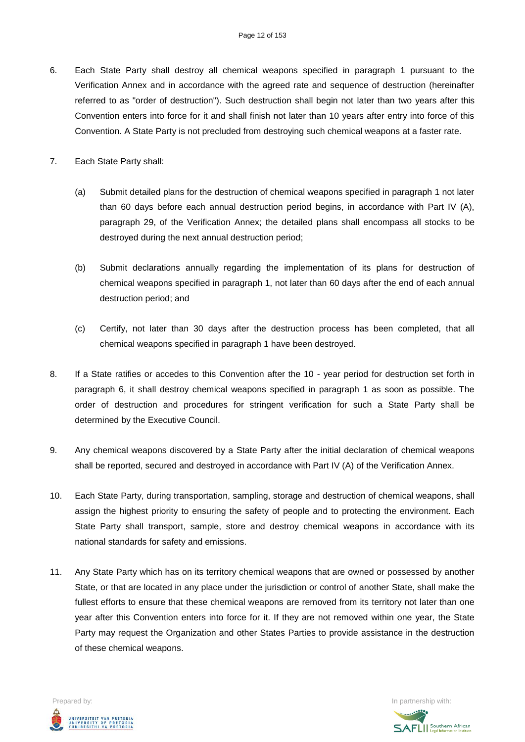- 6. Each State Party shall destroy all chemical weapons specified in paragraph 1 pursuant to the Verification Annex and in accordance with the agreed rate and sequence of destruction (hereinafter referred to as "order of destruction"). Such destruction shall begin not later than two years after this Convention enters into force for it and shall finish not later than 10 years after entry into force of this Convention. A State Party is not precluded from destroying such chemical weapons at a faster rate.
- 7. Each State Party shall:
	- (a) Submit detailed plans for the destruction of chemical weapons specified in paragraph 1 not later than 60 days before each annual destruction period begins, in accordance with Part IV (A), paragraph 29, of the Verification Annex; the detailed plans shall encompass all stocks to be destroyed during the next annual destruction period;
	- (b) Submit declarations annually regarding the implementation of its plans for destruction of chemical weapons specified in paragraph 1, not later than 60 days after the end of each annual destruction period; and
	- (c) Certify, not later than 30 days after the destruction process has been completed, that all chemical weapons specified in paragraph 1 have been destroyed.
- 8. If a State ratifies or accedes to this Convention after the 10 year period for destruction set forth in paragraph 6, it shall destroy chemical weapons specified in paragraph 1 as soon as possible. The order of destruction and procedures for stringent verification for such a State Party shall be determined by the Executive Council.
- 9. Any chemical weapons discovered by a State Party after the initial declaration of chemical weapons shall be reported, secured and destroyed in accordance with Part IV (A) of the Verification Annex.
- 10. Each State Party, during transportation, sampling, storage and destruction of chemical weapons, shall assign the highest priority to ensuring the safety of people and to protecting the environment. Each State Party shall transport, sample, store and destroy chemical weapons in accordance with its national standards for safety and emissions.
- 11. Any State Party which has on its territory chemical weapons that are owned or possessed by another State, or that are located in any place under the jurisdiction or control of another State, shall make the fullest efforts to ensure that these chemical weapons are removed from its territory not later than one year after this Convention enters into force for it. If they are not removed within one year, the State Party may request the Organization and other States Parties to provide assistance in the destruction of these chemical weapons.

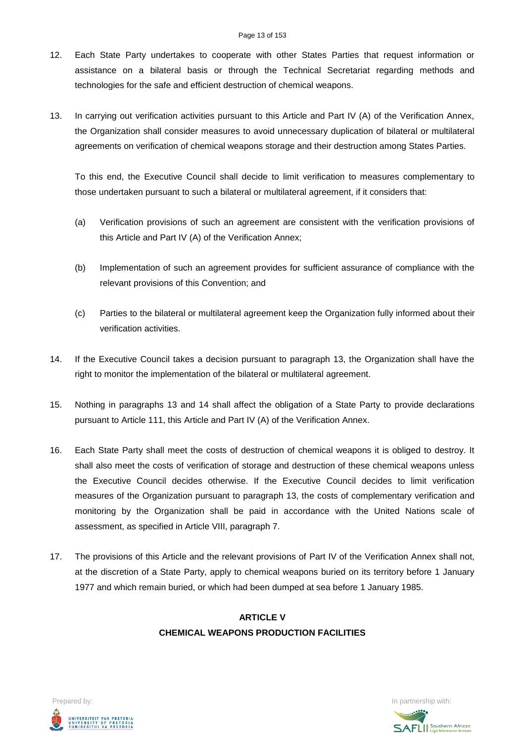#### Page 13 of 153

- 12. Each State Party undertakes to cooperate with other States Parties that request information or assistance on a bilateral basis or through the Technical Secretariat regarding methods and technologies for the safe and efficient destruction of chemical weapons.
- 13. In carrying out verification activities pursuant to this Article and Part IV (A) of the Verification Annex, the Organization shall consider measures to avoid unnecessary duplication of bilateral or multilateral agreements on verification of chemical weapons storage and their destruction among States Parties.

To this end, the Executive Council shall decide to limit verification to measures complementary to those undertaken pursuant to such a bilateral or multilateral agreement, if it considers that:

- (a) Verification provisions of such an agreement are consistent with the verification provisions of this Article and Part IV (A) of the Verification Annex;
- (b) Implementation of such an agreement provides for sufficient assurance of compliance with the relevant provisions of this Convention; and
- (c) Parties to the bilateral or multilateral agreement keep the Organization fully informed about their verification activities.
- 14. If the Executive Council takes a decision pursuant to paragraph 13, the Organization shall have the right to monitor the implementation of the bilateral or multilateral agreement.
- 15. Nothing in paragraphs 13 and 14 shall affect the obligation of a State Party to provide declarations pursuant to Article 111, this Article and Part IV (A) of the Verification Annex.
- 16. Each State Party shall meet the costs of destruction of chemical weapons it is obliged to destroy. It shall also meet the costs of verification of storage and destruction of these chemical weapons unless the Executive Council decides otherwise. If the Executive Council decides to limit verification measures of the Organization pursuant to paragraph 13, the costs of complementary verification and monitoring by the Organization shall be paid in accordance with the United Nations scale of assessment, as specified in Article VIII, paragraph 7.
- 17. The provisions of this Article and the relevant provisions of Part IV of the Verification Annex shall not, at the discretion of a State Party, apply to chemical weapons buried on its territory before 1 January 1977 and which remain buried, or which had been dumped at sea before 1 January 1985.

## **ARTICLE V CHEMICAL WEAPONS PRODUCTION FACILITIES**

Prepared by: In partnership with:  $\blacksquare$  is the partnership with:  $\blacksquare$  is the partnership with:  $\blacksquare$ UNIVERSITEIT VAN PRETORIA<br>UNIVERSITY OF PRETORIA<br>YUNIBESITHI YA PRETORIA

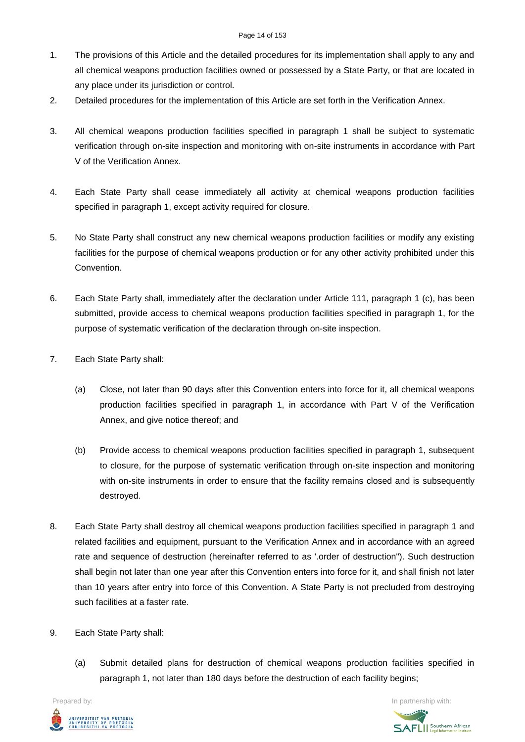- 1. The provisions of this Article and the detailed procedures for its implementation shall apply to any and all chemical weapons production facilities owned or possessed by a State Party, or that are located in any place under its jurisdiction or control.
- 2. Detailed procedures for the implementation of this Article are set forth in the Verification Annex.
- 3. All chemical weapons production facilities specified in paragraph 1 shall be subject to systematic verification through on-site inspection and monitoring with on-site instruments in accordance with Part V of the Verification Annex.
- 4. Each State Party shall cease immediately all activity at chemical weapons production facilities specified in paragraph 1, except activity required for closure.
- 5. No State Party shall construct any new chemical weapons production facilities or modify any existing facilities for the purpose of chemical weapons production or for any other activity prohibited under this **Convention**
- 6. Each State Party shall, immediately after the declaration under Article 111, paragraph 1 (c), has been submitted, provide access to chemical weapons production facilities specified in paragraph 1, for the purpose of systematic verification of the declaration through on-site inspection.
- 7. Each State Party shall:
	- (a) Close, not later than 90 days after this Convention enters into force for it, all chemical weapons production facilities specified in paragraph 1, in accordance with Part V of the Verification Annex, and give notice thereof; and
	- (b) Provide access to chemical weapons production facilities specified in paragraph 1, subsequent to closure, for the purpose of systematic verification through on-site inspection and monitoring with on-site instruments in order to ensure that the facility remains closed and is subsequently destroyed.
- 8. Each State Party shall destroy all chemical weapons production facilities specified in paragraph 1 and related facilities and equipment, pursuant to the Verification Annex and in accordance with an agreed rate and sequence of destruction (hereinafter referred to as '.order of destruction"). Such destruction shall begin not later than one year after this Convention enters into force for it, and shall finish not later than 10 years after entry into force of this Convention. A State Party is not precluded from destroying such facilities at a faster rate.
- 9. Each State Party shall:
	- (a) Submit detailed plans for destruction of chemical weapons production facilities specified in paragraph 1, not later than 180 days before the destruction of each facility begins;

Prepared by: **In partnership with:**  $\blacksquare$  **In partnership with:**  $\blacksquare$  **In partnership with:**  $\blacksquare$ UNIVERSITEIT VAN PRETORIA<br>UNIVERSITY OF PRETORIA<br>YUNIBESITHI YA PRETORIA

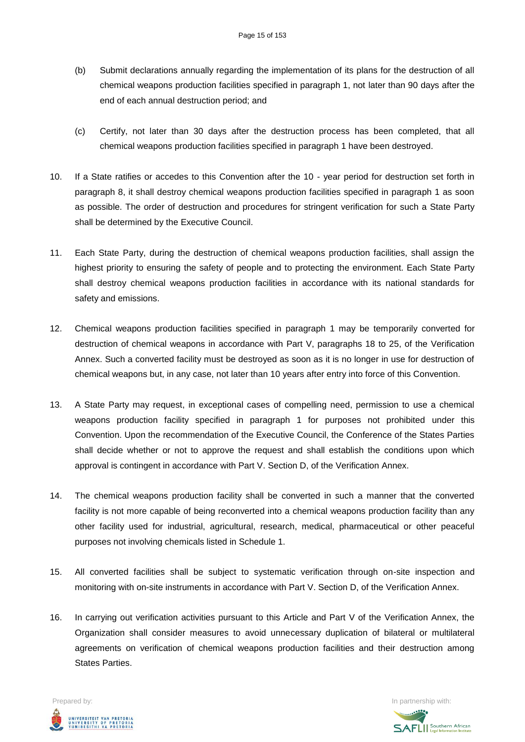- (b) Submit declarations annually regarding the implementation of its plans for the destruction of all chemical weapons production facilities specified in paragraph 1, not later than 90 days after the end of each annual destruction period; and
- (c) Certify, not later than 30 days after the destruction process has been completed, that all chemical weapons production facilities specified in paragraph 1 have been destroyed.
- 10. If a State ratifies or accedes to this Convention after the 10 year period for destruction set forth in paragraph 8, it shall destroy chemical weapons production facilities specified in paragraph 1 as soon as possible. The order of destruction and procedures for stringent verification for such a State Party shall be determined by the Executive Council.
- 11. Each State Party, during the destruction of chemical weapons production facilities, shall assign the highest priority to ensuring the safety of people and to protecting the environment. Each State Party shall destroy chemical weapons production facilities in accordance with its national standards for safety and emissions.
- 12. Chemical weapons production facilities specified in paragraph 1 may be temporarily converted for destruction of chemical weapons in accordance with Part V, paragraphs 18 to 25, of the Verification Annex. Such a converted facility must be destroyed as soon as it is no longer in use for destruction of chemical weapons but, in any case, not later than 10 years after entry into force of this Convention.
- 13. A State Party may request, in exceptional cases of compelling need, permission to use a chemical weapons production facility specified in paragraph 1 for purposes not prohibited under this Convention. Upon the recommendation of the Executive Council, the Conference of the States Parties shall decide whether or not to approve the request and shall establish the conditions upon which approval is contingent in accordance with Part V. Section D, of the Verification Annex.
- 14. The chemical weapons production facility shall be converted in such a manner that the converted facility is not more capable of being reconverted into a chemical weapons production facility than any other facility used for industrial, agricultural, research, medical, pharmaceutical or other peaceful purposes not involving chemicals listed in Schedule 1.
- 15. All converted facilities shall be subject to systematic verification through on-site inspection and monitoring with on-site instruments in accordance with Part V. Section D, of the Verification Annex.
- 16. In carrying out verification activities pursuant to this Article and Part V of the Verification Annex, the Organization shall consider measures to avoid unnecessary duplication of bilateral or multilateral agreements on verification of chemical weapons production facilities and their destruction among States Parties.

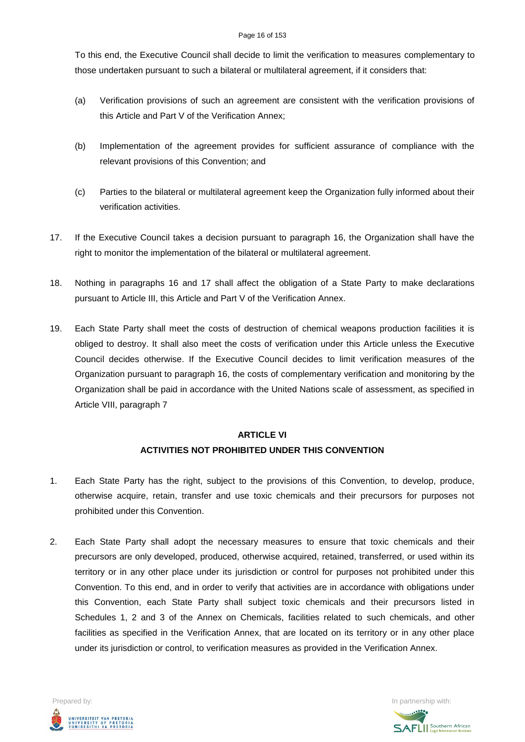#### Page 16 of 153

To this end, the Executive Council shall decide to limit the verification to measures complementary to those undertaken pursuant to such a bilateral or multilateral agreement, if it considers that:

- (a) Verification provisions of such an agreement are consistent with the verification provisions of this Article and Part V of the Verification Annex;
- (b) Implementation of the agreement provides for sufficient assurance of compliance with the relevant provisions of this Convention; and
- (c) Parties to the bilateral or multilateral agreement keep the Organization fully informed about their verification activities.
- 17. If the Executive Council takes a decision pursuant to paragraph 16, the Organization shall have the right to monitor the implementation of the bilateral or multilateral agreement.
- 18. Nothing in paragraphs 16 and 17 shall affect the obligation of a State Party to make declarations pursuant to Article III, this Article and Part V of the Verification Annex.
- 19. Each State Party shall meet the costs of destruction of chemical weapons production facilities it is obliged to destroy. It shall also meet the costs of verification under this Article unless the Executive Council decides otherwise. If the Executive Council decides to limit verification measures of the Organization pursuant to paragraph 16, the costs of complementary verification and monitoring by the Organization shall be paid in accordance with the United Nations scale of assessment, as specified in Article VIII, paragraph 7

#### **ARTICLE VI**

## **ACTIVITIES NOT PROHIBITED UNDER THIS CONVENTION**

- 1. Each State Party has the right, subject to the provisions of this Convention, to develop, produce, otherwise acquire, retain, transfer and use toxic chemicals and their precursors for purposes not prohibited under this Convention.
- 2. Each State Party shall adopt the necessary measures to ensure that toxic chemicals and their precursors are only developed, produced, otherwise acquired, retained, transferred, or used within its territory or in any other place under its jurisdiction or control for purposes not prohibited under this Convention. To this end, and in order to verify that activities are in accordance with obligations under this Convention, each State Party shall subject toxic chemicals and their precursors listed in Schedules 1, 2 and 3 of the Annex on Chemicals, facilities related to such chemicals, and other facilities as specified in the Verification Annex, that are located on its territory or in any other place under its jurisdiction or control, to verification measures as provided in the Verification Annex.

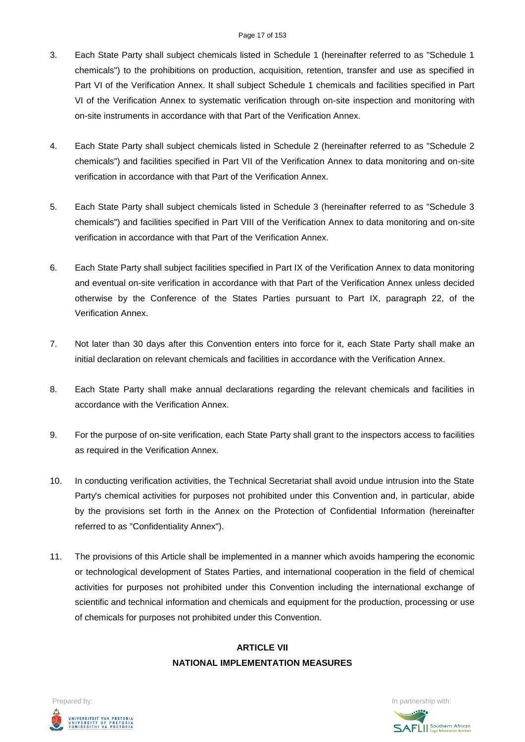- 3. Each State Party shall subject chemicals listed in Schedule 1 (hereinafter referred to as "Schedule 1 chemicals") to the prohibitions on production, acquisition, retention, transfer and use as specified in Part VI of the Verification Annex. It shall subject Schedule 1 chemicals and facilities specified in Part VI of the Verification Annex to systematic verification through on-site inspection and monitoring with on-site instruments in accordance with that Part of the Verification Annex.
- 4. Each State Party shall subject chemicals listed in Schedule 2 (hereinafter referred to as "Schedule 2 chemicals") and facilities specified in Part VII of the Verification Annex to data monitoring and on-site verification in accordance with that Part of the Verification Annex.
- 5. Each State Party shall subject chemicals listed in Schedule 3 (hereinafter referred to as "Schedule 3 chemicals") and facilities specified in Part VIII of the Verification Annex to data monitoring and on-site verification in accordance with that Part of the Verification Annex.
- 6. Each State Party shall subject facilities specified in Part IX of the Verification Annex to data monitoring and eventual on-site verification in accordance with that Part of the Verification Annex unless decided otherwise by the Conference of the States Parties pursuant to Part IX, paragraph 22, of the Verification Annex.
- 7. Not later than 30 days after this Convention enters into force for it, each State Party shall make an initial declaration on relevant chemicals and facilities in accordance with the Verification Annex.
- 8. Each State Party shall make annual declarations regarding the relevant chemicals and facilities in accordance with the Verification Annex.
- 9. For the purpose of on-site verification, each State Party shall grant to the inspectors access to facilities as required in the Verification Annex.
- 10. In conducting verification activities, the Technical Secretariat shall avoid undue intrusion into the State Party's chemical activities for purposes not prohibited under this Convention and, in particular, abide by the provisions set forth in the Annex on the Protection of Confidential Information (hereinafter referred to as "Confidentiality Annex").
- 11. The provisions of this Article shall be implemented in a manner which avoids hampering the economic or technological development of States Parties, and international cooperation in the field of chemical activities for purposes not prohibited under this Convention including the international exchange of scientific and technical information and chemicals and equipment for the production, processing or use of chemicals for purposes not prohibited under this Convention.

## **ARTICLE VII NATIONAL IMPLEMENTATION MEASURES**

UNIVERSITEIT VAN PRETORIA<br>UNIVERSITY OF PRETORIA<br>YUNIBESITHI YA PRETORIA

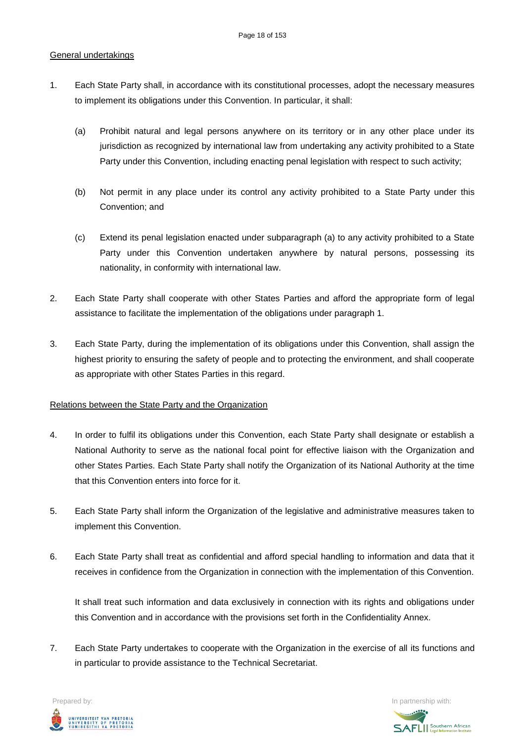### General undertakings

- 1. Each State Party shall, in accordance with its constitutional processes, adopt the necessary measures to implement its obligations under this Convention. In particular, it shall:
	- (a) Prohibit natural and legal persons anywhere on its territory or in any other place under its jurisdiction as recognized by international law from undertaking any activity prohibited to a State Party under this Convention, including enacting penal legislation with respect to such activity;
	- (b) Not permit in any place under its control any activity prohibited to a State Party under this Convention; and
	- (c) Extend its penal legislation enacted under subparagraph (a) to any activity prohibited to a State Party under this Convention undertaken anywhere by natural persons, possessing its nationality, in conformity with international law.
- 2. Each State Party shall cooperate with other States Parties and afford the appropriate form of legal assistance to facilitate the implementation of the obligations under paragraph 1.
- 3. Each State Party, during the implementation of its obligations under this Convention, shall assign the highest priority to ensuring the safety of people and to protecting the environment, and shall cooperate as appropriate with other States Parties in this regard.

### Relations between the State Party and the Organization

- 4. In order to fulfil its obligations under this Convention, each State Party shall designate or establish a National Authority to serve as the national focal point for effective liaison with the Organization and other States Parties. Each State Party shall notify the Organization of its National Authority at the time that this Convention enters into force for it.
- 5. Each State Party shall inform the Organization of the legislative and administrative measures taken to implement this Convention.
- 6. Each State Party shall treat as confidential and afford special handling to information and data that it receives in confidence from the Organization in connection with the implementation of this Convention.

It shall treat such information and data exclusively in connection with its rights and obligations under this Convention and in accordance with the provisions set forth in the Confidentiality Annex.

7. Each State Party undertakes to cooperate with the Organization in the exercise of all its functions and in particular to provide assistance to the Technical Secretariat.



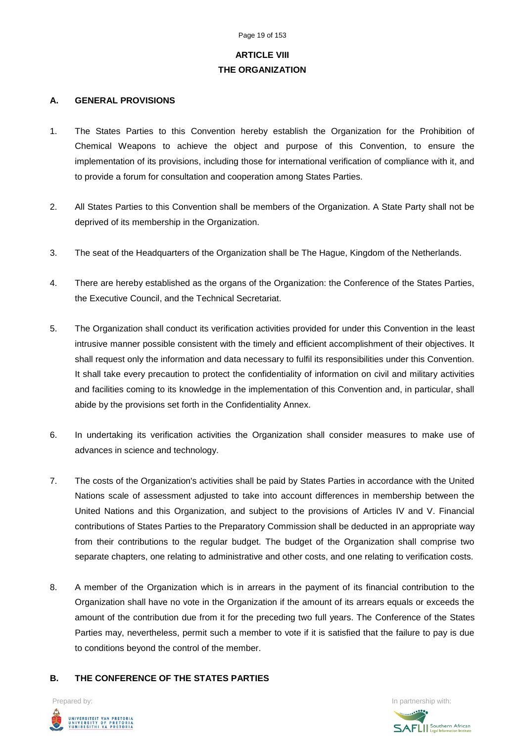## **ARTICLE VIII THE ORGANIZATION**

#### **A. GENERAL PROVISIONS**

- 1. The States Parties to this Convention hereby establish the Organization for the Prohibition of Chemical Weapons to achieve the object and purpose of this Convention, to ensure the implementation of its provisions, including those for international verification of compliance with it, and to provide a forum for consultation and cooperation among States Parties.
- 2. All States Parties to this Convention shall be members of the Organization. A State Party shall not be deprived of its membership in the Organization.
- 3. The seat of the Headquarters of the Organization shall be The Hague, Kingdom of the Netherlands.
- 4. There are hereby established as the organs of the Organization: the Conference of the States Parties, the Executive Council, and the Technical Secretariat.
- 5. The Organization shall conduct its verification activities provided for under this Convention in the least intrusive manner possible consistent with the timely and efficient accomplishment of their objectives. It shall request only the information and data necessary to fulfil its responsibilities under this Convention. It shall take every precaution to protect the confidentiality of information on civil and military activities and facilities coming to its knowledge in the implementation of this Convention and, in particular, shall abide by the provisions set forth in the Confidentiality Annex.
- 6. In undertaking its verification activities the Organization shall consider measures to make use of advances in science and technology.
- 7. The costs of the Organization's activities shall be paid by States Parties in accordance with the United Nations scale of assessment adjusted to take into account differences in membership between the United Nations and this Organization, and subject to the provisions of Articles IV and V. Financial contributions of States Parties to the Preparatory Commission shall be deducted in an appropriate way from their contributions to the regular budget. The budget of the Organization shall comprise two separate chapters, one relating to administrative and other costs, and one relating to verification costs.
- 8. A member of the Organization which is in arrears in the payment of its financial contribution to the Organization shall have no vote in the Organization if the amount of its arrears equals or exceeds the amount of the contribution due from it for the preceding two full years. The Conference of the States Parties may, nevertheless, permit such a member to vote if it is satisfied that the failure to pay is due to conditions beyond the control of the member.

### **B. THE CONFERENCE OF THE STATES PARTIES**

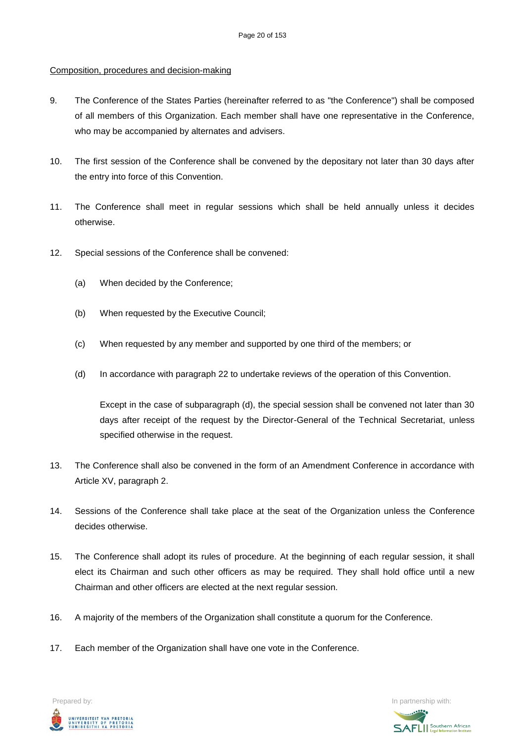### Composition, procedures and decision-making

- 9. The Conference of the States Parties (hereinafter referred to as "the Conference") shall be composed of all members of this Organization. Each member shall have one representative in the Conference, who may be accompanied by alternates and advisers.
- 10. The first session of the Conference shall be convened by the depositary not later than 30 days after the entry into force of this Convention.
- 11. The Conference shall meet in regular sessions which shall be held annually unless it decides otherwise.
- 12. Special sessions of the Conference shall be convened:
	- (a) When decided by the Conference;
	- (b) When requested by the Executive Council;
	- (c) When requested by any member and supported by one third of the members; or
	- (d) In accordance with paragraph 22 to undertake reviews of the operation of this Convention.

Except in the case of subparagraph (d), the special session shall be convened not later than 30 days after receipt of the request by the Director-General of the Technical Secretariat, unless specified otherwise in the request.

- 13. The Conference shall also be convened in the form of an Amendment Conference in accordance with Article XV, paragraph 2.
- 14. Sessions of the Conference shall take place at the seat of the Organization unless the Conference decides otherwise.
- 15. The Conference shall adopt its rules of procedure. At the beginning of each regular session, it shall elect its Chairman and such other officers as may be required. They shall hold office until a new Chairman and other officers are elected at the next regular session.
- 16. A majority of the members of the Organization shall constitute a quorum for the Conference.
- 17. Each member of the Organization shall have one vote in the Conference.



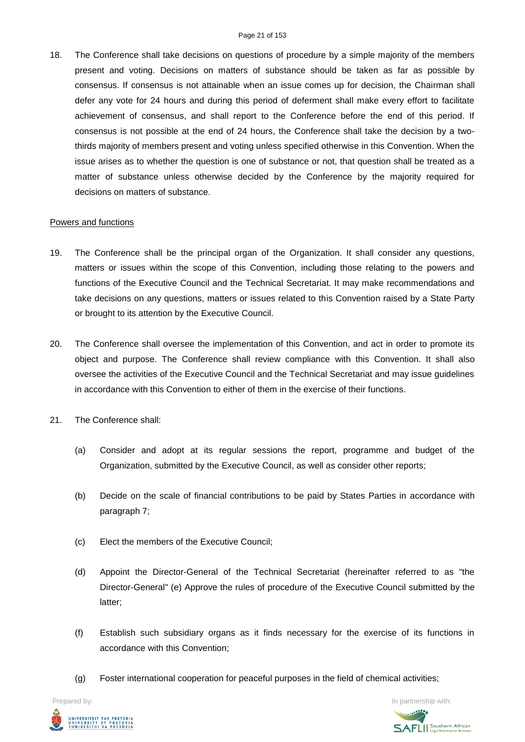18. The Conference shall take decisions on questions of procedure by a simple majority of the members present and voting. Decisions on matters of substance should be taken as far as possible by consensus. If consensus is not attainable when an issue comes up for decision, the Chairman shall defer any vote for 24 hours and during this period of deferment shall make every effort to facilitate achievement of consensus, and shall report to the Conference before the end of this period. If consensus is not possible at the end of 24 hours, the Conference shall take the decision by a twothirds majority of members present and voting unless specified otherwise in this Convention. When the issue arises as to whether the question is one of substance or not, that question shall be treated as a matter of substance unless otherwise decided by the Conference by the majority required for decisions on matters of substance.

#### Powers and functions

- 19. The Conference shall be the principal organ of the Organization. It shall consider any questions, matters or issues within the scope of this Convention, including those relating to the powers and functions of the Executive Council and the Technical Secretariat. It may make recommendations and take decisions on any questions, matters or issues related to this Convention raised by a State Party or brought to its attention by the Executive Council.
- 20. The Conference shall oversee the implementation of this Convention, and act in order to promote its object and purpose. The Conference shall review compliance with this Convention. It shall also oversee the activities of the Executive Council and the Technical Secretariat and may issue guidelines in accordance with this Convention to either of them in the exercise of their functions.
- 21. The Conference shall:
	- (a) Consider and adopt at its regular sessions the report, programme and budget of the Organization, submitted by the Executive Council, as well as consider other reports;
	- (b) Decide on the scale of financial contributions to be paid by States Parties in accordance with paragraph 7;
	- (c) Elect the members of the Executive Council;
	- (d) Appoint the Director-General of the Technical Secretariat (hereinafter referred to as "the Director-General" (e) Approve the rules of procedure of the Executive Council submitted by the latter;
	- (f) Establish such subsidiary organs as it finds necessary for the exercise of its functions in accordance with this Convention;
	- (g) Foster international cooperation for peaceful purposes in the field of chemical activities;

UNIVERSITEIT VAN PRETORIA<br>UNIVERSITY OF PRETORIA<br>YUNIBESITHI YA PRETORIA

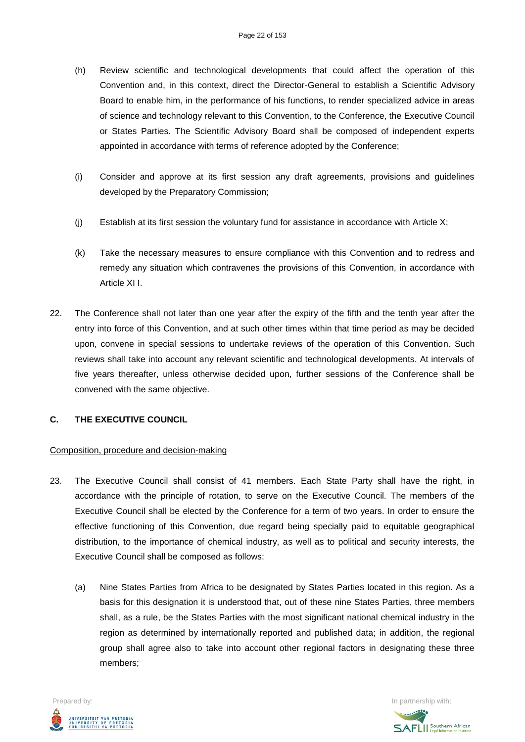- (h) Review scientific and technological developments that could affect the operation of this Convention and, in this context, direct the Director-General to establish a Scientific Advisory Board to enable him, in the performance of his functions, to render specialized advice in areas of science and technology relevant to this Convention, to the Conference, the Executive Council or States Parties. The Scientific Advisory Board shall be composed of independent experts appointed in accordance with terms of reference adopted by the Conference;
- (i) Consider and approve at its first session any draft agreements, provisions and guidelines developed by the Preparatory Commission;
- $(i)$  Establish at its first session the voluntary fund for assistance in accordance with Article X;
- (k) Take the necessary measures to ensure compliance with this Convention and to redress and remedy any situation which contravenes the provisions of this Convention, in accordance with Article XI I.
- 22. The Conference shall not later than one year after the expiry of the fifth and the tenth year after the entry into force of this Convention, and at such other times within that time period as may be decided upon, convene in special sessions to undertake reviews of the operation of this Convention. Such reviews shall take into account any relevant scientific and technological developments. At intervals of five years thereafter, unless otherwise decided upon, further sessions of the Conference shall be convened with the same objective.

### **C. THE EXECUTIVE COUNCIL**

#### Composition, procedure and decision-making

- 23. The Executive Council shall consist of 41 members. Each State Party shall have the right, in accordance with the principle of rotation, to serve on the Executive Council. The members of the Executive Council shall be elected by the Conference for a term of two years. In order to ensure the effective functioning of this Convention, due regard being specially paid to equitable geographical distribution, to the importance of chemical industry, as well as to political and security interests, the Executive Council shall be composed as follows:
	- (a) Nine States Parties from Africa to be designated by States Parties located in this region. As a basis for this designation it is understood that, out of these nine States Parties, three members shall, as a rule, be the States Parties with the most significant national chemical industry in the region as determined by internationally reported and published data; in addition, the regional group shall agree also to take into account other regional factors in designating these three members;

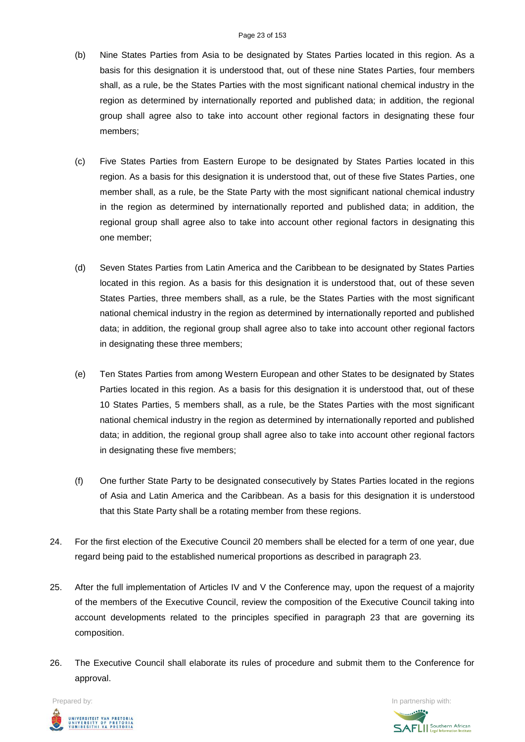- (b) Nine States Parties from Asia to be designated by States Parties located in this region. As a basis for this designation it is understood that, out of these nine States Parties, four members shall, as a rule, be the States Parties with the most significant national chemical industry in the region as determined by internationally reported and published data; in addition, the regional group shall agree also to take into account other regional factors in designating these four members;
- (c) Five States Parties from Eastern Europe to be designated by States Parties located in this region. As a basis for this designation it is understood that, out of these five States Parties, one member shall, as a rule, be the State Party with the most significant national chemical industry in the region as determined by internationally reported and published data; in addition, the regional group shall agree also to take into account other regional factors in designating this one member;
- (d) Seven States Parties from Latin America and the Caribbean to be designated by States Parties located in this region. As a basis for this designation it is understood that, out of these seven States Parties, three members shall, as a rule, be the States Parties with the most significant national chemical industry in the region as determined by internationally reported and published data; in addition, the regional group shall agree also to take into account other regional factors in designating these three members;
- (e) Ten States Parties from among Western European and other States to be designated by States Parties located in this region. As a basis for this designation it is understood that, out of these 10 States Parties, 5 members shall, as a rule, be the States Parties with the most significant national chemical industry in the region as determined by internationally reported and published data; in addition, the regional group shall agree also to take into account other regional factors in designating these five members:
- (f) One further State Party to be designated consecutively by States Parties located in the regions of Asia and Latin America and the Caribbean. As a basis for this designation it is understood that this State Party shall be a rotating member from these regions.
- 24. For the first election of the Executive Council 20 members shall be elected for a term of one year, due regard being paid to the established numerical proportions as described in paragraph 23.
- 25. After the full implementation of Articles IV and V the Conference may, upon the request of a majority of the members of the Executive Council, review the composition of the Executive Council taking into account developments related to the principles specified in paragraph 23 that are governing its composition.
- 26. The Executive Council shall elaborate its rules of procedure and submit them to the Conference for approval.



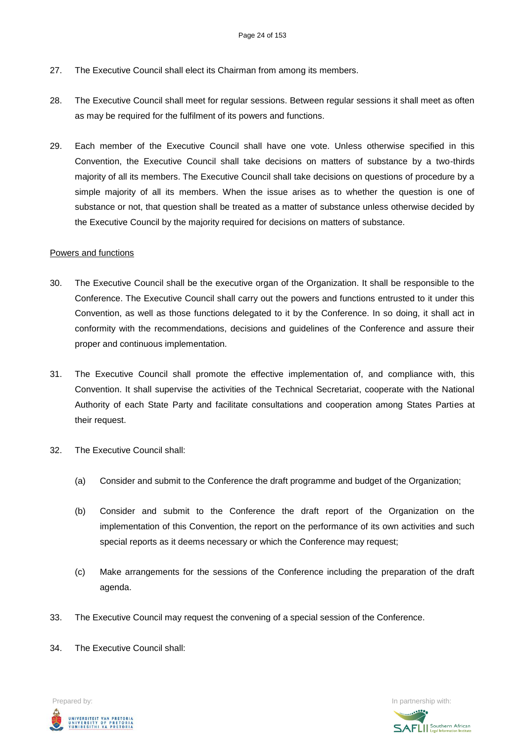- 27. The Executive Council shall elect its Chairman from among its members.
- 28. The Executive Council shall meet for regular sessions. Between regular sessions it shall meet as often as may be required for the fulfilment of its powers and functions.
- 29. Each member of the Executive Council shall have one vote. Unless otherwise specified in this Convention, the Executive Council shall take decisions on matters of substance by a two-thirds majority of all its members. The Executive Council shall take decisions on questions of procedure by a simple majority of all its members. When the issue arises as to whether the question is one of substance or not, that question shall be treated as a matter of substance unless otherwise decided by the Executive Council by the majority required for decisions on matters of substance.

### Powers and functions

- 30. The Executive Council shall be the executive organ of the Organization. It shall be responsible to the Conference. The Executive Council shall carry out the powers and functions entrusted to it under this Convention, as well as those functions delegated to it by the Conference. In so doing, it shall act in conformity with the recommendations, decisions and guidelines of the Conference and assure their proper and continuous implementation.
- 31. The Executive Council shall promote the effective implementation of, and compliance with, this Convention. It shall supervise the activities of the Technical Secretariat, cooperate with the National Authority of each State Party and facilitate consultations and cooperation among States Parties at their request.
- 32. The Executive Council shall:
	- (a) Consider and submit to the Conference the draft programme and budget of the Organization;
	- (b) Consider and submit to the Conference the draft report of the Organization on the implementation of this Convention, the report on the performance of its own activities and such special reports as it deems necessary or which the Conference may request;
	- (c) Make arrangements for the sessions of the Conference including the preparation of the draft agenda.
- 33. The Executive Council may request the convening of a special session of the Conference.
- 34. The Executive Council shall:



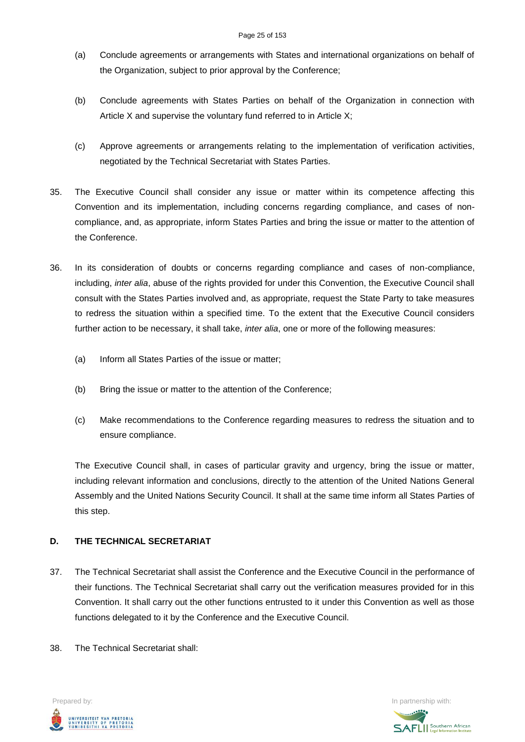- (a) Conclude agreements or arrangements with States and international organizations on behalf of the Organization, subject to prior approval by the Conference;
- (b) Conclude agreements with States Parties on behalf of the Organization in connection with Article X and supervise the voluntary fund referred to in Article X;
- (c) Approve agreements or arrangements relating to the implementation of verification activities, negotiated by the Technical Secretariat with States Parties.
- 35. The Executive Council shall consider any issue or matter within its competence affecting this Convention and its implementation, including concerns regarding compliance, and cases of noncompliance, and, as appropriate, inform States Parties and bring the issue or matter to the attention of the Conference.
- 36. In its consideration of doubts or concerns regarding compliance and cases of non-compliance, including, *inter alia*, abuse of the rights provided for under this Convention, the Executive Council shall consult with the States Parties involved and, as appropriate, request the State Party to take measures to redress the situation within a specified time. To the extent that the Executive Council considers further action to be necessary, it shall take, *inter alia*, one or more of the following measures:
	- (a) Inform all States Parties of the issue or matter;
	- (b) Bring the issue or matter to the attention of the Conference;
	- (c) Make recommendations to the Conference regarding measures to redress the situation and to ensure compliance.

The Executive Council shall, in cases of particular gravity and urgency, bring the issue or matter, including relevant information and conclusions, directly to the attention of the United Nations General Assembly and the United Nations Security Council. It shall at the same time inform all States Parties of this step.

## **D. THE TECHNICAL SECRETARIAT**

- 37. The Technical Secretariat shall assist the Conference and the Executive Council in the performance of their functions. The Technical Secretariat shall carry out the verification measures provided for in this Convention. It shall carry out the other functions entrusted to it under this Convention as well as those functions delegated to it by the Conference and the Executive Council.
- 38. The Technical Secretariat shall:



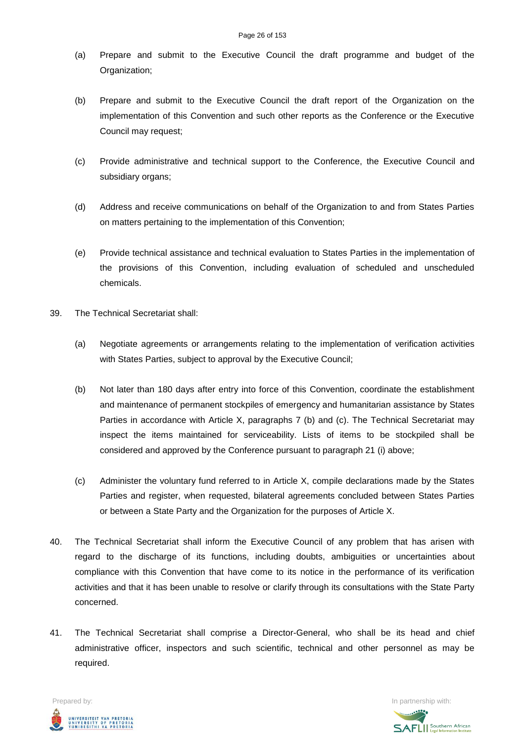- (a) Prepare and submit to the Executive Council the draft programme and budget of the Organization;
- (b) Prepare and submit to the Executive Council the draft report of the Organization on the implementation of this Convention and such other reports as the Conference or the Executive Council may request;
- (c) Provide administrative and technical support to the Conference, the Executive Council and subsidiary organs;
- (d) Address and receive communications on behalf of the Organization to and from States Parties on matters pertaining to the implementation of this Convention;
- (e) Provide technical assistance and technical evaluation to States Parties in the implementation of the provisions of this Convention, including evaluation of scheduled and unscheduled chemicals.
- 39. The Technical Secretariat shall:
	- (a) Negotiate agreements or arrangements relating to the implementation of verification activities with States Parties, subject to approval by the Executive Council;
	- (b) Not later than 180 days after entry into force of this Convention, coordinate the establishment and maintenance of permanent stockpiles of emergency and humanitarian assistance by States Parties in accordance with Article X, paragraphs 7 (b) and (c). The Technical Secretariat may inspect the items maintained for serviceability. Lists of items to be stockpiled shall be considered and approved by the Conference pursuant to paragraph 21 (i) above;
	- (c) Administer the voluntary fund referred to in Article X, compile declarations made by the States Parties and register, when requested, bilateral agreements concluded between States Parties or between a State Party and the Organization for the purposes of Article X.
- 40. The Technical Secretariat shall inform the Executive Council of any problem that has arisen with regard to the discharge of its functions, including doubts, ambiguities or uncertainties about compliance with this Convention that have come to its notice in the performance of its verification activities and that it has been unable to resolve or clarify through its consultations with the State Party concerned.
- 41. The Technical Secretariat shall comprise a Director-General, who shall be its head and chief administrative officer, inspectors and such scientific, technical and other personnel as may be required.

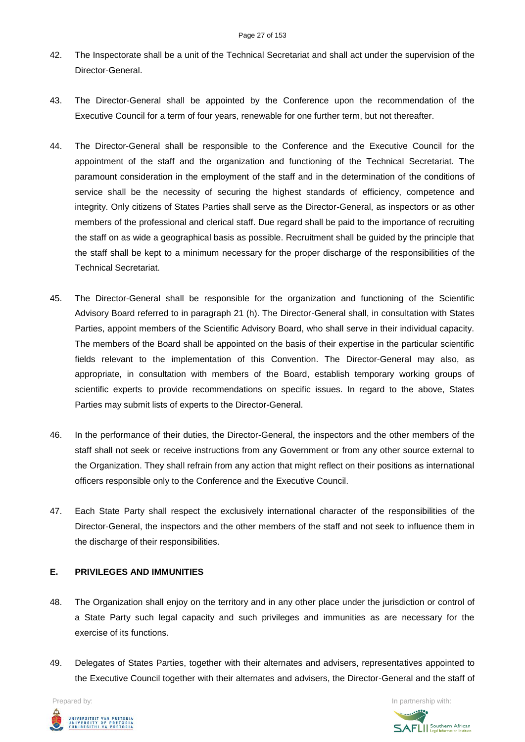- 42. The Inspectorate shall be a unit of the Technical Secretariat and shall act under the supervision of the Director-General.
- 43. The Director-General shall be appointed by the Conference upon the recommendation of the Executive Council for a term of four years, renewable for one further term, but not thereafter.
- 44. The Director-General shall be responsible to the Conference and the Executive Council for the appointment of the staff and the organization and functioning of the Technical Secretariat. The paramount consideration in the employment of the staff and in the determination of the conditions of service shall be the necessity of securing the highest standards of efficiency, competence and integrity. Only citizens of States Parties shall serve as the Director-General, as inspectors or as other members of the professional and clerical staff. Due regard shall be paid to the importance of recruiting the staff on as wide a geographical basis as possible. Recruitment shall be guided by the principle that the staff shall be kept to a minimum necessary for the proper discharge of the responsibilities of the Technical Secretariat.
- 45. The Director-General shall be responsible for the organization and functioning of the Scientific Advisory Board referred to in paragraph 21 (h). The Director-General shall, in consultation with States Parties, appoint members of the Scientific Advisory Board, who shall serve in their individual capacity. The members of the Board shall be appointed on the basis of their expertise in the particular scientific fields relevant to the implementation of this Convention. The Director-General may also, as appropriate, in consultation with members of the Board, establish temporary working groups of scientific experts to provide recommendations on specific issues. In regard to the above, States Parties may submit lists of experts to the Director-General.
- 46. In the performance of their duties, the Director-General, the inspectors and the other members of the staff shall not seek or receive instructions from any Government or from any other source external to the Organization. They shall refrain from any action that might reflect on their positions as international officers responsible only to the Conference and the Executive Council.
- 47. Each State Party shall respect the exclusively international character of the responsibilities of the Director-General, the inspectors and the other members of the staff and not seek to influence them in the discharge of their responsibilities.

## **E. PRIVILEGES AND IMMUNITIES**

- 48. The Organization shall enjoy on the territory and in any other place under the jurisdiction or control of a State Party such legal capacity and such privileges and immunities as are necessary for the exercise of its functions.
- 49. Delegates of States Parties, together with their alternates and advisers, representatives appointed to the Executive Council together with their alternates and advisers, the Director-General and the staff of



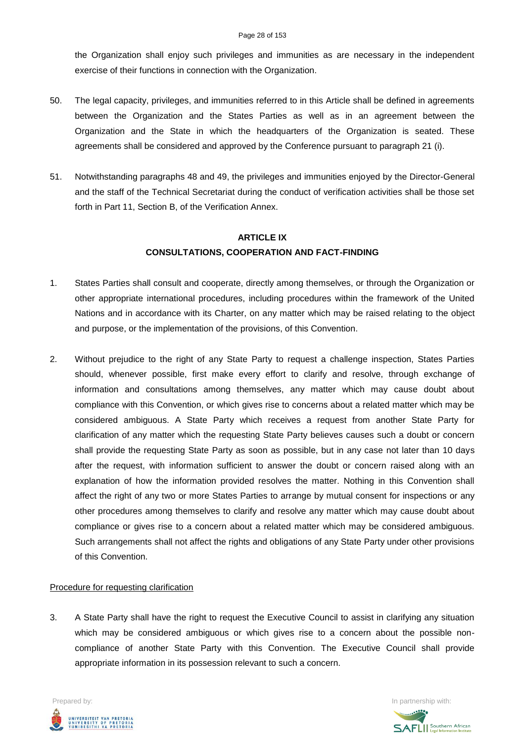the Organization shall enjoy such privileges and immunities as are necessary in the independent exercise of their functions in connection with the Organization.

- 50. The legal capacity, privileges, and immunities referred to in this Article shall be defined in agreements between the Organization and the States Parties as well as in an agreement between the Organization and the State in which the headquarters of the Organization is seated. These agreements shall be considered and approved by the Conference pursuant to paragraph 21 (i).
- 51. Notwithstanding paragraphs 48 and 49, the privileges and immunities enjoyed by the Director-General and the staff of the Technical Secretariat during the conduct of verification activities shall be those set forth in Part 11, Section B, of the Verification Annex.

# **ARTICLE IX CONSULTATIONS, COOPERATION AND FACT-FINDING**

- 1. States Parties shall consult and cooperate, directly among themselves, or through the Organization or other appropriate international procedures, including procedures within the framework of the United Nations and in accordance with its Charter, on any matter which may be raised relating to the object and purpose, or the implementation of the provisions, of this Convention.
- 2. Without prejudice to the right of any State Party to request a challenge inspection, States Parties should, whenever possible, first make every effort to clarify and resolve, through exchange of information and consultations among themselves, any matter which may cause doubt about compliance with this Convention, or which gives rise to concerns about a related matter which may be considered ambiguous. A State Party which receives a request from another State Party for clarification of any matter which the requesting State Party believes causes such a doubt or concern shall provide the requesting State Party as soon as possible, but in any case not later than 10 days after the request, with information sufficient to answer the doubt or concern raised along with an explanation of how the information provided resolves the matter. Nothing in this Convention shall affect the right of any two or more States Parties to arrange by mutual consent for inspections or any other procedures among themselves to clarify and resolve any matter which may cause doubt about compliance or gives rise to a concern about a related matter which may be considered ambiguous. Such arrangements shall not affect the rights and obligations of any State Party under other provisions of this Convention.

### Procedure for requesting clarification

3. A State Party shall have the right to request the Executive Council to assist in clarifying any situation which may be considered ambiguous or which gives rise to a concern about the possible noncompliance of another State Party with this Convention. The Executive Council shall provide appropriate information in its possession relevant to such a concern.



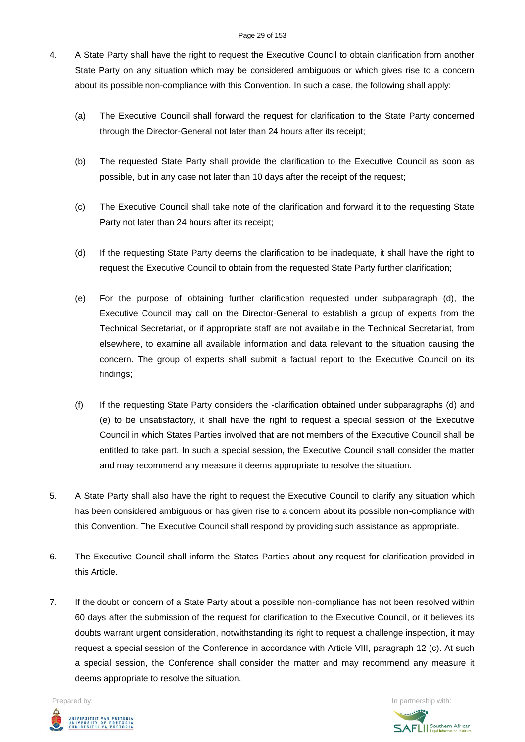#### Page 29 of 153

- 4. A State Party shall have the right to request the Executive Council to obtain clarification from another State Party on any situation which may be considered ambiguous or which gives rise to a concern about its possible non-compliance with this Convention. In such a case, the following shall apply:
	- (a) The Executive Council shall forward the request for clarification to the State Party concerned through the Director-General not later than 24 hours after its receipt;
	- (b) The requested State Party shall provide the clarification to the Executive Council as soon as possible, but in any case not later than 10 days after the receipt of the request;
	- (c) The Executive Council shall take note of the clarification and forward it to the requesting State Party not later than 24 hours after its receipt;
	- (d) If the requesting State Party deems the clarification to be inadequate, it shall have the right to request the Executive Council to obtain from the requested State Party further clarification;
	- (e) For the purpose of obtaining further clarification requested under subparagraph (d), the Executive Council may call on the Director-General to establish a group of experts from the Technical Secretariat, or if appropriate staff are not available in the Technical Secretariat, from elsewhere, to examine all available information and data relevant to the situation causing the concern. The group of experts shall submit a factual report to the Executive Council on its findings;
	- (f) If the requesting State Party considers the -clarification obtained under subparagraphs (d) and (e) to be unsatisfactory, it shall have the right to request a special session of the Executive Council in which States Parties involved that are not members of the Executive Council shall be entitled to take part. In such a special session, the Executive Council shall consider the matter and may recommend any measure it deems appropriate to resolve the situation.
- 5. A State Party shall also have the right to request the Executive Council to clarify any situation which has been considered ambiguous or has given rise to a concern about its possible non-compliance with this Convention. The Executive Council shall respond by providing such assistance as appropriate.
- 6. The Executive Council shall inform the States Parties about any request for clarification provided in this Article.
- 7. If the doubt or concern of a State Party about a possible non-compliance has not been resolved within 60 days after the submission of the request for clarification to the Executive Council, or it believes its doubts warrant urgent consideration, notwithstanding its right to request a challenge inspection, it may request a special session of the Conference in accordance with Article VIII, paragraph 12 (c). At such a special session, the Conference shall consider the matter and may recommend any measure it deems appropriate to resolve the situation.

UNIVERSITEIT VAN PRETORIA<br>UNIVERSITY OF PRETORIA<br>YUNIBESITHI YA PRETORIA

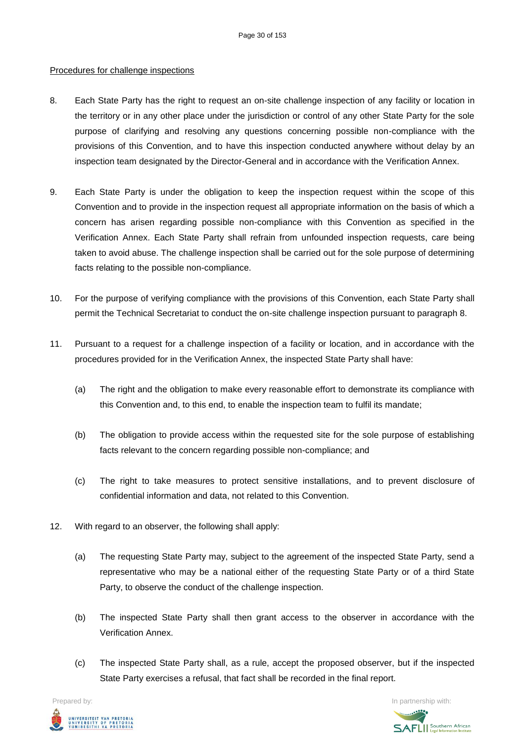### Procedures for challenge inspections

- 8. Each State Party has the right to request an on-site challenge inspection of any facility or location in the territory or in any other place under the jurisdiction or control of any other State Party for the sole purpose of clarifying and resolving any questions concerning possible non-compliance with the provisions of this Convention, and to have this inspection conducted anywhere without delay by an inspection team designated by the Director-General and in accordance with the Verification Annex.
- 9. Each State Party is under the obligation to keep the inspection request within the scope of this Convention and to provide in the inspection request all appropriate information on the basis of which a concern has arisen regarding possible non-compliance with this Convention as specified in the Verification Annex. Each State Party shall refrain from unfounded inspection requests, care being taken to avoid abuse. The challenge inspection shall be carried out for the sole purpose of determining facts relating to the possible non-compliance.
- 10. For the purpose of verifying compliance with the provisions of this Convention, each State Party shall permit the Technical Secretariat to conduct the on-site challenge inspection pursuant to paragraph 8.
- 11. Pursuant to a request for a challenge inspection of a facility or location, and in accordance with the procedures provided for in the Verification Annex, the inspected State Party shall have:
	- (a) The right and the obligation to make every reasonable effort to demonstrate its compliance with this Convention and, to this end, to enable the inspection team to fulfil its mandate;
	- (b) The obligation to provide access within the requested site for the sole purpose of establishing facts relevant to the concern regarding possible non-compliance; and
	- (c) The right to take measures to protect sensitive installations, and to prevent disclosure of confidential information and data, not related to this Convention.
- 12. With regard to an observer, the following shall apply:
	- (a) The requesting State Party may, subject to the agreement of the inspected State Party, send a representative who may be a national either of the requesting State Party or of a third State Party, to observe the conduct of the challenge inspection.
	- (b) The inspected State Party shall then grant access to the observer in accordance with the Verification Annex.
	- (c) The inspected State Party shall, as a rule, accept the proposed observer, but if the inspected State Party exercises a refusal, that fact shall be recorded in the final report.

Prepared by: **In partnership with:**  $\blacksquare$  **In partnership with:**  $\blacksquare$  **In partnership with:**  $\blacksquare$ UNIVERSITEIT VAN PRETORIA<br>UNIVERSITY OF PRETORIA<br>YUNIBESITHI YA PRETORIA

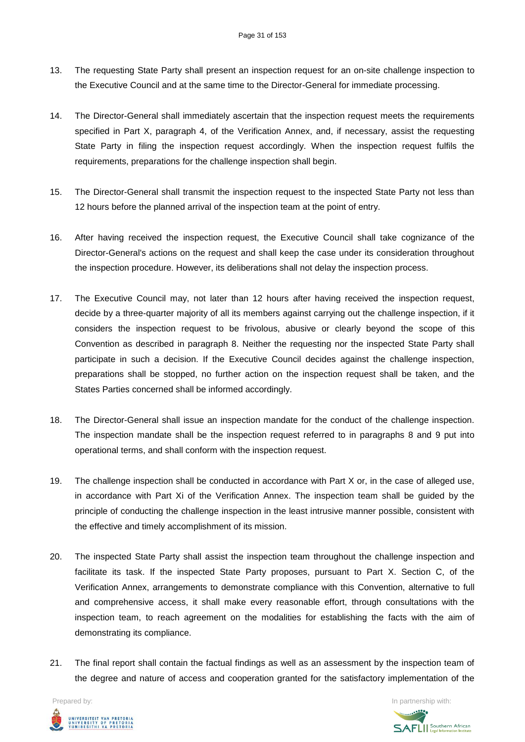- 13. The requesting State Party shall present an inspection request for an on-site challenge inspection to the Executive Council and at the same time to the Director-General for immediate processing.
- 14. The Director-General shall immediately ascertain that the inspection request meets the requirements specified in Part X, paragraph 4, of the Verification Annex, and, if necessary, assist the requesting State Party in filing the inspection request accordingly. When the inspection request fulfils the requirements, preparations for the challenge inspection shall begin.
- 15. The Director-General shall transmit the inspection request to the inspected State Party not less than 12 hours before the planned arrival of the inspection team at the point of entry.
- 16. After having received the inspection request, the Executive Council shall take cognizance of the Director-General's actions on the request and shall keep the case under its consideration throughout the inspection procedure. However, its deliberations shall not delay the inspection process.
- 17. The Executive Council may, not later than 12 hours after having received the inspection request, decide by a three-quarter majority of all its members against carrying out the challenge inspection, if it considers the inspection request to be frivolous, abusive or clearly beyond the scope of this Convention as described in paragraph 8. Neither the requesting nor the inspected State Party shall participate in such a decision. If the Executive Council decides against the challenge inspection, preparations shall be stopped, no further action on the inspection request shall be taken, and the States Parties concerned shall be informed accordingly.
- 18. The Director-General shall issue an inspection mandate for the conduct of the challenge inspection. The inspection mandate shall be the inspection request referred to in paragraphs 8 and 9 put into operational terms, and shall conform with the inspection request.
- 19. The challenge inspection shall be conducted in accordance with Part X or, in the case of alleged use, in accordance with Part Xi of the Verification Annex. The inspection team shall be guided by the principle of conducting the challenge inspection in the least intrusive manner possible, consistent with the effective and timely accomplishment of its mission.
- 20. The inspected State Party shall assist the inspection team throughout the challenge inspection and facilitate its task. If the inspected State Party proposes, pursuant to Part X. Section C, of the Verification Annex, arrangements to demonstrate compliance with this Convention, alternative to full and comprehensive access, it shall make every reasonable effort, through consultations with the inspection team, to reach agreement on the modalities for establishing the facts with the aim of demonstrating its compliance.
- 21. The final report shall contain the factual findings as well as an assessment by the inspection team of the degree and nature of access and cooperation granted for the satisfactory implementation of the

UNIVERSITEIT VAN PRETORIA<br>UNIVERSITY OF PRETORIA<br>YUNIBESITHI YA PRETORIA

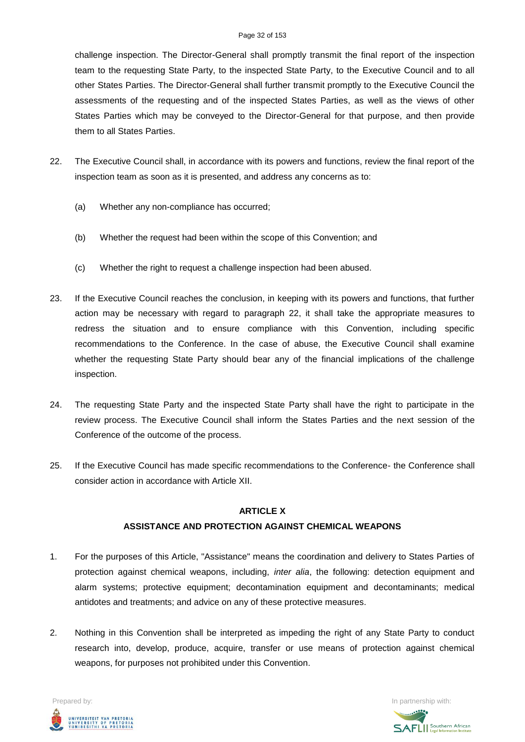#### Page 32 of 153

challenge inspection. The Director-General shall promptly transmit the final report of the inspection team to the requesting State Party, to the inspected State Party, to the Executive Council and to all other States Parties. The Director-General shall further transmit promptly to the Executive Council the assessments of the requesting and of the inspected States Parties, as well as the views of other States Parties which may be conveyed to the Director-General for that purpose, and then provide them to all States Parties.

- 22. The Executive Council shall, in accordance with its powers and functions, review the final report of the inspection team as soon as it is presented, and address any concerns as to:
	- (a) Whether any non-compliance has occurred;
	- (b) Whether the request had been within the scope of this Convention; and
	- (c) Whether the right to request a challenge inspection had been abused.
- 23. If the Executive Council reaches the conclusion, in keeping with its powers and functions, that further action may be necessary with regard to paragraph 22, it shall take the appropriate measures to redress the situation and to ensure compliance with this Convention, including specific recommendations to the Conference. In the case of abuse, the Executive Council shall examine whether the requesting State Party should bear any of the financial implications of the challenge inspection.
- 24. The requesting State Party and the inspected State Party shall have the right to participate in the review process. The Executive Council shall inform the States Parties and the next session of the Conference of the outcome of the process.
- 25. If the Executive Council has made specific recommendations to the Conference- the Conference shall consider action in accordance with Article XII.

### **ARTICLE X**

## **ASSISTANCE AND PROTECTION AGAINST CHEMICAL WEAPONS**

- 1. For the purposes of this Article, "Assistance" means the coordination and delivery to States Parties of protection against chemical weapons, including, *inter alia*, the following: detection equipment and alarm systems; protective equipment; decontamination equipment and decontaminants; medical antidotes and treatments; and advice on any of these protective measures.
- 2. Nothing in this Convention shall be interpreted as impeding the right of any State Party to conduct research into, develop, produce, acquire, transfer or use means of protection against chemical weapons, for purposes not prohibited under this Convention.



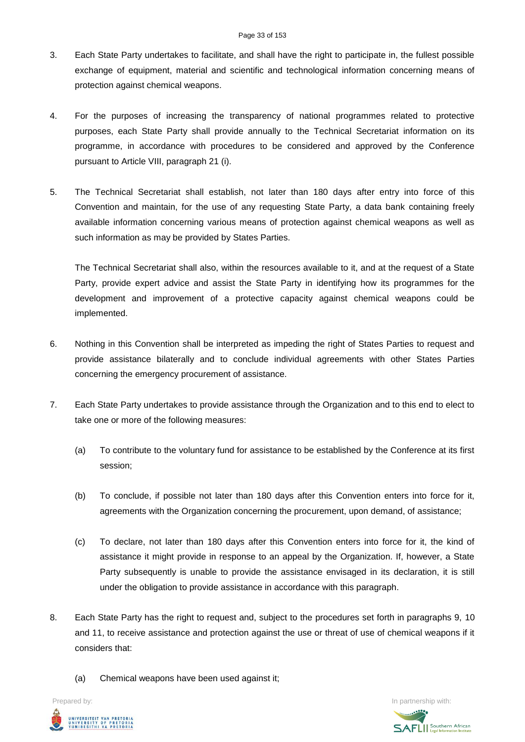- 3. Each State Party undertakes to facilitate, and shall have the right to participate in, the fullest possible exchange of equipment, material and scientific and technological information concerning means of protection against chemical weapons.
- 4. For the purposes of increasing the transparency of national programmes related to protective purposes, each State Party shall provide annually to the Technical Secretariat information on its programme, in accordance with procedures to be considered and approved by the Conference pursuant to Article VIII, paragraph 21 (i).
- 5. The Technical Secretariat shall establish, not later than 180 days after entry into force of this Convention and maintain, for the use of any requesting State Party, a data bank containing freely available information concerning various means of protection against chemical weapons as well as such information as may be provided by States Parties.

The Technical Secretariat shall also, within the resources available to it, and at the request of a State Party, provide expert advice and assist the State Party in identifying how its programmes for the development and improvement of a protective capacity against chemical weapons could be implemented.

- 6. Nothing in this Convention shall be interpreted as impeding the right of States Parties to request and provide assistance bilaterally and to conclude individual agreements with other States Parties concerning the emergency procurement of assistance.
- 7. Each State Party undertakes to provide assistance through the Organization and to this end to elect to take one or more of the following measures:
	- (a) To contribute to the voluntary fund for assistance to be established by the Conference at its first session;
	- (b) To conclude, if possible not later than 180 days after this Convention enters into force for it, agreements with the Organization concerning the procurement, upon demand, of assistance;
	- (c) To declare, not later than 180 days after this Convention enters into force for it, the kind of assistance it might provide in response to an appeal by the Organization. If, however, a State Party subsequently is unable to provide the assistance envisaged in its declaration, it is still under the obligation to provide assistance in accordance with this paragraph.
- 8. Each State Party has the right to request and, subject to the procedures set forth in paragraphs 9, 10 and 11, to receive assistance and protection against the use or threat of use of chemical weapons if it considers that:
	- (a) Chemical weapons have been used against it;

UNIVERSITEIT VAN PRETORIA<br>UNIVERSITY OF PRETORIA<br>YUNIBESITHI YA PRETORIA

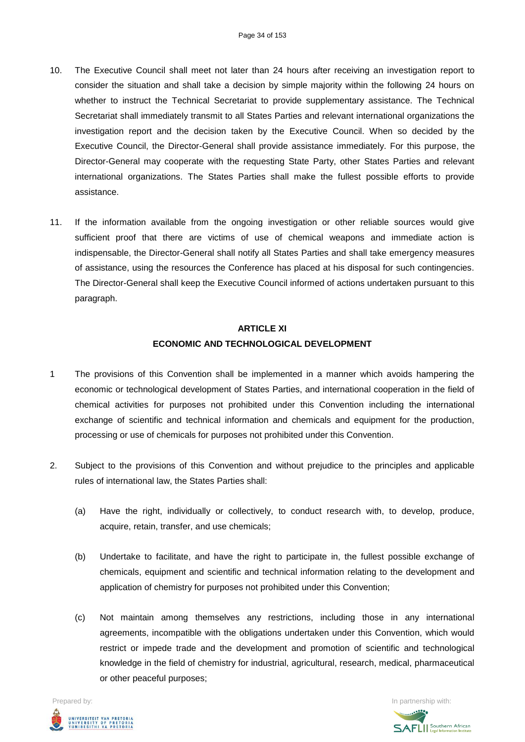- 10. The Executive Council shall meet not later than 24 hours after receiving an investigation report to consider the situation and shall take a decision by simple majority within the following 24 hours on whether to instruct the Technical Secretariat to provide supplementary assistance. The Technical Secretariat shall immediately transmit to all States Parties and relevant international organizations the investigation report and the decision taken by the Executive Council. When so decided by the Executive Council, the Director-General shall provide assistance immediately. For this purpose, the Director-General may cooperate with the requesting State Party, other States Parties and relevant international organizations. The States Parties shall make the fullest possible efforts to provide assistance.
- 11. If the information available from the ongoing investigation or other reliable sources would give sufficient proof that there are victims of use of chemical weapons and immediate action is indispensable, the Director-General shall notify all States Parties and shall take emergency measures of assistance, using the resources the Conference has placed at his disposal for such contingencies. The Director-General shall keep the Executive Council informed of actions undertaken pursuant to this paragraph.

# **ARTICLE XI ECONOMIC AND TECHNOLOGICAL DEVELOPMENT**

- 1 The provisions of this Convention shall be implemented in a manner which avoids hampering the economic or technological development of States Parties, and international cooperation in the field of chemical activities for purposes not prohibited under this Convention including the international exchange of scientific and technical information and chemicals and equipment for the production, processing or use of chemicals for purposes not prohibited under this Convention.
- 2. Subject to the provisions of this Convention and without prejudice to the principles and applicable rules of international law, the States Parties shall:
	- (a) Have the right, individually or collectively, to conduct research with, to develop, produce, acquire, retain, transfer, and use chemicals;
	- (b) Undertake to facilitate, and have the right to participate in, the fullest possible exchange of chemicals, equipment and scientific and technical information relating to the development and application of chemistry for purposes not prohibited under this Convention;
	- (c) Not maintain among themselves any restrictions, including those in any international agreements, incompatible with the obligations undertaken under this Convention, which would restrict or impede trade and the development and promotion of scientific and technological knowledge in the field of chemistry for industrial, agricultural, research, medical, pharmaceutical or other peaceful purposes;

Prepared by: **In partnership with:**  $\blacksquare$  **In partnership with:**  $\blacksquare$  **In partnership with:**  $\blacksquare$ UNIVERSITEIT VAN PRETORIA<br>UNIVERSITY OF PRETORIA<br>YUNIBESITHI YA PRETORIA

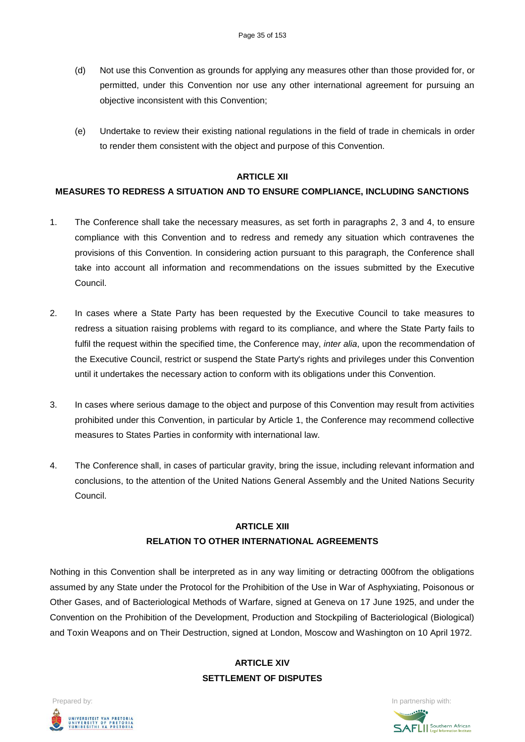- (d) Not use this Convention as grounds for applying any measures other than those provided for, or permitted, under this Convention nor use any other international agreement for pursuing an objective inconsistent with this Convention;
- (e) Undertake to review their existing national regulations in the field of trade in chemicals in order to render them consistent with the object and purpose of this Convention.

### **ARTICLE XII**

## **MEASURES TO REDRESS A SITUATION AND TO ENSURE COMPLIANCE, INCLUDING SANCTIONS**

- 1. The Conference shall take the necessary measures, as set forth in paragraphs 2, 3 and 4, to ensure compliance with this Convention and to redress and remedy any situation which contravenes the provisions of this Convention. In considering action pursuant to this paragraph, the Conference shall take into account all information and recommendations on the issues submitted by the Executive Council.
- 2. In cases where a State Party has been requested by the Executive Council to take measures to redress a situation raising problems with regard to its compliance, and where the State Party fails to fulfil the request within the specified time, the Conference may, *inter alia*, upon the recommendation of the Executive Council, restrict or suspend the State Party's rights and privileges under this Convention until it undertakes the necessary action to conform with its obligations under this Convention.
- 3. In cases where serious damage to the object and purpose of this Convention may result from activities prohibited under this Convention, in particular by Article 1, the Conference may recommend collective measures to States Parties in conformity with international law.
- 4. The Conference shall, in cases of particular gravity, bring the issue, including relevant information and conclusions, to the attention of the United Nations General Assembly and the United Nations Security Council.

## **ARTICLE XIII RELATION TO OTHER INTERNATIONAL AGREEMENTS**

Nothing in this Convention shall be interpreted as in any way limiting or detracting 000from the obligations assumed by any State under the Protocol for the Prohibition of the Use in War of Asphyxiating, Poisonous or Other Gases, and of Bacteriological Methods of Warfare, signed at Geneva on 17 June 1925, and under the Convention on the Prohibition of the Development, Production and Stockpiling of Bacteriological (Biological) and Toxin Weapons and on Their Destruction, signed at London, Moscow and Washington on 10 April 1972.

## **ARTICLE XIV SETTLEMENT OF DISPUTES**



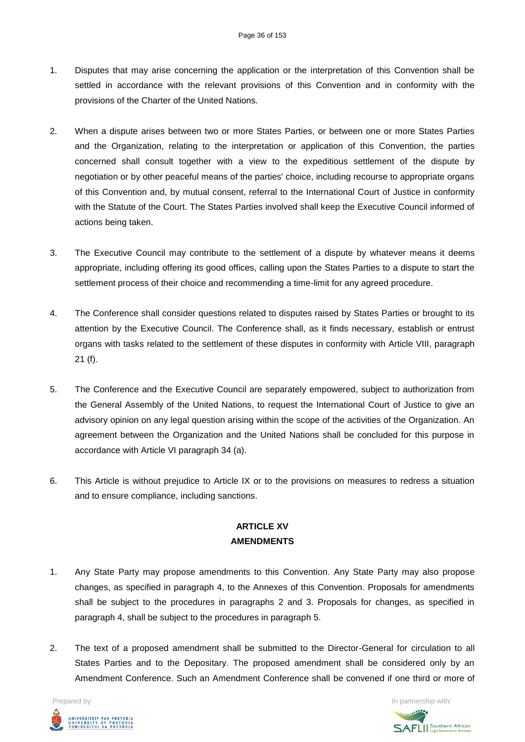- 1. Disputes that may arise concerning the application or the interpretation of this Convention shall be settled in accordance with the relevant provisions of this Convention and in conformity with the provisions of the Charter of the United Nations.
- 2. When a dispute arises between two or more States Parties, or between one or more States Parties and the Organization, relating to the interpretation or application of this Convention, the parties concerned shall consult together with a view to the expeditious settlement of the dispute by negotiation or by other peaceful means of the parties' choice, including recourse to appropriate organs of this Convention and, by mutual consent, referral to the International Court of Justice in conformity with the Statute of the Court. The States Parties involved shall keep the Executive Council informed of actions being taken.
- 3. The Executive Council may contribute to the settlement of a dispute by whatever means it deems appropriate, including offering its good offices, calling upon the States Parties to a dispute to start the settlement process of their choice and recommending a time-limit for any agreed procedure.
- 4. The Conference shall consider questions related to disputes raised by States Parties or brought to its attention by the Executive Council. The Conference shall, as it finds necessary, establish or entrust organs with tasks related to the settlement of these disputes in conformity with Article VIII, paragraph 21 (f).
- 5. The Conference and the Executive Council are separately empowered, subject to authorization from the General Assembly of the United Nations, to request the International Court of Justice to give an advisory opinion on any legal question arising within the scope of the activities of the Organization. An agreement between the Organization and the United Nations shall be concluded for this purpose in accordance with Article VI paragraph 34 (a).
- 6. This Article is without prejudice to Article IX or to the provisions on measures to redress a situation and to ensure compliance, including sanctions.

## **ARTICLE XV AMENDMENTS**

- 1. Any State Party may propose amendments to this Convention. Any State Party may also propose changes, as specified in paragraph 4, to the Annexes of this Convention. Proposals for amendments shall be subject to the procedures in paragraphs 2 and 3. Proposals for changes, as specified in paragraph 4, shall be subject to the procedures in paragraph 5.
- 2. The text of a proposed amendment shall be submitted to the Director-General for circulation to all States Parties and to the Depositary. The proposed amendment shall be considered only by an Amendment Conference. Such an Amendment Conference shall be convened if one third or more of

UNIVERSITEIT VAN PRETORIA<br>UNIVERSITY OF PRETORIA<br>YUNIBESITHI YA PRETORIA

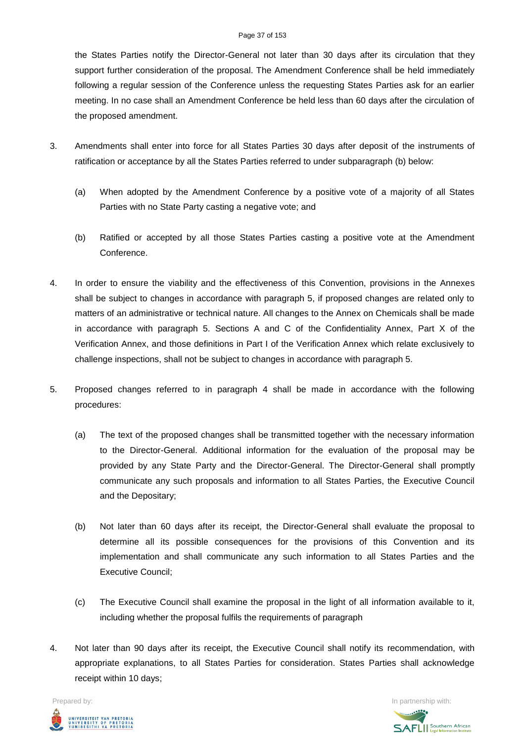#### Page 37 of 153

the States Parties notify the Director-General not later than 30 days after its circulation that they support further consideration of the proposal. The Amendment Conference shall be held immediately following a regular session of the Conference unless the requesting States Parties ask for an earlier meeting. In no case shall an Amendment Conference be held less than 60 days after the circulation of the proposed amendment.

- 3. Amendments shall enter into force for all States Parties 30 days after deposit of the instruments of ratification or acceptance by all the States Parties referred to under subparagraph (b) below:
	- (a) When adopted by the Amendment Conference by a positive vote of a majority of all States Parties with no State Party casting a negative vote; and
	- (b) Ratified or accepted by all those States Parties casting a positive vote at the Amendment Conference.
- 4. In order to ensure the viability and the effectiveness of this Convention, provisions in the Annexes shall be subject to changes in accordance with paragraph 5, if proposed changes are related only to matters of an administrative or technical nature. All changes to the Annex on Chemicals shall be made in accordance with paragraph 5. Sections A and C of the Confidentiality Annex, Part X of the Verification Annex, and those definitions in Part I of the Verification Annex which relate exclusively to challenge inspections, shall not be subject to changes in accordance with paragraph 5.
- 5. Proposed changes referred to in paragraph 4 shall be made in accordance with the following procedures:
	- (a) The text of the proposed changes shall be transmitted together with the necessary information to the Director-General. Additional information for the evaluation of the proposal may be provided by any State Party and the Director-General. The Director-General shall promptly communicate any such proposals and information to all States Parties, the Executive Council and the Depositary;
	- (b) Not later than 60 days after its receipt, the Director-General shall evaluate the proposal to determine all its possible consequences for the provisions of this Convention and its implementation and shall communicate any such information to all States Parties and the Executive Council;
	- (c) The Executive Council shall examine the proposal in the light of all information available to it, including whether the proposal fulfils the requirements of paragraph
- 4. Not later than 90 days after its receipt, the Executive Council shall notify its recommendation, with appropriate explanations, to all States Parties for consideration. States Parties shall acknowledge receipt within 10 days;



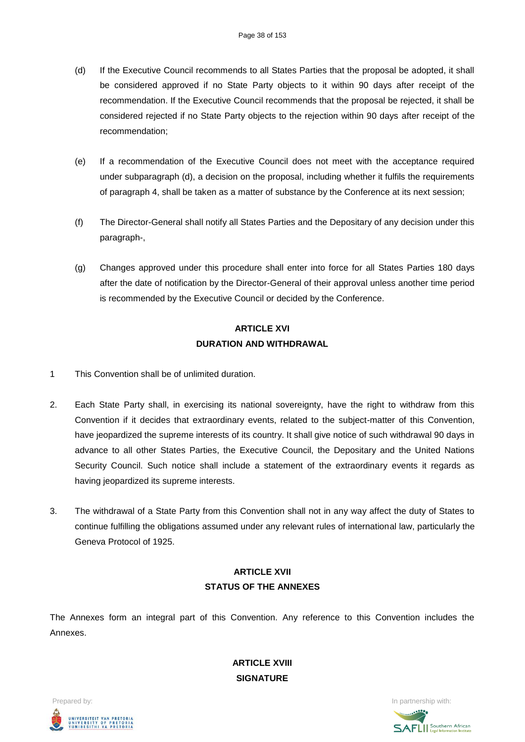- (d) If the Executive Council recommends to all States Parties that the proposal be adopted, it shall be considered approved if no State Party objects to it within 90 days after receipt of the recommendation. If the Executive Council recommends that the proposal be rejected, it shall be considered rejected if no State Party objects to the rejection within 90 days after receipt of the recommendation;
- (e) If a recommendation of the Executive Council does not meet with the acceptance required under subparagraph (d), a decision on the proposal, including whether it fulfils the requirements of paragraph 4, shall be taken as a matter of substance by the Conference at its next session;
- (f) The Director-General shall notify all States Parties and the Depositary of any decision under this paragraph-,
- (g) Changes approved under this procedure shall enter into force for all States Parties 180 days after the date of notification by the Director-General of their approval unless another time period is recommended by the Executive Council or decided by the Conference.

## **ARTICLE XVI DURATION AND WITHDRAWAL**

- 1 This Convention shall be of unlimited duration.
- 2. Each State Party shall, in exercising its national sovereignty, have the right to withdraw from this Convention if it decides that extraordinary events, related to the subject-matter of this Convention, have jeopardized the supreme interests of its country. It shall give notice of such withdrawal 90 days in advance to all other States Parties, the Executive Council, the Depositary and the United Nations Security Council. Such notice shall include a statement of the extraordinary events it regards as having jeopardized its supreme interests.
- 3. The withdrawal of a State Party from this Convention shall not in any way affect the duty of States to continue fulfilling the obligations assumed under any relevant rules of international law, particularly the Geneva Protocol of 1925.

# **ARTICLE XVII STATUS OF THE ANNEXES**

The Annexes form an integral part of this Convention. Any reference to this Convention includes the Annexes.

> **ARTICLE XVIII SIGNATURE**



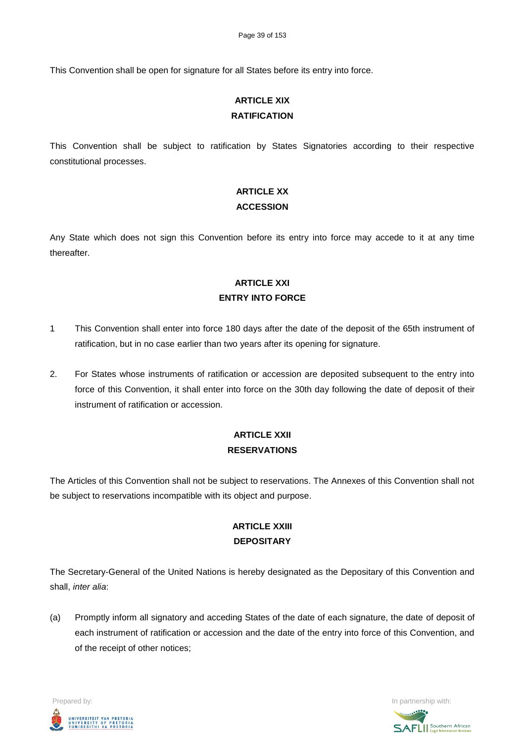This Convention shall be open for signature for all States before its entry into force.

# **ARTICLE XIX RATIFICATION**

This Convention shall be subject to ratification by States Signatories according to their respective constitutional processes.

# **ARTICLE XX ACCESSION**

Any State which does not sign this Convention before its entry into force may accede to it at any time thereafter.

# **ARTICLE XXI ENTRY INTO FORCE**

- 1 This Convention shall enter into force 180 days after the date of the deposit of the 65th instrument of ratification, but in no case earlier than two years after its opening for signature.
- 2. For States whose instruments of ratification or accession are deposited subsequent to the entry into force of this Convention, it shall enter into force on the 30th day following the date of deposit of their instrument of ratification or accession.

# **ARTICLE XXII RESERVATIONS**

The Articles of this Convention shall not be subject to reservations. The Annexes of this Convention shall not be subject to reservations incompatible with its object and purpose.

# **ARTICLE XXIII DEPOSITARY**

The Secretary-General of the United Nations is hereby designated as the Depositary of this Convention and shall, *inter alia*:

(a) Promptly inform all signatory and acceding States of the date of each signature, the date of deposit of each instrument of ratification or accession and the date of the entry into force of this Convention, and of the receipt of other notices;



**SAFLII** Southern African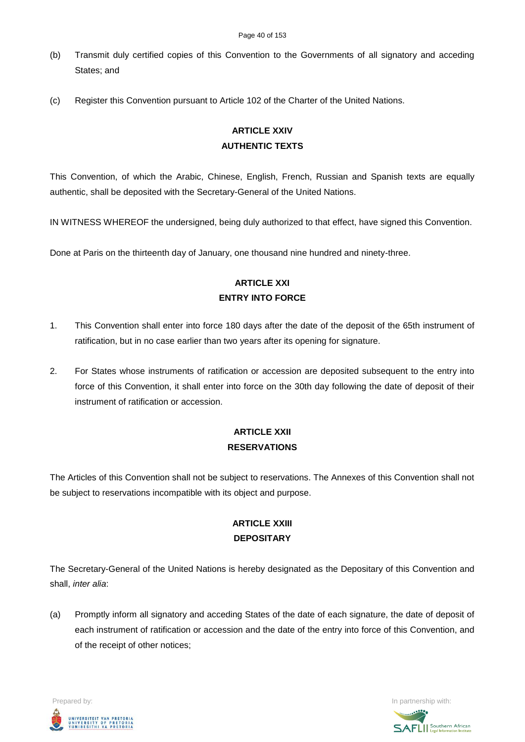- (b) Transmit duly certified copies of this Convention to the Governments of all signatory and acceding States; and
- (c) Register this Convention pursuant to Article 102 of the Charter of the United Nations.

# **ARTICLE XXIV AUTHENTIC TEXTS**

This Convention, of which the Arabic, Chinese, English, French, Russian and Spanish texts are equally authentic, shall be deposited with the Secretary-General of the United Nations.

IN WITNESS WHEREOF the undersigned, being duly authorized to that effect, have signed this Convention.

Done at Paris on the thirteenth day of January, one thousand nine hundred and ninety-three.

## **ARTICLE XXI ENTRY INTO FORCE**

- 1. This Convention shall enter into force 180 days after the date of the deposit of the 65th instrument of ratification, but in no case earlier than two years after its opening for signature.
- 2. For States whose instruments of ratification or accession are deposited subsequent to the entry into force of this Convention, it shall enter into force on the 30th day following the date of deposit of their instrument of ratification or accession.

# **ARTICLE XXII RESERVATIONS**

The Articles of this Convention shall not be subject to reservations. The Annexes of this Convention shall not be subject to reservations incompatible with its object and purpose.

# **ARTICLE XXIII DEPOSITARY**

The Secretary-General of the United Nations is hereby designated as the Depositary of this Convention and shall, *inter alia*:

(a) Promptly inform all signatory and acceding States of the date of each signature, the date of deposit of each instrument of ratification or accession and the date of the entry into force of this Convention, and of the receipt of other notices;



**SAFLII** Southern African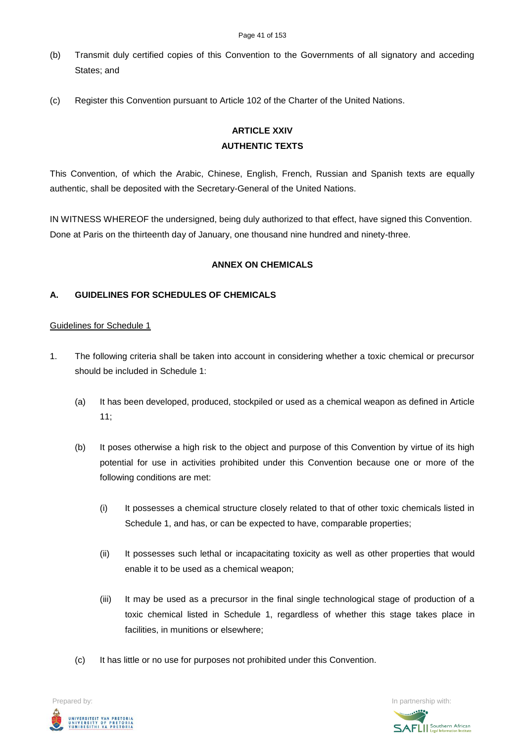- (b) Transmit duly certified copies of this Convention to the Governments of all signatory and acceding States; and
- (c) Register this Convention pursuant to Article 102 of the Charter of the United Nations.

# **ARTICLE XXIV AUTHENTIC TEXTS**

This Convention, of which the Arabic, Chinese, English, French, Russian and Spanish texts are equally authentic, shall be deposited with the Secretary-General of the United Nations.

IN WITNESS WHEREOF the undersigned, being duly authorized to that effect, have signed this Convention. Done at Paris on the thirteenth day of January, one thousand nine hundred and ninety-three.

#### **ANNEX ON CHEMICALS**

## **A. GUIDELINES FOR SCHEDULES OF CHEMICALS**

#### Guidelines for Schedule 1

- 1. The following criteria shall be taken into account in considering whether a toxic chemical or precursor should be included in Schedule 1:
	- (a) It has been developed, produced, stockpiled or used as a chemical weapon as defined in Article 11;
	- (b) It poses otherwise a high risk to the object and purpose of this Convention by virtue of its high potential for use in activities prohibited under this Convention because one or more of the following conditions are met:
		- (i) It possesses a chemical structure closely related to that of other toxic chemicals listed in Schedule 1, and has, or can be expected to have, comparable properties;
		- (ii) It possesses such lethal or incapacitating toxicity as well as other properties that would enable it to be used as a chemical weapon;
		- (iii) It may be used as a precursor in the final single technological stage of production of a toxic chemical listed in Schedule 1, regardless of whether this stage takes place in facilities, in munitions or elsewhere;
	- (c) It has little or no use for purposes not prohibited under this Convention.



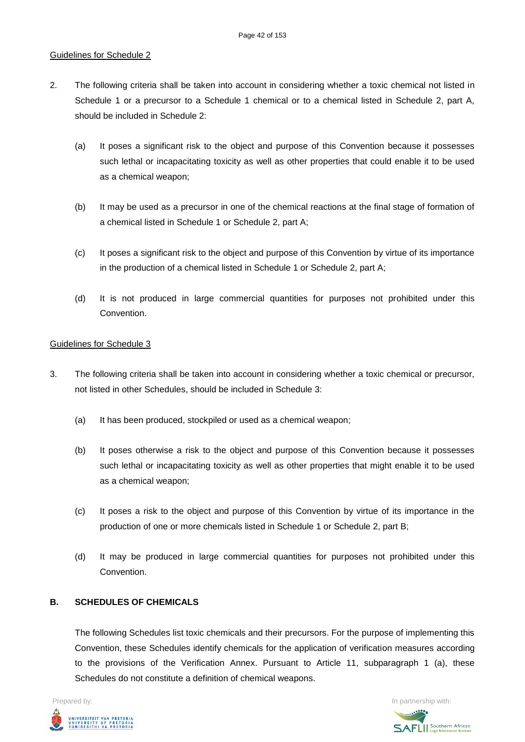#### Guidelines for Schedule 2

- 2. The following criteria shall be taken into account in considering whether a toxic chemical not listed in Schedule 1 or a precursor to a Schedule 1 chemical or to a chemical listed in Schedule 2, part A, should be included in Schedule 2:
	- (a) It poses a significant risk to the object and purpose of this Convention because it possesses such lethal or incapacitating toxicity as well as other properties that could enable it to be used as a chemical weapon;
	- (b) It may be used as a precursor in one of the chemical reactions at the final stage of formation of a chemical listed in Schedule 1 or Schedule 2, part A;
	- (c) It poses a significant risk to the object and purpose of this Convention by virtue of its importance in the production of a chemical listed in Schedule 1 or Schedule 2, part A;
	- (d) It is not produced in large commercial quantities for purposes not prohibited under this Convention.

#### Guidelines for Schedule 3

- 3. The following criteria shall be taken into account in considering whether a toxic chemical or precursor, not listed in other Schedules, should be included in Schedule 3:
	- (a) It has been produced, stockpiled or used as a chemical weapon;
	- (b) It poses otherwise a risk to the object and purpose of this Convention because it possesses such lethal or incapacitating toxicity as well as other properties that might enable it to be used as a chemical weapon;
	- (c) It poses a risk to the object and purpose of this Convention by virtue of its importance in the production of one or more chemicals listed in Schedule 1 or Schedule 2, part B;
	- (d) It may be produced in large commercial quantities for purposes not prohibited under this Convention.

## **B. SCHEDULES OF CHEMICALS**

The following Schedules list toxic chemicals and their precursors. For the purpose of implementing this Convention, these Schedules identify chemicals for the application of verification measures according to the provisions of the Verification Annex. Pursuant to Article 11, subparagraph 1 (a), these Schedules do not constitute a definition of chemical weapons.

Prepared by: **In partnership with:**  $\blacksquare$  **In partnership with:**  $\blacksquare$  **In partnership with:**  $\blacksquare$ UNIVERSITEIT VAN PRETORIA<br>UNIVERSITY OF PRETORIA<br>YUNIBESITHI YA PRETORIA

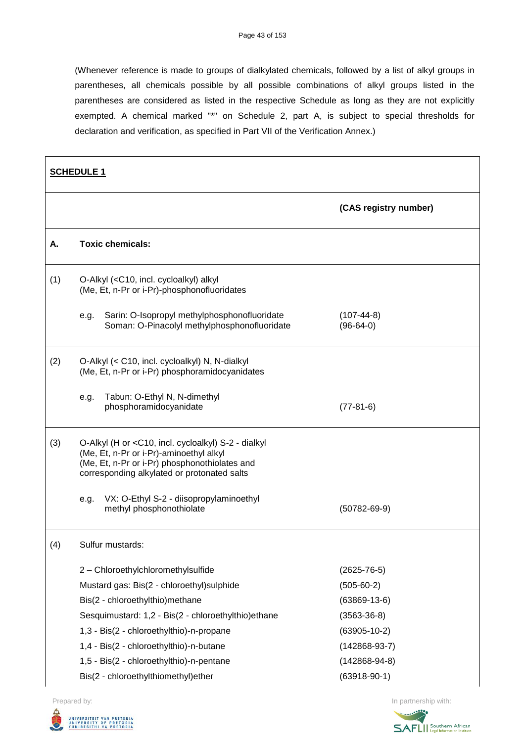(Whenever reference is made to groups of dialkylated chemicals, followed by a list of alkyl groups in parentheses, all chemicals possible by all possible combinations of alkyl groups listed in the parentheses are considered as listed in the respective Schedule as long as they are not explicitly exempted. A chemical marked "\*" on Schedule 2, part A, is subject to special thresholds for declaration and verification, as specified in Part VII of the Verification Annex.)

| <b>SCHEDULE 1</b> |                                                                                                                                                                                                                        |                             |
|-------------------|------------------------------------------------------------------------------------------------------------------------------------------------------------------------------------------------------------------------|-----------------------------|
|                   |                                                                                                                                                                                                                        | (CAS registry number)       |
| А.                | <b>Toxic chemicals:</b>                                                                                                                                                                                                |                             |
| (1)               | O-Alkyl ( <c10, alkyl<br="" cycloalkyl)="" incl.="">(Me, Et, n-Pr or i-Pr)-phosphonofluoridates</c10,>                                                                                                                 |                             |
|                   | Sarin: O-Isopropyl methylphosphonofluoridate<br>e.g.<br>Soman: O-Pinacolyl methylphosphonofluoridate                                                                                                                   | $(107-44-8)$<br>$(96-64-0)$ |
| (2)               | O-Alkyl (< C10, incl. cycloalkyl) N, N-dialkyl<br>(Me, Et, n-Pr or i-Pr) phosphoramidocyanidates                                                                                                                       |                             |
|                   | Tabun: O-Ethyl N, N-dimethyl<br>e.g.<br>phosphoramidocyanidate                                                                                                                                                         | $(77-81-6)$                 |
| (3)               | O-Alkyl (H or <c10, -="" cycloalkyl)="" dialkyl<br="" incl.="" s-2="">(Me, Et, n-Pr or i-Pr)-aminoethyl alkyl<br/>(Me, Et, n-Pr or i-Pr) phosphonothiolates and<br/>corresponding alkylated or protonated salts</c10,> |                             |
|                   | VX: O-Ethyl S-2 - diisopropylaminoethyl<br>e.g.<br>methyl phosphonothiolate                                                                                                                                            | $(50782 - 69 - 9)$          |
| (4)               | Sulfur mustards:                                                                                                                                                                                                       |                             |
|                   | 2 - Chloroethylchloromethylsulfide                                                                                                                                                                                     | $(2625 - 76 - 5)$           |
|                   | Mustard gas: Bis(2 - chloroethyl) sulphide                                                                                                                                                                             | $(505-60-2)$                |
|                   | Bis(2 - chloroethylthio) methane                                                                                                                                                                                       | $(63869-13-6)$              |
|                   | Sesquimustard: 1,2 - Bis(2 - chloroethylthio)ethane                                                                                                                                                                    | $(3563 - 36 - 8)$           |
|                   | 1,3 - Bis(2 - chloroethylthio)-n-propane                                                                                                                                                                               | $(63905-10-2)$              |
|                   | 1,4 - Bis(2 - chloroethylthio)-n-butane                                                                                                                                                                                | $(142868-93-7)$             |
|                   | 1,5 - Bis(2 - chloroethylthio)-n-pentane                                                                                                                                                                               | $(142868-94-8)$             |
|                   | Bis(2 - chloroethylthiomethyl) ether                                                                                                                                                                                   | $(63918-90-1)$              |



**Prepared by:** In partnership with:  $\blacksquare$  In partnership with:  $\blacksquare$ 

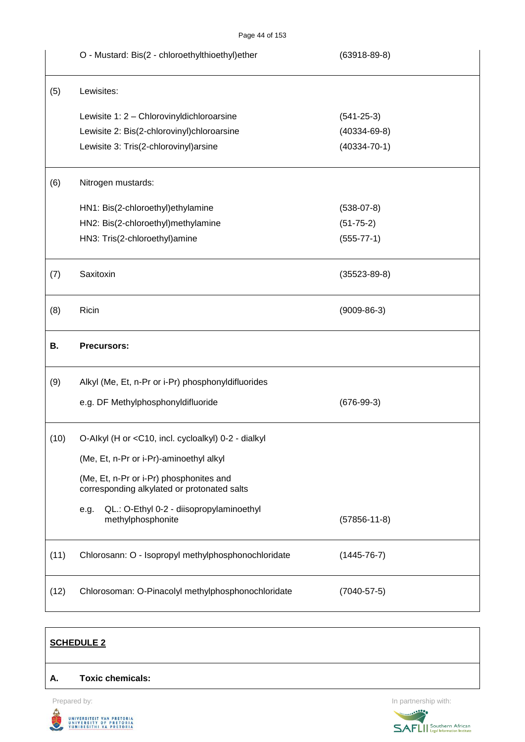#### Page 44 of 153

|      | O - Mustard: Bis(2 - chloroethylthioethyl) ether                                           | $(63918-89-8)$     |
|------|--------------------------------------------------------------------------------------------|--------------------|
| (5)  | Lewisites:                                                                                 |                    |
|      | Lewisite 1: 2 - Chlorovinyldichloroarsine                                                  | $(541 - 25 - 3)$   |
|      | Lewisite 2: Bis(2-chlorovinyl)chloroarsine                                                 | $(40334 - 69 - 8)$ |
|      | Lewisite 3: Tris(2-chlorovinyl)arsine                                                      | $(40334 - 70 - 1)$ |
| (6)  | Nitrogen mustards:                                                                         |                    |
|      | HN1: Bis(2-chloroethyl)ethylamine                                                          | $(538-07-8)$       |
|      | HN2: Bis(2-chloroethyl)methylamine                                                         | $(51 - 75 - 2)$    |
|      | HN3: Tris(2-chloroethyl)amine                                                              | $(555 - 77 - 1)$   |
| (7)  | Saxitoxin                                                                                  | $(35523 - 89 - 8)$ |
| (8)  | Ricin                                                                                      | $(9009-86-3)$      |
|      |                                                                                            |                    |
| В.   | Precursors:                                                                                |                    |
| (9)  | Alkyl (Me, Et, n-Pr or i-Pr) phosphonyldifluorides                                         |                    |
|      | e.g. DF Methylphosphonyldifluoride                                                         | $(676-99-3)$       |
| (10) | O-Alkyl (H or <c10, -="" 0-2="" cycloalkyl)="" dialkyl<="" incl.="" td=""><td></td></c10,> |                    |
|      | (Me, Et, n-Pr or i-Pr)-aminoethyl alkyl                                                    |                    |
|      | (Me, Et, n-Pr or i-Pr) phosphonites and<br>corresponding alkylated or protonated salts     |                    |
|      | QL.: O-Ethyl 0-2 - diisopropylaminoethyl<br>e.g.<br>methylphosphonite                      | $(57856 - 11 - 8)$ |
| (11) | Chlorosann: O - Isopropyl methylphosphonochloridate                                        | $(1445 - 76 - 7)$  |

# **SCHEDULE 2 A. Toxic chemicals:**



Prepared by: In partnership with:

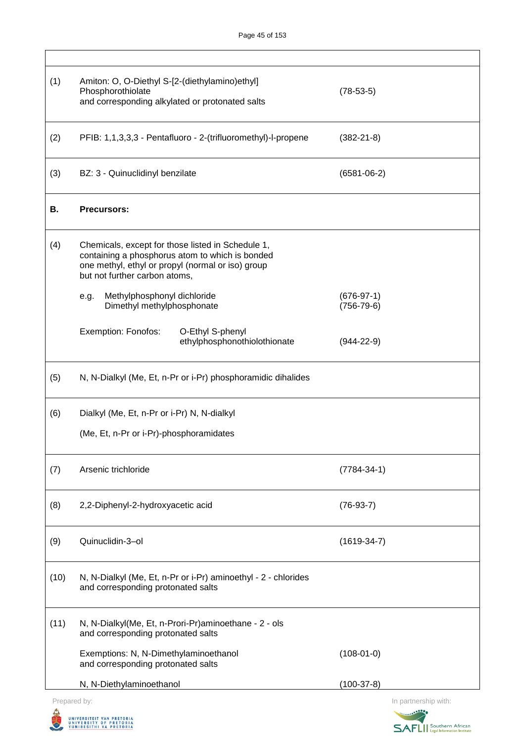| (1)  | Amiton: O, O-Diethyl S-[2-(diethylamino)ethyl]<br>Phosphorothiolate<br>and corresponding alkylated or protonated salts                                                                                                                                          | $(78-53-5)$                  |
|------|-----------------------------------------------------------------------------------------------------------------------------------------------------------------------------------------------------------------------------------------------------------------|------------------------------|
| (2)  | PFIB: 1,1,3,3,3 - Pentafluoro - 2-(trifluoromethyl)-l-propene                                                                                                                                                                                                   | $(382 - 21 - 8)$             |
| (3)  | BZ: 3 - Quinuclidinyl benzilate                                                                                                                                                                                                                                 | $(6581 - 06 - 2)$            |
| В.   | <b>Precursors:</b>                                                                                                                                                                                                                                              |                              |
| (4)  | Chemicals, except for those listed in Schedule 1,<br>containing a phosphorus atom to which is bonded<br>one methyl, ethyl or propyl (normal or iso) group<br>but not further carbon atoms,<br>Methylphosphonyl dichloride<br>e.g.<br>Dimethyl methylphosphonate | $(676-97-1)$<br>$(756-79-6)$ |
|      | Exemption: Fonofos:<br>O-Ethyl S-phenyl<br>ethylphosphonothiolothionate                                                                                                                                                                                         | $(944-22-9)$                 |
| (5)  | N, N-Dialkyl (Me, Et, n-Pr or i-Pr) phosphoramidic dihalides                                                                                                                                                                                                    |                              |
| (6)  | Dialkyl (Me, Et, n-Pr or i-Pr) N, N-dialkyl<br>(Me, Et, n-Pr or i-Pr)-phosphoramidates                                                                                                                                                                          |                              |
| (7)  | Arsenic trichloride                                                                                                                                                                                                                                             | $(7784 - 34 - 1)$            |
| (8)  | 2,2-Diphenyl-2-hydroxyacetic acid                                                                                                                                                                                                                               | $(76-93-7)$                  |
| (9)  | Quinuclidin-3-ol                                                                                                                                                                                                                                                | $(1619-34-7)$                |
| (10) | N, N-Dialkyl (Me, Et, n-Pr or i-Pr) aminoethyl - 2 - chlorides<br>and corresponding protonated salts                                                                                                                                                            |                              |
| (11) | N, N-Dialkyl(Me, Et, n-Prori-Pr)aminoethane - 2 - ols<br>and corresponding protonated salts                                                                                                                                                                     |                              |
|      | Exemptions: N, N-Dimethylaminoethanol<br>and corresponding protonated salts                                                                                                                                                                                     | $(108-01-0)$                 |
|      | N, N-Diethylaminoethanol                                                                                                                                                                                                                                        | $(100-37-8)$                 |

Prepared by: In partnership with:

ľ



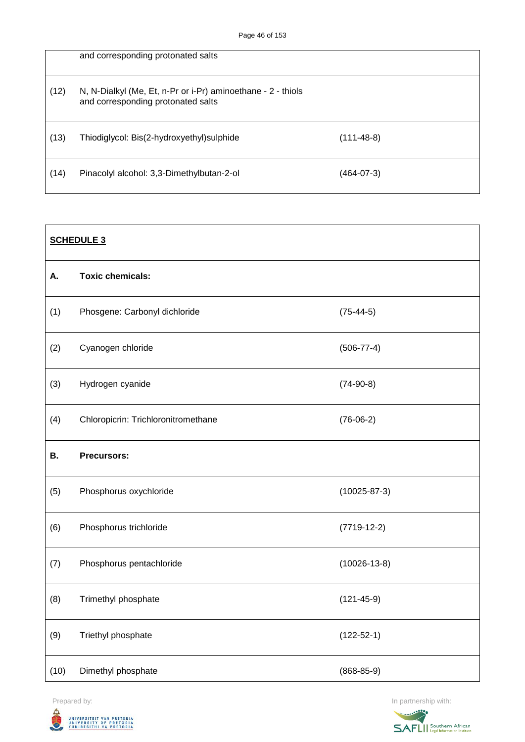|      | and corresponding protonated salts                                                                 |              |
|------|----------------------------------------------------------------------------------------------------|--------------|
| (12) | N, N-Dialkyl (Me, Et, n-Pr or i-Pr) aminoethane - 2 - thiols<br>and corresponding protonated salts |              |
| (13) | Thiodiglycol: Bis(2-hydroxyethyl)sulphide                                                          | $(111-48-8)$ |
| (14) | Pinacolyl alcohol: 3,3-Dimethylbutan-2-ol                                                          | $(464-07-3)$ |

| <b>SCHEDULE 3</b> |                                     |                    |
|-------------------|-------------------------------------|--------------------|
| А.                | <b>Toxic chemicals:</b>             |                    |
| (1)               | Phosgene: Carbonyl dichloride       | $(75-44-5)$        |
| (2)               | Cyanogen chloride                   | $(506-77-4)$       |
| (3)               | Hydrogen cyanide                    | $(74-90-8)$        |
| (4)               | Chloropicrin: Trichloronitromethane | $(76-06-2)$        |
| В.                | Precursors:                         |                    |
| (5)               | Phosphorus oxychloride              | $(10025 - 87 - 3)$ |
| (6)               | Phosphorus trichloride              | $(7719-12-2)$      |
| (7)               | Phosphorus pentachloride            | $(10026 - 13 - 8)$ |
| (8)               | Trimethyl phosphate                 | $(121 - 45 - 9)$   |
| (9)               | Triethyl phosphate                  | $(122 - 52 - 1)$   |
| (10)              | Dimethyl phosphate                  | $(868 - 85 - 9)$   |



Prepared by: In partnership with:

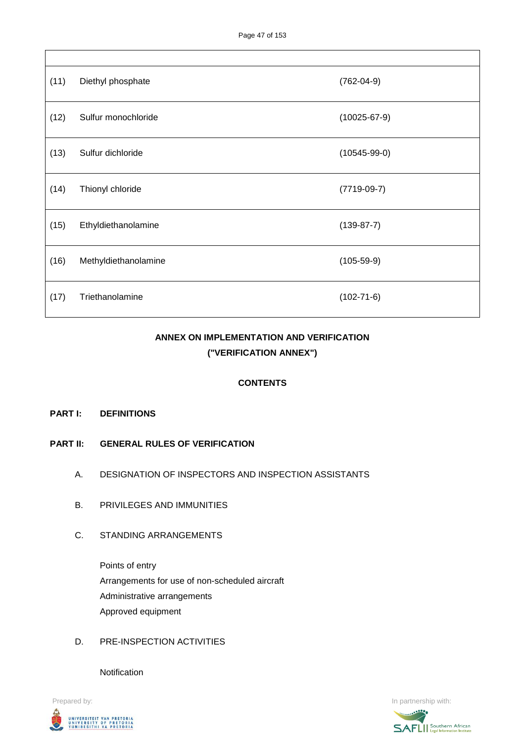| (11) | Diethyl phosphate    | $(762 - 04 - 9)$   |
|------|----------------------|--------------------|
| (12) | Sulfur monochloride  | $(10025 - 67 - 9)$ |
| (13) | Sulfur dichloride    | $(10545-99-0)$     |
| (14) | Thionyl chloride     | $(7719-09-7)$      |
| (15) | Ethyldiethanolamine  | $(139-87-7)$       |
| (16) | Methyldiethanolamine | $(105-59-9)$       |
| (17) | Triethanolamine      | $(102 - 71 - 6)$   |

# **ANNEX ON IMPLEMENTATION AND VERIFICATION ("VERIFICATION ANNEX")**

## **CONTENTS**

## **PART I: DEFINITIONS**

## **PART II: GENERAL RULES OF VERIFICATION**

- A. DESIGNATION OF INSPECTORS AND INSPECTION ASSISTANTS
- B. PRIVILEGES AND IMMUNITIES
- C. STANDING ARRANGEMENTS

Points of entry Arrangements for use of non-scheduled aircraft Administrative arrangements Approved equipment

## D. PRE-INSPECTION ACTIVITIES

Notification



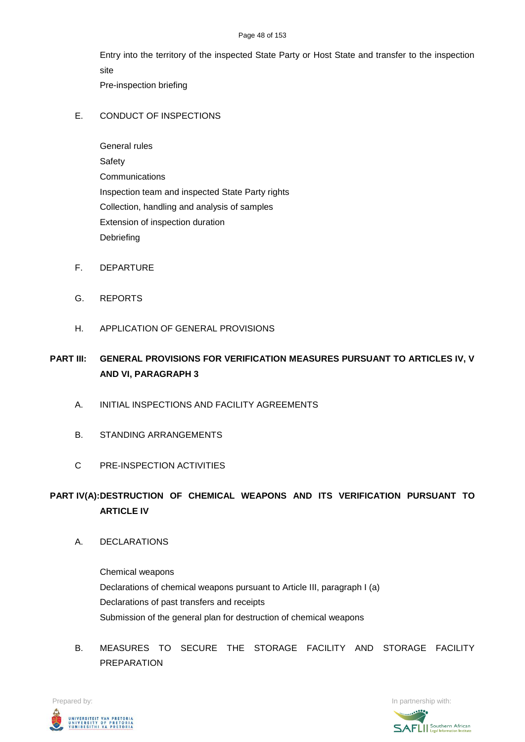#### Page 48 of 153

Entry into the territory of the inspected State Party or Host State and transfer to the inspection site

Pre-inspection briefing

## E. CONDUCT OF INSPECTIONS

General rules Safety **Communications** Inspection team and inspected State Party rights Collection, handling and analysis of samples Extension of inspection duration **Debriefing** 

- F. DEPARTURE
- G. REPORTS
- H. APPLICATION OF GENERAL PROVISIONS

# **PART III: GENERAL PROVISIONS FOR VERIFICATION MEASURES PURSUANT TO ARTICLES IV, V AND VI, PARAGRAPH 3**

- A. INITIAL INSPECTIONS AND FACILITY AGREEMENTS
- B. STANDING ARRANGEMENTS
- C PRE-INSPECTION ACTIVITIES

# **PART IV(A):DESTRUCTION OF CHEMICAL WEAPONS AND ITS VERIFICATION PURSUANT TO ARTICLE IV**

A. DECLARATIONS

Chemical weapons Declarations of chemical weapons pursuant to Article III, paragraph I (a) Declarations of past transfers and receipts Submission of the general plan for destruction of chemical weapons

B. MEASURES TO SECURE THE STORAGE FACILITY AND STORAGE FACILITY PREPARATION

Prepared by: In partnership with: UNIVERSITEIT VAN PRETORIA<br>UNIVERSITY OF PRETORIA<br><u>YUNIBESITHI YA PRETORIA</u>

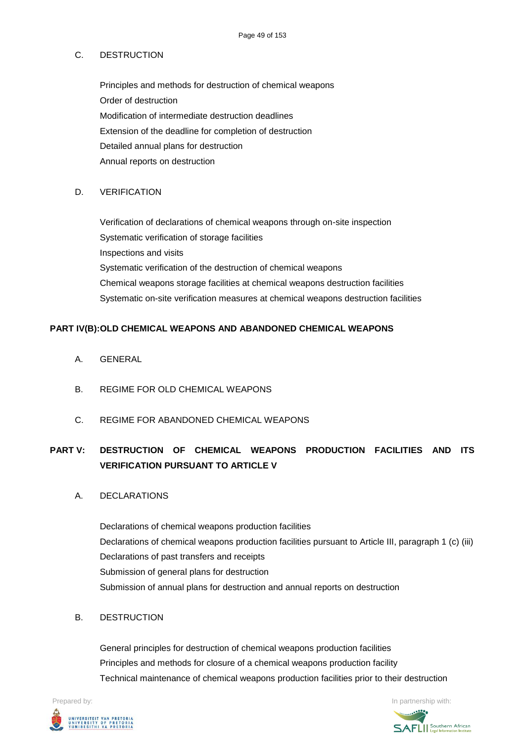## C. DESTRUCTION

Principles and methods for destruction of chemical weapons Order of destruction Modification of intermediate destruction deadlines Extension of the deadline for completion of destruction Detailed annual plans for destruction Annual reports on destruction

## D. VERIFICATION

Verification of declarations of chemical weapons through on-site inspection Systematic verification of storage facilities Inspections and visits Systematic verification of the destruction of chemical weapons Chemical weapons storage facilities at chemical weapons destruction facilities Systematic on-site verification measures at chemical weapons destruction facilities

#### **PART IV(B):OLD CHEMICAL WEAPONS AND ABANDONED CHEMICAL WEAPONS**

- A. GENERAL
- B. REGIME FOR OLD CHEMICAL WEAPONS
- C. REGIME FOR ABANDONED CHEMICAL WEAPONS

# **PART V: DESTRUCTION OF CHEMICAL WEAPONS PRODUCTION FACILITIES AND ITS VERIFICATION PURSUANT TO ARTICLE V**

A. DECLARATIONS

Declarations of chemical weapons production facilities Declarations of chemical weapons production facilities pursuant to Article III, paragraph 1 (c) (iii) Declarations of past transfers and receipts Submission of general plans for destruction Submission of annual plans for destruction and annual reports on destruction

B. DESTRUCTION

General principles for destruction of chemical weapons production facilities Principles and methods for closure of a chemical weapons production facility Technical maintenance of chemical weapons production facilities prior to their destruction

Prepared by: In partnership with:  $\blacksquare$  is the partnership with:  $\blacksquare$  is the partnership with:  $\blacksquare$ UNIVERSITEIT VAN PRETORIA<br>UNIVERSITY OF PRETORIA<br>YUNIBESITHI YA PRETORIA

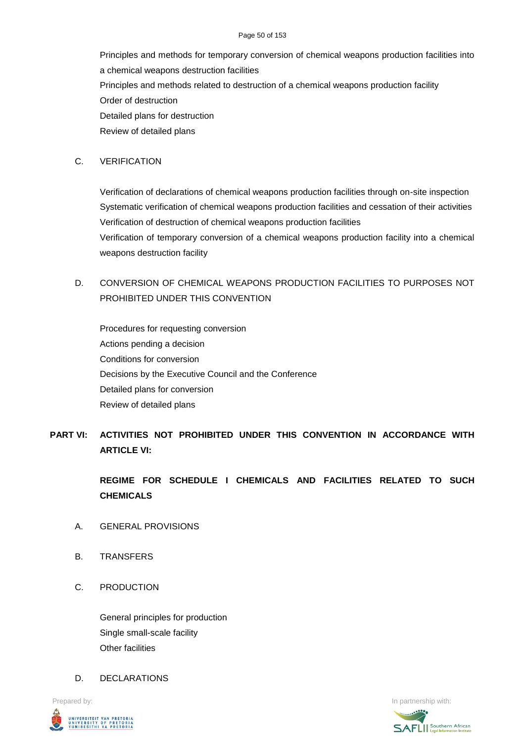#### Page 50 of 153

Principles and methods for temporary conversion of chemical weapons production facilities into a chemical weapons destruction facilities Principles and methods related to destruction of a chemical weapons production facility Order of destruction Detailed plans for destruction Review of detailed plans

#### C. VERIFICATION

Verification of declarations of chemical weapons production facilities through on-site inspection Systematic verification of chemical weapons production facilities and cessation of their activities Verification of destruction of chemical weapons production facilities Verification of temporary conversion of a chemical weapons production facility into a chemical weapons destruction facility

## D. CONVERSION OF CHEMICAL WEAPONS PRODUCTION FACILITIES TO PURPOSES NOT PROHIBITED UNDER THIS CONVENTION

Procedures for requesting conversion Actions pending a decision Conditions for conversion Decisions by the Executive Council and the Conference Detailed plans for conversion Review of detailed plans

# **PART VI: ACTIVITIES NOT PROHIBITED UNDER THIS CONVENTION IN ACCORDANCE WITH ARTICLE VI:**

**REGIME FOR SCHEDULE I CHEMICALS AND FACILITIES RELATED TO SUCH CHEMICALS**

- A. GENERAL PROVISIONS
- B. TRANSFERS
- C. PRODUCTION

General principles for production Single small-scale facility Other facilities

D. DECLARATIONS

Prepared by: **In partnership with:**  $\blacksquare$  **In partnership with:**  $\blacksquare$  **In partnership with:**  $\blacksquare$ UNIVERSITEIT VAN PRETORIA<br>UNIVERSITY OF PRETORIA<br>YUNIBESITHI YA PRETORIA

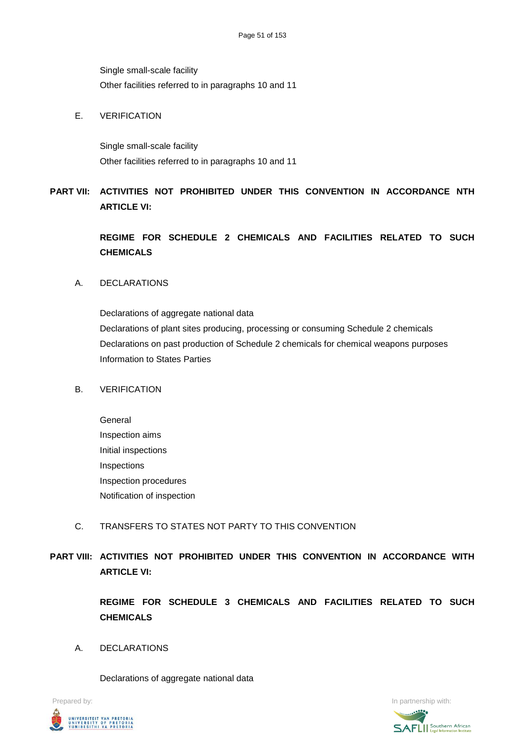Single small-scale facility Other facilities referred to in paragraphs 10 and 11

E. VERIFICATION

Single small-scale facility Other facilities referred to in paragraphs 10 and 11

**PART VII: ACTIVITIES NOT PROHIBITED UNDER THIS CONVENTION IN ACCORDANCE NTH ARTICLE VI:**

# **REGIME FOR SCHEDULE 2 CHEMICALS AND FACILITIES RELATED TO SUCH CHEMICALS**

#### A. DECLARATIONS

Declarations of aggregate national data Declarations of plant sites producing, processing or consuming Schedule 2 chemicals Declarations on past production of Schedule 2 chemicals for chemical weapons purposes Information to States Parties

#### B. VERIFICATION

**General** Inspection aims Initial inspections Inspections Inspection procedures Notification of inspection

- C. TRANSFERS TO STATES NOT PARTY TO THIS CONVENTION
- **PART VIII: ACTIVITIES NOT PROHIBITED UNDER THIS CONVENTION IN ACCORDANCE WITH ARTICLE VI:**

**REGIME FOR SCHEDULE 3 CHEMICALS AND FACILITIES RELATED TO SUCH CHEMICALS**

A. DECLARATIONS

Declarations of aggregate national data

Prepared by: **In partnership with:**  $\blacksquare$  **In partnership with:**  $\blacksquare$  **In partnership with:**  $\blacksquare$ UNIVERSITEIT VAN PRETORIA<br>UNIVERSITY OF PRETORIA<br>YUNIBESITHI YA PRETORIA

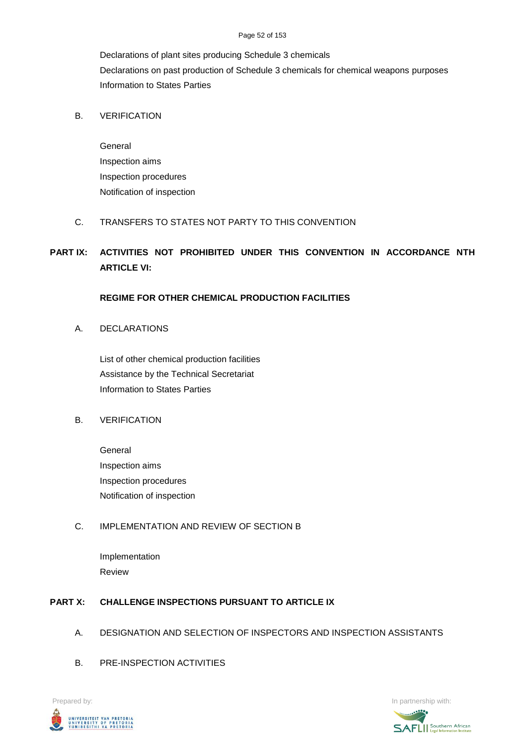#### Page 52 of 153

Declarations of plant sites producing Schedule 3 chemicals Declarations on past production of Schedule 3 chemicals for chemical weapons purposes Information to States Parties

B. VERIFICATION

General Inspection aims Inspection procedures Notification of inspection

#### C. TRANSFERS TO STATES NOT PARTY TO THIS CONVENTION

# **PART IX: ACTIVITIES NOT PROHIBITED UNDER THIS CONVENTION IN ACCORDANCE NTH ARTICLE VI:**

#### **REGIME FOR OTHER CHEMICAL PRODUCTION FACILITIES**

#### A. DECLARATIONS

List of other chemical production facilities Assistance by the Technical Secretariat Information to States Parties

## B. VERIFICATION

General Inspection aims Inspection procedures Notification of inspection

## C. IMPLEMENTATION AND REVIEW OF SECTION B

Implementation Review

## **PART X: CHALLENGE INSPECTIONS PURSUANT TO ARTICLE IX**

## A. DESIGNATION AND SELECTION OF INSPECTORS AND INSPECTION ASSISTANTS

B. PRE-INSPECTION ACTIVITIES

Prepared by: **In partnership with:**  $\blacksquare$  **In partnership with:**  $\blacksquare$  **In partnership with:**  $\blacksquare$ UNIVERSITEIT VAN PRETORIA<br>UNIVERSITY OF PRETORIA<br><u>YUNIBESITHI YA PRETORIA</u>

**SAFLI** Southern African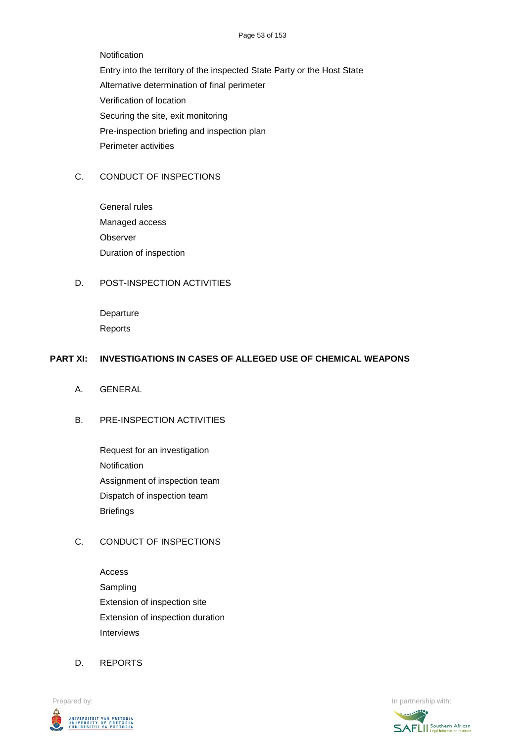**Notification** Entry into the territory of the inspected State Party or the Host State Alternative determination of final perimeter Verification of location Securing the site, exit monitoring Pre-inspection briefing and inspection plan Perimeter activities

#### C. CONDUCT OF INSPECTIONS

General rules Managed access **Observer** Duration of inspection

#### D. POST-INSPECTION ACTIVITIES

Departure Reports

#### **PART XI: INVESTIGATIONS IN CASES OF ALLEGED USE OF CHEMICAL WEAPONS**

A. GENERAL

## B. PRE-INSPECTION ACTIVITIES

Request for an investigation Notification Assignment of inspection team Dispatch of inspection team **Briefings** 

#### C. CONDUCT OF INSPECTIONS

Access Sampling Extension of inspection site Extension of inspection duration Interviews

D. REPORTS



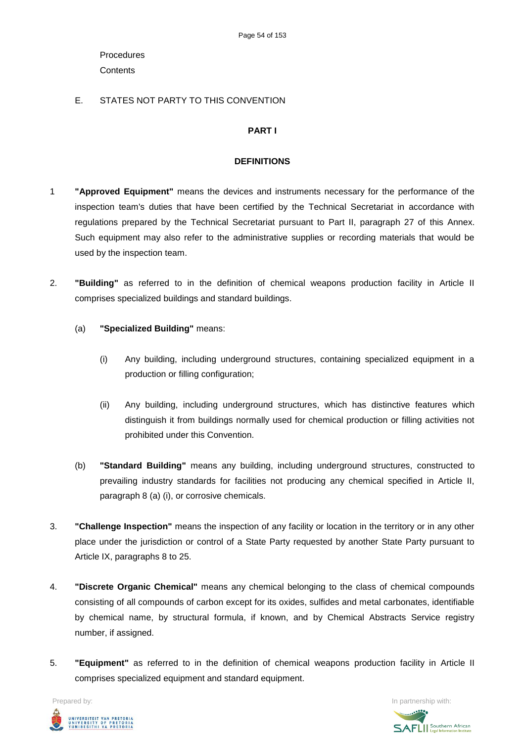# Procedures **Contents**

#### E. STATES NOT PARTY TO THIS CONVENTION

#### **PART I**

#### **DEFINITIONS**

- 1 **"Approved Equipment"** means the devices and instruments necessary for the performance of the inspection team's duties that have been certified by the Technical Secretariat in accordance with regulations prepared by the Technical Secretariat pursuant to Part II, paragraph 27 of this Annex. Such equipment may also refer to the administrative supplies or recording materials that would be used by the inspection team.
- 2. **"Building"** as referred to in the definition of chemical weapons production facility in Article II comprises specialized buildings and standard buildings.
	- (a) **"Specialized Building"** means:
		- (i) Any building, including underground structures, containing specialized equipment in a production or filling configuration;
		- (ii) Any building, including underground structures, which has distinctive features which distinguish it from buildings normally used for chemical production or filling activities not prohibited under this Convention.
	- (b) **"Standard Building"** means any building, including underground structures, constructed to prevailing industry standards for facilities not producing any chemical specified in Article II, paragraph 8 (a) (i), or corrosive chemicals.
- 3. **"Challenge Inspection"** means the inspection of any facility or location in the territory or in any other place under the jurisdiction or control of a State Party requested by another State Party pursuant to Article IX, paragraphs 8 to 25.
- 4. **"Discrete Organic Chemical"** means any chemical belonging to the class of chemical compounds consisting of all compounds of carbon except for its oxides, sulfides and metal carbonates, identifiable by chemical name, by structural formula, if known, and by Chemical Abstracts Service registry number, if assigned.
- 5. **"Equipment"** as referred to in the definition of chemical weapons production facility in Article II comprises specialized equipment and standard equipment.

UNIVERSITEIT VAN PRETORIA<br>UNIVERSITY OF PRETORIA<br>YUNIBESITHI YA PRETORIA

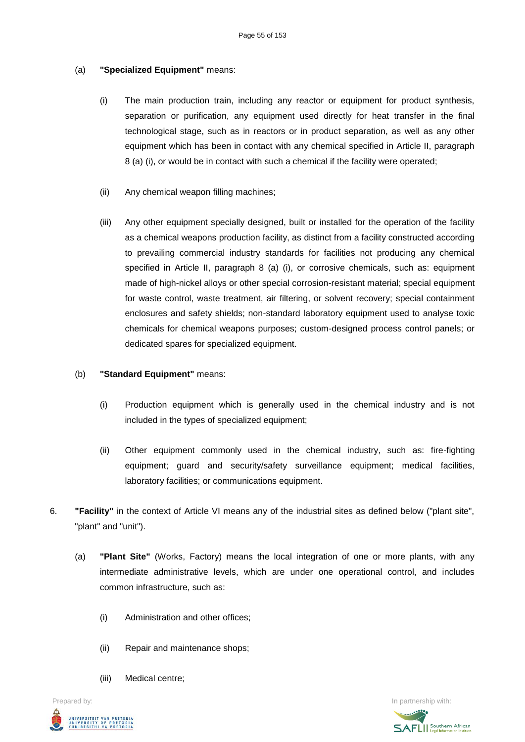#### (a) **"Specialized Equipment"** means:

- (i) The main production train, including any reactor or equipment for product synthesis, separation or purification, any equipment used directly for heat transfer in the final technological stage, such as in reactors or in product separation, as well as any other equipment which has been in contact with any chemical specified in Article II, paragraph 8 (a) (i), or would be in contact with such a chemical if the facility were operated;
- (ii) Any chemical weapon filling machines;
- (iii) Any other equipment specially designed, built or installed for the operation of the facility as a chemical weapons production facility, as distinct from a facility constructed according to prevailing commercial industry standards for facilities not producing any chemical specified in Article II, paragraph 8 (a) (i), or corrosive chemicals, such as: equipment made of high-nickel alloys or other special corrosion-resistant material; special equipment for waste control, waste treatment, air filtering, or solvent recovery; special containment enclosures and safety shields; non-standard laboratory equipment used to analyse toxic chemicals for chemical weapons purposes; custom-designed process control panels; or dedicated spares for specialized equipment.
- (b) **"Standard Equipment"** means:
	- (i) Production equipment which is generally used in the chemical industry and is not included in the types of specialized equipment;
	- (ii) Other equipment commonly used in the chemical industry, such as: fire-fighting equipment; guard and security/safety surveillance equipment; medical facilities, laboratory facilities; or communications equipment.
- 6. **"Facility"** in the context of Article VI means any of the industrial sites as defined below ("plant site", "plant" and "unit").
	- (a) **"Plant Site"** (Works, Factory) means the local integration of one or more plants, with any intermediate administrative levels, which are under one operational control, and includes common infrastructure, such as:
		- (i) Administration and other offices;
		- (ii) Repair and maintenance shops;
		- (iii) Medical centre;

.<br>UNIVERSITEIT VAN PRETORIA<br>YUNIBESITHI YA PRETORIA

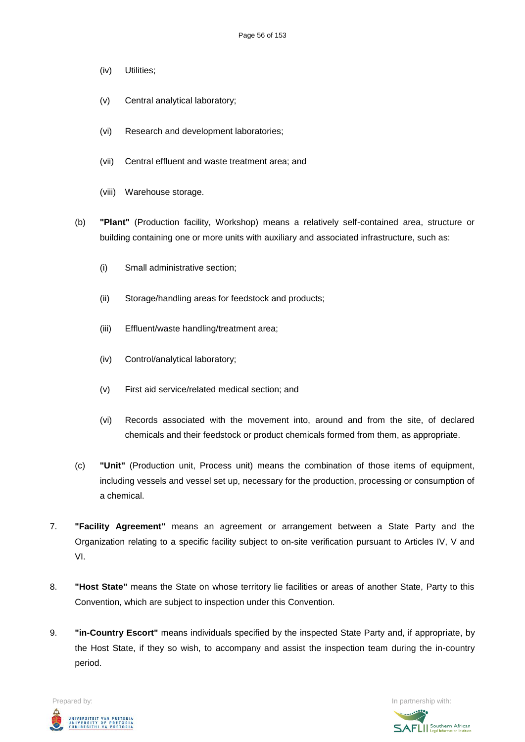- (iv) Utilities;
- (v) Central analytical laboratory;
- (vi) Research and development laboratories;
- (vii) Central effluent and waste treatment area; and
- (viii) Warehouse storage.
- (b) **"Plant"** (Production facility, Workshop) means a relatively self-contained area, structure or building containing one or more units with auxiliary and associated infrastructure, such as:
	- (i) Small administrative section;
	- (ii) Storage/handling areas for feedstock and products;
	- (iii) Effluent/waste handling/treatment area;
	- (iv) Control/analytical laboratory;
	- (v) First aid service/related medical section; and
	- (vi) Records associated with the movement into, around and from the site, of declared chemicals and their feedstock or product chemicals formed from them, as appropriate.
- (c) **"Unit"** (Production unit, Process unit) means the combination of those items of equipment, including vessels and vessel set up, necessary for the production, processing or consumption of a chemical.
- 7. **"Facility Agreement"** means an agreement or arrangement between a State Party and the Organization relating to a specific facility subject to on-site verification pursuant to Articles IV, V and VI.
- 8. **"Host State"** means the State on whose territory lie facilities or areas of another State, Party to this Convention, which are subject to inspection under this Convention.
- 9. **"in-Country Escort"** means individuals specified by the inspected State Party and, if appropriate, by the Host State, if they so wish, to accompany and assist the inspection team during the in-country period.



**SAFLI** Southern African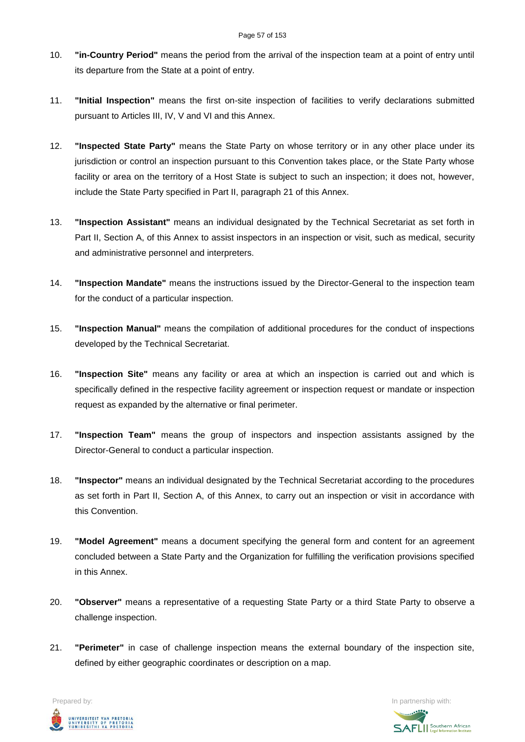- 10. **"in-Country Period"** means the period from the arrival of the inspection team at a point of entry until its departure from the State at a point of entry.
- 11. **"Initial Inspection"** means the first on-site inspection of facilities to verify declarations submitted pursuant to Articles III, IV, V and VI and this Annex.
- 12. **"Inspected State Party"** means the State Party on whose territory or in any other place under its jurisdiction or control an inspection pursuant to this Convention takes place, or the State Party whose facility or area on the territory of a Host State is subject to such an inspection; it does not, however, include the State Party specified in Part II, paragraph 21 of this Annex.
- 13. **"Inspection Assistant"** means an individual designated by the Technical Secretariat as set forth in Part II, Section A, of this Annex to assist inspectors in an inspection or visit, such as medical, security and administrative personnel and interpreters.
- 14. **"Inspection Mandate"** means the instructions issued by the Director-General to the inspection team for the conduct of a particular inspection.
- 15. **"Inspection Manual"** means the compilation of additional procedures for the conduct of inspections developed by the Technical Secretariat.
- 16. **"Inspection Site"** means any facility or area at which an inspection is carried out and which is specifically defined in the respective facility agreement or inspection request or mandate or inspection request as expanded by the alternative or final perimeter.
- 17. **"Inspection Team"** means the group of inspectors and inspection assistants assigned by the Director-General to conduct a particular inspection.
- 18. **"Inspector"** means an individual designated by the Technical Secretariat according to the procedures as set forth in Part II, Section A, of this Annex, to carry out an inspection or visit in accordance with this Convention.
- 19. **"Model Agreement"** means a document specifying the general form and content for an agreement concluded between a State Party and the Organization for fulfilling the verification provisions specified in this Annex.
- 20. **"Observer"** means a representative of a requesting State Party or a third State Party to observe a challenge inspection.
- 21. **"Perimeter"** in case of challenge inspection means the external boundary of the inspection site, defined by either geographic coordinates or description on a map.



**SAFLI** Southern African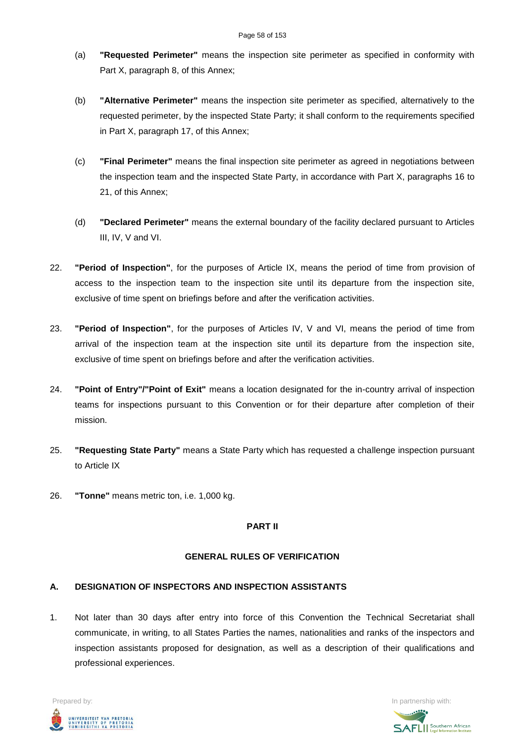- (a) **"Requested Perimeter"** means the inspection site perimeter as specified in conformity with Part X, paragraph 8, of this Annex;
- (b) **"Alternative Perimeter"** means the inspection site perimeter as specified, alternatively to the requested perimeter, by the inspected State Party; it shall conform to the requirements specified in Part X, paragraph 17, of this Annex;
- (c) **"Final Perimeter"** means the final inspection site perimeter as agreed in negotiations between the inspection team and the inspected State Party, in accordance with Part X, paragraphs 16 to 21, of this Annex;
- (d) **"Declared Perimeter"** means the external boundary of the facility declared pursuant to Articles III, IV, V and VI.
- 22. **"Period of Inspection"**, for the purposes of Article IX, means the period of time from provision of access to the inspection team to the inspection site until its departure from the inspection site, exclusive of time spent on briefings before and after the verification activities.
- 23. **"Period of Inspection"**, for the purposes of Articles IV, V and VI, means the period of time from arrival of the inspection team at the inspection site until its departure from the inspection site, exclusive of time spent on briefings before and after the verification activities.
- 24. **"Point of Entry"/"Point of Exit"** means a location designated for the in-country arrival of inspection teams for inspections pursuant to this Convention or for their departure after completion of their mission.
- 25. **"Requesting State Party"** means a State Party which has requested a challenge inspection pursuant to Article IX
- 26. **"Tonne"** means metric ton, i.e. 1,000 kg.

## **PART II**

## **GENERAL RULES OF VERIFICATION**

## **A. DESIGNATION OF INSPECTORS AND INSPECTION ASSISTANTS**

1. Not later than 30 days after entry into force of this Convention the Technical Secretariat shall communicate, in writing, to all States Parties the names, nationalities and ranks of the inspectors and inspection assistants proposed for designation, as well as a description of their qualifications and professional experiences.



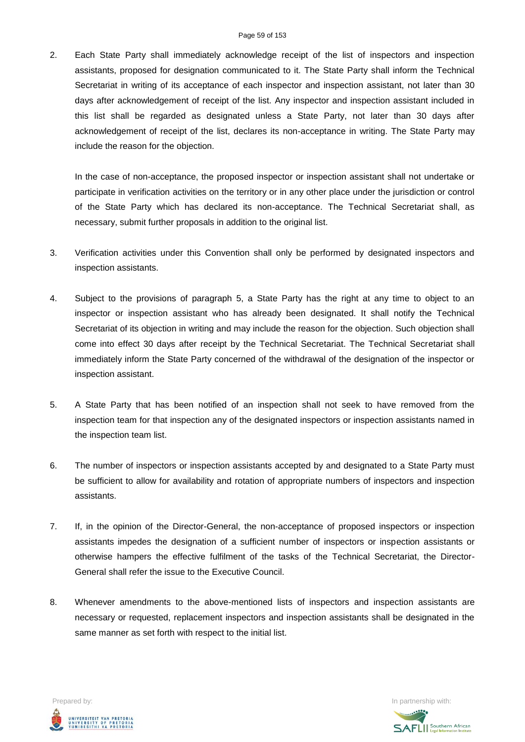2. Each State Party shall immediately acknowledge receipt of the list of inspectors and inspection assistants, proposed for designation communicated to it. The State Party shall inform the Technical Secretariat in writing of its acceptance of each inspector and inspection assistant, not later than 30 days after acknowledgement of receipt of the list. Any inspector and inspection assistant included in this list shall be regarded as designated unless a State Party, not later than 30 days after acknowledgement of receipt of the list, declares its non-acceptance in writing. The State Party may include the reason for the objection.

In the case of non-acceptance, the proposed inspector or inspection assistant shall not undertake or participate in verification activities on the territory or in any other place under the jurisdiction or control of the State Party which has declared its non-acceptance. The Technical Secretariat shall, as necessary, submit further proposals in addition to the original list.

- 3. Verification activities under this Convention shall only be performed by designated inspectors and inspection assistants.
- 4. Subject to the provisions of paragraph 5, a State Party has the right at any time to object to an inspector or inspection assistant who has already been designated. It shall notify the Technical Secretariat of its objection in writing and may include the reason for the objection. Such objection shall come into effect 30 days after receipt by the Technical Secretariat. The Technical Secretariat shall immediately inform the State Party concerned of the withdrawal of the designation of the inspector or inspection assistant.
- 5. A State Party that has been notified of an inspection shall not seek to have removed from the inspection team for that inspection any of the designated inspectors or inspection assistants named in the inspection team list.
- 6. The number of inspectors or inspection assistants accepted by and designated to a State Party must be sufficient to allow for availability and rotation of appropriate numbers of inspectors and inspection assistants.
- 7. If, in the opinion of the Director-General, the non-acceptance of proposed inspectors or inspection assistants impedes the designation of a sufficient number of inspectors or inspection assistants or otherwise hampers the effective fulfilment of the tasks of the Technical Secretariat, the Director-General shall refer the issue to the Executive Council.
- 8. Whenever amendments to the above-mentioned lists of inspectors and inspection assistants are necessary or requested, replacement inspectors and inspection assistants shall be designated in the same manner as set forth with respect to the initial list.



**SAFLI** Southern African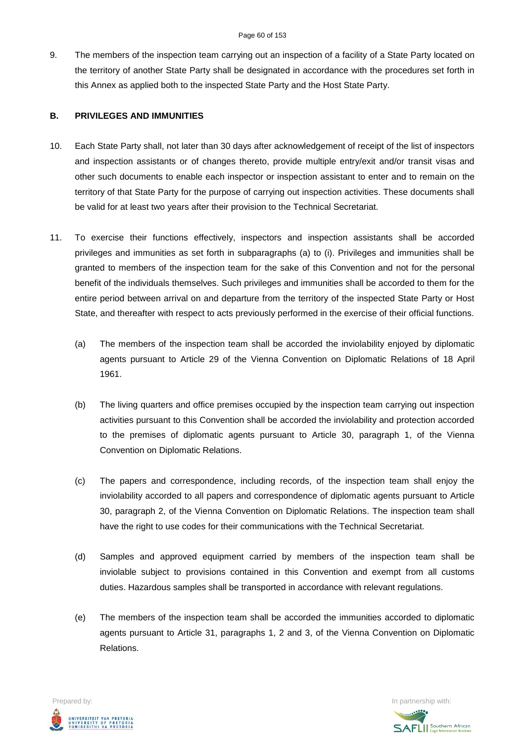9. The members of the inspection team carrying out an inspection of a facility of a State Party located on the territory of another State Party shall be designated in accordance with the procedures set forth in this Annex as applied both to the inspected State Party and the Host State Party.

#### **B. PRIVILEGES AND IMMUNITIES**

- 10. Each State Party shall, not later than 30 days after acknowledgement of receipt of the list of inspectors and inspection assistants or of changes thereto, provide multiple entry/exit and/or transit visas and other such documents to enable each inspector or inspection assistant to enter and to remain on the territory of that State Party for the purpose of carrying out inspection activities. These documents shall be valid for at least two years after their provision to the Technical Secretariat.
- 11. To exercise their functions effectively, inspectors and inspection assistants shall be accorded privileges and immunities as set forth in subparagraphs (a) to (i). Privileges and immunities shall be granted to members of the inspection team for the sake of this Convention and not for the personal benefit of the individuals themselves. Such privileges and immunities shall be accorded to them for the entire period between arrival on and departure from the territory of the inspected State Party or Host State, and thereafter with respect to acts previously performed in the exercise of their official functions.
	- (a) The members of the inspection team shall be accorded the inviolability enjoyed by diplomatic agents pursuant to Article 29 of the Vienna Convention on Diplomatic Relations of 18 April 1961.
	- (b) The living quarters and office premises occupied by the inspection team carrying out inspection activities pursuant to this Convention shall be accorded the inviolability and protection accorded to the premises of diplomatic agents pursuant to Article 30, paragraph 1, of the Vienna Convention on Diplomatic Relations.
	- (c) The papers and correspondence, including records, of the inspection team shall enjoy the inviolability accorded to all papers and correspondence of diplomatic agents pursuant to Article 30, paragraph 2, of the Vienna Convention on Diplomatic Relations. The inspection team shall have the right to use codes for their communications with the Technical Secretariat.
	- (d) Samples and approved equipment carried by members of the inspection team shall be inviolable subject to provisions contained in this Convention and exempt from all customs duties. Hazardous samples shall be transported in accordance with relevant regulations.
	- (e) The members of the inspection team shall be accorded the immunities accorded to diplomatic agents pursuant to Article 31, paragraphs 1, 2 and 3, of the Vienna Convention on Diplomatic Relations.



**SAFLI** Southern African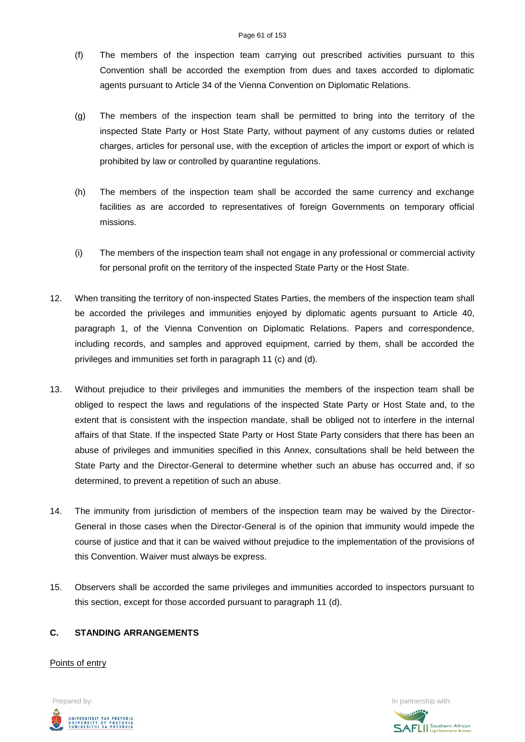#### Page 61 of 153

- (f) The members of the inspection team carrying out prescribed activities pursuant to this Convention shall be accorded the exemption from dues and taxes accorded to diplomatic agents pursuant to Article 34 of the Vienna Convention on Diplomatic Relations.
- (g) The members of the inspection team shall be permitted to bring into the territory of the inspected State Party or Host State Party, without payment of any customs duties or related charges, articles for personal use, with the exception of articles the import or export of which is prohibited by law or controlled by quarantine regulations.
- (h) The members of the inspection team shall be accorded the same currency and exchange facilities as are accorded to representatives of foreign Governments on temporary official missions.
- (i) The members of the inspection team shall not engage in any professional or commercial activity for personal profit on the territory of the inspected State Party or the Host State.
- 12. When transiting the territory of non-inspected States Parties, the members of the inspection team shall be accorded the privileges and immunities enjoyed by diplomatic agents pursuant to Article 40, paragraph 1, of the Vienna Convention on Diplomatic Relations. Papers and correspondence, including records, and samples and approved equipment, carried by them, shall be accorded the privileges and immunities set forth in paragraph 11 (c) and (d).
- 13. Without prejudice to their privileges and immunities the members of the inspection team shall be obliged to respect the laws and regulations of the inspected State Party or Host State and, to the extent that is consistent with the inspection mandate, shall be obliged not to interfere in the internal affairs of that State. If the inspected State Party or Host State Party considers that there has been an abuse of privileges and immunities specified in this Annex, consultations shall be held between the State Party and the Director-General to determine whether such an abuse has occurred and, if so determined, to prevent a repetition of such an abuse.
- 14. The immunity from jurisdiction of members of the inspection team may be waived by the Director-General in those cases when the Director-General is of the opinion that immunity would impede the course of justice and that it can be waived without prejudice to the implementation of the provisions of this Convention. Waiver must always be express.
- 15. Observers shall be accorded the same privileges and immunities accorded to inspectors pursuant to this section, except for those accorded pursuant to paragraph 11 (d).

## **C. STANDING ARRANGEMENTS**

#### Points of entry



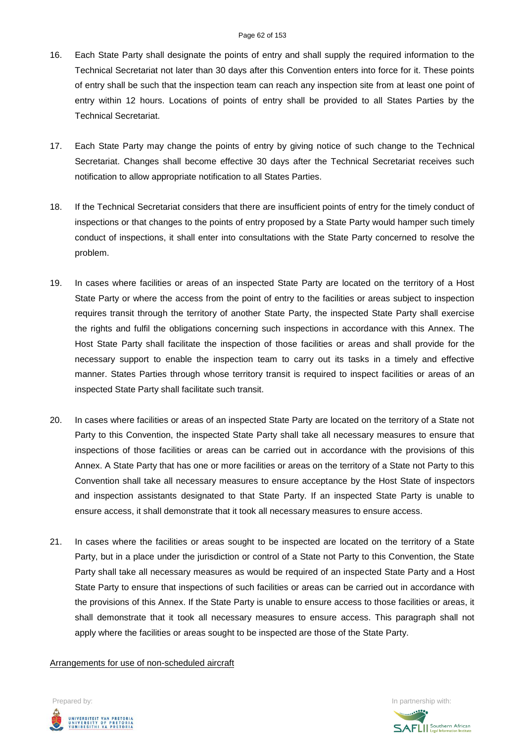- 16. Each State Party shall designate the points of entry and shall supply the required information to the Technical Secretariat not later than 30 days after this Convention enters into force for it. These points of entry shall be such that the inspection team can reach any inspection site from at least one point of entry within 12 hours. Locations of points of entry shall be provided to all States Parties by the Technical Secretariat.
- 17. Each State Party may change the points of entry by giving notice of such change to the Technical Secretariat. Changes shall become effective 30 days after the Technical Secretariat receives such notification to allow appropriate notification to all States Parties.
- 18. If the Technical Secretariat considers that there are insufficient points of entry for the timely conduct of inspections or that changes to the points of entry proposed by a State Party would hamper such timely conduct of inspections, it shall enter into consultations with the State Party concerned to resolve the problem.
- 19. In cases where facilities or areas of an inspected State Party are located on the territory of a Host State Party or where the access from the point of entry to the facilities or areas subject to inspection requires transit through the territory of another State Party, the inspected State Party shall exercise the rights and fulfil the obligations concerning such inspections in accordance with this Annex. The Host State Party shall facilitate the inspection of those facilities or areas and shall provide for the necessary support to enable the inspection team to carry out its tasks in a timely and effective manner. States Parties through whose territory transit is required to inspect facilities or areas of an inspected State Party shall facilitate such transit.
- 20. In cases where facilities or areas of an inspected State Party are located on the territory of a State not Party to this Convention, the inspected State Party shall take all necessary measures to ensure that inspections of those facilities or areas can be carried out in accordance with the provisions of this Annex. A State Party that has one or more facilities or areas on the territory of a State not Party to this Convention shall take all necessary measures to ensure acceptance by the Host State of inspectors and inspection assistants designated to that State Party. If an inspected State Party is unable to ensure access, it shall demonstrate that it took all necessary measures to ensure access.
- 21. In cases where the facilities or areas sought to be inspected are located on the territory of a State Party, but in a place under the jurisdiction or control of a State not Party to this Convention, the State Party shall take all necessary measures as would be required of an inspected State Party and a Host State Party to ensure that inspections of such facilities or areas can be carried out in accordance with the provisions of this Annex. If the State Party is unable to ensure access to those facilities or areas, it shall demonstrate that it took all necessary measures to ensure access. This paragraph shall not apply where the facilities or areas sought to be inspected are those of the State Party.

#### Arrangements for use of non-scheduled aircraft



**SAFLI** Southern African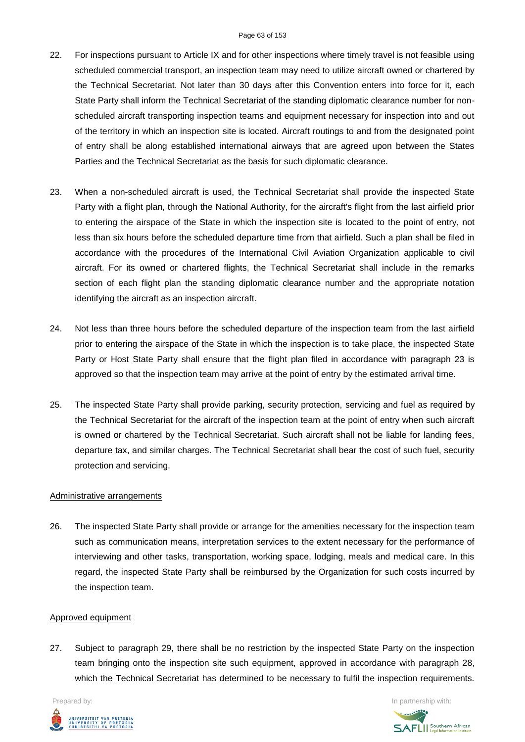- 22. For inspections pursuant to Article IX and for other inspections where timely travel is not feasible using scheduled commercial transport, an inspection team may need to utilize aircraft owned or chartered by the Technical Secretariat. Not later than 30 days after this Convention enters into force for it, each State Party shall inform the Technical Secretariat of the standing diplomatic clearance number for nonscheduled aircraft transporting inspection teams and equipment necessary for inspection into and out of the territory in which an inspection site is located. Aircraft routings to and from the designated point of entry shall be along established international airways that are agreed upon between the States Parties and the Technical Secretariat as the basis for such diplomatic clearance.
- 23. When a non-scheduled aircraft is used, the Technical Secretariat shall provide the inspected State Party with a flight plan, through the National Authority, for the aircraft's flight from the last airfield prior to entering the airspace of the State in which the inspection site is located to the point of entry, not less than six hours before the scheduled departure time from that airfield. Such a plan shall be filed in accordance with the procedures of the International Civil Aviation Organization applicable to civil aircraft. For its owned or chartered flights, the Technical Secretariat shall include in the remarks section of each flight plan the standing diplomatic clearance number and the appropriate notation identifying the aircraft as an inspection aircraft.
- 24. Not less than three hours before the scheduled departure of the inspection team from the last airfield prior to entering the airspace of the State in which the inspection is to take place, the inspected State Party or Host State Party shall ensure that the flight plan filed in accordance with paragraph 23 is approved so that the inspection team may arrive at the point of entry by the estimated arrival time.
- 25. The inspected State Party shall provide parking, security protection, servicing and fuel as required by the Technical Secretariat for the aircraft of the inspection team at the point of entry when such aircraft is owned or chartered by the Technical Secretariat. Such aircraft shall not be liable for landing fees, departure tax, and similar charges. The Technical Secretariat shall bear the cost of such fuel, security protection and servicing.

#### Administrative arrangements

26. The inspected State Party shall provide or arrange for the amenities necessary for the inspection team such as communication means, interpretation services to the extent necessary for the performance of interviewing and other tasks, transportation, working space, lodging, meals and medical care. In this regard, the inspected State Party shall be reimbursed by the Organization for such costs incurred by the inspection team.

#### Approved equipment

27. Subject to paragraph 29, there shall be no restriction by the inspected State Party on the inspection team bringing onto the inspection site such equipment, approved in accordance with paragraph 28, which the Technical Secretariat has determined to be necessary to fulfil the inspection requirements.



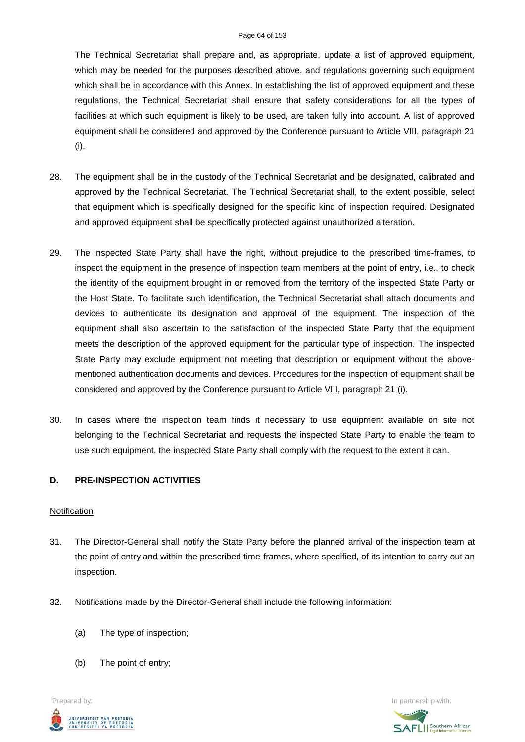#### Page 64 of 153

The Technical Secretariat shall prepare and, as appropriate, update a list of approved equipment, which may be needed for the purposes described above, and regulations governing such equipment which shall be in accordance with this Annex. In establishing the list of approved equipment and these regulations, the Technical Secretariat shall ensure that safety considerations for all the types of facilities at which such equipment is likely to be used, are taken fully into account. A list of approved equipment shall be considered and approved by the Conference pursuant to Article VIII, paragraph 21 (i).

- 28. The equipment shall be in the custody of the Technical Secretariat and be designated, calibrated and approved by the Technical Secretariat. The Technical Secretariat shall, to the extent possible, select that equipment which is specifically designed for the specific kind of inspection required. Designated and approved equipment shall be specifically protected against unauthorized alteration.
- 29. The inspected State Party shall have the right, without prejudice to the prescribed time-frames, to inspect the equipment in the presence of inspection team members at the point of entry, i.e., to check the identity of the equipment brought in or removed from the territory of the inspected State Party or the Host State. To facilitate such identification, the Technical Secretariat shall attach documents and devices to authenticate its designation and approval of the equipment. The inspection of the equipment shall also ascertain to the satisfaction of the inspected State Party that the equipment meets the description of the approved equipment for the particular type of inspection. The inspected State Party may exclude equipment not meeting that description or equipment without the abovementioned authentication documents and devices. Procedures for the inspection of equipment shall be considered and approved by the Conference pursuant to Article VIII, paragraph 21 (i).
- 30. In cases where the inspection team finds it necessary to use equipment available on site not belonging to the Technical Secretariat and requests the inspected State Party to enable the team to use such equipment, the inspected State Party shall comply with the request to the extent it can.

## **D. PRE-INSPECTION ACTIVITIES**

#### Notification

- 31. The Director-General shall notify the State Party before the planned arrival of the inspection team at the point of entry and within the prescribed time-frames, where specified, of its intention to carry out an inspection.
- 32. Notifications made by the Director-General shall include the following information:
	- (a) The type of inspection;
	- (b) The point of entry;



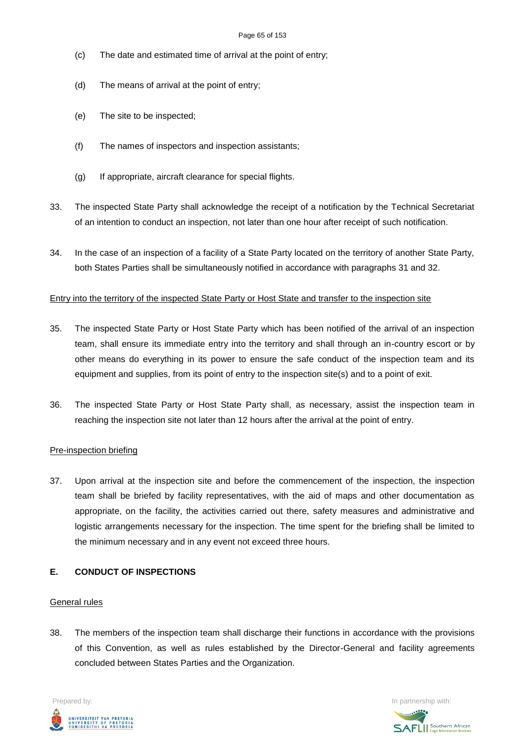#### Page 65 of 153

- (c) The date and estimated time of arrival at the point of entry;
- (d) The means of arrival at the point of entry;
- (e) The site to be inspected;
- (f) The names of inspectors and inspection assistants;
- (g) If appropriate, aircraft clearance for special flights.
- 33. The inspected State Party shall acknowledge the receipt of a notification by the Technical Secretariat of an intention to conduct an inspection, not later than one hour after receipt of such notification.
- 34. In the case of an inspection of a facility of a State Party located on the territory of another State Party, both States Parties shall be simultaneously notified in accordance with paragraphs 31 and 32.

## Entry into the territory of the inspected State Party or Host State and transfer to the inspection site

- 35. The inspected State Party or Host State Party which has been notified of the arrival of an inspection team, shall ensure its immediate entry into the territory and shall through an in-country escort or by other means do everything in its power to ensure the safe conduct of the inspection team and its equipment and supplies, from its point of entry to the inspection site(s) and to a point of exit.
- 36. The inspected State Party or Host State Party shall, as necessary, assist the inspection team in reaching the inspection site not later than 12 hours after the arrival at the point of entry.

#### Pre-inspection briefing

37. Upon arrival at the inspection site and before the commencement of the inspection, the inspection team shall be briefed by facility representatives, with the aid of maps and other documentation as appropriate, on the facility, the activities carried out there, safety measures and administrative and logistic arrangements necessary for the inspection. The time spent for the briefing shall be limited to the minimum necessary and in any event not exceed three hours.

## **E. CONDUCT OF INSPECTIONS**

#### General rules

38. The members of the inspection team shall discharge their functions in accordance with the provisions of this Convention, as well as rules established by the Director-General and facility agreements concluded between States Parties and the Organization.



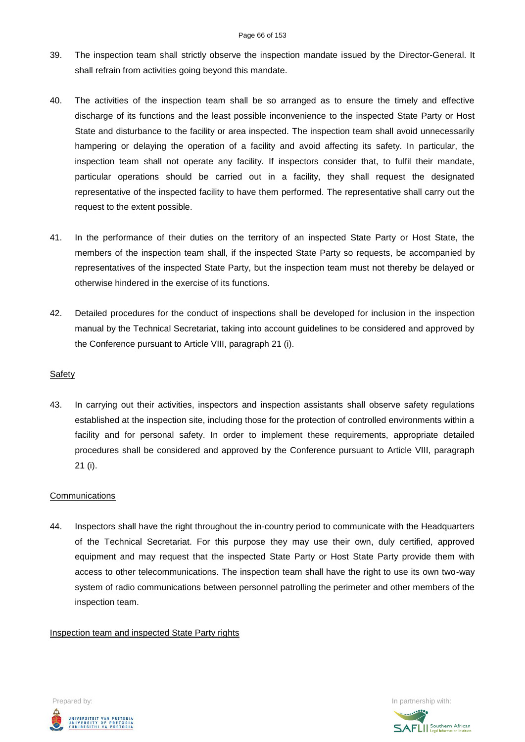- 39. The inspection team shall strictly observe the inspection mandate issued by the Director-General. It shall refrain from activities going beyond this mandate.
- 40. The activities of the inspection team shall be so arranged as to ensure the timely and effective discharge of its functions and the least possible inconvenience to the inspected State Party or Host State and disturbance to the facility or area inspected. The inspection team shall avoid unnecessarily hampering or delaying the operation of a facility and avoid affecting its safety. In particular, the inspection team shall not operate any facility. If inspectors consider that, to fulfil their mandate, particular operations should be carried out in a facility, they shall request the designated representative of the inspected facility to have them performed. The representative shall carry out the request to the extent possible.
- 41. In the performance of their duties on the territory of an inspected State Party or Host State, the members of the inspection team shall, if the inspected State Party so requests, be accompanied by representatives of the inspected State Party, but the inspection team must not thereby be delayed or otherwise hindered in the exercise of its functions.
- 42. Detailed procedures for the conduct of inspections shall be developed for inclusion in the inspection manual by the Technical Secretariat, taking into account guidelines to be considered and approved by the Conference pursuant to Article VIII, paragraph 21 (i).

#### Safety

43. In carrying out their activities, inspectors and inspection assistants shall observe safety regulations established at the inspection site, including those for the protection of controlled environments within a facility and for personal safety. In order to implement these requirements, appropriate detailed procedures shall be considered and approved by the Conference pursuant to Article VIII, paragraph 21 (i).

#### **Communications**

44. Inspectors shall have the right throughout the in-country period to communicate with the Headquarters of the Technical Secretariat. For this purpose they may use their own, duly certified, approved equipment and may request that the inspected State Party or Host State Party provide them with access to other telecommunications. The inspection team shall have the right to use its own two-way system of radio communications between personnel patrolling the perimeter and other members of the inspection team.

#### Inspection team and inspected State Party rights



**SAFLII** Southern African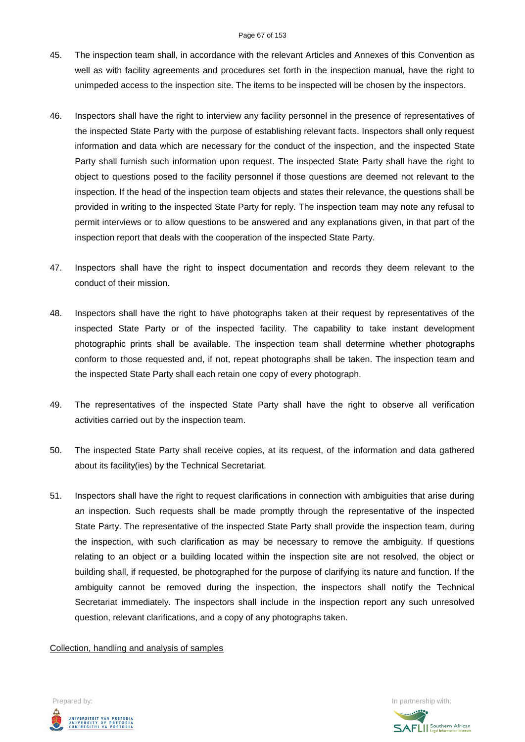- 45. The inspection team shall, in accordance with the relevant Articles and Annexes of this Convention as well as with facility agreements and procedures set forth in the inspection manual, have the right to unimpeded access to the inspection site. The items to be inspected will be chosen by the inspectors.
- 46. Inspectors shall have the right to interview any facility personnel in the presence of representatives of the inspected State Party with the purpose of establishing relevant facts. Inspectors shall only request information and data which are necessary for the conduct of the inspection, and the inspected State Party shall furnish such information upon request. The inspected State Party shall have the right to object to questions posed to the facility personnel if those questions are deemed not relevant to the inspection. If the head of the inspection team objects and states their relevance, the questions shall be provided in writing to the inspected State Party for reply. The inspection team may note any refusal to permit interviews or to allow questions to be answered and any explanations given, in that part of the inspection report that deals with the cooperation of the inspected State Party.
- 47. Inspectors shall have the right to inspect documentation and records they deem relevant to the conduct of their mission.
- 48. Inspectors shall have the right to have photographs taken at their request by representatives of the inspected State Party or of the inspected facility. The capability to take instant development photographic prints shall be available. The inspection team shall determine whether photographs conform to those requested and, if not, repeat photographs shall be taken. The inspection team and the inspected State Party shall each retain one copy of every photograph.
- 49. The representatives of the inspected State Party shall have the right to observe all verification activities carried out by the inspection team.
- 50. The inspected State Party shall receive copies, at its request, of the information and data gathered about its facility(ies) by the Technical Secretariat.
- 51. Inspectors shall have the right to request clarifications in connection with ambiguities that arise during an inspection. Such requests shall be made promptly through the representative of the inspected State Party. The representative of the inspected State Party shall provide the inspection team, during the inspection, with such clarification as may be necessary to remove the ambiguity. If questions relating to an object or a building located within the inspection site are not resolved, the object or building shall, if requested, be photographed for the purpose of clarifying its nature and function. If the ambiguity cannot be removed during the inspection, the inspectors shall notify the Technical Secretariat immediately. The inspectors shall include in the inspection report any such unresolved question, relevant clarifications, and a copy of any photographs taken.

#### Collection, handling and analysis of samples



**SAFLI** Southern African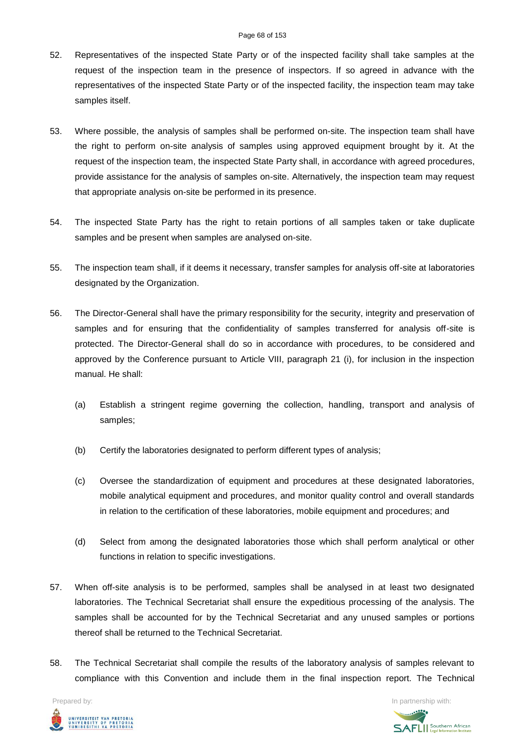- 52. Representatives of the inspected State Party or of the inspected facility shall take samples at the request of the inspection team in the presence of inspectors. If so agreed in advance with the representatives of the inspected State Party or of the inspected facility, the inspection team may take samples itself.
- 53. Where possible, the analysis of samples shall be performed on-site. The inspection team shall have the right to perform on-site analysis of samples using approved equipment brought by it. At the request of the inspection team, the inspected State Party shall, in accordance with agreed procedures, provide assistance for the analysis of samples on-site. Alternatively, the inspection team may request that appropriate analysis on-site be performed in its presence.
- 54. The inspected State Party has the right to retain portions of all samples taken or take duplicate samples and be present when samples are analysed on-site.
- 55. The inspection team shall, if it deems it necessary, transfer samples for analysis off-site at laboratories designated by the Organization.
- 56. The Director-General shall have the primary responsibility for the security, integrity and preservation of samples and for ensuring that the confidentiality of samples transferred for analysis off-site is protected. The Director-General shall do so in accordance with procedures, to be considered and approved by the Conference pursuant to Article VIII, paragraph 21 (i), for inclusion in the inspection manual. He shall:
	- (a) Establish a stringent regime governing the collection, handling, transport and analysis of samples;
	- (b) Certify the laboratories designated to perform different types of analysis;
	- (c) Oversee the standardization of equipment and procedures at these designated laboratories, mobile analytical equipment and procedures, and monitor quality control and overall standards in relation to the certification of these laboratories, mobile equipment and procedures; and
	- (d) Select from among the designated laboratories those which shall perform analytical or other functions in relation to specific investigations.
- 57. When off-site analysis is to be performed, samples shall be analysed in at least two designated laboratories. The Technical Secretariat shall ensure the expeditious processing of the analysis. The samples shall be accounted for by the Technical Secretariat and any unused samples or portions thereof shall be returned to the Technical Secretariat.
- 58. The Technical Secretariat shall compile the results of the laboratory analysis of samples relevant to compliance with this Convention and include them in the final inspection report. The Technical

UNIVERSITEIT VAN PRETORIA<br>UNIVERSITY OF PRETORIA<br>YUNIBESITHI YA PRETORIA

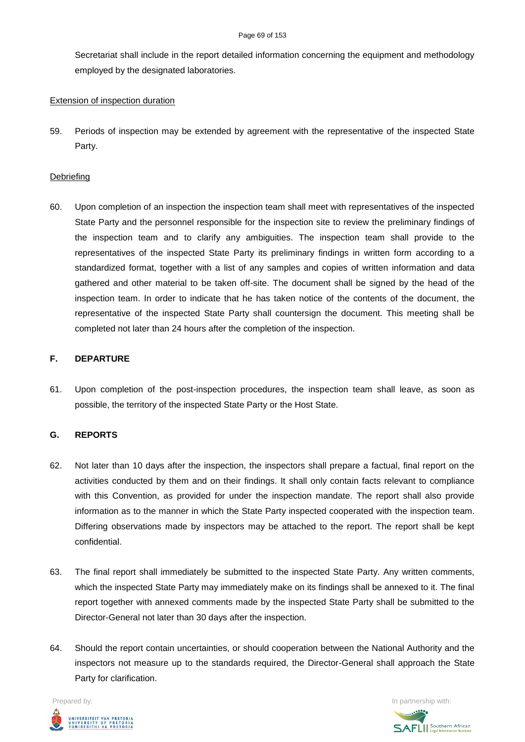#### Page 69 of 153

Secretariat shall include in the report detailed information concerning the equipment and methodology employed by the designated laboratories.

#### Extension of inspection duration

59. Periods of inspection may be extended by agreement with the representative of the inspected State Party.

#### Debriefing

60. Upon completion of an inspection the inspection team shall meet with representatives of the inspected State Party and the personnel responsible for the inspection site to review the preliminary findings of the inspection team and to clarify any ambiguities. The inspection team shall provide to the representatives of the inspected State Party its preliminary findings in written form according to a standardized format, together with a list of any samples and copies of written information and data gathered and other material to be taken off-site. The document shall be signed by the head of the inspection team. In order to indicate that he has taken notice of the contents of the document, the representative of the inspected State Party shall countersign the document. This meeting shall be completed not later than 24 hours after the completion of the inspection.

#### **F. DEPARTURE**

61. Upon completion of the post-inspection procedures, the inspection team shall leave, as soon as possible, the territory of the inspected State Party or the Host State.

#### **G. REPORTS**

- 62. Not later than 10 days after the inspection, the inspectors shall prepare a factual, final report on the activities conducted by them and on their findings. It shall only contain facts relevant to compliance with this Convention, as provided for under the inspection mandate. The report shall also provide information as to the manner in which the State Party inspected cooperated with the inspection team. Differing observations made by inspectors may be attached to the report. The report shall be kept confidential.
- 63. The final report shall immediately be submitted to the inspected State Party. Any written comments, which the inspected State Party may immediately make on its findings shall be annexed to it. The final report together with annexed comments made by the inspected State Party shall be submitted to the Director-General not later than 30 days after the inspection.
- 64. Should the report contain uncertainties, or should cooperation between the National Authority and the inspectors not measure up to the standards required, the Director-General shall approach the State Party for clarification.



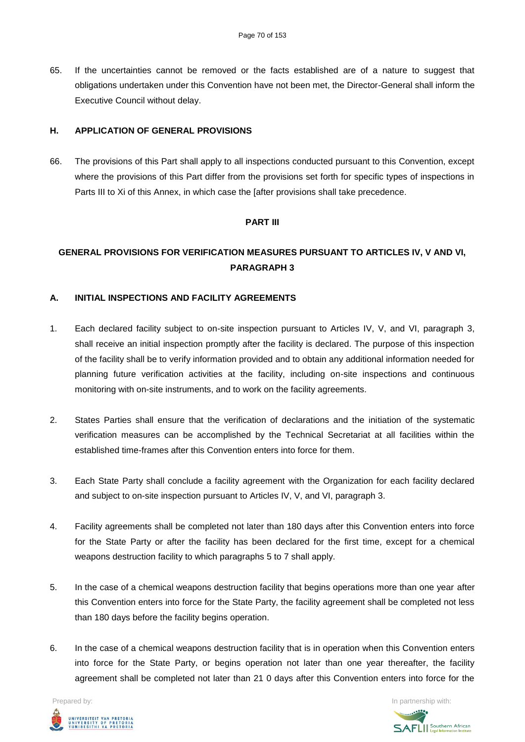65. If the uncertainties cannot be removed or the facts established are of a nature to suggest that obligations undertaken under this Convention have not been met, the Director-General shall inform the Executive Council without delay.

#### **H. APPLICATION OF GENERAL PROVISIONS**

66. The provisions of this Part shall apply to all inspections conducted pursuant to this Convention, except where the provisions of this Part differ from the provisions set forth for specific types of inspections in Parts III to Xi of this Annex, in which case the [after provisions shall take precedence.

#### **PART III**

# **GENERAL PROVISIONS FOR VERIFICATION MEASURES PURSUANT TO ARTICLES IV, V AND VI, PARAGRAPH 3**

#### **A. INITIAL INSPECTIONS AND FACILITY AGREEMENTS**

- 1. Each declared facility subject to on-site inspection pursuant to Articles IV, V, and VI, paragraph 3, shall receive an initial inspection promptly after the facility is declared. The purpose of this inspection of the facility shall be to verify information provided and to obtain any additional information needed for planning future verification activities at the facility, including on-site inspections and continuous monitoring with on-site instruments, and to work on the facility agreements.
- 2. States Parties shall ensure that the verification of declarations and the initiation of the systematic verification measures can be accomplished by the Technical Secretariat at all facilities within the established time-frames after this Convention enters into force for them.
- 3. Each State Party shall conclude a facility agreement with the Organization for each facility declared and subject to on-site inspection pursuant to Articles IV, V, and VI, paragraph 3.
- 4. Facility agreements shall be completed not later than 180 days after this Convention enters into force for the State Party or after the facility has been declared for the first time, except for a chemical weapons destruction facility to which paragraphs 5 to 7 shall apply.
- 5. In the case of a chemical weapons destruction facility that begins operations more than one year after this Convention enters into force for the State Party, the facility agreement shall be completed not less than 180 days before the facility begins operation.
- 6. In the case of a chemical weapons destruction facility that is in operation when this Convention enters into force for the State Party, or begins operation not later than one year thereafter, the facility agreement shall be completed not later than 21 0 days after this Convention enters into force for the



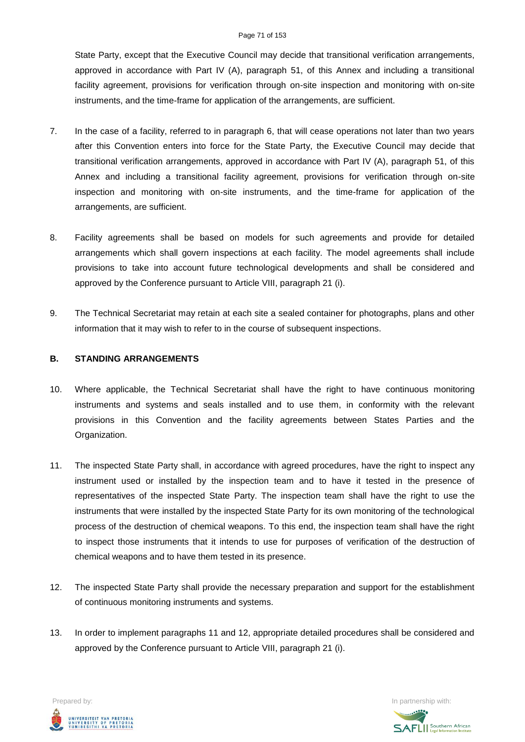#### Page 71 of 153

State Party, except that the Executive Council may decide that transitional verification arrangements, approved in accordance with Part IV (A), paragraph 51, of this Annex and including a transitional facility agreement, provisions for verification through on-site inspection and monitoring with on-site instruments, and the time-frame for application of the arrangements, are sufficient.

- 7. In the case of a facility, referred to in paragraph 6, that will cease operations not later than two years after this Convention enters into force for the State Party, the Executive Council may decide that transitional verification arrangements, approved in accordance with Part IV (A), paragraph 51, of this Annex and including a transitional facility agreement, provisions for verification through on-site inspection and monitoring with on-site instruments, and the time-frame for application of the arrangements, are sufficient.
- 8. Facility agreements shall be based on models for such agreements and provide for detailed arrangements which shall govern inspections at each facility. The model agreements shall include provisions to take into account future technological developments and shall be considered and approved by the Conference pursuant to Article VIII, paragraph 21 (i).
- 9. The Technical Secretariat may retain at each site a sealed container for photographs, plans and other information that it may wish to refer to in the course of subsequent inspections.

#### **B. STANDING ARRANGEMENTS**

- 10. Where applicable, the Technical Secretariat shall have the right to have continuous monitoring instruments and systems and seals installed and to use them, in conformity with the relevant provisions in this Convention and the facility agreements between States Parties and the Organization.
- 11. The inspected State Party shall, in accordance with agreed procedures, have the right to inspect any instrument used or installed by the inspection team and to have it tested in the presence of representatives of the inspected State Party. The inspection team shall have the right to use the instruments that were installed by the inspected State Party for its own monitoring of the technological process of the destruction of chemical weapons. To this end, the inspection team shall have the right to inspect those instruments that it intends to use for purposes of verification of the destruction of chemical weapons and to have them tested in its presence.
- 12. The inspected State Party shall provide the necessary preparation and support for the establishment of continuous monitoring instruments and systems.
- 13. In order to implement paragraphs 11 and 12, appropriate detailed procedures shall be considered and approved by the Conference pursuant to Article VIII, paragraph 21 (i).



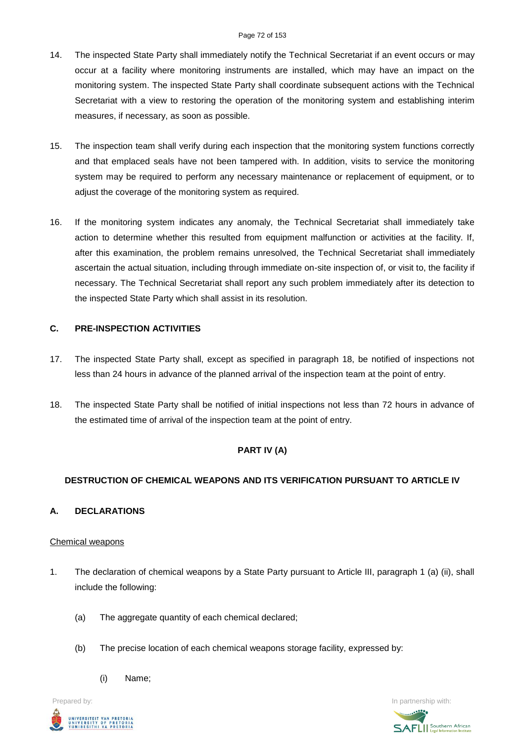#### Page 72 of 153

- 14. The inspected State Party shall immediately notify the Technical Secretariat if an event occurs or may occur at a facility where monitoring instruments are installed, which may have an impact on the monitoring system. The inspected State Party shall coordinate subsequent actions with the Technical Secretariat with a view to restoring the operation of the monitoring system and establishing interim measures, if necessary, as soon as possible.
- 15. The inspection team shall verify during each inspection that the monitoring system functions correctly and that emplaced seals have not been tampered with. In addition, visits to service the monitoring system may be required to perform any necessary maintenance or replacement of equipment, or to adjust the coverage of the monitoring system as required.
- 16. If the monitoring system indicates any anomaly, the Technical Secretariat shall immediately take action to determine whether this resulted from equipment malfunction or activities at the facility. If, after this examination, the problem remains unresolved, the Technical Secretariat shall immediately ascertain the actual situation, including through immediate on-site inspection of, or visit to, the facility if necessary. The Technical Secretariat shall report any such problem immediately after its detection to the inspected State Party which shall assist in its resolution.

#### **C. PRE-INSPECTION ACTIVITIES**

- 17. The inspected State Party shall, except as specified in paragraph 18, be notified of inspections not less than 24 hours in advance of the planned arrival of the inspection team at the point of entry.
- 18. The inspected State Party shall be notified of initial inspections not less than 72 hours in advance of the estimated time of arrival of the inspection team at the point of entry.

## **PART IV (A)**

## **DESTRUCTION OF CHEMICAL WEAPONS AND ITS VERIFICATION PURSUANT TO ARTICLE IV**

#### **A. DECLARATIONS**

#### Chemical weapons

- 1. The declaration of chemical weapons by a State Party pursuant to Article III, paragraph 1 (a) (ii), shall include the following:
	- (a) The aggregate quantity of each chemical declared;
	- (b) The precise location of each chemical weapons storage facility, expressed by:
		- (i) Name;



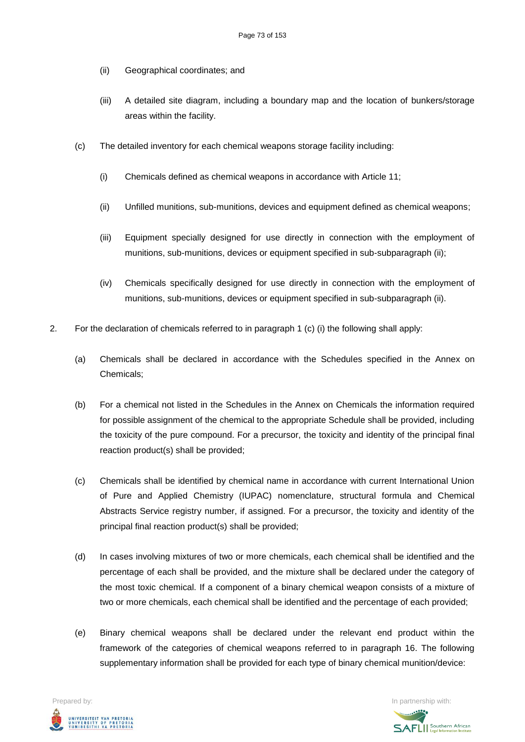- (ii) Geographical coordinates; and
- (iii) A detailed site diagram, including a boundary map and the location of bunkers/storage areas within the facility.
- (c) The detailed inventory for each chemical weapons storage facility including:
	- (i) Chemicals defined as chemical weapons in accordance with Article 11;
	- (ii) Unfilled munitions, sub-munitions, devices and equipment defined as chemical weapons;
	- (iii) Equipment specially designed for use directly in connection with the employment of munitions, sub-munitions, devices or equipment specified in sub-subparagraph (ii);
	- (iv) Chemicals specifically designed for use directly in connection with the employment of munitions, sub-munitions, devices or equipment specified in sub-subparagraph (ii).
- 2. For the declaration of chemicals referred to in paragraph 1 (c) (i) the following shall apply:
	- (a) Chemicals shall be declared in accordance with the Schedules specified in the Annex on Chemicals;
	- (b) For a chemical not listed in the Schedules in the Annex on Chemicals the information required for possible assignment of the chemical to the appropriate Schedule shall be provided, including the toxicity of the pure compound. For a precursor, the toxicity and identity of the principal final reaction product(s) shall be provided;
	- (c) Chemicals shall be identified by chemical name in accordance with current International Union of Pure and Applied Chemistry (IUPAC) nomenclature, structural formula and Chemical Abstracts Service registry number, if assigned. For a precursor, the toxicity and identity of the principal final reaction product(s) shall be provided;
	- (d) In cases involving mixtures of two or more chemicals, each chemical shall be identified and the percentage of each shall be provided, and the mixture shall be declared under the category of the most toxic chemical. If a component of a binary chemical weapon consists of a mixture of two or more chemicals, each chemical shall be identified and the percentage of each provided;
	- (e) Binary chemical weapons shall be declared under the relevant end product within the framework of the categories of chemical weapons referred to in paragraph 16. The following supplementary information shall be provided for each type of binary chemical munition/device:



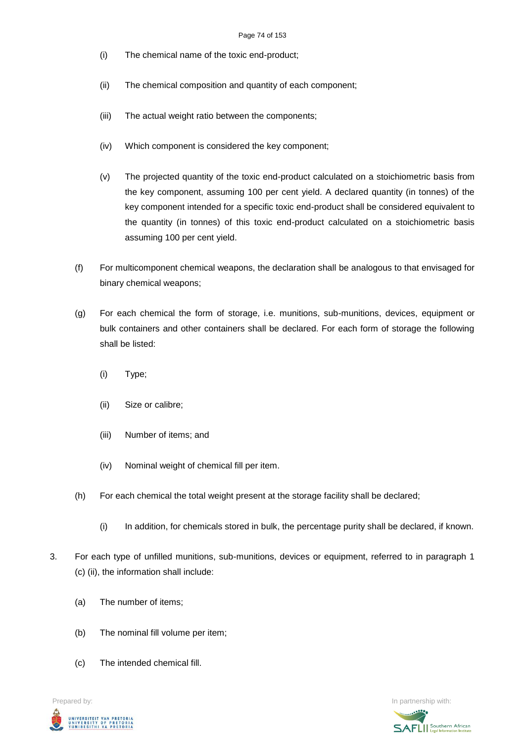#### Page 74 of 153

- (i) The chemical name of the toxic end-product;
- (ii) The chemical composition and quantity of each component;
- (iii) The actual weight ratio between the components;
- (iv) Which component is considered the key component;
- (v) The projected quantity of the toxic end-product calculated on a stoichiometric basis from the key component, assuming 100 per cent yield. A declared quantity (in tonnes) of the key component intended for a specific toxic end-product shall be considered equivalent to the quantity (in tonnes) of this toxic end-product calculated on a stoichiometric basis assuming 100 per cent yield.
- (f) For multicomponent chemical weapons, the declaration shall be analogous to that envisaged for binary chemical weapons;
- (g) For each chemical the form of storage, i.e. munitions, sub-munitions, devices, equipment or bulk containers and other containers shall be declared. For each form of storage the following shall be listed:
	- (i) Type;
	- (ii) Size or calibre;
	- (iii) Number of items; and
	- (iv) Nominal weight of chemical fill per item.
- (h) For each chemical the total weight present at the storage facility shall be declared;
	- (i) In addition, for chemicals stored in bulk, the percentage purity shall be declared, if known.
- 3. For each type of unfilled munitions, sub-munitions, devices or equipment, referred to in paragraph 1 (c) (ii), the information shall include:
	- (a) The number of items;
	- (b) The nominal fill volume per item;
	- (c) The intended chemical fill.



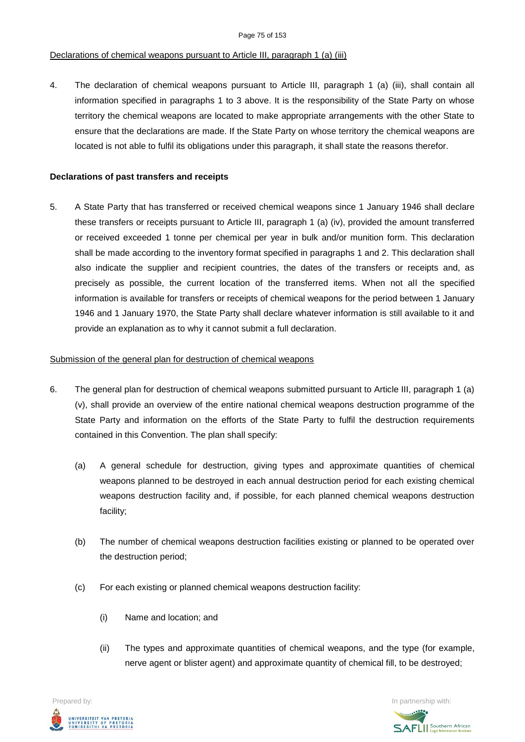#### Page 75 of 153

#### Declarations of chemical weapons pursuant to Article III, paragraph 1 (a) (iii)

4. The declaration of chemical weapons pursuant to Article III, paragraph 1 (a) (iii), shall contain all information specified in paragraphs 1 to 3 above. It is the responsibility of the State Party on whose territory the chemical weapons are located to make appropriate arrangements with the other State to ensure that the declarations are made. If the State Party on whose territory the chemical weapons are located is not able to fulfil its obligations under this paragraph, it shall state the reasons therefor.

#### **Declarations of past transfers and receipts**

5. A State Party that has transferred or received chemical weapons since 1 January 1946 shall declare these transfers or receipts pursuant to Article III, paragraph 1 (a) (iv), provided the amount transferred or received exceeded 1 tonne per chemical per year in bulk and/or munition form. This declaration shall be made according to the inventory format specified in paragraphs 1 and 2. This declaration shall also indicate the supplier and recipient countries, the dates of the transfers or receipts and, as precisely as possible, the current location of the transferred items. When not all the specified information is available for transfers or receipts of chemical weapons for the period between 1 January 1946 and 1 January 1970, the State Party shall declare whatever information is still available to it and provide an explanation as to why it cannot submit a full declaration.

#### Submission of the general plan for destruction of chemical weapons

- 6. The general plan for destruction of chemical weapons submitted pursuant to Article III, paragraph 1 (a) (v), shall provide an overview of the entire national chemical weapons destruction programme of the State Party and information on the efforts of the State Party to fulfil the destruction requirements contained in this Convention. The plan shall specify:
	- (a) A general schedule for destruction, giving types and approximate quantities of chemical weapons planned to be destroyed in each annual destruction period for each existing chemical weapons destruction facility and, if possible, for each planned chemical weapons destruction facility;
	- (b) The number of chemical weapons destruction facilities existing or planned to be operated over the destruction period;
	- (c) For each existing or planned chemical weapons destruction facility:
		- (i) Name and location; and
		- (ii) The types and approximate quantities of chemical weapons, and the type (for example, nerve agent or blister agent) and approximate quantity of chemical fill, to be destroyed;



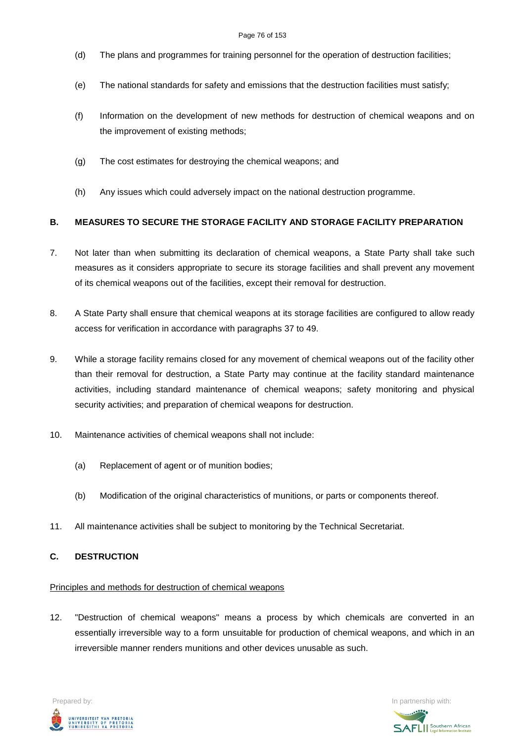- (d) The plans and programmes for training personnel for the operation of destruction facilities;
- (e) The national standards for safety and emissions that the destruction facilities must satisfy;
- (f) Information on the development of new methods for destruction of chemical weapons and on the improvement of existing methods;
- (g) The cost estimates for destroying the chemical weapons; and
- (h) Any issues which could adversely impact on the national destruction programme.

## **B. MEASURES TO SECURE THE STORAGE FACILITY AND STORAGE FACILITY PREPARATION**

- 7. Not later than when submitting its declaration of chemical weapons, a State Party shall take such measures as it considers appropriate to secure its storage facilities and shall prevent any movement of its chemical weapons out of the facilities, except their removal for destruction.
- 8. A State Party shall ensure that chemical weapons at its storage facilities are configured to allow ready access for verification in accordance with paragraphs 37 to 49.
- 9. While a storage facility remains closed for any movement of chemical weapons out of the facility other than their removal for destruction, a State Party may continue at the facility standard maintenance activities, including standard maintenance of chemical weapons; safety monitoring and physical security activities; and preparation of chemical weapons for destruction.
- 10. Maintenance activities of chemical weapons shall not include:
	- (a) Replacement of agent or of munition bodies;
	- (b) Modification of the original characteristics of munitions, or parts or components thereof.
- 11. All maintenance activities shall be subject to monitoring by the Technical Secretariat.

#### **C. DESTRUCTION**

#### Principles and methods for destruction of chemical weapons

12. "Destruction of chemical weapons" means a process by which chemicals are converted in an essentially irreversible way to a form unsuitable for production of chemical weapons, and which in an irreversible manner renders munitions and other devices unusable as such.

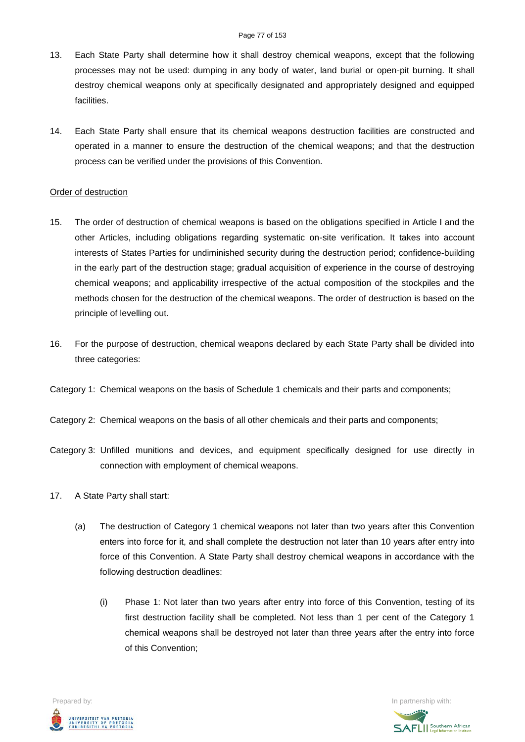#### Page 77 of 153

- 13. Each State Party shall determine how it shall destroy chemical weapons, except that the following processes may not be used: dumping in any body of water, land burial or open-pit burning. It shall destroy chemical weapons only at specifically designated and appropriately designed and equipped facilities.
- 14. Each State Party shall ensure that its chemical weapons destruction facilities are constructed and operated in a manner to ensure the destruction of the chemical weapons; and that the destruction process can be verified under the provisions of this Convention.

#### Order of destruction

- 15. The order of destruction of chemical weapons is based on the obligations specified in Article I and the other Articles, including obligations regarding systematic on-site verification. It takes into account interests of States Parties for undiminished security during the destruction period; confidence-building in the early part of the destruction stage; gradual acquisition of experience in the course of destroying chemical weapons; and applicability irrespective of the actual composition of the stockpiles and the methods chosen for the destruction of the chemical weapons. The order of destruction is based on the principle of levelling out.
- 16. For the purpose of destruction, chemical weapons declared by each State Party shall be divided into three categories:
- Category 1: Chemical weapons on the basis of Schedule 1 chemicals and their parts and components;
- Category 2: Chemical weapons on the basis of all other chemicals and their parts and components;
- Category 3: Unfilled munitions and devices, and equipment specifically designed for use directly in connection with employment of chemical weapons.
- 17. A State Party shall start:
	- (a) The destruction of Category 1 chemical weapons not later than two years after this Convention enters into force for it, and shall complete the destruction not later than 10 years after entry into force of this Convention. A State Party shall destroy chemical weapons in accordance with the following destruction deadlines:
		- (i) Phase 1: Not later than two years after entry into force of this Convention, testing of its first destruction facility shall be completed. Not less than 1 per cent of the Category 1 chemical weapons shall be destroyed not later than three years after the entry into force of this Convention;

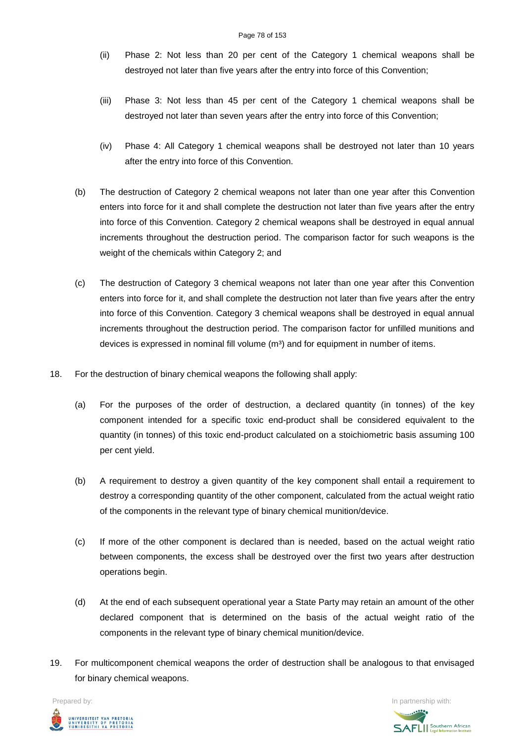- (ii) Phase 2: Not less than 20 per cent of the Category 1 chemical weapons shall be destroyed not later than five years after the entry into force of this Convention;
- (iii) Phase 3: Not less than 45 per cent of the Category 1 chemical weapons shall be destroyed not later than seven years after the entry into force of this Convention;
- (iv) Phase 4: All Category 1 chemical weapons shall be destroyed not later than 10 years after the entry into force of this Convention.
- (b) The destruction of Category 2 chemical weapons not later than one year after this Convention enters into force for it and shall complete the destruction not later than five years after the entry into force of this Convention. Category 2 chemical weapons shall be destroyed in equal annual increments throughout the destruction period. The comparison factor for such weapons is the weight of the chemicals within Category 2; and
- (c) The destruction of Category 3 chemical weapons not later than one year after this Convention enters into force for it, and shall complete the destruction not later than five years after the entry into force of this Convention. Category 3 chemical weapons shall be destroyed in equal annual increments throughout the destruction period. The comparison factor for unfilled munitions and devices is expressed in nominal fill volume  $(m<sup>3</sup>)$  and for equipment in number of items.
- 18. For the destruction of binary chemical weapons the following shall apply:
	- (a) For the purposes of the order of destruction, a declared quantity (in tonnes) of the key component intended for a specific toxic end-product shall be considered equivalent to the quantity (in tonnes) of this toxic end-product calculated on a stoichiometric basis assuming 100 per cent yield.
	- (b) A requirement to destroy a given quantity of the key component shall entail a requirement to destroy a corresponding quantity of the other component, calculated from the actual weight ratio of the components in the relevant type of binary chemical munition/device.
	- (c) If more of the other component is declared than is needed, based on the actual weight ratio between components, the excess shall be destroyed over the first two years after destruction operations begin.
	- (d) At the end of each subsequent operational year a State Party may retain an amount of the other declared component that is determined on the basis of the actual weight ratio of the components in the relevant type of binary chemical munition/device.
- 19. For multicomponent chemical weapons the order of destruction shall be analogous to that envisaged for binary chemical weapons.



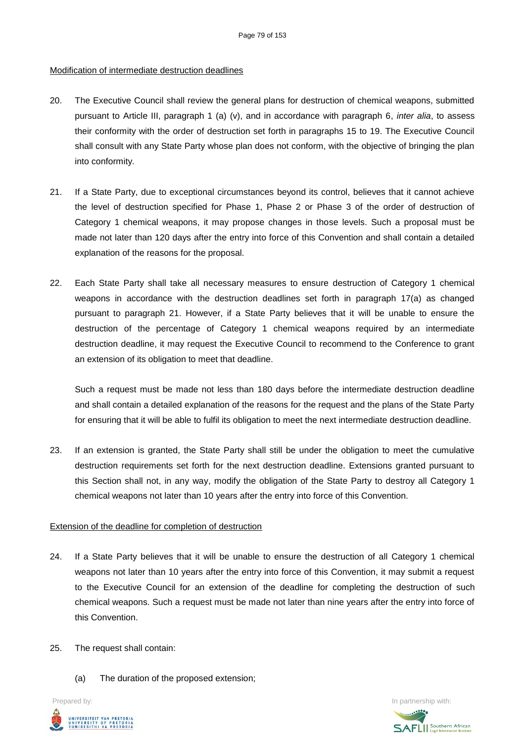#### Modification of intermediate destruction deadlines

- 20. The Executive Council shall review the general plans for destruction of chemical weapons, submitted pursuant to Article III, paragraph 1 (a) (v), and in accordance with paragraph 6, *inter alia*, to assess their conformity with the order of destruction set forth in paragraphs 15 to 19. The Executive Council shall consult with any State Party whose plan does not conform, with the objective of bringing the plan into conformity.
- 21. If a State Party, due to exceptional circumstances beyond its control, believes that it cannot achieve the level of destruction specified for Phase 1, Phase 2 or Phase 3 of the order of destruction of Category 1 chemical weapons, it may propose changes in those levels. Such a proposal must be made not later than 120 days after the entry into force of this Convention and shall contain a detailed explanation of the reasons for the proposal.
- 22. Each State Party shall take all necessary measures to ensure destruction of Category 1 chemical weapons in accordance with the destruction deadlines set forth in paragraph 17(a) as changed pursuant to paragraph 21. However, if a State Party believes that it will be unable to ensure the destruction of the percentage of Category 1 chemical weapons required by an intermediate destruction deadline, it may request the Executive Council to recommend to the Conference to grant an extension of its obligation to meet that deadline.

Such a request must be made not less than 180 days before the intermediate destruction deadline and shall contain a detailed explanation of the reasons for the request and the plans of the State Party for ensuring that it will be able to fulfil its obligation to meet the next intermediate destruction deadline.

23. If an extension is granted, the State Party shall still be under the obligation to meet the cumulative destruction requirements set forth for the next destruction deadline. Extensions granted pursuant to this Section shall not, in any way, modify the obligation of the State Party to destroy all Category 1 chemical weapons not later than 10 years after the entry into force of this Convention.

#### Extension of the deadline for completion of destruction

- 24. If a State Party believes that it will be unable to ensure the destruction of all Category 1 chemical weapons not later than 10 years after the entry into force of this Convention, it may submit a request to the Executive Council for an extension of the deadline for completing the destruction of such chemical weapons. Such a request must be made not later than nine years after the entry into force of this Convention.
- 25. The request shall contain:
	- (a) The duration of the proposed extension;



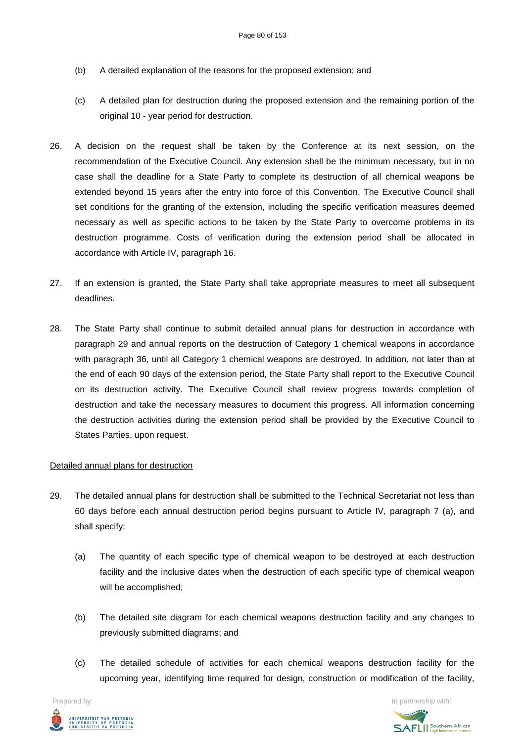- (b) A detailed explanation of the reasons for the proposed extension; and
- (c) A detailed plan for destruction during the proposed extension and the remaining portion of the original 10 - year period for destruction.
- 26. A decision on the request shall be taken by the Conference at its next session, on the recommendation of the Executive Council. Any extension shall be the minimum necessary, but in no case shall the deadline for a State Party to complete its destruction of all chemical weapons be extended beyond 15 years after the entry into force of this Convention. The Executive Council shall set conditions for the granting of the extension, including the specific verification measures deemed necessary as well as specific actions to be taken by the State Party to overcome problems in its destruction programme. Costs of verification during the extension period shall be allocated in accordance with Article IV, paragraph 16.
- 27. If an extension is granted, the State Party shall take appropriate measures to meet all subsequent deadlines.
- 28. The State Party shall continue to submit detailed annual plans for destruction in accordance with paragraph 29 and annual reports on the destruction of Category 1 chemical weapons in accordance with paragraph 36, until all Category 1 chemical weapons are destroyed. In addition, not later than at the end of each 90 days of the extension period, the State Party shall report to the Executive Council on its destruction activity. The Executive Council shall review progress towards completion of destruction and take the necessary measures to document this progress. All information concerning the destruction activities during the extension period shall be provided by the Executive Council to States Parties, upon request.

#### Detailed annual plans for destruction

- 29. The detailed annual plans for destruction shall be submitted to the Technical Secretariat not less than 60 days before each annual destruction period begins pursuant to Article IV, paragraph 7 (a), and shall specify:
	- (a) The quantity of each specific type of chemical weapon to be destroyed at each destruction facility and the inclusive dates when the destruction of each specific type of chemical weapon will be accomplished;
	- (b) The detailed site diagram for each chemical weapons destruction facility and any changes to previously submitted diagrams; and
	- (c) The detailed schedule of activities for each chemical weapons destruction facility for the upcoming year, identifying time required for design, construction or modification of the facility,

UNIVERSITEIT VAN PRETORIA<br>UNIVERSITY OF PRETORIA<br>YUNIBESITHI YA PRETORIA

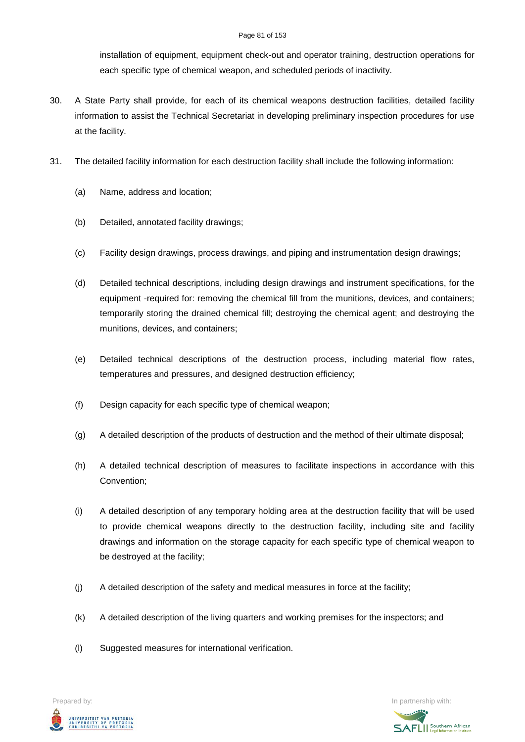installation of equipment, equipment check-out and operator training, destruction operations for each specific type of chemical weapon, and scheduled periods of inactivity.

- 30. A State Party shall provide, for each of its chemical weapons destruction facilities, detailed facility information to assist the Technical Secretariat in developing preliminary inspection procedures for use at the facility.
- 31. The detailed facility information for each destruction facility shall include the following information:
	- (a) Name, address and location;
	- (b) Detailed, annotated facility drawings;
	- (c) Facility design drawings, process drawings, and piping and instrumentation design drawings;
	- (d) Detailed technical descriptions, including design drawings and instrument specifications, for the equipment -required for: removing the chemical fill from the munitions, devices, and containers; temporarily storing the drained chemical fill; destroying the chemical agent; and destroying the munitions, devices, and containers;
	- (e) Detailed technical descriptions of the destruction process, including material flow rates, temperatures and pressures, and designed destruction efficiency;
	- (f) Design capacity for each specific type of chemical weapon;
	- (g) A detailed description of the products of destruction and the method of their ultimate disposal;
	- (h) A detailed technical description of measures to facilitate inspections in accordance with this Convention;
	- (i) A detailed description of any temporary holding area at the destruction facility that will be used to provide chemical weapons directly to the destruction facility, including site and facility drawings and information on the storage capacity for each specific type of chemical weapon to be destroyed at the facility;
	- (j) A detailed description of the safety and medical measures in force at the facility;
	- (k) A detailed description of the living quarters and working premises for the inspectors; and
	- (l) Suggested measures for international verification.



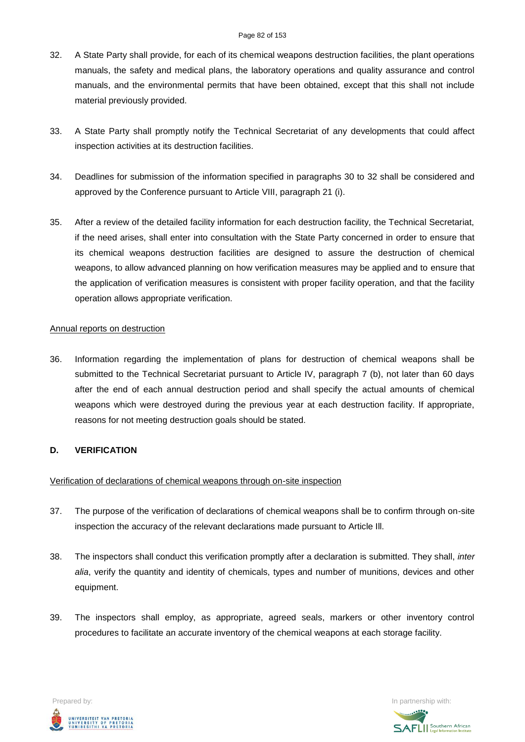- 32. A State Party shall provide, for each of its chemical weapons destruction facilities, the plant operations manuals, the safety and medical plans, the laboratory operations and quality assurance and control manuals, and the environmental permits that have been obtained, except that this shall not include material previously provided.
- 33. A State Party shall promptly notify the Technical Secretariat of any developments that could affect inspection activities at its destruction facilities.
- 34. Deadlines for submission of the information specified in paragraphs 30 to 32 shall be considered and approved by the Conference pursuant to Article VIII, paragraph 21 (i).
- 35. After a review of the detailed facility information for each destruction facility, the Technical Secretariat, if the need arises, shall enter into consultation with the State Party concerned in order to ensure that its chemical weapons destruction facilities are designed to assure the destruction of chemical weapons, to allow advanced planning on how verification measures may be applied and to ensure that the application of verification measures is consistent with proper facility operation, and that the facility operation allows appropriate verification.

#### Annual reports on destruction

36. Information regarding the implementation of plans for destruction of chemical weapons shall be submitted to the Technical Secretariat pursuant to Article IV, paragraph 7 (b), not later than 60 days after the end of each annual destruction period and shall specify the actual amounts of chemical weapons which were destroyed during the previous year at each destruction facility. If appropriate, reasons for not meeting destruction goals should be stated.

#### **D. VERIFICATION**

#### Verification of declarations of chemical weapons through on-site inspection

- 37. The purpose of the verification of declarations of chemical weapons shall be to confirm through on-site inspection the accuracy of the relevant declarations made pursuant to Article Ill.
- 38. The inspectors shall conduct this verification promptly after a declaration is submitted. They shall, *inter alia*, verify the quantity and identity of chemicals, types and number of munitions, devices and other equipment.
- 39. The inspectors shall employ, as appropriate, agreed seals, markers or other inventory control procedures to facilitate an accurate inventory of the chemical weapons at each storage facility.



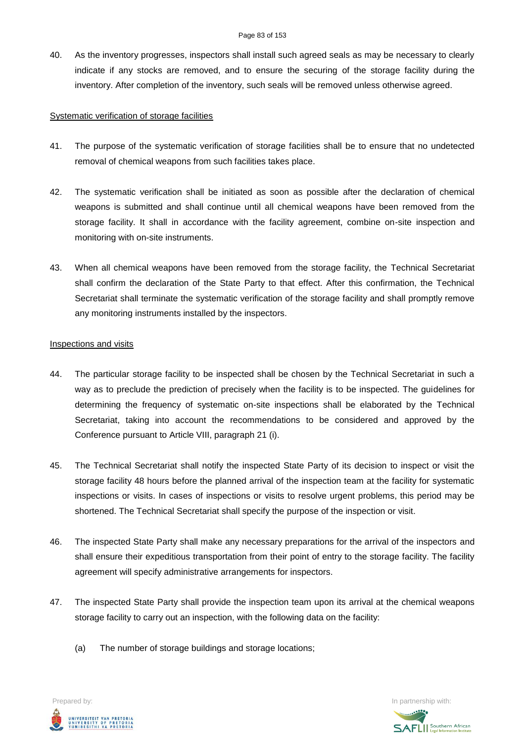40. As the inventory progresses, inspectors shall install such agreed seals as may be necessary to clearly indicate if any stocks are removed, and to ensure the securing of the storage facility during the inventory. After completion of the inventory, such seals will be removed unless otherwise agreed.

#### Systematic verification of storage facilities

- 41. The purpose of the systematic verification of storage facilities shall be to ensure that no undetected removal of chemical weapons from such facilities takes place.
- 42. The systematic verification shall be initiated as soon as possible after the declaration of chemical weapons is submitted and shall continue until all chemical weapons have been removed from the storage facility. It shall in accordance with the facility agreement, combine on-site inspection and monitoring with on-site instruments.
- 43. When all chemical weapons have been removed from the storage facility, the Technical Secretariat shall confirm the declaration of the State Party to that effect. After this confirmation, the Technical Secretariat shall terminate the systematic verification of the storage facility and shall promptly remove any monitoring instruments installed by the inspectors.

#### Inspections and visits

- 44. The particular storage facility to be inspected shall be chosen by the Technical Secretariat in such a way as to preclude the prediction of precisely when the facility is to be inspected. The guidelines for determining the frequency of systematic on-site inspections shall be elaborated by the Technical Secretariat, taking into account the recommendations to be considered and approved by the Conference pursuant to Article VIII, paragraph 21 (i).
- 45. The Technical Secretariat shall notify the inspected State Party of its decision to inspect or visit the storage facility 48 hours before the planned arrival of the inspection team at the facility for systematic inspections or visits. In cases of inspections or visits to resolve urgent problems, this period may be shortened. The Technical Secretariat shall specify the purpose of the inspection or visit.
- 46. The inspected State Party shall make any necessary preparations for the arrival of the inspectors and shall ensure their expeditious transportation from their point of entry to the storage facility. The facility agreement will specify administrative arrangements for inspectors.
- 47. The inspected State Party shall provide the inspection team upon its arrival at the chemical weapons storage facility to carry out an inspection, with the following data on the facility:
	- (a) The number of storage buildings and storage locations;



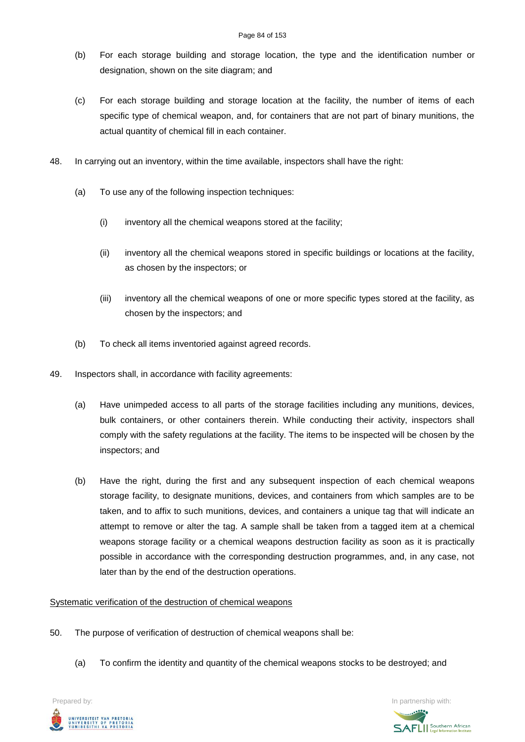- (b) For each storage building and storage location, the type and the identification number or designation, shown on the site diagram; and
- (c) For each storage building and storage location at the facility, the number of items of each specific type of chemical weapon, and, for containers that are not part of binary munitions, the actual quantity of chemical fill in each container.
- 48. In carrying out an inventory, within the time available, inspectors shall have the right:
	- (a) To use any of the following inspection techniques:
		- (i) inventory all the chemical weapons stored at the facility;
		- (ii) inventory all the chemical weapons stored in specific buildings or locations at the facility, as chosen by the inspectors; or
		- (iii) inventory all the chemical weapons of one or more specific types stored at the facility, as chosen by the inspectors; and
	- (b) To check all items inventoried against agreed records.
- 49. Inspectors shall, in accordance with facility agreements:
	- (a) Have unimpeded access to all parts of the storage facilities including any munitions, devices, bulk containers, or other containers therein. While conducting their activity, inspectors shall comply with the safety regulations at the facility. The items to be inspected will be chosen by the inspectors; and
	- (b) Have the right, during the first and any subsequent inspection of each chemical weapons storage facility, to designate munitions, devices, and containers from which samples are to be taken, and to affix to such munitions, devices, and containers a unique tag that will indicate an attempt to remove or alter the tag. A sample shall be taken from a tagged item at a chemical weapons storage facility or a chemical weapons destruction facility as soon as it is practically possible in accordance with the corresponding destruction programmes, and, in any case, not later than by the end of the destruction operations.

# Systematic verification of the destruction of chemical weapons

- 50. The purpose of verification of destruction of chemical weapons shall be:
	- (a) To confirm the identity and quantity of the chemical weapons stocks to be destroyed; and



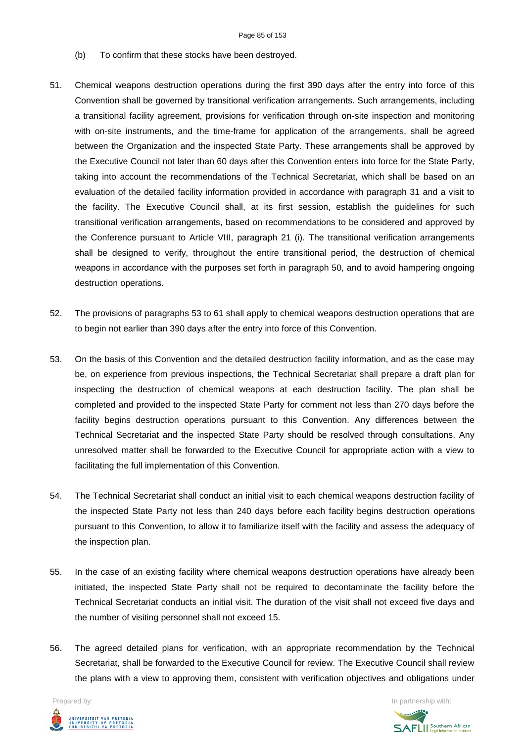- (b) To confirm that these stocks have been destroyed.
- 51. Chemical weapons destruction operations during the first 390 days after the entry into force of this Convention shall be governed by transitional verification arrangements. Such arrangements, including a transitional facility agreement, provisions for verification through on-site inspection and monitoring with on-site instruments, and the time-frame for application of the arrangements, shall be agreed between the Organization and the inspected State Party. These arrangements shall be approved by the Executive Council not later than 60 days after this Convention enters into force for the State Party, taking into account the recommendations of the Technical Secretariat, which shall be based on an evaluation of the detailed facility information provided in accordance with paragraph 31 and a visit to the facility. The Executive Council shall, at its first session, establish the guidelines for such transitional verification arrangements, based on recommendations to be considered and approved by the Conference pursuant to Article VIII, paragraph 21 (i). The transitional verification arrangements shall be designed to verify, throughout the entire transitional period, the destruction of chemical weapons in accordance with the purposes set forth in paragraph 50, and to avoid hampering ongoing destruction operations.
- 52. The provisions of paragraphs 53 to 61 shall apply to chemical weapons destruction operations that are to begin not earlier than 390 days after the entry into force of this Convention.
- 53. On the basis of this Convention and the detailed destruction facility information, and as the case may be, on experience from previous inspections, the Technical Secretariat shall prepare a draft plan for inspecting the destruction of chemical weapons at each destruction facility. The plan shall be completed and provided to the inspected State Party for comment not less than 270 days before the facility begins destruction operations pursuant to this Convention. Any differences between the Technical Secretariat and the inspected State Party should be resolved through consultations. Any unresolved matter shall be forwarded to the Executive Council for appropriate action with a view to facilitating the full implementation of this Convention.
- 54. The Technical Secretariat shall conduct an initial visit to each chemical weapons destruction facility of the inspected State Party not less than 240 days before each facility begins destruction operations pursuant to this Convention, to allow it to familiarize itself with the facility and assess the adequacy of the inspection plan.
- 55. In the case of an existing facility where chemical weapons destruction operations have already been initiated, the inspected State Party shall not be required to decontaminate the facility before the Technical Secretariat conducts an initial visit. The duration of the visit shall not exceed five days and the number of visiting personnel shall not exceed 15.
- 56. The agreed detailed plans for verification, with an appropriate recommendation by the Technical Secretariat, shall be forwarded to the Executive Council for review. The Executive Council shall review the plans with a view to approving them, consistent with verification objectives and obligations under



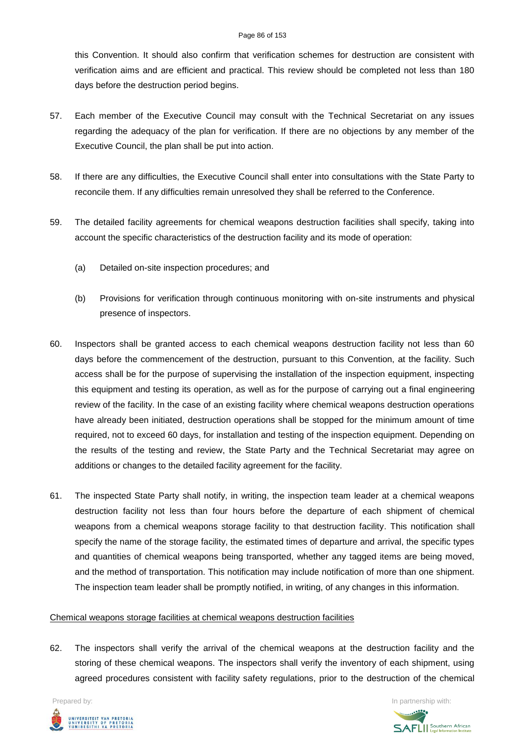#### Page 86 of 153

this Convention. It should also confirm that verification schemes for destruction are consistent with verification aims and are efficient and practical. This review should be completed not less than 180 days before the destruction period begins.

- 57. Each member of the Executive Council may consult with the Technical Secretariat on any issues regarding the adequacy of the plan for verification. If there are no objections by any member of the Executive Council, the plan shall be put into action.
- 58. If there are any difficulties, the Executive Council shall enter into consultations with the State Party to reconcile them. If any difficulties remain unresolved they shall be referred to the Conference.
- 59. The detailed facility agreements for chemical weapons destruction facilities shall specify, taking into account the specific characteristics of the destruction facility and its mode of operation:
	- (a) Detailed on-site inspection procedures; and
	- (b) Provisions for verification through continuous monitoring with on-site instruments and physical presence of inspectors.
- 60. Inspectors shall be granted access to each chemical weapons destruction facility not less than 60 days before the commencement of the destruction, pursuant to this Convention, at the facility. Such access shall be for the purpose of supervising the installation of the inspection equipment, inspecting this equipment and testing its operation, as well as for the purpose of carrying out a final engineering review of the facility. In the case of an existing facility where chemical weapons destruction operations have already been initiated, destruction operations shall be stopped for the minimum amount of time required, not to exceed 60 days, for installation and testing of the inspection equipment. Depending on the results of the testing and review, the State Party and the Technical Secretariat may agree on additions or changes to the detailed facility agreement for the facility.
- 61. The inspected State Party shall notify, in writing, the inspection team leader at a chemical weapons destruction facility not less than four hours before the departure of each shipment of chemical weapons from a chemical weapons storage facility to that destruction facility. This notification shall specify the name of the storage facility, the estimated times of departure and arrival, the specific types and quantities of chemical weapons being transported, whether any tagged items are being moved, and the method of transportation. This notification may include notification of more than one shipment. The inspection team leader shall be promptly notified, in writing, of any changes in this information.

#### Chemical weapons storage facilities at chemical weapons destruction facilities

62. The inspectors shall verify the arrival of the chemical weapons at the destruction facility and the storing of these chemical weapons. The inspectors shall verify the inventory of each shipment, using agreed procedures consistent with facility safety regulations, prior to the destruction of the chemical

Prepared by: **In partnership with:**  $\blacksquare$  **In partnership with:**  $\blacksquare$  **In partnership with:**  $\blacksquare$ UNIVERSITEIT VAN PRETORIA<br>UNIVERSITY OF PRETORIA<br>YUNIBESITHI YA PRETORIA

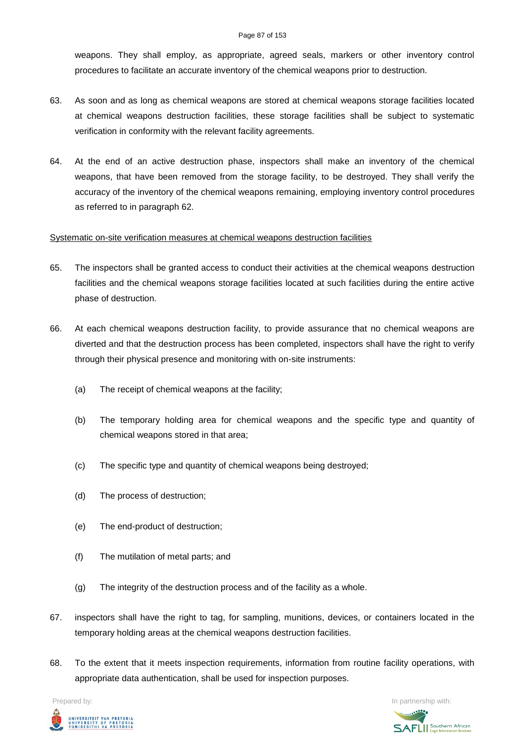#### Page 87 of 153

weapons. They shall employ, as appropriate, agreed seals, markers or other inventory control procedures to facilitate an accurate inventory of the chemical weapons prior to destruction.

- 63. As soon and as long as chemical weapons are stored at chemical weapons storage facilities located at chemical weapons destruction facilities, these storage facilities shall be subject to systematic verification in conformity with the relevant facility agreements.
- 64. At the end of an active destruction phase, inspectors shall make an inventory of the chemical weapons, that have been removed from the storage facility, to be destroyed. They shall verify the accuracy of the inventory of the chemical weapons remaining, employing inventory control procedures as referred to in paragraph 62.

## Systematic on-site verification measures at chemical weapons destruction facilities

- 65. The inspectors shall be granted access to conduct their activities at the chemical weapons destruction facilities and the chemical weapons storage facilities located at such facilities during the entire active phase of destruction.
- 66. At each chemical weapons destruction facility, to provide assurance that no chemical weapons are diverted and that the destruction process has been completed, inspectors shall have the right to verify through their physical presence and monitoring with on-site instruments:
	- (a) The receipt of chemical weapons at the facility;
	- (b) The temporary holding area for chemical weapons and the specific type and quantity of chemical weapons stored in that area;
	- (c) The specific type and quantity of chemical weapons being destroyed;
	- (d) The process of destruction;
	- (e) The end-product of destruction;
	- (f) The mutilation of metal parts; and
	- (g) The integrity of the destruction process and of the facility as a whole.
- 67. inspectors shall have the right to tag, for sampling, munitions, devices, or containers located in the temporary holding areas at the chemical weapons destruction facilities.
- 68. To the extent that it meets inspection requirements, information from routine facility operations, with appropriate data authentication, shall be used for inspection purposes.



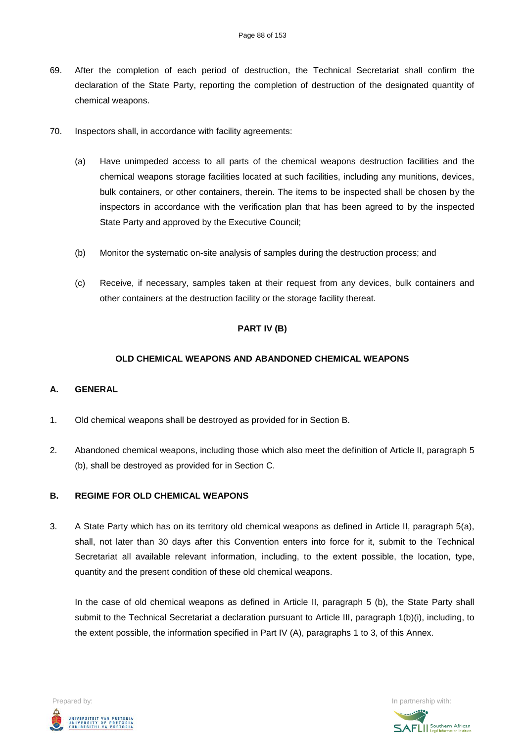- 69. After the completion of each period of destruction, the Technical Secretariat shall confirm the declaration of the State Party, reporting the completion of destruction of the designated quantity of chemical weapons.
- 70. Inspectors shall, in accordance with facility agreements:
	- (a) Have unimpeded access to all parts of the chemical weapons destruction facilities and the chemical weapons storage facilities located at such facilities, including any munitions, devices, bulk containers, or other containers, therein. The items to be inspected shall be chosen by the inspectors in accordance with the verification plan that has been agreed to by the inspected State Party and approved by the Executive Council;
	- (b) Monitor the systematic on-site analysis of samples during the destruction process; and
	- (c) Receive, if necessary, samples taken at their request from any devices, bulk containers and other containers at the destruction facility or the storage facility thereat.

## **PART IV (B)**

#### **OLD CHEMICAL WEAPONS AND ABANDONED CHEMICAL WEAPONS**

#### **A. GENERAL**

- 1. Old chemical weapons shall be destroyed as provided for in Section B.
- 2. Abandoned chemical weapons, including those which also meet the definition of Article II, paragraph 5 (b), shall be destroyed as provided for in Section C.

#### **B. REGIME FOR OLD CHEMICAL WEAPONS**

3. A State Party which has on its territory old chemical weapons as defined in Article II, paragraph 5(a), shall, not later than 30 days after this Convention enters into force for it, submit to the Technical Secretariat all available relevant information, including, to the extent possible, the location, type, quantity and the present condition of these old chemical weapons.

In the case of old chemical weapons as defined in Article II, paragraph 5 (b), the State Party shall submit to the Technical Secretariat a declaration pursuant to Article III, paragraph 1(b)(i), including, to the extent possible, the information specified in Part IV (A), paragraphs 1 to 3, of this Annex.



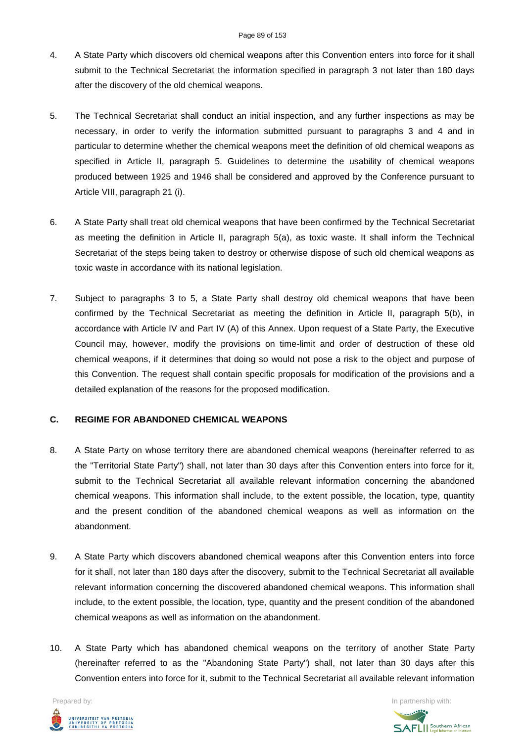- 4. A State Party which discovers old chemical weapons after this Convention enters into force for it shall submit to the Technical Secretariat the information specified in paragraph 3 not later than 180 days after the discovery of the old chemical weapons.
- 5. The Technical Secretariat shall conduct an initial inspection, and any further inspections as may be necessary, in order to verify the information submitted pursuant to paragraphs 3 and 4 and in particular to determine whether the chemical weapons meet the definition of old chemical weapons as specified in Article II, paragraph 5. Guidelines to determine the usability of chemical weapons produced between 1925 and 1946 shall be considered and approved by the Conference pursuant to Article VIII, paragraph 21 (i).
- 6. A State Party shall treat old chemical weapons that have been confirmed by the Technical Secretariat as meeting the definition in Article II, paragraph 5(a), as toxic waste. It shall inform the Technical Secretariat of the steps being taken to destroy or otherwise dispose of such old chemical weapons as toxic waste in accordance with its national legislation.
- 7. Subject to paragraphs 3 to 5, a State Party shall destroy old chemical weapons that have been confirmed by the Technical Secretariat as meeting the definition in Article II, paragraph 5(b), in accordance with Article IV and Part IV (A) of this Annex. Upon request of a State Party, the Executive Council may, however, modify the provisions on time-limit and order of destruction of these old chemical weapons, if it determines that doing so would not pose a risk to the object and purpose of this Convention. The request shall contain specific proposals for modification of the provisions and a detailed explanation of the reasons for the proposed modification.

# **C. REGIME FOR ABANDONED CHEMICAL WEAPONS**

- 8. A State Party on whose territory there are abandoned chemical weapons (hereinafter referred to as the "Territorial State Party") shall, not later than 30 days after this Convention enters into force for it, submit to the Technical Secretariat all available relevant information concerning the abandoned chemical weapons. This information shall include, to the extent possible, the location, type, quantity and the present condition of the abandoned chemical weapons as well as information on the abandonment.
- 9. A State Party which discovers abandoned chemical weapons after this Convention enters into force for it shall, not later than 180 days after the discovery, submit to the Technical Secretariat all available relevant information concerning the discovered abandoned chemical weapons. This information shall include, to the extent possible, the location, type, quantity and the present condition of the abandoned chemical weapons as well as information on the abandonment.
- 10. A State Party which has abandoned chemical weapons on the territory of another State Party (hereinafter referred to as the "Abandoning State Party") shall, not later than 30 days after this Convention enters into force for it, submit to the Technical Secretariat all available relevant information



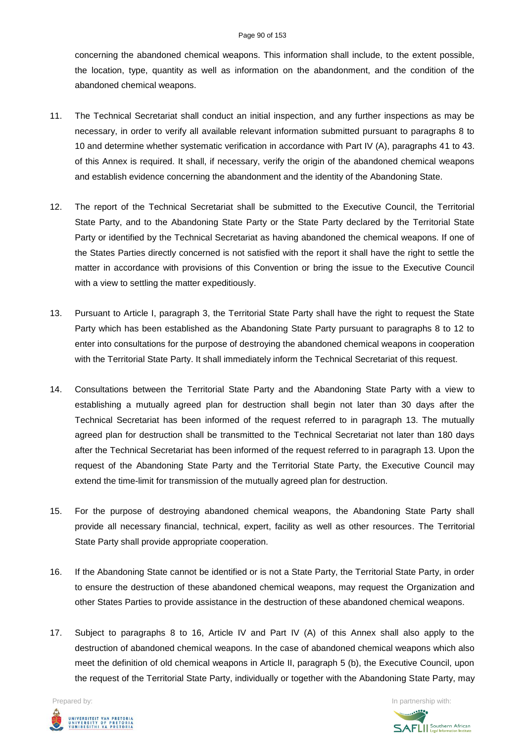concerning the abandoned chemical weapons. This information shall include, to the extent possible, the location, type, quantity as well as information on the abandonment, and the condition of the abandoned chemical weapons.

- 11. The Technical Secretariat shall conduct an initial inspection, and any further inspections as may be necessary, in order to verify all available relevant information submitted pursuant to paragraphs 8 to 10 and determine whether systematic verification in accordance with Part IV (A), paragraphs 41 to 43. of this Annex is required. It shall, if necessary, verify the origin of the abandoned chemical weapons and establish evidence concerning the abandonment and the identity of the Abandoning State.
- 12. The report of the Technical Secretariat shall be submitted to the Executive Council, the Territorial State Party, and to the Abandoning State Party or the State Party declared by the Territorial State Party or identified by the Technical Secretariat as having abandoned the chemical weapons. If one of the States Parties directly concerned is not satisfied with the report it shall have the right to settle the matter in accordance with provisions of this Convention or bring the issue to the Executive Council with a view to settling the matter expeditiously.
- 13. Pursuant to Article I, paragraph 3, the Territorial State Party shall have the right to request the State Party which has been established as the Abandoning State Party pursuant to paragraphs 8 to 12 to enter into consultations for the purpose of destroying the abandoned chemical weapons in cooperation with the Territorial State Party. It shall immediately inform the Technical Secretariat of this request.
- 14. Consultations between the Territorial State Party and the Abandoning State Party with a view to establishing a mutually agreed plan for destruction shall begin not later than 30 days after the Technical Secretariat has been informed of the request referred to in paragraph 13. The mutually agreed plan for destruction shall be transmitted to the Technical Secretariat not later than 180 days after the Technical Secretariat has been informed of the request referred to in paragraph 13. Upon the request of the Abandoning State Party and the Territorial State Party, the Executive Council may extend the time-limit for transmission of the mutually agreed plan for destruction.
- 15. For the purpose of destroying abandoned chemical weapons, the Abandoning State Party shall provide all necessary financial, technical, expert, facility as well as other resources. The Territorial State Party shall provide appropriate cooperation.
- 16. If the Abandoning State cannot be identified or is not a State Party, the Territorial State Party, in order to ensure the destruction of these abandoned chemical weapons, may request the Organization and other States Parties to provide assistance in the destruction of these abandoned chemical weapons.
- 17. Subject to paragraphs 8 to 16, Article IV and Part IV (A) of this Annex shall also apply to the destruction of abandoned chemical weapons. In the case of abandoned chemical weapons which also meet the definition of old chemical weapons in Article II, paragraph 5 (b), the Executive Council, upon the request of the Territorial State Party, individually or together with the Abandoning State Party, may

UNIVERSITEIT VAN PRETORIA<br>UNIVERSITY OF PRETORIA<br>YUNIBESITHI YA PRETORIA

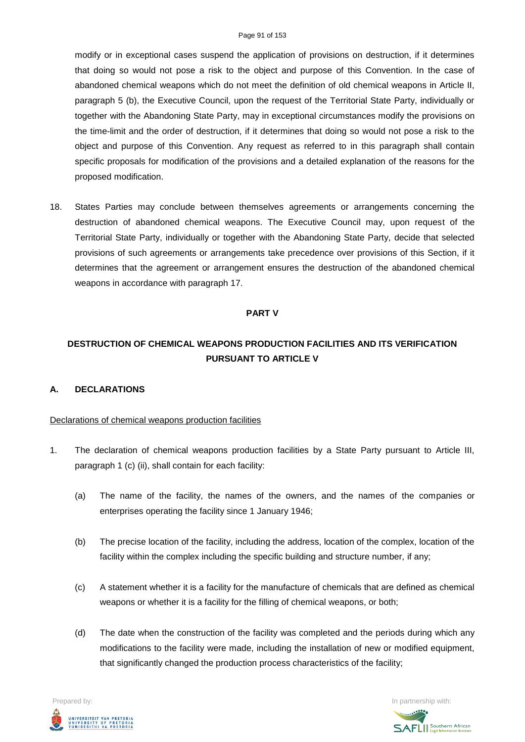modify or in exceptional cases suspend the application of provisions on destruction, if it determines that doing so would not pose a risk to the object and purpose of this Convention. In the case of abandoned chemical weapons which do not meet the definition of old chemical weapons in Article II, paragraph 5 (b), the Executive Council, upon the request of the Territorial State Party, individually or together with the Abandoning State Party, may in exceptional circumstances modify the provisions on the time-limit and the order of destruction, if it determines that doing so would not pose a risk to the object and purpose of this Convention. Any request as referred to in this paragraph shall contain specific proposals for modification of the provisions and a detailed explanation of the reasons for the proposed modification.

18. States Parties may conclude between themselves agreements or arrangements concerning the destruction of abandoned chemical weapons. The Executive Council may, upon request of the Territorial State Party, individually or together with the Abandoning State Party, decide that selected provisions of such agreements or arrangements take precedence over provisions of this Section, if it determines that the agreement or arrangement ensures the destruction of the abandoned chemical weapons in accordance with paragraph 17.

## **PART V**

# **DESTRUCTION OF CHEMICAL WEAPONS PRODUCTION FACILITIES AND ITS VERIFICATION PURSUANT TO ARTICLE V**

#### **A. DECLARATIONS**

#### Declarations of chemical weapons production facilities

- 1. The declaration of chemical weapons production facilities by a State Party pursuant to Article III, paragraph 1 (c) (ii), shall contain for each facility:
	- (a) The name of the facility, the names of the owners, and the names of the companies or enterprises operating the facility since 1 January 1946;
	- (b) The precise location of the facility, including the address, location of the complex, location of the facility within the complex including the specific building and structure number, if any;
	- (c) A statement whether it is a facility for the manufacture of chemicals that are defined as chemical weapons or whether it is a facility for the filling of chemical weapons, or both;
	- (d) The date when the construction of the facility was completed and the periods during which any modifications to the facility were made, including the installation of new or modified equipment, that significantly changed the production process characteristics of the facility;

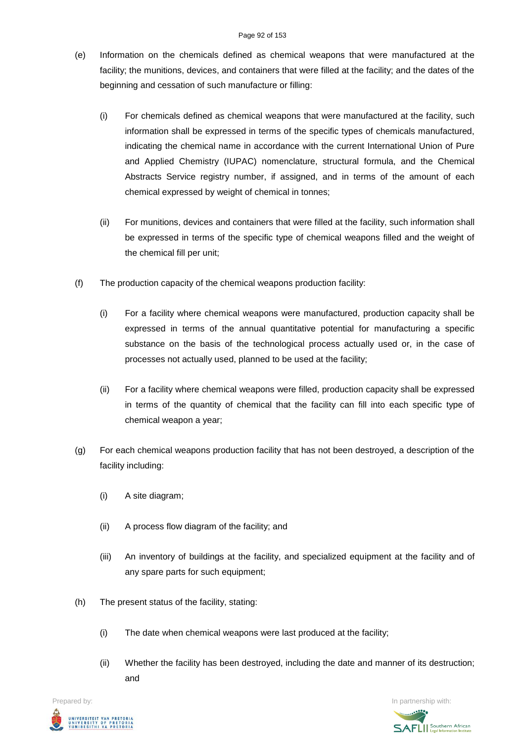#### Page 92 of 153

- (e) Information on the chemicals defined as chemical weapons that were manufactured at the facility; the munitions, devices, and containers that were filled at the facility; and the dates of the beginning and cessation of such manufacture or filling:
	- (i) For chemicals defined as chemical weapons that were manufactured at the facility, such information shall be expressed in terms of the specific types of chemicals manufactured, indicating the chemical name in accordance with the current International Union of Pure and Applied Chemistry (IUPAC) nomenclature, structural formula, and the Chemical Abstracts Service registry number, if assigned, and in terms of the amount of each chemical expressed by weight of chemical in tonnes;
	- (ii) For munitions, devices and containers that were filled at the facility, such information shall be expressed in terms of the specific type of chemical weapons filled and the weight of the chemical fill per unit;
- (f) The production capacity of the chemical weapons production facility:
	- (i) For a facility where chemical weapons were manufactured, production capacity shall be expressed in terms of the annual quantitative potential for manufacturing a specific substance on the basis of the technological process actually used or, in the case of processes not actually used, planned to be used at the facility;
	- (ii) For a facility where chemical weapons were filled, production capacity shall be expressed in terms of the quantity of chemical that the facility can fill into each specific type of chemical weapon a year;
- (g) For each chemical weapons production facility that has not been destroyed, a description of the facility including:
	- (i) A site diagram;
	- (ii) A process flow diagram of the facility; and
	- (iii) An inventory of buildings at the facility, and specialized equipment at the facility and of any spare parts for such equipment;
- (h) The present status of the facility, stating:
	- (i) The date when chemical weapons were last produced at the facility;
	- (ii) Whether the facility has been destroyed, including the date and manner of its destruction; and



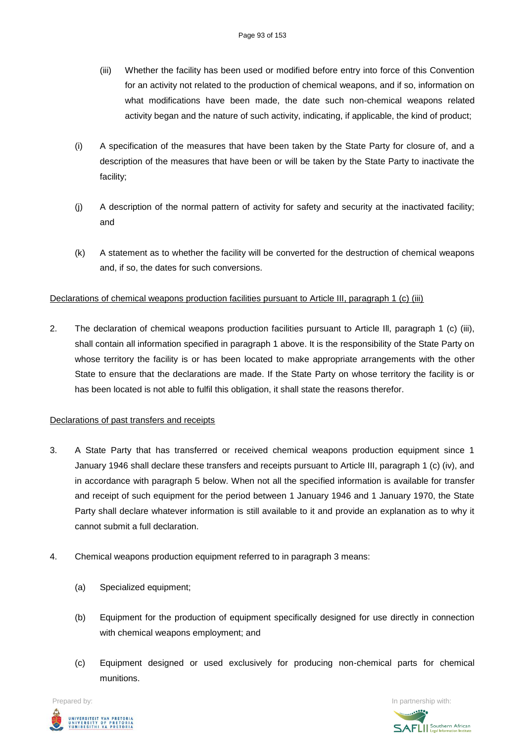- (iii) Whether the facility has been used or modified before entry into force of this Convention for an activity not related to the production of chemical weapons, and if so, information on what modifications have been made, the date such non-chemical weapons related activity began and the nature of such activity, indicating, if applicable, the kind of product;
- (i) A specification of the measures that have been taken by the State Party for closure of, and a description of the measures that have been or will be taken by the State Party to inactivate the facility;
- (j) A description of the normal pattern of activity for safety and security at the inactivated facility; and
- (k) A statement as to whether the facility will be converted for the destruction of chemical weapons and, if so, the dates for such conversions.

# Declarations of chemical weapons production facilities pursuant to Article III, paragraph 1 (c) (iii)

2. The declaration of chemical weapons production facilities pursuant to Article Ill, paragraph 1 (c) (iii), shall contain all information specified in paragraph 1 above. It is the responsibility of the State Party on whose territory the facility is or has been located to make appropriate arrangements with the other State to ensure that the declarations are made. If the State Party on whose territory the facility is or has been located is not able to fulfil this obligation, it shall state the reasons therefor.

#### Declarations of past transfers and receipts

- 3. A State Party that has transferred or received chemical weapons production equipment since 1 January 1946 shall declare these transfers and receipts pursuant to Article III, paragraph 1 (c) (iv), and in accordance with paragraph 5 below. When not all the specified information is available for transfer and receipt of such equipment for the period between 1 January 1946 and 1 January 1970, the State Party shall declare whatever information is still available to it and provide an explanation as to why it cannot submit a full declaration.
- 4. Chemical weapons production equipment referred to in paragraph 3 means:
	- (a) Specialized equipment;
	- (b) Equipment for the production of equipment specifically designed for use directly in connection with chemical weapons employment; and
	- (c) Equipment designed or used exclusively for producing non-chemical parts for chemical munitions.



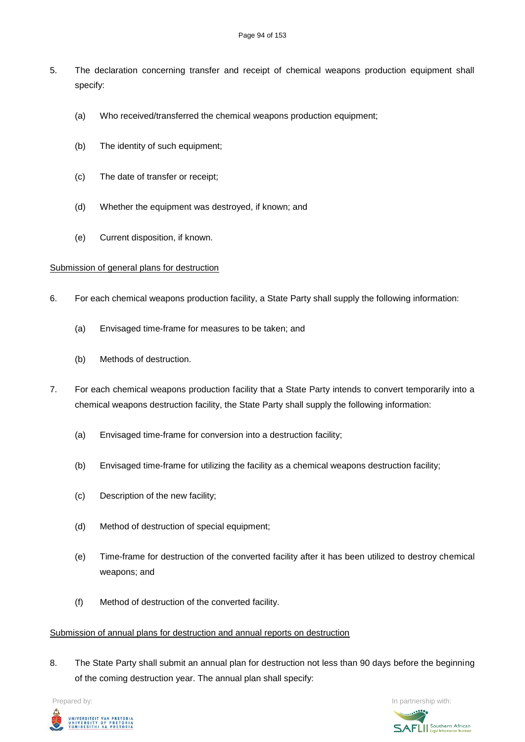- 5. The declaration concerning transfer and receipt of chemical weapons production equipment shall specify:
	- (a) Who received/transferred the chemical weapons production equipment;
	- (b) The identity of such equipment;
	- (c) The date of transfer or receipt;
	- (d) Whether the equipment was destroyed, if known; and
	- (e) Current disposition, if known.

#### Submission of general plans for destruction

- 6. For each chemical weapons production facility, a State Party shall supply the following information:
	- (a) Envisaged time-frame for measures to be taken; and
	- (b) Methods of destruction.
- 7. For each chemical weapons production facility that a State Party intends to convert temporarily into a chemical weapons destruction facility, the State Party shall supply the following information:
	- (a) Envisaged time-frame for conversion into a destruction facility;
	- (b) Envisaged time-frame for utilizing the facility as a chemical weapons destruction facility;
	- (c) Description of the new facility;
	- (d) Method of destruction of special equipment;
	- (e) Time-frame for destruction of the converted facility after it has been utilized to destroy chemical weapons; and
	- (f) Method of destruction of the converted facility.

#### Submission of annual plans for destruction and annual reports on destruction

8. The State Party shall submit an annual plan for destruction not less than 90 days before the beginning of the coming destruction year. The annual plan shall specify:

UNIVERSITEIT VAN PRETORIA<br>UNIVERSITY OF PRETORIA<br>YUNIBESITHI YA PRETORIA

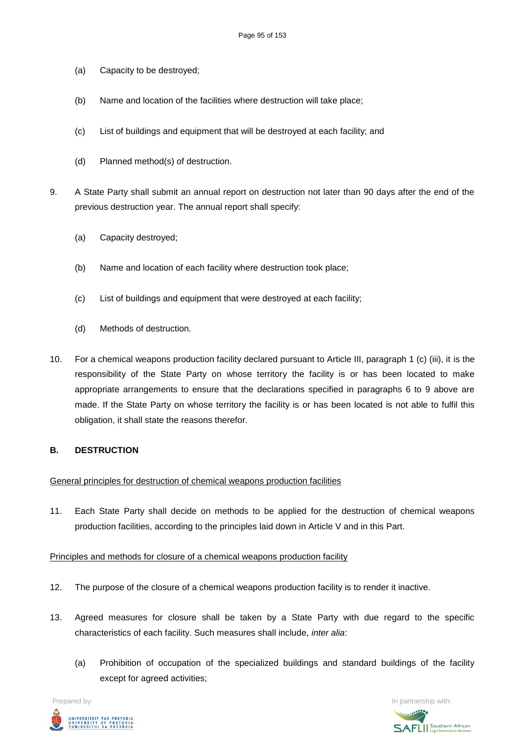- (a) Capacity to be destroyed;
- (b) Name and location of the facilities where destruction will take place;
- (c) List of buildings and equipment that will be destroyed at each facility; and
- (d) Planned method(s) of destruction.
- 9. A State Party shall submit an annual report on destruction not later than 90 days after the end of the previous destruction year. The annual report shall specify:
	- (a) Capacity destroyed;
	- (b) Name and location of each facility where destruction took place;
	- (c) List of buildings and equipment that were destroyed at each facility;
	- (d) Methods of destruction.
- 10. For a chemical weapons production facility declared pursuant to Article III, paragraph 1 (c) (iii), it is the responsibility of the State Party on whose territory the facility is or has been located to make appropriate arrangements to ensure that the declarations specified in paragraphs 6 to 9 above are made. If the State Party on whose territory the facility is or has been located is not able to fulfil this obligation, it shall state the reasons therefor.

#### **B. DESTRUCTION**

#### General principles for destruction of chemical weapons production facilities

11. Each State Party shall decide on methods to be applied for the destruction of chemical weapons production facilities, according to the principles laid down in Article V and in this Part.

#### Principles and methods for closure of a chemical weapons production facility

- 12. The purpose of the closure of a chemical weapons production facility is to render it inactive.
- 13. Agreed measures for closure shall be taken by a State Party with due regard to the specific characteristics of each facility. Such measures shall include, *inter alia*:
	- (a) Prohibition of occupation of the specialized buildings and standard buildings of the facility except for agreed activities;

UNIVERSITEIT VAN PRETORIA<br>UNIVERSITY OF PRETORIA<br>YUNIBESITHI YA PRETORIA

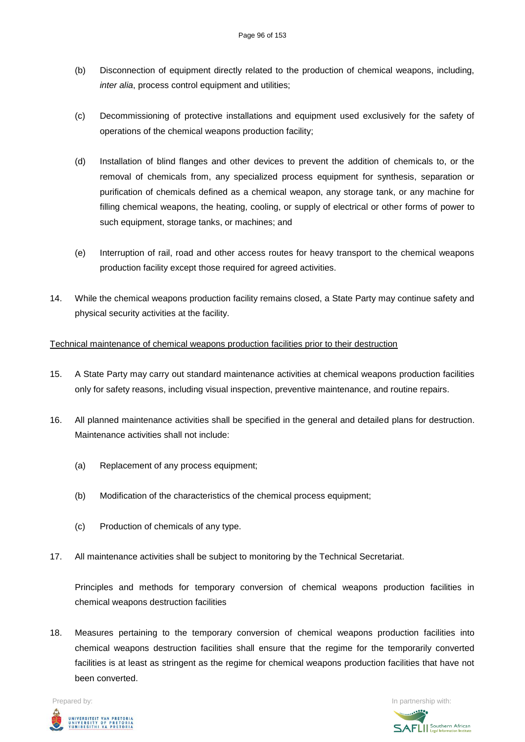- (b) Disconnection of equipment directly related to the production of chemical weapons, including, *inter alia*, process control equipment and utilities;
- (c) Decommissioning of protective installations and equipment used exclusively for the safety of operations of the chemical weapons production facility;
- (d) Installation of blind flanges and other devices to prevent the addition of chemicals to, or the removal of chemicals from, any specialized process equipment for synthesis, separation or purification of chemicals defined as a chemical weapon, any storage tank, or any machine for filling chemical weapons, the heating, cooling, or supply of electrical or other forms of power to such equipment, storage tanks, or machines; and
- (e) Interruption of rail, road and other access routes for heavy transport to the chemical weapons production facility except those required for agreed activities.
- 14. While the chemical weapons production facility remains closed, a State Party may continue safety and physical security activities at the facility.

## Technical maintenance of chemical weapons production facilities prior to their destruction

- 15. A State Party may carry out standard maintenance activities at chemical weapons production facilities only for safety reasons, including visual inspection, preventive maintenance, and routine repairs.
- 16. All planned maintenance activities shall be specified in the general and detailed plans for destruction. Maintenance activities shall not include:
	- (a) Replacement of any process equipment;
	- (b) Modification of the characteristics of the chemical process equipment;
	- (c) Production of chemicals of any type.
- 17. All maintenance activities shall be subject to monitoring by the Technical Secretariat.

Principles and methods for temporary conversion of chemical weapons production facilities in chemical weapons destruction facilities

18. Measures pertaining to the temporary conversion of chemical weapons production facilities into chemical weapons destruction facilities shall ensure that the regime for the temporarily converted facilities is at least as stringent as the regime for chemical weapons production facilities that have not been converted.



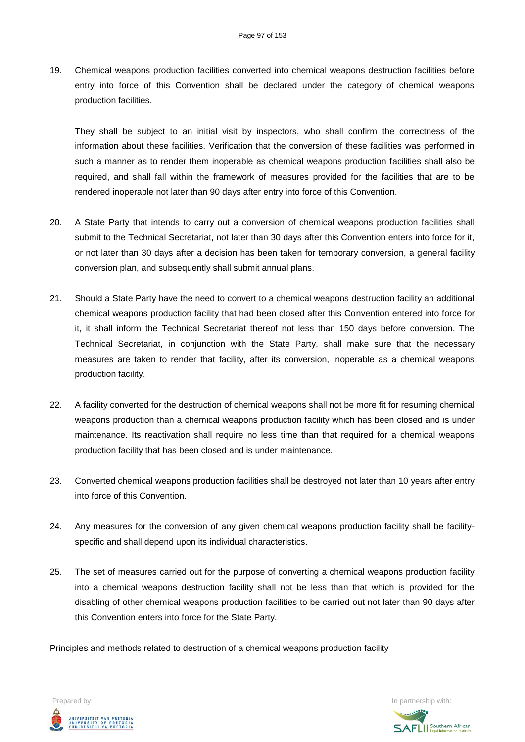19. Chemical weapons production facilities converted into chemical weapons destruction facilities before entry into force of this Convention shall be declared under the category of chemical weapons production facilities.

They shall be subject to an initial visit by inspectors, who shall confirm the correctness of the information about these facilities. Verification that the conversion of these facilities was performed in such a manner as to render them inoperable as chemical weapons production facilities shall also be required, and shall fall within the framework of measures provided for the facilities that are to be rendered inoperable not later than 90 days after entry into force of this Convention.

- 20. A State Party that intends to carry out a conversion of chemical weapons production facilities shall submit to the Technical Secretariat, not later than 30 days after this Convention enters into force for it, or not later than 30 days after a decision has been taken for temporary conversion, a general facility conversion plan, and subsequently shall submit annual plans.
- 21. Should a State Party have the need to convert to a chemical weapons destruction facility an additional chemical weapons production facility that had been closed after this Convention entered into force for it, it shall inform the Technical Secretariat thereof not less than 150 days before conversion. The Technical Secretariat, in conjunction with the State Party, shall make sure that the necessary measures are taken to render that facility, after its conversion, inoperable as a chemical weapons production facility.
- 22. A facility converted for the destruction of chemical weapons shall not be more fit for resuming chemical weapons production than a chemical weapons production facility which has been closed and is under maintenance. Its reactivation shall require no less time than that required for a chemical weapons production facility that has been closed and is under maintenance.
- 23. Converted chemical weapons production facilities shall be destroyed not later than 10 years after entry into force of this Convention.
- 24. Any measures for the conversion of any given chemical weapons production facility shall be facilityspecific and shall depend upon its individual characteristics.
- 25. The set of measures carried out for the purpose of converting a chemical weapons production facility into a chemical weapons destruction facility shall not be less than that which is provided for the disabling of other chemical weapons production facilities to be carried out not later than 90 days after this Convention enters into force for the State Party.

Principles and methods related to destruction of a chemical weapons production facility



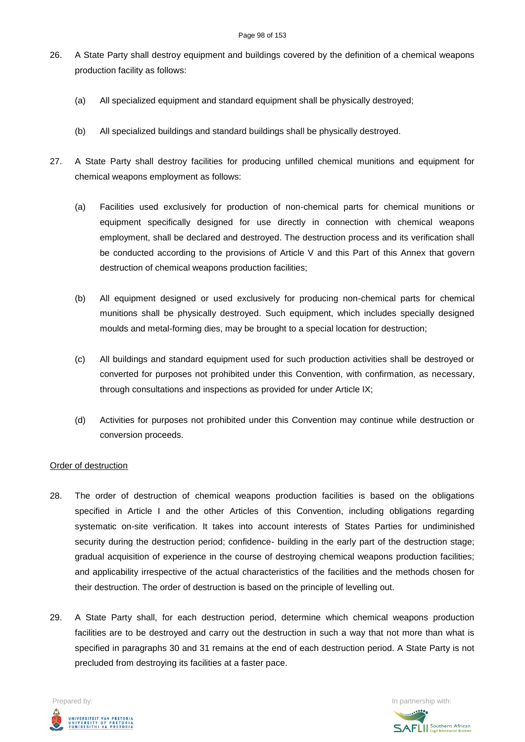- 26. A State Party shall destroy equipment and buildings covered by the definition of a chemical weapons production facility as follows:
	- (a) All specialized equipment and standard equipment shall be physically destroyed;
	- (b) All specialized buildings and standard buildings shall be physically destroyed.
- 27. A State Party shall destroy facilities for producing unfilled chemical munitions and equipment for chemical weapons employment as follows:
	- (a) Facilities used exclusively for production of non-chemical parts for chemical munitions or equipment specifically designed for use directly in connection with chemical weapons employment, shall be declared and destroyed. The destruction process and its verification shall be conducted according to the provisions of Article V and this Part of this Annex that govern destruction of chemical weapons production facilities;
	- (b) All equipment designed or used exclusively for producing non-chemical parts for chemical munitions shall be physically destroyed. Such equipment, which includes specially designed moulds and metal-forming dies, may be brought to a special location for destruction;
	- (c) All buildings and standard equipment used for such production activities shall be destroyed or converted for purposes not prohibited under this Convention, with confirmation, as necessary, through consultations and inspections as provided for under Article IX;
	- (d) Activities for purposes not prohibited under this Convention may continue while destruction or conversion proceeds.

#### Order of destruction

- 28. The order of destruction of chemical weapons production facilities is based on the obligations specified in Article I and the other Articles of this Convention, including obligations regarding systematic on-site verification. It takes into account interests of States Parties for undiminished security during the destruction period; confidence- building in the early part of the destruction stage; gradual acquisition of experience in the course of destroying chemical weapons production facilities; and applicability irrespective of the actual characteristics of the facilities and the methods chosen for their destruction. The order of destruction is based on the principle of levelling out.
- 29. A State Party shall, for each destruction period, determine which chemical weapons production facilities are to be destroyed and carry out the destruction in such a way that not more than what is specified in paragraphs 30 and 31 remains at the end of each destruction period. A State Party is not precluded from destroying its facilities at a faster pace.

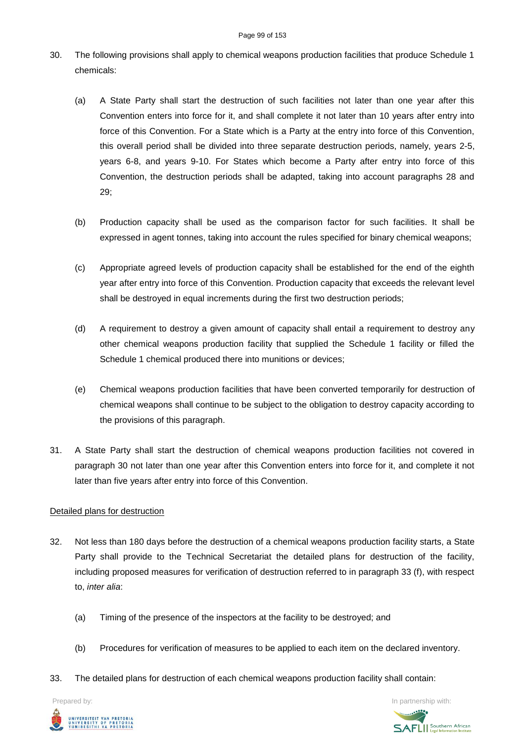- 30. The following provisions shall apply to chemical weapons production facilities that produce Schedule 1 chemicals:
	- (a) A State Party shall start the destruction of such facilities not later than one year after this Convention enters into force for it, and shall complete it not later than 10 years after entry into force of this Convention. For a State which is a Party at the entry into force of this Convention, this overall period shall be divided into three separate destruction periods, namely, years 2-5, years 6-8, and years 9-10. For States which become a Party after entry into force of this Convention, the destruction periods shall be adapted, taking into account paragraphs 28 and 29;
	- (b) Production capacity shall be used as the comparison factor for such facilities. It shall be expressed in agent tonnes, taking into account the rules specified for binary chemical weapons;
	- (c) Appropriate agreed levels of production capacity shall be established for the end of the eighth year after entry into force of this Convention. Production capacity that exceeds the relevant level shall be destroyed in equal increments during the first two destruction periods;
	- (d) A requirement to destroy a given amount of capacity shall entail a requirement to destroy any other chemical weapons production facility that supplied the Schedule 1 facility or filled the Schedule 1 chemical produced there into munitions or devices;
	- (e) Chemical weapons production facilities that have been converted temporarily for destruction of chemical weapons shall continue to be subject to the obligation to destroy capacity according to the provisions of this paragraph.
- 31. A State Party shall start the destruction of chemical weapons production facilities not covered in paragraph 30 not later than one year after this Convention enters into force for it, and complete it not later than five years after entry into force of this Convention.

# Detailed plans for destruction

- 32. Not less than 180 days before the destruction of a chemical weapons production facility starts, a State Party shall provide to the Technical Secretariat the detailed plans for destruction of the facility, including proposed measures for verification of destruction referred to in paragraph 33 (f), with respect to, *inter alia*:
	- (a) Timing of the presence of the inspectors at the facility to be destroyed; and
	- (b) Procedures for verification of measures to be applied to each item on the declared inventory.
- 33. The detailed plans for destruction of each chemical weapons production facility shall contain:

UNIVERSITEIT VAN PRETORIA<br>UNIVERSITY OF PRETORIA<br>YUNIBESITHI YA PRETORIA

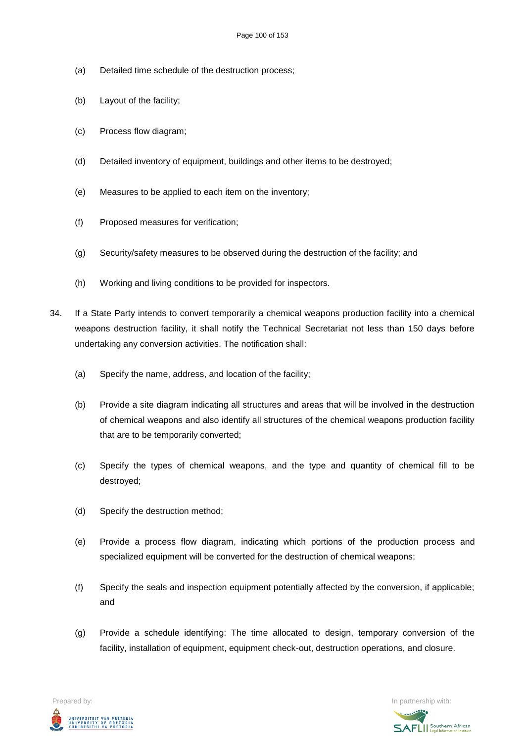- (a) Detailed time schedule of the destruction process;
- (b) Layout of the facility;
- (c) Process flow diagram;
- (d) Detailed inventory of equipment, buildings and other items to be destroyed;
- (e) Measures to be applied to each item on the inventory;
- (f) Proposed measures for verification;
- (g) Security/safety measures to be observed during the destruction of the facility; and
- (h) Working and living conditions to be provided for inspectors.
- 34. If a State Party intends to convert temporarily a chemical weapons production facility into a chemical weapons destruction facility, it shall notify the Technical Secretariat not less than 150 days before undertaking any conversion activities. The notification shall:
	- (a) Specify the name, address, and location of the facility;
	- (b) Provide a site diagram indicating all structures and areas that will be involved in the destruction of chemical weapons and also identify all structures of the chemical weapons production facility that are to be temporarily converted;
	- (c) Specify the types of chemical weapons, and the type and quantity of chemical fill to be destroyed;
	- (d) Specify the destruction method;
	- (e) Provide a process flow diagram, indicating which portions of the production process and specialized equipment will be converted for the destruction of chemical weapons;
	- (f) Specify the seals and inspection equipment potentially affected by the conversion, if applicable; and
	- (g) Provide a schedule identifying: The time allocated to design, temporary conversion of the facility, installation of equipment, equipment check-out, destruction operations, and closure.

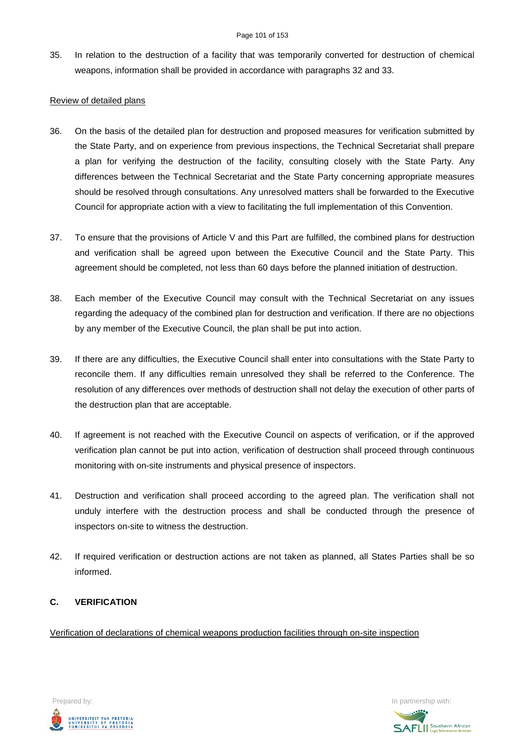35. In relation to the destruction of a facility that was temporarily converted for destruction of chemical weapons, information shall be provided in accordance with paragraphs 32 and 33.

#### Review of detailed plans

- 36. On the basis of the detailed plan for destruction and proposed measures for verification submitted by the State Party, and on experience from previous inspections, the Technical Secretariat shall prepare a plan for verifying the destruction of the facility, consulting closely with the State Party. Any differences between the Technical Secretariat and the State Party concerning appropriate measures should be resolved through consultations. Any unresolved matters shall be forwarded to the Executive Council for appropriate action with a view to facilitating the full implementation of this Convention.
- 37. To ensure that the provisions of Article V and this Part are fulfilled, the combined plans for destruction and verification shall be agreed upon between the Executive Council and the State Party. This agreement should be completed, not less than 60 days before the planned initiation of destruction.
- 38. Each member of the Executive Council may consult with the Technical Secretariat on any issues regarding the adequacy of the combined plan for destruction and verification. If there are no objections by any member of the Executive Council, the plan shall be put into action.
- 39. If there are any difficulties, the Executive Council shall enter into consultations with the State Party to reconcile them. If any difficulties remain unresolved they shall be referred to the Conference. The resolution of any differences over methods of destruction shall not delay the execution of other parts of the destruction plan that are acceptable.
- 40. If agreement is not reached with the Executive Council on aspects of verification, or if the approved verification plan cannot be put into action, verification of destruction shall proceed through continuous monitoring with on-site instruments and physical presence of inspectors.
- 41. Destruction and verification shall proceed according to the agreed plan. The verification shall not unduly interfere with the destruction process and shall be conducted through the presence of inspectors on-site to witness the destruction.
- 42. If required verification or destruction actions are not taken as planned, all States Parties shall be so informed.

## **C. VERIFICATION**

Verification of declarations of chemical weapons production facilities through on-site inspection



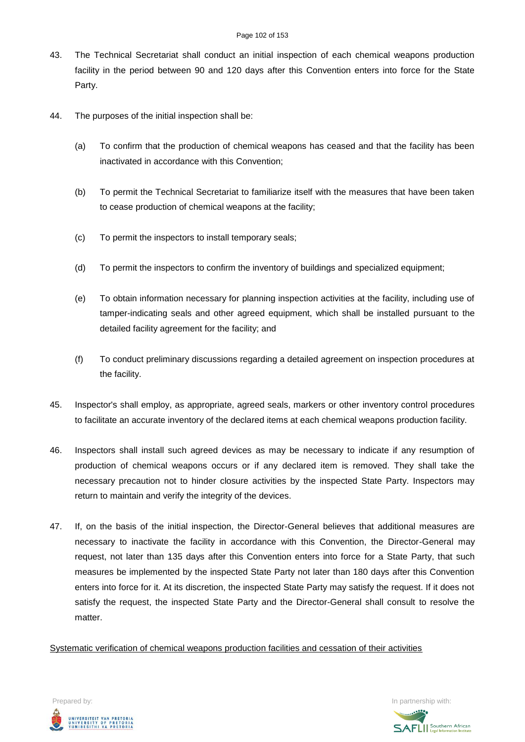- 43. The Technical Secretariat shall conduct an initial inspection of each chemical weapons production facility in the period between 90 and 120 days after this Convention enters into force for the State Party.
- 44. The purposes of the initial inspection shall be:
	- (a) To confirm that the production of chemical weapons has ceased and that the facility has been inactivated in accordance with this Convention;
	- (b) To permit the Technical Secretariat to familiarize itself with the measures that have been taken to cease production of chemical weapons at the facility;
	- (c) To permit the inspectors to install temporary seals;
	- (d) To permit the inspectors to confirm the inventory of buildings and specialized equipment;
	- (e) To obtain information necessary for planning inspection activities at the facility, including use of tamper-indicating seals and other agreed equipment, which shall be installed pursuant to the detailed facility agreement for the facility; and
	- (f) To conduct preliminary discussions regarding a detailed agreement on inspection procedures at the facility.
- 45. Inspector's shall employ, as appropriate, agreed seals, markers or other inventory control procedures to facilitate an accurate inventory of the declared items at each chemical weapons production facility.
- 46. Inspectors shall install such agreed devices as may be necessary to indicate if any resumption of production of chemical weapons occurs or if any declared item is removed. They shall take the necessary precaution not to hinder closure activities by the inspected State Party. Inspectors may return to maintain and verify the integrity of the devices.
- 47. If, on the basis of the initial inspection, the Director-General believes that additional measures are necessary to inactivate the facility in accordance with this Convention, the Director-General may request, not later than 135 days after this Convention enters into force for a State Party, that such measures be implemented by the inspected State Party not later than 180 days after this Convention enters into force for it. At its discretion, the inspected State Party may satisfy the request. If it does not satisfy the request, the inspected State Party and the Director-General shall consult to resolve the matter.

Systematic verification of chemical weapons production facilities and cessation of their activities



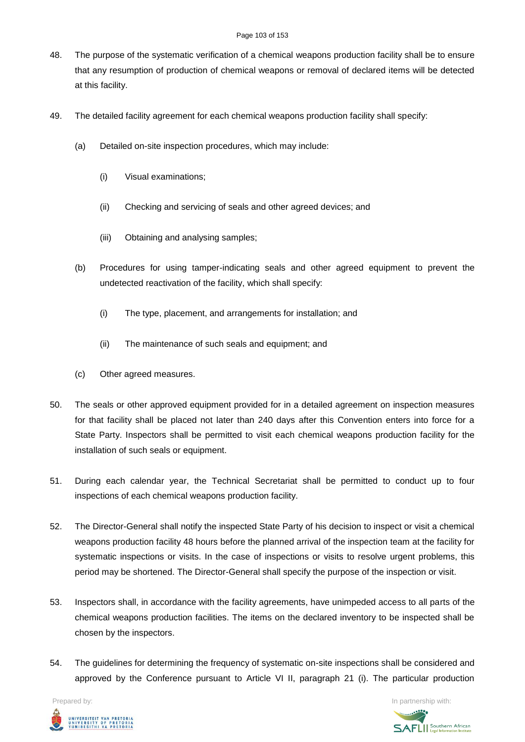- 48. The purpose of the systematic verification of a chemical weapons production facility shall be to ensure that any resumption of production of chemical weapons or removal of declared items will be detected at this facility.
- 49. The detailed facility agreement for each chemical weapons production facility shall specify:
	- (a) Detailed on-site inspection procedures, which may include:
		- (i) Visual examinations;
		- (ii) Checking and servicing of seals and other agreed devices; and
		- (iii) Obtaining and analysing samples;
	- (b) Procedures for using tamper-indicating seals and other agreed equipment to prevent the undetected reactivation of the facility, which shall specify:
		- (i) The type, placement, and arrangements for installation; and
		- (ii) The maintenance of such seals and equipment; and
	- (c) Other agreed measures.
- 50. The seals or other approved equipment provided for in a detailed agreement on inspection measures for that facility shall be placed not later than 240 days after this Convention enters into force for a State Party. Inspectors shall be permitted to visit each chemical weapons production facility for the installation of such seals or equipment.
- 51. During each calendar year, the Technical Secretariat shall be permitted to conduct up to four inspections of each chemical weapons production facility.
- 52. The Director-General shall notify the inspected State Party of his decision to inspect or visit a chemical weapons production facility 48 hours before the planned arrival of the inspection team at the facility for systematic inspections or visits. In the case of inspections or visits to resolve urgent problems, this period may be shortened. The Director-General shall specify the purpose of the inspection or visit.
- 53. Inspectors shall, in accordance with the facility agreements, have unimpeded access to all parts of the chemical weapons production facilities. The items on the declared inventory to be inspected shall be chosen by the inspectors.
- 54. The guidelines for determining the frequency of systematic on-site inspections shall be considered and approved by the Conference pursuant to Article VI II, paragraph 21 (i). The particular production

UNIVERSITEIT VAN PRETORIA<br>UNIVERSITY OF PRETORIA<br>YUNIBESITHI YA PRETORIA

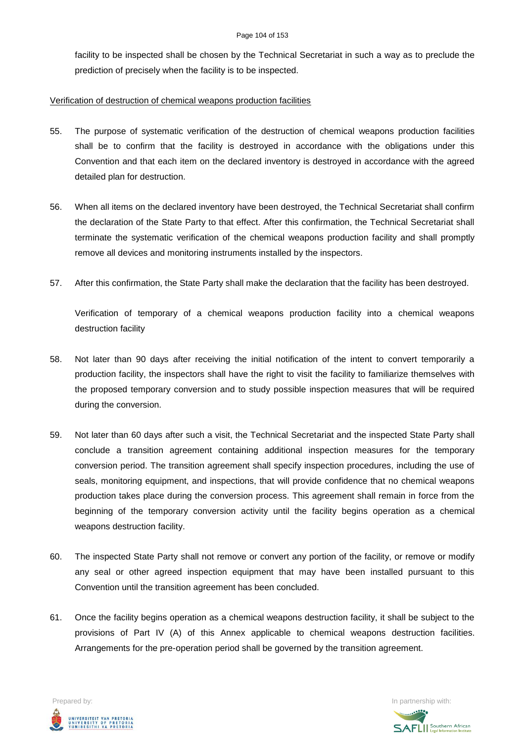facility to be inspected shall be chosen by the Technical Secretariat in such a way as to preclude the prediction of precisely when the facility is to be inspected.

## Verification of destruction of chemical weapons production facilities

- 55. The purpose of systematic verification of the destruction of chemical weapons production facilities shall be to confirm that the facility is destroyed in accordance with the obligations under this Convention and that each item on the declared inventory is destroyed in accordance with the agreed detailed plan for destruction.
- 56. When all items on the declared inventory have been destroyed, the Technical Secretariat shall confirm the declaration of the State Party to that effect. After this confirmation, the Technical Secretariat shall terminate the systematic verification of the chemical weapons production facility and shall promptly remove all devices and monitoring instruments installed by the inspectors.
- 57. After this confirmation, the State Party shall make the declaration that the facility has been destroyed.

Verification of temporary of a chemical weapons production facility into a chemical weapons destruction facility

- 58. Not later than 90 days after receiving the initial notification of the intent to convert temporarily a production facility, the inspectors shall have the right to visit the facility to familiarize themselves with the proposed temporary conversion and to study possible inspection measures that will be required during the conversion.
- 59. Not later than 60 days after such a visit, the Technical Secretariat and the inspected State Party shall conclude a transition agreement containing additional inspection measures for the temporary conversion period. The transition agreement shall specify inspection procedures, including the use of seals, monitoring equipment, and inspections, that will provide confidence that no chemical weapons production takes place during the conversion process. This agreement shall remain in force from the beginning of the temporary conversion activity until the facility begins operation as a chemical weapons destruction facility.
- 60. The inspected State Party shall not remove or convert any portion of the facility, or remove or modify any seal or other agreed inspection equipment that may have been installed pursuant to this Convention until the transition agreement has been concluded.
- 61. Once the facility begins operation as a chemical weapons destruction facility, it shall be subject to the provisions of Part IV (A) of this Annex applicable to chemical weapons destruction facilities. Arrangements for the pre-operation period shall be governed by the transition agreement.

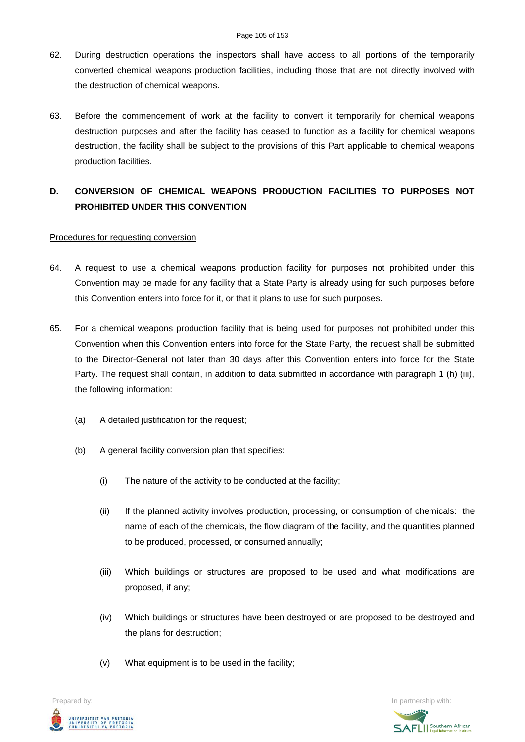- 62. During destruction operations the inspectors shall have access to all portions of the temporarily converted chemical weapons production facilities, including those that are not directly involved with the destruction of chemical weapons.
- 63. Before the commencement of work at the facility to convert it temporarily for chemical weapons destruction purposes and after the facility has ceased to function as a facility for chemical weapons destruction, the facility shall be subject to the provisions of this Part applicable to chemical weapons production facilities.

# **D. CONVERSION OF CHEMICAL WEAPONS PRODUCTION FACILITIES TO PURPOSES NOT PROHIBITED UNDER THIS CONVENTION**

## Procedures for requesting conversion

- 64. A request to use a chemical weapons production facility for purposes not prohibited under this Convention may be made for any facility that a State Party is already using for such purposes before this Convention enters into force for it, or that it plans to use for such purposes.
- 65. For a chemical weapons production facility that is being used for purposes not prohibited under this Convention when this Convention enters into force for the State Party, the request shall be submitted to the Director-General not later than 30 days after this Convention enters into force for the State Party. The request shall contain, in addition to data submitted in accordance with paragraph 1 (h) (iii), the following information:
	- (a) A detailed justification for the request;
	- (b) A general facility conversion plan that specifies:
		- (i) The nature of the activity to be conducted at the facility;
		- (ii) If the planned activity involves production, processing, or consumption of chemicals: the name of each of the chemicals, the flow diagram of the facility, and the quantities planned to be produced, processed, or consumed annually;
		- (iii) Which buildings or structures are proposed to be used and what modifications are proposed, if any;
		- (iv) Which buildings or structures have been destroyed or are proposed to be destroyed and the plans for destruction;
		- (v) What equipment is to be used in the facility;



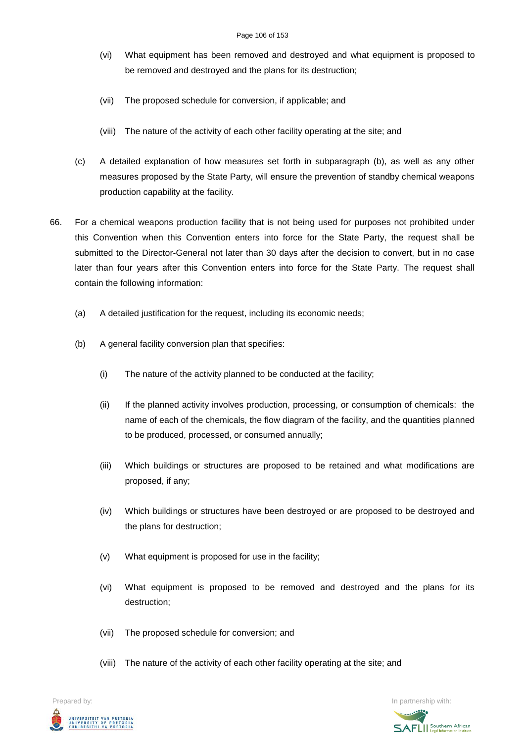- (vi) What equipment has been removed and destroyed and what equipment is proposed to be removed and destroyed and the plans for its destruction;
- (vii) The proposed schedule for conversion, if applicable; and
- (viii) The nature of the activity of each other facility operating at the site; and
- (c) A detailed explanation of how measures set forth in subparagraph (b), as well as any other measures proposed by the State Party, will ensure the prevention of standby chemical weapons production capability at the facility.
- 66. For a chemical weapons production facility that is not being used for purposes not prohibited under this Convention when this Convention enters into force for the State Party, the request shall be submitted to the Director-General not later than 30 days after the decision to convert, but in no case later than four years after this Convention enters into force for the State Party. The request shall contain the following information:
	- (a) A detailed justification for the request, including its economic needs;
	- (b) A general facility conversion plan that specifies:
		- (i) The nature of the activity planned to be conducted at the facility;
		- (ii) If the planned activity involves production, processing, or consumption of chemicals: the name of each of the chemicals, the flow diagram of the facility, and the quantities planned to be produced, processed, or consumed annually;
		- (iii) Which buildings or structures are proposed to be retained and what modifications are proposed, if any;
		- (iv) Which buildings or structures have been destroyed or are proposed to be destroyed and the plans for destruction;
		- (v) What equipment is proposed for use in the facility;
		- (vi) What equipment is proposed to be removed and destroyed and the plans for its destruction;
		- (vii) The proposed schedule for conversion; and
		- (viii) The nature of the activity of each other facility operating at the site; and

.<br>UNIVERSITEIT VAN PRETORIA<br>YUNIBESITHI YA PRETORIA

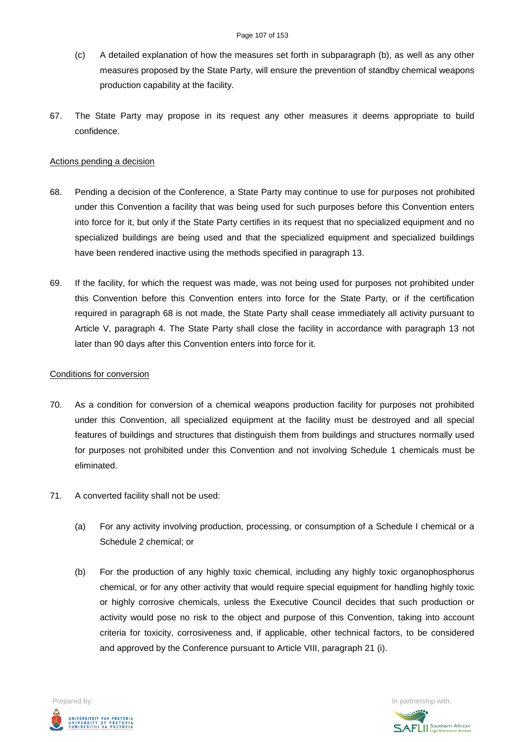- (c) A detailed explanation of how the measures set forth in subparagraph (b), as well as any other measures proposed by the State Party, will ensure the prevention of standby chemical weapons production capability at the facility.
- 67. The State Party may propose in its request any other measures it deems appropriate to build confidence.

#### Actions pending a decision

- 68. Pending a decision of the Conference, a State Party may continue to use for purposes not prohibited under this Convention a facility that was being used for such purposes before this Convention enters into force for it, but only if the State Party certifies in its request that no specialized equipment and no specialized buildings are being used and that the specialized equipment and specialized buildings have been rendered inactive using the methods specified in paragraph 13.
- 69. If the facility, for which the request was made, was not being used for purposes not prohibited under this Convention before this Convention enters into force for the State Party, or if the certification required in paragraph 68 is not made, the State Party shall cease immediately all activity pursuant to Article V, paragraph 4. The State Party shall close the facility in accordance with paragraph 13 not later than 90 days after this Convention enters into force for it.

#### Conditions for conversion

- 70. As a condition for conversion of a chemical weapons production facility for purposes not prohibited under this Convention, all specialized equipment at the facility must be destroyed and all special features of buildings and structures that distinguish them from buildings and structures normally used for purposes not prohibited under this Convention and not involving Schedule 1 chemicals must be eliminated.
- 71. A converted facility shall not be used:
	- (a) For any activity involving production, processing, or consumption of a Schedule I chemical or a Schedule 2 chemical; or
	- (b) For the production of any highly toxic chemical, including any highly toxic organophosphorus chemical, or for any other activity that would require special equipment for handling highly toxic or highly corrosive chemicals, unless the Executive Council decides that such production or activity would pose no risk to the object and purpose of this Convention, taking into account criteria for toxicity, corrosiveness and, if applicable, other technical factors, to be considered and approved by the Conference pursuant to Article VIII, paragraph 21 (i).

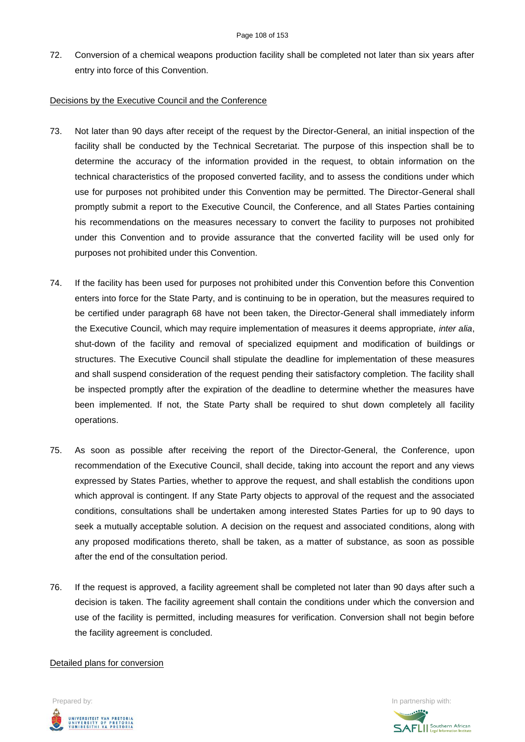72. Conversion of a chemical weapons production facility shall be completed not later than six years after entry into force of this Convention.

#### Decisions by the Executive Council and the Conference

- 73. Not later than 90 days after receipt of the request by the Director-General, an initial inspection of the facility shall be conducted by the Technical Secretariat. The purpose of this inspection shall be to determine the accuracy of the information provided in the request, to obtain information on the technical characteristics of the proposed converted facility, and to assess the conditions under which use for purposes not prohibited under this Convention may be permitted. The Director-General shall promptly submit a report to the Executive Council, the Conference, and all States Parties containing his recommendations on the measures necessary to convert the facility to purposes not prohibited under this Convention and to provide assurance that the converted facility will be used only for purposes not prohibited under this Convention.
- 74. If the facility has been used for purposes not prohibited under this Convention before this Convention enters into force for the State Party, and is continuing to be in operation, but the measures required to be certified under paragraph 68 have not been taken, the Director-General shall immediately inform the Executive Council, which may require implementation of measures it deems appropriate, *inter alia*, shut-down of the facility and removal of specialized equipment and modification of buildings or structures. The Executive Council shall stipulate the deadline for implementation of these measures and shall suspend consideration of the request pending their satisfactory completion. The facility shall be inspected promptly after the expiration of the deadline to determine whether the measures have been implemented. If not, the State Party shall be required to shut down completely all facility operations.
- 75. As soon as possible after receiving the report of the Director-General, the Conference, upon recommendation of the Executive Council, shall decide, taking into account the report and any views expressed by States Parties, whether to approve the request, and shall establish the conditions upon which approval is contingent. If any State Party objects to approval of the request and the associated conditions, consultations shall be undertaken among interested States Parties for up to 90 days to seek a mutually acceptable solution. A decision on the request and associated conditions, along with any proposed modifications thereto, shall be taken, as a matter of substance, as soon as possible after the end of the consultation period.
- 76. If the request is approved, a facility agreement shall be completed not later than 90 days after such a decision is taken. The facility agreement shall contain the conditions under which the conversion and use of the facility is permitted, including measures for verification. Conversion shall not begin before the facility agreement is concluded.

#### Detailed plans for conversion

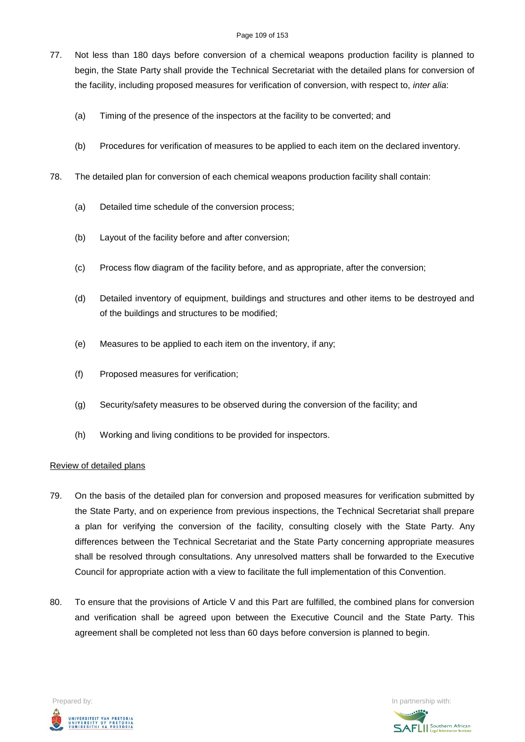#### Page 109 of 153

- 77. Not less than 180 days before conversion of a chemical weapons production facility is planned to begin, the State Party shall provide the Technical Secretariat with the detailed plans for conversion of the facility, including proposed measures for verification of conversion, with respect to, *inter alia*:
	- (a) Timing of the presence of the inspectors at the facility to be converted; and
	- (b) Procedures for verification of measures to be applied to each item on the declared inventory.
- 78. The detailed plan for conversion of each chemical weapons production facility shall contain:
	- (a) Detailed time schedule of the conversion process;
	- (b) Layout of the facility before and after conversion;
	- (c) Process flow diagram of the facility before, and as appropriate, after the conversion;
	- (d) Detailed inventory of equipment, buildings and structures and other items to be destroyed and of the buildings and structures to be modified;
	- (e) Measures to be applied to each item on the inventory, if any;
	- (f) Proposed measures for verification;
	- (g) Security/safety measures to be observed during the conversion of the facility; and
	- (h) Working and living conditions to be provided for inspectors.

# Review of detailed plans

- 79. On the basis of the detailed plan for conversion and proposed measures for verification submitted by the State Party, and on experience from previous inspections, the Technical Secretariat shall prepare a plan for verifying the conversion of the facility, consulting closely with the State Party. Any differences between the Technical Secretariat and the State Party concerning appropriate measures shall be resolved through consultations. Any unresolved matters shall be forwarded to the Executive Council for appropriate action with a view to facilitate the full implementation of this Convention.
- 80. To ensure that the provisions of Article V and this Part are fulfilled, the combined plans for conversion and verification shall be agreed upon between the Executive Council and the State Party. This agreement shall be completed not less than 60 days before conversion is planned to begin.



**SAFLI** Southern African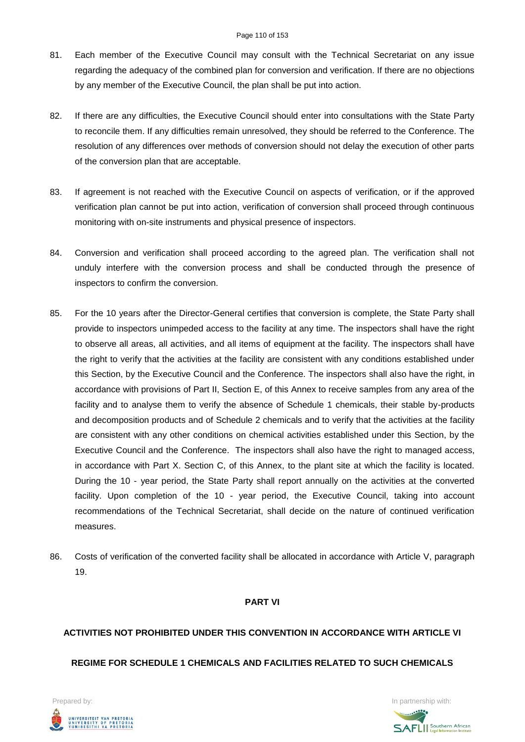- 81. Each member of the Executive Council may consult with the Technical Secretariat on any issue regarding the adequacy of the combined plan for conversion and verification. If there are no objections by any member of the Executive Council, the plan shall be put into action.
- 82. If there are any difficulties, the Executive Council should enter into consultations with the State Party to reconcile them. If any difficulties remain unresolved, they should be referred to the Conference. The resolution of any differences over methods of conversion should not delay the execution of other parts of the conversion plan that are acceptable.
- 83. If agreement is not reached with the Executive Council on aspects of verification, or if the approved verification plan cannot be put into action, verification of conversion shall proceed through continuous monitoring with on-site instruments and physical presence of inspectors.
- 84. Conversion and verification shall proceed according to the agreed plan. The verification shall not unduly interfere with the conversion process and shall be conducted through the presence of inspectors to confirm the conversion.
- 85. For the 10 years after the Director-General certifies that conversion is complete, the State Party shall provide to inspectors unimpeded access to the facility at any time. The inspectors shall have the right to observe all areas, all activities, and all items of equipment at the facility. The inspectors shall have the right to verify that the activities at the facility are consistent with any conditions established under this Section, by the Executive Council and the Conference. The inspectors shall also have the right, in accordance with provisions of Part II, Section E, of this Annex to receive samples from any area of the facility and to analyse them to verify the absence of Schedule 1 chemicals, their stable by-products and decomposition products and of Schedule 2 chemicals and to verify that the activities at the facility are consistent with any other conditions on chemical activities established under this Section, by the Executive Council and the Conference. The inspectors shall also have the right to managed access, in accordance with Part X. Section C, of this Annex, to the plant site at which the facility is located. During the 10 - year period, the State Party shall report annually on the activities at the converted facility. Upon completion of the 10 - year period, the Executive Council, taking into account recommendations of the Technical Secretariat, shall decide on the nature of continued verification measures.
- 86. Costs of verification of the converted facility shall be allocated in accordance with Article V, paragraph 19.

## **PART VI**

## **ACTIVITIES NOT PROHIBITED UNDER THIS CONVENTION IN ACCORDANCE WITH ARTICLE VI**

## **REGIME FOR SCHEDULE 1 CHEMICALS AND FACILITIES RELATED TO SUCH CHEMICALS**



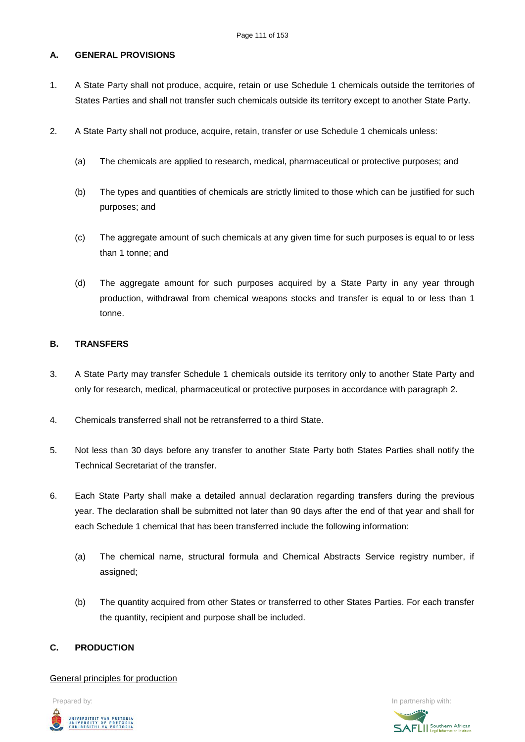# **A. GENERAL PROVISIONS**

- 1. A State Party shall not produce, acquire, retain or use Schedule 1 chemicals outside the territories of States Parties and shall not transfer such chemicals outside its territory except to another State Party.
- 2. A State Party shall not produce, acquire, retain, transfer or use Schedule 1 chemicals unless:
	- (a) The chemicals are applied to research, medical, pharmaceutical or protective purposes; and
	- (b) The types and quantities of chemicals are strictly limited to those which can be justified for such purposes; and
	- (c) The aggregate amount of such chemicals at any given time for such purposes is equal to or less than 1 tonne; and
	- (d) The aggregate amount for such purposes acquired by a State Party in any year through production, withdrawal from chemical weapons stocks and transfer is equal to or less than 1 tonne.

## **B. TRANSFERS**

- 3. A State Party may transfer Schedule 1 chemicals outside its territory only to another State Party and only for research, medical, pharmaceutical or protective purposes in accordance with paragraph 2.
- 4. Chemicals transferred shall not be retransferred to a third State.
- 5. Not less than 30 days before any transfer to another State Party both States Parties shall notify the Technical Secretariat of the transfer.
- 6. Each State Party shall make a detailed annual declaration regarding transfers during the previous year. The declaration shall be submitted not later than 90 days after the end of that year and shall for each Schedule 1 chemical that has been transferred include the following information:
	- (a) The chemical name, structural formula and Chemical Abstracts Service registry number, if assigned;
	- (b) The quantity acquired from other States or transferred to other States Parties. For each transfer the quantity, recipient and purpose shall be included.

# **C. PRODUCTION**

## General principles for production

Prepared by: **In partnership with:**  $\blacksquare$  **In partnership with:**  $\blacksquare$  **In partnership with:**  $\blacksquare$ UNIVERSITEIT VAN PRETORIA<br>UNIVERSITY OF PRETORIA<br>YUNIBESITHI YA PRETORIA

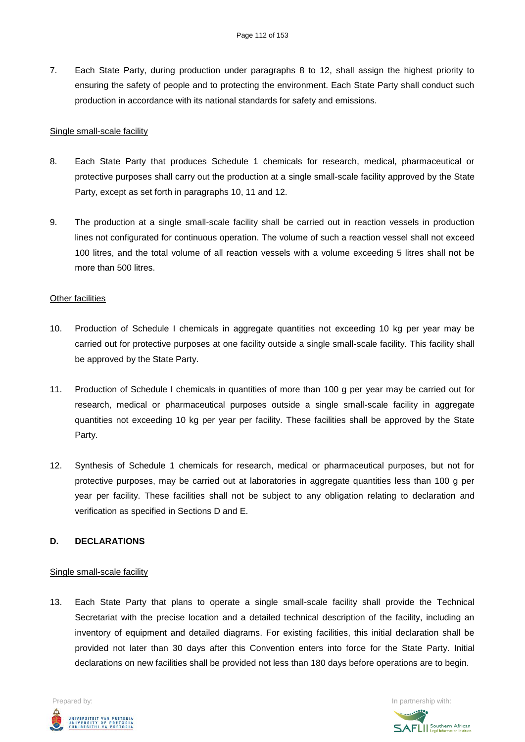7. Each State Party, during production under paragraphs 8 to 12, shall assign the highest priority to ensuring the safety of people and to protecting the environment. Each State Party shall conduct such production in accordance with its national standards for safety and emissions.

#### Single small-scale facility

- 8. Each State Party that produces Schedule 1 chemicals for research, medical, pharmaceutical or protective purposes shall carry out the production at a single small-scale facility approved by the State Party, except as set forth in paragraphs 10, 11 and 12.
- 9. The production at a single small-scale facility shall be carried out in reaction vessels in production lines not configurated for continuous operation. The volume of such a reaction vessel shall not exceed 100 litres, and the total volume of all reaction vessels with a volume exceeding 5 litres shall not be more than 500 litres.

### **Other facilities**

- 10. Production of Schedule I chemicals in aggregate quantities not exceeding 10 kg per year may be carried out for protective purposes at one facility outside a single small-scale facility. This facility shall be approved by the State Party.
- 11. Production of Schedule I chemicals in quantities of more than 100 g per year may be carried out for research, medical or pharmaceutical purposes outside a single small-scale facility in aggregate quantities not exceeding 10 kg per year per facility. These facilities shall be approved by the State Party.
- 12. Synthesis of Schedule 1 chemicals for research, medical or pharmaceutical purposes, but not for protective purposes, may be carried out at laboratories in aggregate quantities less than 100 g per year per facility. These facilities shall not be subject to any obligation relating to declaration and verification as specified in Sections D and E.

## **D. DECLARATIONS**

#### Single small-scale facility

13. Each State Party that plans to operate a single small-scale facility shall provide the Technical Secretariat with the precise location and a detailed technical description of the facility, including an inventory of equipment and detailed diagrams. For existing facilities, this initial declaration shall be provided not later than 30 days after this Convention enters into force for the State Party. Initial declarations on new facilities shall be provided not less than 180 days before operations are to begin.



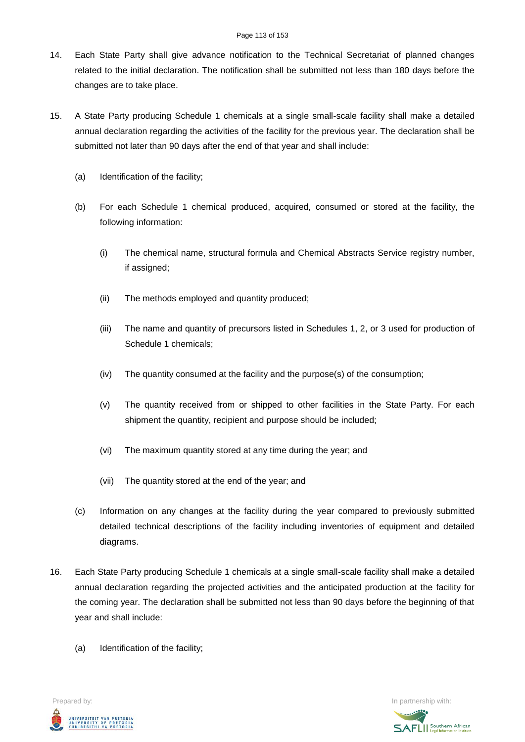- 14. Each State Party shall give advance notification to the Technical Secretariat of planned changes related to the initial declaration. The notification shall be submitted not less than 180 days before the changes are to take place.
- 15. A State Party producing Schedule 1 chemicals at a single small-scale facility shall make a detailed annual declaration regarding the activities of the facility for the previous year. The declaration shall be submitted not later than 90 days after the end of that year and shall include:
	- (a) Identification of the facility;
	- (b) For each Schedule 1 chemical produced, acquired, consumed or stored at the facility, the following information:
		- (i) The chemical name, structural formula and Chemical Abstracts Service registry number, if assigned;
		- (ii) The methods employed and quantity produced;
		- (iii) The name and quantity of precursors listed in Schedules 1, 2, or 3 used for production of Schedule 1 chemicals;
		- (iv) The quantity consumed at the facility and the purpose(s) of the consumption;
		- (v) The quantity received from or shipped to other facilities in the State Party. For each shipment the quantity, recipient and purpose should be included;
		- (vi) The maximum quantity stored at any time during the year; and
		- (vii) The quantity stored at the end of the year; and
	- (c) Information on any changes at the facility during the year compared to previously submitted detailed technical descriptions of the facility including inventories of equipment and detailed diagrams.
- 16. Each State Party producing Schedule 1 chemicals at a single small-scale facility shall make a detailed annual declaration regarding the projected activities and the anticipated production at the facility for the coming year. The declaration shall be submitted not less than 90 days before the beginning of that year and shall include:
	- (a) Identification of the facility;



**SAFLI** Southern African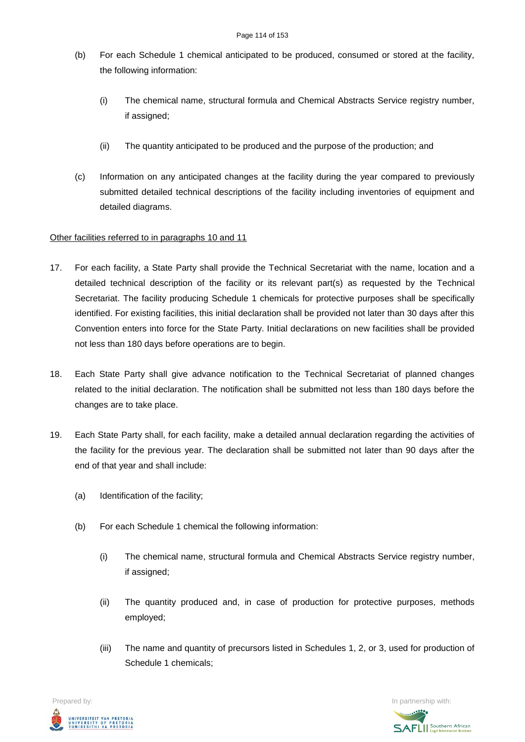- (b) For each Schedule 1 chemical anticipated to be produced, consumed or stored at the facility, the following information:
	- (i) The chemical name, structural formula and Chemical Abstracts Service registry number, if assigned;
	- (ii) The quantity anticipated to be produced and the purpose of the production; and
- (c) Information on any anticipated changes at the facility during the year compared to previously submitted detailed technical descriptions of the facility including inventories of equipment and detailed diagrams.

# Other facilities referred to in paragraphs 10 and 11

- 17. For each facility, a State Party shall provide the Technical Secretariat with the name, location and a detailed technical description of the facility or its relevant part(s) as requested by the Technical Secretariat. The facility producing Schedule 1 chemicals for protective purposes shall be specifically identified. For existing facilities, this initial declaration shall be provided not later than 30 days after this Convention enters into force for the State Party. Initial declarations on new facilities shall be provided not less than 180 days before operations are to begin.
- 18. Each State Party shall give advance notification to the Technical Secretariat of planned changes related to the initial declaration. The notification shall be submitted not less than 180 days before the changes are to take place.
- 19. Each State Party shall, for each facility, make a detailed annual declaration regarding the activities of the facility for the previous year. The declaration shall be submitted not later than 90 days after the end of that year and shall include:
	- (a) Identification of the facility;
	- (b) For each Schedule 1 chemical the following information:
		- (i) The chemical name, structural formula and Chemical Abstracts Service registry number, if assigned;
		- (ii) The quantity produced and, in case of production for protective purposes, methods employed;
		- (iii) The name and quantity of precursors listed in Schedules 1, 2, or 3, used for production of Schedule 1 chemicals;



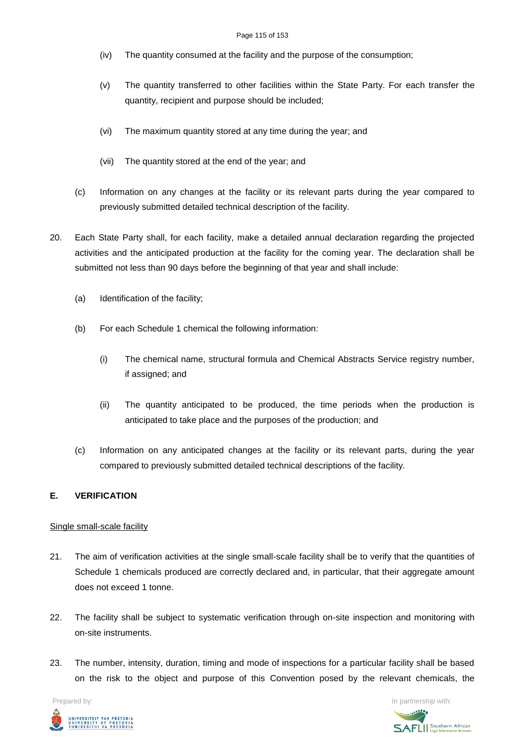- (iv) The quantity consumed at the facility and the purpose of the consumption;
- (v) The quantity transferred to other facilities within the State Party. For each transfer the quantity, recipient and purpose should be included;
- (vi) The maximum quantity stored at any time during the year; and
- (vii) The quantity stored at the end of the year; and
- (c) Information on any changes at the facility or its relevant parts during the year compared to previously submitted detailed technical description of the facility.
- 20. Each State Party shall, for each facility, make a detailed annual declaration regarding the projected activities and the anticipated production at the facility for the coming year. The declaration shall be submitted not less than 90 days before the beginning of that year and shall include:
	- (a) Identification of the facility;
	- (b) For each Schedule 1 chemical the following information:
		- (i) The chemical name, structural formula and Chemical Abstracts Service registry number, if assigned; and
		- (ii) The quantity anticipated to be produced, the time periods when the production is anticipated to take place and the purposes of the production; and
	- (c) Information on any anticipated changes at the facility or its relevant parts, during the year compared to previously submitted detailed technical descriptions of the facility.

## **E. VERIFICATION**

## Single small-scale facility

- 21. The aim of verification activities at the single small-scale facility shall be to verify that the quantities of Schedule 1 chemicals produced are correctly declared and, in particular, that their aggregate amount does not exceed 1 tonne.
- 22. The facility shall be subject to systematic verification through on-site inspection and monitoring with on-site instruments.
- 23. The number, intensity, duration, timing and mode of inspections for a particular facility shall be based on the risk to the object and purpose of this Convention posed by the relevant chemicals, the



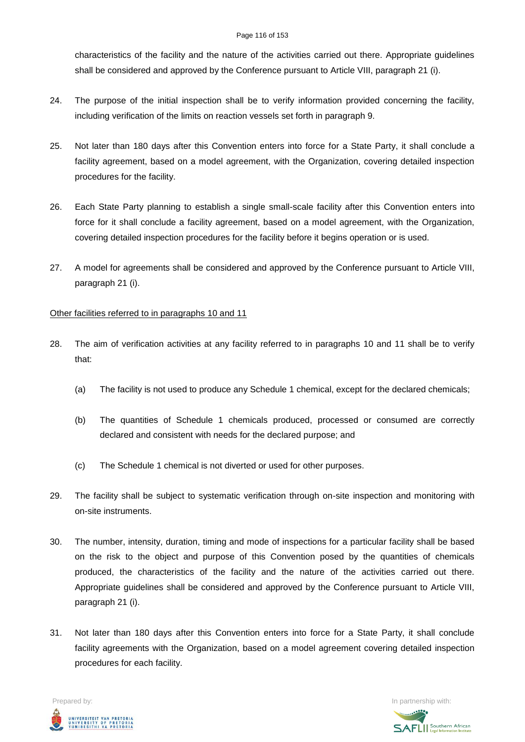#### Page 116 of 153

characteristics of the facility and the nature of the activities carried out there. Appropriate guidelines shall be considered and approved by the Conference pursuant to Article VIII, paragraph 21 (i).

- 24. The purpose of the initial inspection shall be to verify information provided concerning the facility, including verification of the limits on reaction vessels set forth in paragraph 9.
- 25. Not later than 180 days after this Convention enters into force for a State Party, it shall conclude a facility agreement, based on a model agreement, with the Organization, covering detailed inspection procedures for the facility.
- 26. Each State Party planning to establish a single small-scale facility after this Convention enters into force for it shall conclude a facility agreement, based on a model agreement, with the Organization, covering detailed inspection procedures for the facility before it begins operation or is used.
- 27. A model for agreements shall be considered and approved by the Conference pursuant to Article VIII, paragraph 21 (i).

## Other facilities referred to in paragraphs 10 and 11

- 28. The aim of verification activities at any facility referred to in paragraphs 10 and 11 shall be to verify that:
	- (a) The facility is not used to produce any Schedule 1 chemical, except for the declared chemicals;
	- (b) The quantities of Schedule 1 chemicals produced, processed or consumed are correctly declared and consistent with needs for the declared purpose; and
	- (c) The Schedule 1 chemical is not diverted or used for other purposes.
- 29. The facility shall be subject to systematic verification through on-site inspection and monitoring with on-site instruments.
- 30. The number, intensity, duration, timing and mode of inspections for a particular facility shall be based on the risk to the object and purpose of this Convention posed by the quantities of chemicals produced, the characteristics of the facility and the nature of the activities carried out there. Appropriate guidelines shall be considered and approved by the Conference pursuant to Article VIII, paragraph 21 (i).
- 31. Not later than 180 days after this Convention enters into force for a State Party, it shall conclude facility agreements with the Organization, based on a model agreement covering detailed inspection procedures for each facility.



**SAFLI** Southern African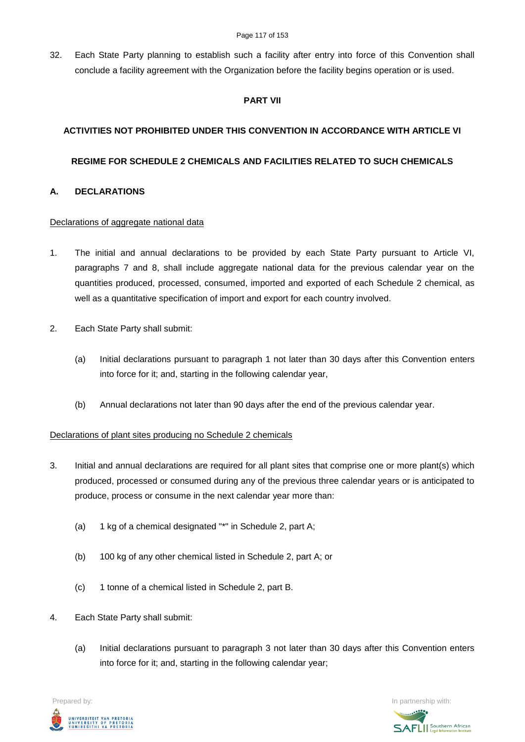32. Each State Party planning to establish such a facility after entry into force of this Convention shall conclude a facility agreement with the Organization before the facility begins operation or is used.

## **PART VII**

## **ACTIVITIES NOT PROHIBITED UNDER THIS CONVENTION IN ACCORDANCE WITH ARTICLE VI**

## **REGIME FOR SCHEDULE 2 CHEMICALS AND FACILITIES RELATED TO SUCH CHEMICALS**

## **A. DECLARATIONS**

#### Declarations of aggregate national data

- 1. The initial and annual declarations to be provided by each State Party pursuant to Article VI, paragraphs 7 and 8, shall include aggregate national data for the previous calendar year on the quantities produced, processed, consumed, imported and exported of each Schedule 2 chemical, as well as a quantitative specification of import and export for each country involved.
- 2. Each State Party shall submit:
	- (a) Initial declarations pursuant to paragraph 1 not later than 30 days after this Convention enters into force for it; and, starting in the following calendar year,
	- (b) Annual declarations not later than 90 days after the end of the previous calendar year.

## Declarations of plant sites producing no Schedule 2 chemicals

- 3. Initial and annual declarations are required for all plant sites that comprise one or more plant(s) which produced, processed or consumed during any of the previous three calendar years or is anticipated to produce, process or consume in the next calendar year more than:
	- (a) 1 kg of a chemical designated "\*" in Schedule 2, part A;
	- (b) 100 kg of any other chemical listed in Schedule 2, part A; or
	- (c) 1 tonne of a chemical listed in Schedule 2, part B.
- 4. Each State Party shall submit:
	- (a) Initial declarations pursuant to paragraph 3 not later than 30 days after this Convention enters into force for it; and, starting in the following calendar year;



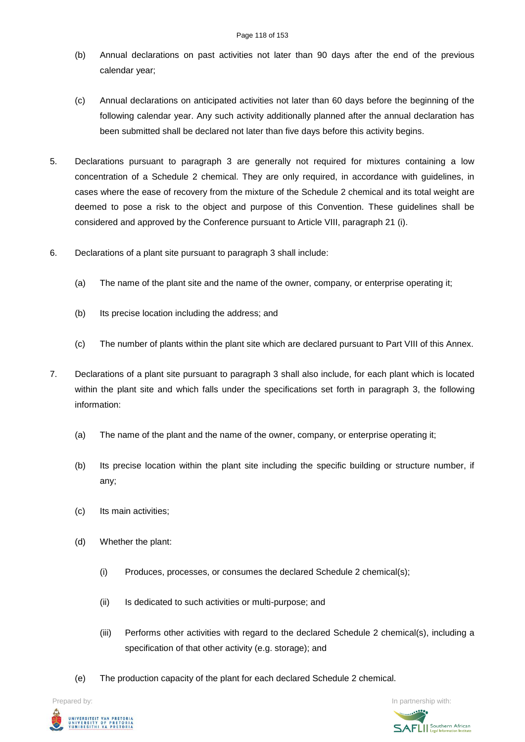- (b) Annual declarations on past activities not later than 90 days after the end of the previous calendar year;
- (c) Annual declarations on anticipated activities not later than 60 days before the beginning of the following calendar year. Any such activity additionally planned after the annual declaration has been submitted shall be declared not later than five days before this activity begins.
- 5. Declarations pursuant to paragraph 3 are generally not required for mixtures containing a low concentration of a Schedule 2 chemical. They are only required, in accordance with guidelines, in cases where the ease of recovery from the mixture of the Schedule 2 chemical and its total weight are deemed to pose a risk to the object and purpose of this Convention. These guidelines shall be considered and approved by the Conference pursuant to Article VIII, paragraph 21 (i).
- 6. Declarations of a plant site pursuant to paragraph 3 shall include:
	- (a) The name of the plant site and the name of the owner, company, or enterprise operating it;
	- (b) Its precise location including the address; and
	- (c) The number of plants within the plant site which are declared pursuant to Part VIII of this Annex.
- 7. Declarations of a plant site pursuant to paragraph 3 shall also include, for each plant which is located within the plant site and which falls under the specifications set forth in paragraph 3, the following information:
	- (a) The name of the plant and the name of the owner, company, or enterprise operating it;
	- (b) Its precise location within the plant site including the specific building or structure number, if any;
	- (c) Its main activities;
	- (d) Whether the plant:
		- (i) Produces, processes, or consumes the declared Schedule 2 chemical(s);
		- (ii) Is dedicated to such activities or multi-purpose; and
		- (iii) Performs other activities with regard to the declared Schedule 2 chemical(s), including a specification of that other activity (e.g. storage); and
	- (e) The production capacity of the plant for each declared Schedule 2 chemical.

UNIVERSITEIT VAN PRETORIA<br>UNIVERSITY OF PRETORIA<br>YUNIBESITHI YA PRETORIA

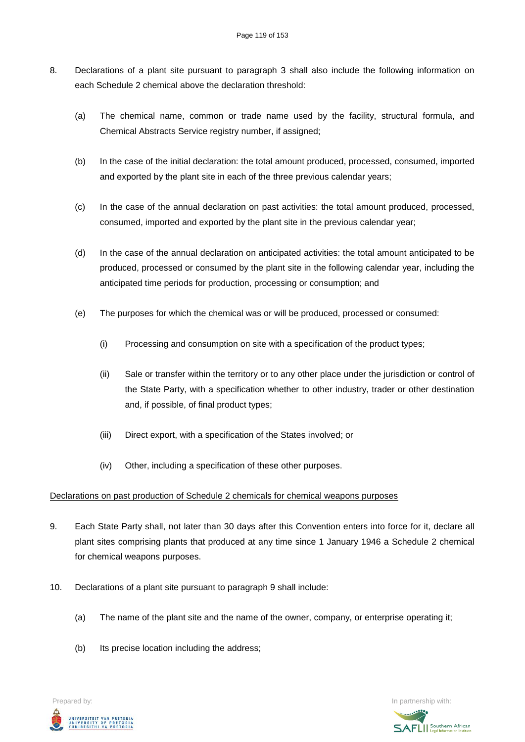- 8. Declarations of a plant site pursuant to paragraph 3 shall also include the following information on each Schedule 2 chemical above the declaration threshold:
	- (a) The chemical name, common or trade name used by the facility, structural formula, and Chemical Abstracts Service registry number, if assigned;
	- (b) In the case of the initial declaration: the total amount produced, processed, consumed, imported and exported by the plant site in each of the three previous calendar years;
	- (c) In the case of the annual declaration on past activities: the total amount produced, processed, consumed, imported and exported by the plant site in the previous calendar year;
	- (d) In the case of the annual declaration on anticipated activities: the total amount anticipated to be produced, processed or consumed by the plant site in the following calendar year, including the anticipated time periods for production, processing or consumption; and
	- (e) The purposes for which the chemical was or will be produced, processed or consumed:
		- (i) Processing and consumption on site with a specification of the product types;
		- (ii) Sale or transfer within the territory or to any other place under the jurisdiction or control of the State Party, with a specification whether to other industry, trader or other destination and, if possible, of final product types;
		- (iii) Direct export, with a specification of the States involved; or
		- (iv) Other, including a specification of these other purposes.

## Declarations on past production of Schedule 2 chemicals for chemical weapons purposes

- 9. Each State Party shall, not later than 30 days after this Convention enters into force for it, declare all plant sites comprising plants that produced at any time since 1 January 1946 a Schedule 2 chemical for chemical weapons purposes.
- 10. Declarations of a plant site pursuant to paragraph 9 shall include:
	- (a) The name of the plant site and the name of the owner, company, or enterprise operating it;
	- (b) Its precise location including the address;



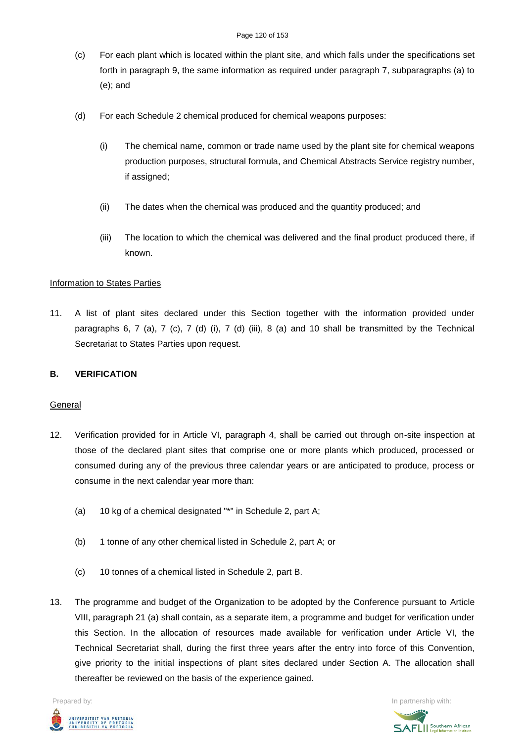- (c) For each plant which is located within the plant site, and which falls under the specifications set forth in paragraph 9, the same information as required under paragraph 7, subparagraphs (a) to (e); and
- (d) For each Schedule 2 chemical produced for chemical weapons purposes:
	- (i) The chemical name, common or trade name used by the plant site for chemical weapons production purposes, structural formula, and Chemical Abstracts Service registry number, if assigned;
	- (ii) The dates when the chemical was produced and the quantity produced; and
	- (iii) The location to which the chemical was delivered and the final product produced there, if known.

## Information to States Parties

11. A list of plant sites declared under this Section together with the information provided under paragraphs 6, 7 (a), 7 (c), 7 (d) (i), 7 (d) (iii), 8 (a) and 10 shall be transmitted by the Technical Secretariat to States Parties upon request.

## **B. VERIFICATION**

## General

- 12. Verification provided for in Article VI, paragraph 4, shall be carried out through on-site inspection at those of the declared plant sites that comprise one or more plants which produced, processed or consumed during any of the previous three calendar years or are anticipated to produce, process or consume in the next calendar year more than:
	- (a) 10 kg of a chemical designated "\*" in Schedule 2, part A;
	- (b) 1 tonne of any other chemical listed in Schedule 2, part A; or
	- (c) 10 tonnes of a chemical listed in Schedule 2, part B.
- 13. The programme and budget of the Organization to be adopted by the Conference pursuant to Article VIII, paragraph 21 (a) shall contain, as a separate item, a programme and budget for verification under this Section. In the allocation of resources made available for verification under Article VI, the Technical Secretariat shall, during the first three years after the entry into force of this Convention, give priority to the initial inspections of plant sites declared under Section A. The allocation shall thereafter be reviewed on the basis of the experience gained.



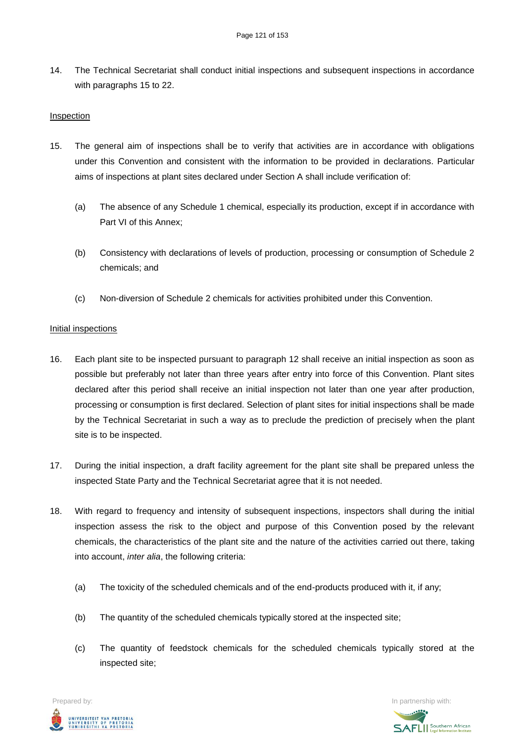14. The Technical Secretariat shall conduct initial inspections and subsequent inspections in accordance with paragraphs 15 to 22.

#### Inspection

- 15. The general aim of inspections shall be to verify that activities are in accordance with obligations under this Convention and consistent with the information to be provided in declarations. Particular aims of inspections at plant sites declared under Section A shall include verification of:
	- (a) The absence of any Schedule 1 chemical, especially its production, except if in accordance with Part VI of this Annex;
	- (b) Consistency with declarations of levels of production, processing or consumption of Schedule 2 chemicals; and
	- (c) Non-diversion of Schedule 2 chemicals for activities prohibited under this Convention.

#### Initial inspections

- 16. Each plant site to be inspected pursuant to paragraph 12 shall receive an initial inspection as soon as possible but preferably not later than three years after entry into force of this Convention. Plant sites declared after this period shall receive an initial inspection not later than one year after production, processing or consumption is first declared. Selection of plant sites for initial inspections shall be made by the Technical Secretariat in such a way as to preclude the prediction of precisely when the plant site is to be inspected.
- 17. During the initial inspection, a draft facility agreement for the plant site shall be prepared unless the inspected State Party and the Technical Secretariat agree that it is not needed.
- 18. With regard to frequency and intensity of subsequent inspections, inspectors shall during the initial inspection assess the risk to the object and purpose of this Convention posed by the relevant chemicals, the characteristics of the plant site and the nature of the activities carried out there, taking into account, *inter alia*, the following criteria:
	- (a) The toxicity of the scheduled chemicals and of the end-products produced with it, if any;
	- (b) The quantity of the scheduled chemicals typically stored at the inspected site;
	- (c) The quantity of feedstock chemicals for the scheduled chemicals typically stored at the inspected site;



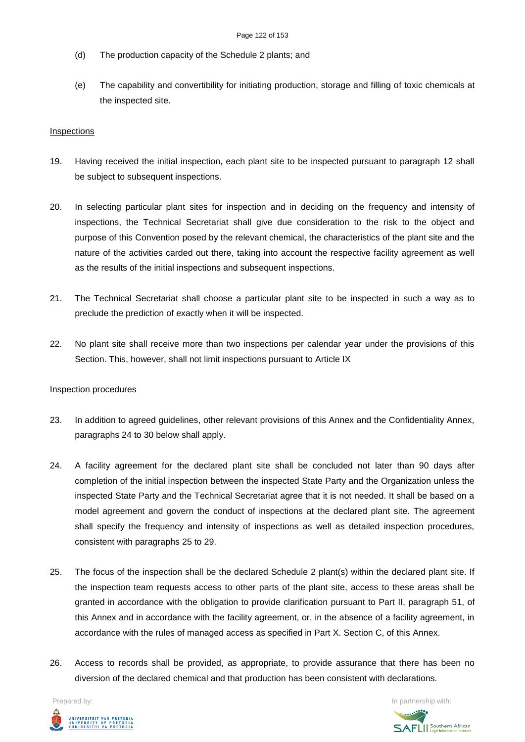- (d) The production capacity of the Schedule 2 plants; and
- (e) The capability and convertibility for initiating production, storage and filling of toxic chemicals at the inspected site.

#### Inspections

- 19. Having received the initial inspection, each plant site to be inspected pursuant to paragraph 12 shall be subject to subsequent inspections.
- 20. In selecting particular plant sites for inspection and in deciding on the frequency and intensity of inspections, the Technical Secretariat shall give due consideration to the risk to the object and purpose of this Convention posed by the relevant chemical, the characteristics of the plant site and the nature of the activities carded out there, taking into account the respective facility agreement as well as the results of the initial inspections and subsequent inspections.
- 21. The Technical Secretariat shall choose a particular plant site to be inspected in such a way as to preclude the prediction of exactly when it will be inspected.
- 22. No plant site shall receive more than two inspections per calendar year under the provisions of this Section. This, however, shall not limit inspections pursuant to Article IX

#### Inspection procedures

- 23. In addition to agreed guidelines, other relevant provisions of this Annex and the Confidentiality Annex, paragraphs 24 to 30 below shall apply.
- 24. A facility agreement for the declared plant site shall be concluded not later than 90 days after completion of the initial inspection between the inspected State Party and the Organization unless the inspected State Party and the Technical Secretariat agree that it is not needed. It shall be based on a model agreement and govern the conduct of inspections at the declared plant site. The agreement shall specify the frequency and intensity of inspections as well as detailed inspection procedures, consistent with paragraphs 25 to 29.
- 25. The focus of the inspection shall be the declared Schedule 2 plant(s) within the declared plant site. If the inspection team requests access to other parts of the plant site, access to these areas shall be granted in accordance with the obligation to provide clarification pursuant to Part II, paragraph 51, of this Annex and in accordance with the facility agreement, or, in the absence of a facility agreement, in accordance with the rules of managed access as specified in Part X. Section C, of this Annex.
- 26. Access to records shall be provided, as appropriate, to provide assurance that there has been no diversion of the declared chemical and that production has been consistent with declarations.

UNIVERSITEIT VAN PRETORIA<br>UNIVERSITY OF PRETORIA<br>YUNIBESITHI YA PRETORIA

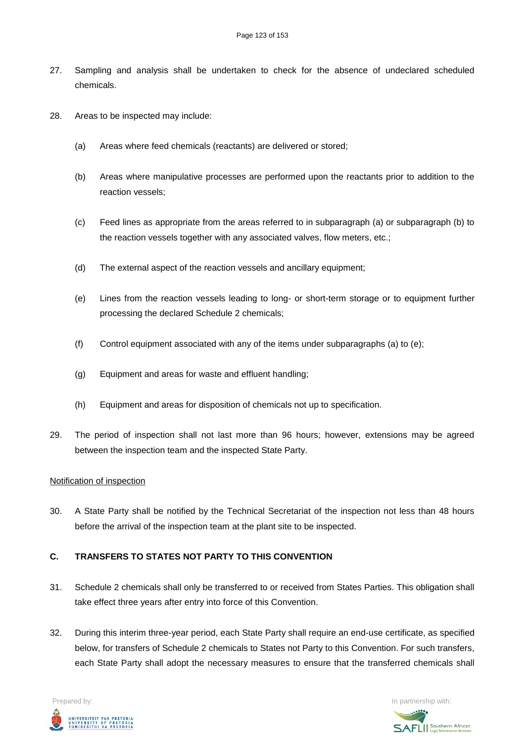- 27. Sampling and analysis shall be undertaken to check for the absence of undeclared scheduled chemicals.
- 28. Areas to be inspected may include:
	- (a) Areas where feed chemicals (reactants) are delivered or stored;
	- (b) Areas where manipulative processes are performed upon the reactants prior to addition to the reaction vessels;
	- (c) Feed lines as appropriate from the areas referred to in subparagraph (a) or subparagraph (b) to the reaction vessels together with any associated valves, flow meters, etc.;
	- (d) The external aspect of the reaction vessels and ancillary equipment;
	- (e) Lines from the reaction vessels leading to long- or short-term storage or to equipment further processing the declared Schedule 2 chemicals;
	- (f) Control equipment associated with any of the items under subparagraphs (a) to (e);
	- (g) Equipment and areas for waste and effluent handling;
	- (h) Equipment and areas for disposition of chemicals not up to specification.
- 29. The period of inspection shall not last more than 96 hours; however, extensions may be agreed between the inspection team and the inspected State Party.

#### Notification of inspection

30. A State Party shall be notified by the Technical Secretariat of the inspection not less than 48 hours before the arrival of the inspection team at the plant site to be inspected.

## **C. TRANSFERS TO STATES NOT PARTY TO THIS CONVENTION**

- 31. Schedule 2 chemicals shall only be transferred to or received from States Parties. This obligation shall take effect three years after entry into force of this Convention.
- 32. During this interim three-year period, each State Party shall require an end-use certificate, as specified below, for transfers of Schedule 2 chemicals to States not Party to this Convention. For such transfers, each State Party shall adopt the necessary measures to ensure that the transferred chemicals shall



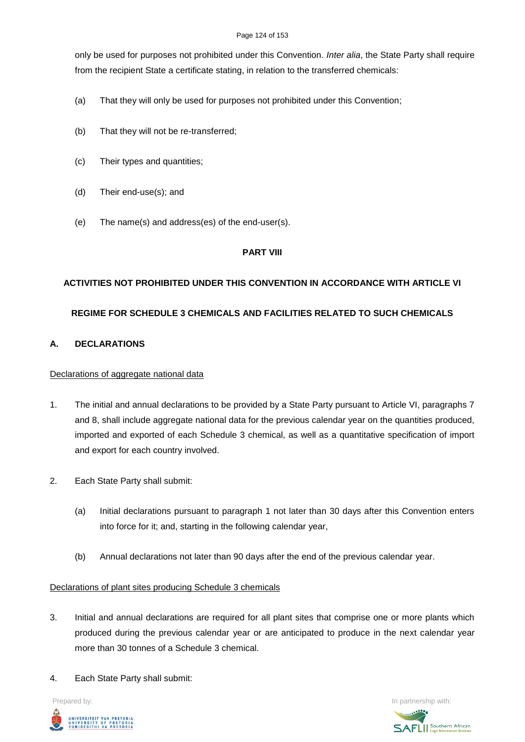#### Page 124 of 153

only be used for purposes not prohibited under this Convention. *Inter alia*, the State Party shall require from the recipient State a certificate stating, in relation to the transferred chemicals:

- (a) That they will only be used for purposes not prohibited under this Convention;
- (b) That they will not be re-transferred;
- (c) Their types and quantities;
- (d) Their end-use(s); and
- (e) The name(s) and address(es) of the end-user(s).

# **PART VIII**

# **ACTIVITIES NOT PROHIBITED UNDER THIS CONVENTION IN ACCORDANCE WITH ARTICLE VI**

# **REGIME FOR SCHEDULE 3 CHEMICALS AND FACILITIES RELATED TO SUCH CHEMICALS**

# **A. DECLARATIONS**

# Declarations of aggregate national data

- 1. The initial and annual declarations to be provided by a State Party pursuant to Article VI, paragraphs 7 and 8, shall include aggregate national data for the previous calendar year on the quantities produced, imported and exported of each Schedule 3 chemical, as well as a quantitative specification of import and export for each country involved.
- 2. Each State Party shall submit:
	- (a) Initial declarations pursuant to paragraph 1 not later than 30 days after this Convention enters into force for it; and, starting in the following calendar year,
	- (b) Annual declarations not later than 90 days after the end of the previous calendar year.

# Declarations of plant sites producing Schedule 3 chemicals

- 3. Initial and annual declarations are required for all plant sites that comprise one or more plants which produced during the previous calendar year or are anticipated to produce in the next calendar year more than 30 tonnes of a Schedule 3 chemical.
- 4. Each State Party shall submit:

UNIVERSITEIT VAN PRETORIA<br>UNIVERSITY OF PRETORIA<br>YUNIBESITHI YA PRETORIA

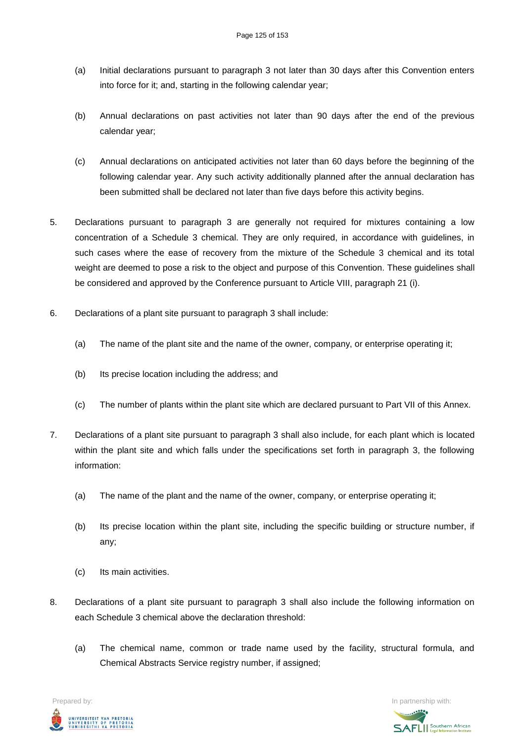- (a) Initial declarations pursuant to paragraph 3 not later than 30 days after this Convention enters into force for it; and, starting in the following calendar year;
- (b) Annual declarations on past activities not later than 90 days after the end of the previous calendar year;
- (c) Annual declarations on anticipated activities not later than 60 days before the beginning of the following calendar year. Any such activity additionally planned after the annual declaration has been submitted shall be declared not later than five days before this activity begins.
- 5. Declarations pursuant to paragraph 3 are generally not required for mixtures containing a low concentration of a Schedule 3 chemical. They are only required, in accordance with guidelines, in such cases where the ease of recovery from the mixture of the Schedule 3 chemical and its total weight are deemed to pose a risk to the object and purpose of this Convention. These guidelines shall be considered and approved by the Conference pursuant to Article VIII, paragraph 21 (i).
- 6. Declarations of a plant site pursuant to paragraph 3 shall include:
	- (a) The name of the plant site and the name of the owner, company, or enterprise operating it;
	- (b) Its precise location including the address; and
	- (c) The number of plants within the plant site which are declared pursuant to Part VII of this Annex.
- 7. Declarations of a plant site pursuant to paragraph 3 shall also include, for each plant which is located within the plant site and which falls under the specifications set forth in paragraph 3, the following information:
	- (a) The name of the plant and the name of the owner, company, or enterprise operating it;
	- (b) Its precise location within the plant site, including the specific building or structure number, if any;
	- (c) Its main activities.
- 8. Declarations of a plant site pursuant to paragraph 3 shall also include the following information on each Schedule 3 chemical above the declaration threshold:
	- (a) The chemical name, common or trade name used by the facility, structural formula, and Chemical Abstracts Service registry number, if assigned;



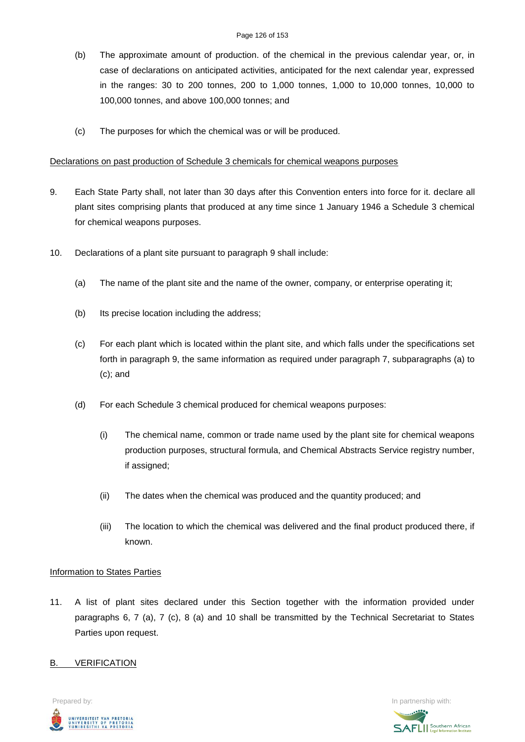- (b) The approximate amount of production. of the chemical in the previous calendar year, or, in case of declarations on anticipated activities, anticipated for the next calendar year, expressed in the ranges: 30 to 200 tonnes, 200 to 1,000 tonnes, 1,000 to 10,000 tonnes, 10,000 to 100,000 tonnes, and above 100,000 tonnes; and
- (c) The purposes for which the chemical was or will be produced.

### Declarations on past production of Schedule 3 chemicals for chemical weapons purposes

- 9. Each State Party shall, not later than 30 days after this Convention enters into force for it. declare all plant sites comprising plants that produced at any time since 1 January 1946 a Schedule 3 chemical for chemical weapons purposes.
- 10. Declarations of a plant site pursuant to paragraph 9 shall include:
	- (a) The name of the plant site and the name of the owner, company, or enterprise operating it;
	- (b) Its precise location including the address;
	- (c) For each plant which is located within the plant site, and which falls under the specifications set forth in paragraph 9, the same information as required under paragraph 7, subparagraphs (a) to (c); and
	- (d) For each Schedule 3 chemical produced for chemical weapons purposes:
		- (i) The chemical name, common or trade name used by the plant site for chemical weapons production purposes, structural formula, and Chemical Abstracts Service registry number, if assigned;
		- (ii) The dates when the chemical was produced and the quantity produced; and
		- (iii) The location to which the chemical was delivered and the final product produced there, if known.

#### Information to States Parties

11. A list of plant sites declared under this Section together with the information provided under paragraphs 6, 7 (a), 7 (c), 8 (a) and 10 shall be transmitted by the Technical Secretariat to States Parties upon request.

## B. VERIFICATION



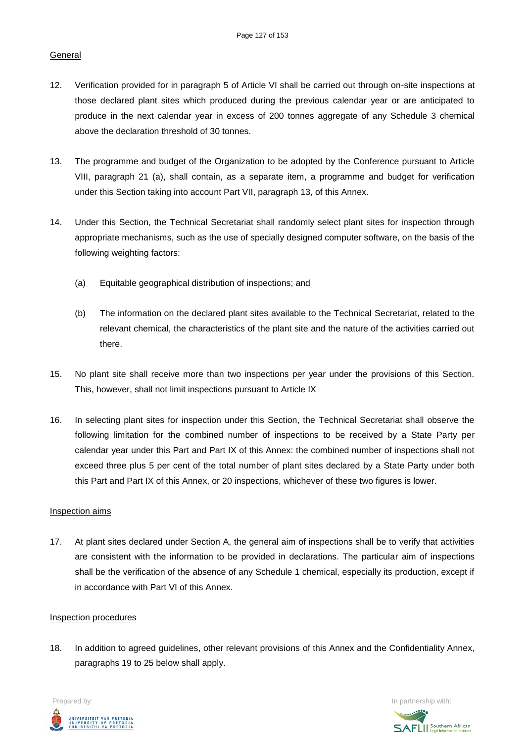## General

- 12. Verification provided for in paragraph 5 of Article VI shall be carried out through on-site inspections at those declared plant sites which produced during the previous calendar year or are anticipated to produce in the next calendar year in excess of 200 tonnes aggregate of any Schedule 3 chemical above the declaration threshold of 30 tonnes.
- 13. The programme and budget of the Organization to be adopted by the Conference pursuant to Article VIII, paragraph 21 (a), shall contain, as a separate item, a programme and budget for verification under this Section taking into account Part VII, paragraph 13, of this Annex.
- 14. Under this Section, the Technical Secretariat shall randomly select plant sites for inspection through appropriate mechanisms, such as the use of specially designed computer software, on the basis of the following weighting factors:
	- (a) Equitable geographical distribution of inspections; and
	- (b) The information on the declared plant sites available to the Technical Secretariat, related to the relevant chemical, the characteristics of the plant site and the nature of the activities carried out there.
- 15. No plant site shall receive more than two inspections per year under the provisions of this Section. This, however, shall not limit inspections pursuant to Article IX
- 16. In selecting plant sites for inspection under this Section, the Technical Secretariat shall observe the following limitation for the combined number of inspections to be received by a State Party per calendar year under this Part and Part IX of this Annex: the combined number of inspections shall not exceed three plus 5 per cent of the total number of plant sites declared by a State Party under both this Part and Part IX of this Annex, or 20 inspections, whichever of these two figures is lower.

#### Inspection aims

17. At plant sites declared under Section A, the general aim of inspections shall be to verify that activities are consistent with the information to be provided in declarations. The particular aim of inspections shall be the verification of the absence of any Schedule 1 chemical, especially its production, except if in accordance with Part VI of this Annex.

#### Inspection procedures

18. In addition to agreed guidelines, other relevant provisions of this Annex and the Confidentiality Annex, paragraphs 19 to 25 below shall apply.



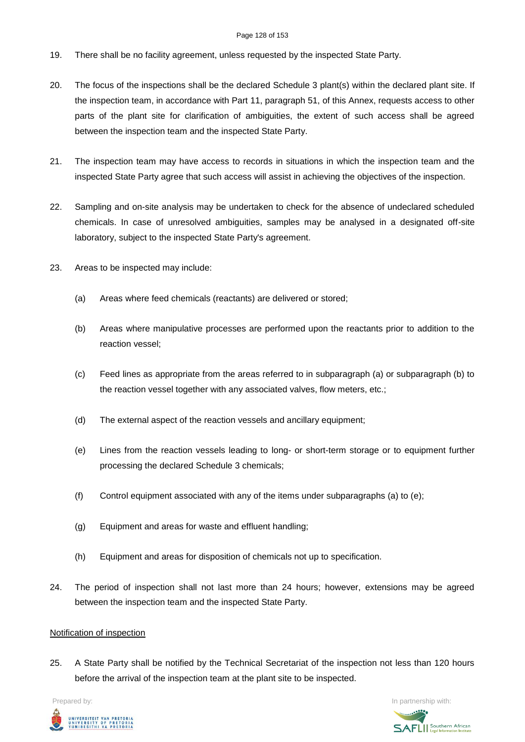#### Page 128 of 153

- 19. There shall be no facility agreement, unless requested by the inspected State Party.
- 20. The focus of the inspections shall be the declared Schedule 3 plant(s) within the declared plant site. If the inspection team, in accordance with Part 11, paragraph 51, of this Annex, requests access to other parts of the plant site for clarification of ambiguities, the extent of such access shall be agreed between the inspection team and the inspected State Party.
- 21. The inspection team may have access to records in situations in which the inspection team and the inspected State Party agree that such access will assist in achieving the objectives of the inspection.
- 22. Sampling and on-site analysis may be undertaken to check for the absence of undeclared scheduled chemicals. In case of unresolved ambiguities, samples may be analysed in a designated off-site laboratory, subject to the inspected State Party's agreement.
- 23. Areas to be inspected may include:
	- (a) Areas where feed chemicals (reactants) are delivered or stored;
	- (b) Areas where manipulative processes are performed upon the reactants prior to addition to the reaction vessel;
	- (c) Feed lines as appropriate from the areas referred to in subparagraph (a) or subparagraph (b) to the reaction vessel together with any associated valves, flow meters, etc.;
	- (d) The external aspect of the reaction vessels and ancillary equipment;
	- (e) Lines from the reaction vessels leading to long- or short-term storage or to equipment further processing the declared Schedule 3 chemicals;
	- (f) Control equipment associated with any of the items under subparagraphs (a) to (e);
	- (g) Equipment and areas for waste and effluent handling;
	- (h) Equipment and areas for disposition of chemicals not up to specification.
- 24. The period of inspection shall not last more than 24 hours; however, extensions may be agreed between the inspection team and the inspected State Party.

## Notification of inspection

25. A State Party shall be notified by the Technical Secretariat of the inspection not less than 120 hours before the arrival of the inspection team at the plant site to be inspected.



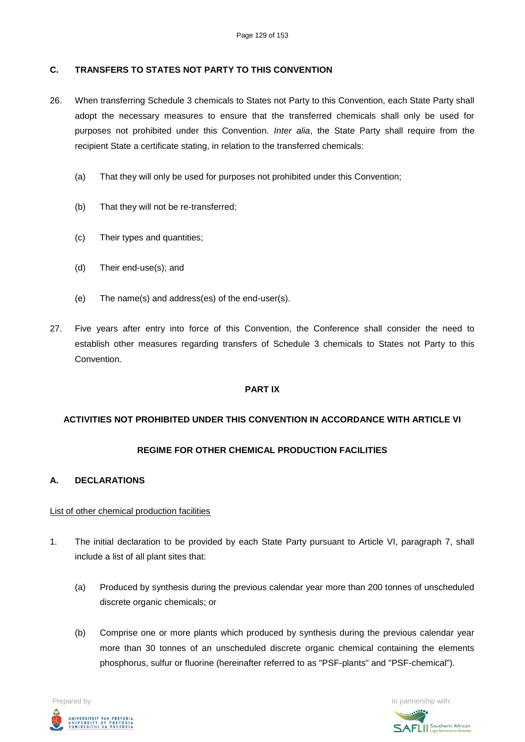# **C. TRANSFERS TO STATES NOT PARTY TO THIS CONVENTION**

- 26. When transferring Schedule 3 chemicals to States not Party to this Convention, each State Party shall adopt the necessary measures to ensure that the transferred chemicals shall only be used for purposes not prohibited under this Convention. *Inter alia*, the State Party shall require from the recipient State a certificate stating, in relation to the transferred chemicals:
	- (a) That they will only be used for purposes not prohibited under this Convention;
	- (b) That they will not be re-transferred;
	- (c) Their types and quantities;
	- (d) Their end-use(s); and
	- (e) The name(s) and address(es) of the end-user(s).
- 27. Five years after entry into force of this Convention, the Conference shall consider the need to establish other measures regarding transfers of Schedule 3 chemicals to States not Party to this Convention.

## **PART IX**

## **ACTIVITIES NOT PROHIBITED UNDER THIS CONVENTION IN ACCORDANCE WITH ARTICLE VI**

# **REGIME FOR OTHER CHEMICAL PRODUCTION FACILITIES**

# **A. DECLARATIONS**

## List of other chemical production facilities

- 1. The initial declaration to be provided by each State Party pursuant to Article VI, paragraph 7, shall include a list of all plant sites that:
	- (a) Produced by synthesis during the previous calendar year more than 200 tonnes of unscheduled discrete organic chemicals; or
	- (b) Comprise one or more plants which produced by synthesis during the previous calendar year more than 30 tonnes of an unscheduled discrete organic chemical containing the elements phosphorus, sulfur or fluorine (hereinafter referred to as "PSF-plants" and "PSF-chemical").



**SAFLI** Southern African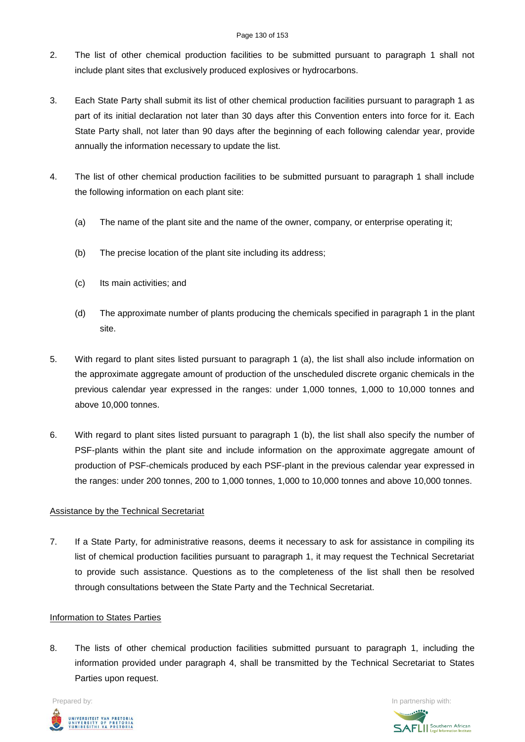#### Page 130 of 153

- 2. The list of other chemical production facilities to be submitted pursuant to paragraph 1 shall not include plant sites that exclusively produced explosives or hydrocarbons.
- 3. Each State Party shall submit its list of other chemical production facilities pursuant to paragraph 1 as part of its initial declaration not later than 30 days after this Convention enters into force for it. Each State Party shall, not later than 90 days after the beginning of each following calendar year, provide annually the information necessary to update the list.
- 4. The list of other chemical production facilities to be submitted pursuant to paragraph 1 shall include the following information on each plant site:
	- (a) The name of the plant site and the name of the owner, company, or enterprise operating it;
	- (b) The precise location of the plant site including its address;
	- (c) Its main activities; and
	- (d) The approximate number of plants producing the chemicals specified in paragraph 1 in the plant site.
- 5. With regard to plant sites listed pursuant to paragraph 1 (a), the list shall also include information on the approximate aggregate amount of production of the unscheduled discrete organic chemicals in the previous calendar year expressed in the ranges: under 1,000 tonnes, 1,000 to 10,000 tonnes and above 10,000 tonnes.
- 6. With regard to plant sites listed pursuant to paragraph 1 (b), the list shall also specify the number of PSF-plants within the plant site and include information on the approximate aggregate amount of production of PSF-chemicals produced by each PSF-plant in the previous calendar year expressed in the ranges: under 200 tonnes, 200 to 1,000 tonnes, 1,000 to 10,000 tonnes and above 10,000 tonnes.

# Assistance by the Technical Secretariat

7. If a State Party, for administrative reasons, deems it necessary to ask for assistance in compiling its list of chemical production facilities pursuant to paragraph 1, it may request the Technical Secretariat to provide such assistance. Questions as to the completeness of the list shall then be resolved through consultations between the State Party and the Technical Secretariat.

## Information to States Parties

8. The lists of other chemical production facilities submitted pursuant to paragraph 1, including the information provided under paragraph 4, shall be transmitted by the Technical Secretariat to States Parties upon request.



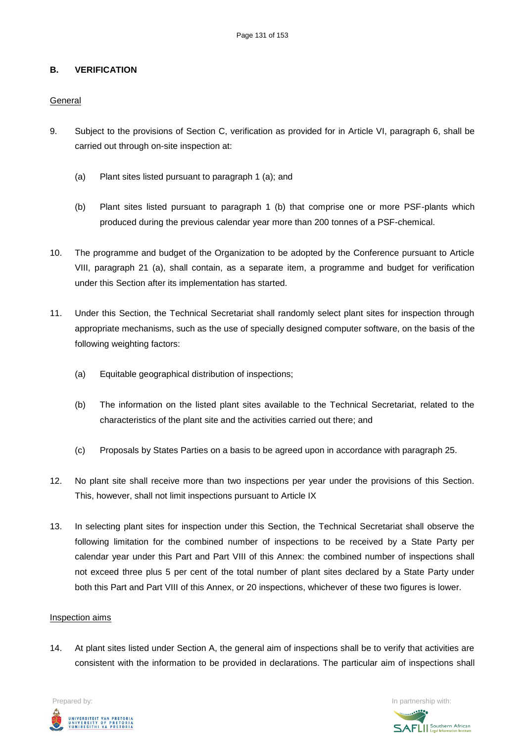## **B. VERIFICATION**

## General

- 9. Subject to the provisions of Section C, verification as provided for in Article VI, paragraph 6, shall be carried out through on-site inspection at:
	- (a) Plant sites listed pursuant to paragraph 1 (a); and
	- (b) Plant sites listed pursuant to paragraph 1 (b) that comprise one or more PSF-plants which produced during the previous calendar year more than 200 tonnes of a PSF-chemical.
- 10. The programme and budget of the Organization to be adopted by the Conference pursuant to Article VIII, paragraph 21 (a), shall contain, as a separate item, a programme and budget for verification under this Section after its implementation has started.
- 11. Under this Section, the Technical Secretariat shall randomly select plant sites for inspection through appropriate mechanisms, such as the use of specially designed computer software, on the basis of the following weighting factors:
	- (a) Equitable geographical distribution of inspections;
	- (b) The information on the listed plant sites available to the Technical Secretariat, related to the characteristics of the plant site and the activities carried out there; and
	- (c) Proposals by States Parties on a basis to be agreed upon in accordance with paragraph 25.
- 12. No plant site shall receive more than two inspections per year under the provisions of this Section. This, however, shall not limit inspections pursuant to Article IX
- 13. In selecting plant sites for inspection under this Section, the Technical Secretariat shall observe the following limitation for the combined number of inspections to be received by a State Party per calendar year under this Part and Part VIII of this Annex: the combined number of inspections shall not exceed three plus 5 per cent of the total number of plant sites declared by a State Party under both this Part and Part VIII of this Annex, or 20 inspections, whichever of these two figures is lower.

### Inspection aims

14. At plant sites listed under Section A, the general aim of inspections shall be to verify that activities are consistent with the information to be provided in declarations. The particular aim of inspections shall



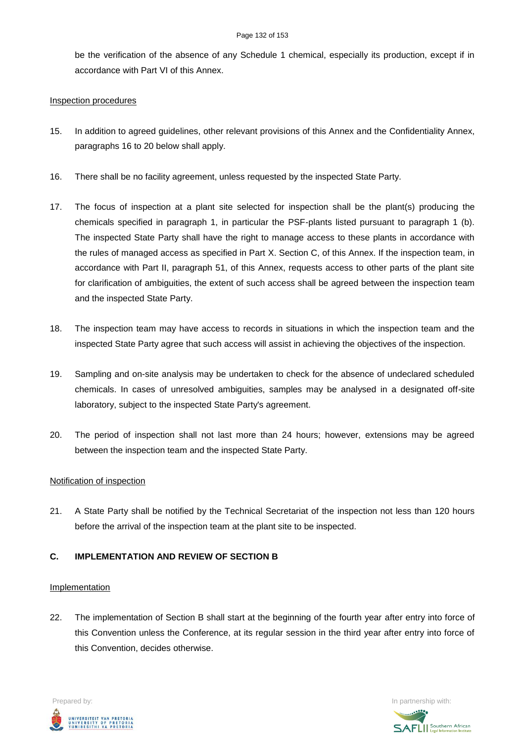#### Page 132 of 153

be the verification of the absence of any Schedule 1 chemical, especially its production, except if in accordance with Part VI of this Annex.

#### Inspection procedures

- 15. In addition to agreed guidelines, other relevant provisions of this Annex and the Confidentiality Annex, paragraphs 16 to 20 below shall apply.
- 16. There shall be no facility agreement, unless requested by the inspected State Party.
- 17. The focus of inspection at a plant site selected for inspection shall be the plant(s) producing the chemicals specified in paragraph 1, in particular the PSF-plants listed pursuant to paragraph 1 (b). The inspected State Party shall have the right to manage access to these plants in accordance with the rules of managed access as specified in Part X. Section C, of this Annex. If the inspection team, in accordance with Part II, paragraph 51, of this Annex, requests access to other parts of the plant site for clarification of ambiguities, the extent of such access shall be agreed between the inspection team and the inspected State Party.
- 18. The inspection team may have access to records in situations in which the inspection team and the inspected State Party agree that such access will assist in achieving the objectives of the inspection.
- 19. Sampling and on-site analysis may be undertaken to check for the absence of undeclared scheduled chemicals. In cases of unresolved ambiguities, samples may be analysed in a designated off-site laboratory, subject to the inspected State Party's agreement.
- 20. The period of inspection shall not last more than 24 hours; however, extensions may be agreed between the inspection team and the inspected State Party.

## Notification of inspection

21. A State Party shall be notified by the Technical Secretariat of the inspection not less than 120 hours before the arrival of the inspection team at the plant site to be inspected.

## **C. IMPLEMENTATION AND REVIEW OF SECTION B**

#### Implementation

22. The implementation of Section B shall start at the beginning of the fourth year after entry into force of this Convention unless the Conference, at its regular session in the third year after entry into force of this Convention, decides otherwise.



**SAFLII** Southern African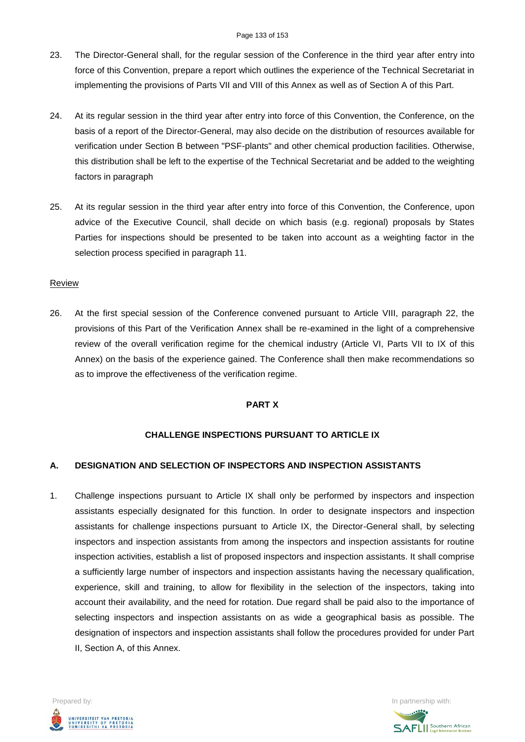#### Page 133 of 153

- 23. The Director-General shall, for the regular session of the Conference in the third year after entry into force of this Convention, prepare a report which outlines the experience of the Technical Secretariat in implementing the provisions of Parts VII and VIII of this Annex as well as of Section A of this Part.
- 24. At its regular session in the third year after entry into force of this Convention, the Conference, on the basis of a report of the Director-General, may also decide on the distribution of resources available for verification under Section B between "PSF-plants" and other chemical production facilities. Otherwise, this distribution shall be left to the expertise of the Technical Secretariat and be added to the weighting factors in paragraph
- 25. At its regular session in the third year after entry into force of this Convention, the Conference, upon advice of the Executive Council, shall decide on which basis (e.g. regional) proposals by States Parties for inspections should be presented to be taken into account as a weighting factor in the selection process specified in paragraph 11.

#### Review

26. At the first special session of the Conference convened pursuant to Article VIII, paragraph 22, the provisions of this Part of the Verification Annex shall be re-examined in the light of a comprehensive review of the overall verification regime for the chemical industry (Article VI, Parts VII to IX of this Annex) on the basis of the experience gained. The Conference shall then make recommendations so as to improve the effectiveness of the verification regime.

## **PART X**

## **CHALLENGE INSPECTIONS PURSUANT TO ARTICLE IX**

## **A. DESIGNATION AND SELECTION OF INSPECTORS AND INSPECTION ASSISTANTS**

1. Challenge inspections pursuant to Article IX shall only be performed by inspectors and inspection assistants especially designated for this function. In order to designate inspectors and inspection assistants for challenge inspections pursuant to Article IX, the Director-General shall, by selecting inspectors and inspection assistants from among the inspectors and inspection assistants for routine inspection activities, establish a list of proposed inspectors and inspection assistants. It shall comprise a sufficiently large number of inspectors and inspection assistants having the necessary qualification, experience, skill and training, to allow for flexibility in the selection of the inspectors, taking into account their availability, and the need for rotation. Due regard shall be paid also to the importance of selecting inspectors and inspection assistants on as wide a geographical basis as possible. The designation of inspectors and inspection assistants shall follow the procedures provided for under Part II, Section A, of this Annex.



**SAFLII** Southern African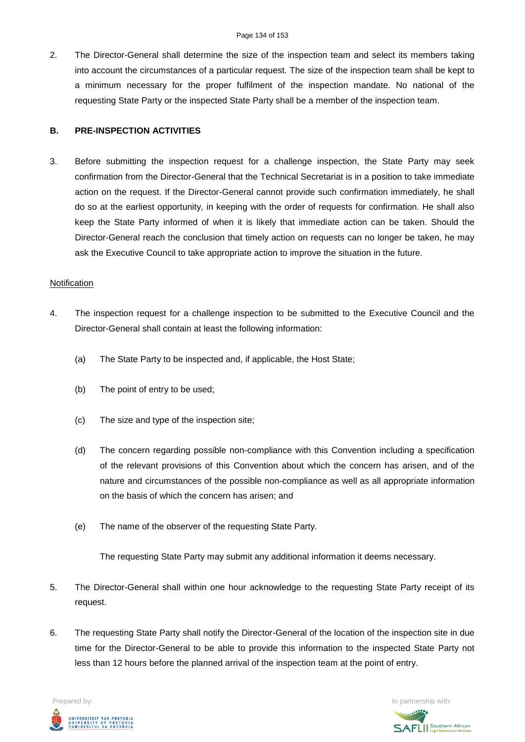2. The Director-General shall determine the size of the inspection team and select its members taking into account the circumstances of a particular request. The size of the inspection team shall be kept to a minimum necessary for the proper fulfilment of the inspection mandate. No national of the requesting State Party or the inspected State Party shall be a member of the inspection team.

## **B. PRE-INSPECTION ACTIVITIES**

3. Before submitting the inspection request for a challenge inspection, the State Party may seek confirmation from the Director-General that the Technical Secretariat is in a position to take immediate action on the request. If the Director-General cannot provide such confirmation immediately, he shall do so at the earliest opportunity, in keeping with the order of requests for confirmation. He shall also keep the State Party informed of when it is likely that immediate action can be taken. Should the Director-General reach the conclusion that timely action on requests can no longer be taken, he may ask the Executive Council to take appropriate action to improve the situation in the future.

## Notification

- 4. The inspection request for a challenge inspection to be submitted to the Executive Council and the Director-General shall contain at least the following information:
	- (a) The State Party to be inspected and, if applicable, the Host State;
	- (b) The point of entry to be used;
	- (c) The size and type of the inspection site;
	- (d) The concern regarding possible non-compliance with this Convention including a specification of the relevant provisions of this Convention about which the concern has arisen, and of the nature and circumstances of the possible non-compliance as well as all appropriate information on the basis of which the concern has arisen; and
	- (e) The name of the observer of the requesting State Party.

The requesting State Party may submit any additional information it deems necessary.

- 5. The Director-General shall within one hour acknowledge to the requesting State Party receipt of its request.
- 6. The requesting State Party shall notify the Director-General of the location of the inspection site in due time for the Director-General to be able to provide this information to the inspected State Party not less than 12 hours before the planned arrival of the inspection team at the point of entry.



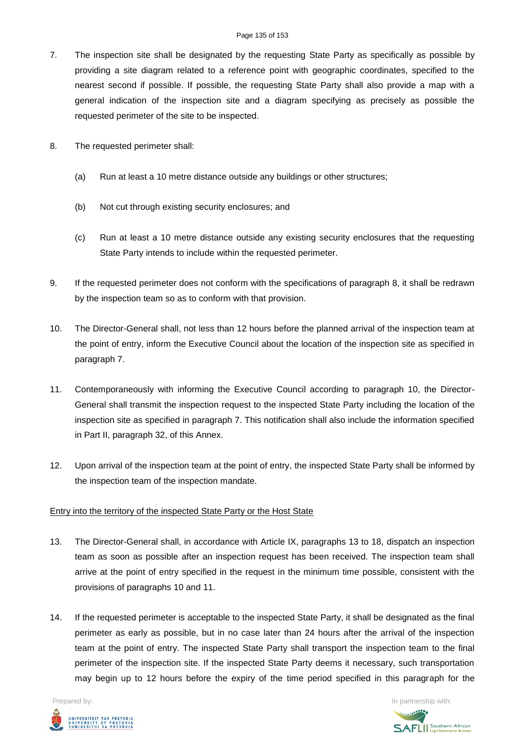- 7. The inspection site shall be designated by the requesting State Party as specifically as possible by providing a site diagram related to a reference point with geographic coordinates, specified to the nearest second if possible. If possible, the requesting State Party shall also provide a map with a general indication of the inspection site and a diagram specifying as precisely as possible the requested perimeter of the site to be inspected.
- 8. The requested perimeter shall:
	- (a) Run at least a 10 metre distance outside any buildings or other structures;
	- (b) Not cut through existing security enclosures; and
	- (c) Run at least a 10 metre distance outside any existing security enclosures that the requesting State Party intends to include within the requested perimeter.
- 9. If the requested perimeter does not conform with the specifications of paragraph 8, it shall be redrawn by the inspection team so as to conform with that provision.
- 10. The Director-General shall, not less than 12 hours before the planned arrival of the inspection team at the point of entry, inform the Executive Council about the location of the inspection site as specified in paragraph 7.
- 11. Contemporaneously with informing the Executive Council according to paragraph 10, the Director-General shall transmit the inspection request to the inspected State Party including the location of the inspection site as specified in paragraph 7. This notification shall also include the information specified in Part II, paragraph 32, of this Annex.
- 12. Upon arrival of the inspection team at the point of entry, the inspected State Party shall be informed by the inspection team of the inspection mandate.

## Entry into the territory of the inspected State Party or the Host State

- 13. The Director-General shall, in accordance with Article IX, paragraphs 13 to 18, dispatch an inspection team as soon as possible after an inspection request has been received. The inspection team shall arrive at the point of entry specified in the request in the minimum time possible, consistent with the provisions of paragraphs 10 and 11.
- 14. If the requested perimeter is acceptable to the inspected State Party, it shall be designated as the final perimeter as early as possible, but in no case later than 24 hours after the arrival of the inspection team at the point of entry. The inspected State Party shall transport the inspection team to the final perimeter of the inspection site. If the inspected State Party deems it necessary, such transportation may begin up to 12 hours before the expiry of the time period specified in this paragraph for the

Prepared by: **In partnership with:**  $\blacksquare$  **In partnership with:**  $\blacksquare$  **In partnership with:**  $\blacksquare$ UNIVERSITEIT VAN PRETORIA<br>UNIVERSITY OF PRETORIA<br>YUNIBESITHI YA PRETORIA

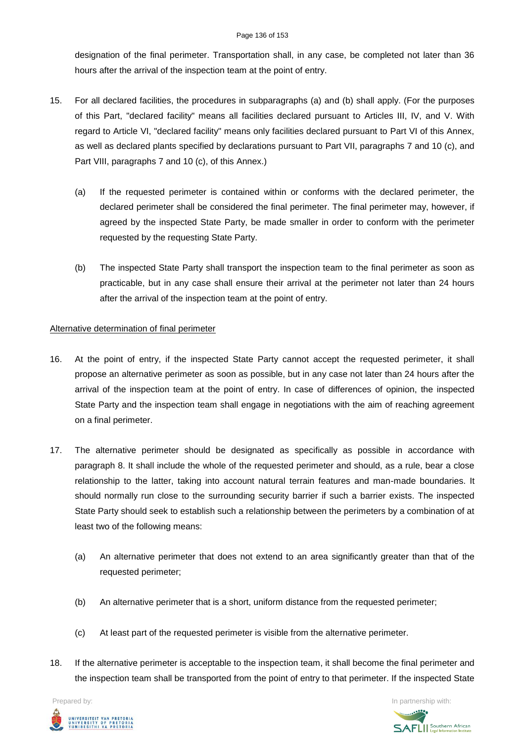#### Page 136 of 153

designation of the final perimeter. Transportation shall, in any case, be completed not later than 36 hours after the arrival of the inspection team at the point of entry.

- 15. For all declared facilities, the procedures in subparagraphs (a) and (b) shall apply. (For the purposes of this Part, "declared facility" means all facilities declared pursuant to Articles III, IV, and V. With regard to Article VI, "declared facility" means only facilities declared pursuant to Part VI of this Annex, as well as declared plants specified by declarations pursuant to Part VII, paragraphs 7 and 10 (c), and Part VIII, paragraphs 7 and 10 (c), of this Annex.)
	- (a) If the requested perimeter is contained within or conforms with the declared perimeter, the declared perimeter shall be considered the final perimeter. The final perimeter may, however, if agreed by the inspected State Party, be made smaller in order to conform with the perimeter requested by the requesting State Party.
	- (b) The inspected State Party shall transport the inspection team to the final perimeter as soon as practicable, but in any case shall ensure their arrival at the perimeter not later than 24 hours after the arrival of the inspection team at the point of entry.

# Alternative determination of final perimeter

- 16. At the point of entry, if the inspected State Party cannot accept the requested perimeter, it shall propose an alternative perimeter as soon as possible, but in any case not later than 24 hours after the arrival of the inspection team at the point of entry. In case of differences of opinion, the inspected State Party and the inspection team shall engage in negotiations with the aim of reaching agreement on a final perimeter.
- 17. The alternative perimeter should be designated as specifically as possible in accordance with paragraph 8. It shall include the whole of the requested perimeter and should, as a rule, bear a close relationship to the latter, taking into account natural terrain features and man-made boundaries. It should normally run close to the surrounding security barrier if such a barrier exists. The inspected State Party should seek to establish such a relationship between the perimeters by a combination of at least two of the following means:
	- (a) An alternative perimeter that does not extend to an area significantly greater than that of the requested perimeter;
	- (b) An alternative perimeter that is a short, uniform distance from the requested perimeter;
	- (c) At least part of the requested perimeter is visible from the alternative perimeter.
- 18. If the alternative perimeter is acceptable to the inspection team, it shall become the final perimeter and the inspection team shall be transported from the point of entry to that perimeter. If the inspected State

UNIVERSITEIT VAN PRETORIA<br>UNIVERSITY OF PRETORIA<br>YUNIBESITHI YA PRETORIA

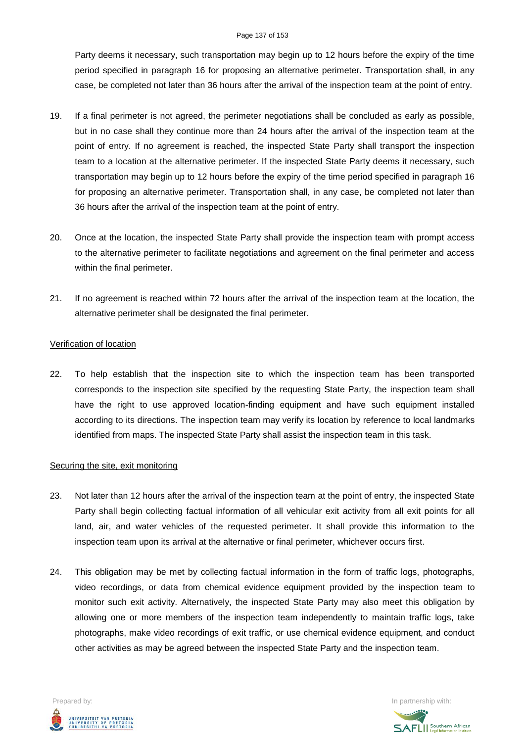#### Page 137 of 153

Party deems it necessary, such transportation may begin up to 12 hours before the expiry of the time period specified in paragraph 16 for proposing an alternative perimeter. Transportation shall, in any case, be completed not later than 36 hours after the arrival of the inspection team at the point of entry.

- 19. If a final perimeter is not agreed, the perimeter negotiations shall be concluded as early as possible, but in no case shall they continue more than 24 hours after the arrival of the inspection team at the point of entry. If no agreement is reached, the inspected State Party shall transport the inspection team to a location at the alternative perimeter. If the inspected State Party deems it necessary, such transportation may begin up to 12 hours before the expiry of the time period specified in paragraph 16 for proposing an alternative perimeter. Transportation shall, in any case, be completed not later than 36 hours after the arrival of the inspection team at the point of entry.
- 20. Once at the location, the inspected State Party shall provide the inspection team with prompt access to the alternative perimeter to facilitate negotiations and agreement on the final perimeter and access within the final perimeter.
- 21. If no agreement is reached within 72 hours after the arrival of the inspection team at the location, the alternative perimeter shall be designated the final perimeter.

## Verification of location

22. To help establish that the inspection site to which the inspection team has been transported corresponds to the inspection site specified by the requesting State Party, the inspection team shall have the right to use approved location-finding equipment and have such equipment installed according to its directions. The inspection team may verify its location by reference to local landmarks identified from maps. The inspected State Party shall assist the inspection team in this task.

## Securing the site, exit monitoring

- 23. Not later than 12 hours after the arrival of the inspection team at the point of entry, the inspected State Party shall begin collecting factual information of all vehicular exit activity from all exit points for all land, air, and water vehicles of the requested perimeter. It shall provide this information to the inspection team upon its arrival at the alternative or final perimeter, whichever occurs first.
- 24. This obligation may be met by collecting factual information in the form of traffic logs, photographs, video recordings, or data from chemical evidence equipment provided by the inspection team to monitor such exit activity. Alternatively, the inspected State Party may also meet this obligation by allowing one or more members of the inspection team independently to maintain traffic logs, take photographs, make video recordings of exit traffic, or use chemical evidence equipment, and conduct other activities as may be agreed between the inspected State Party and the inspection team.



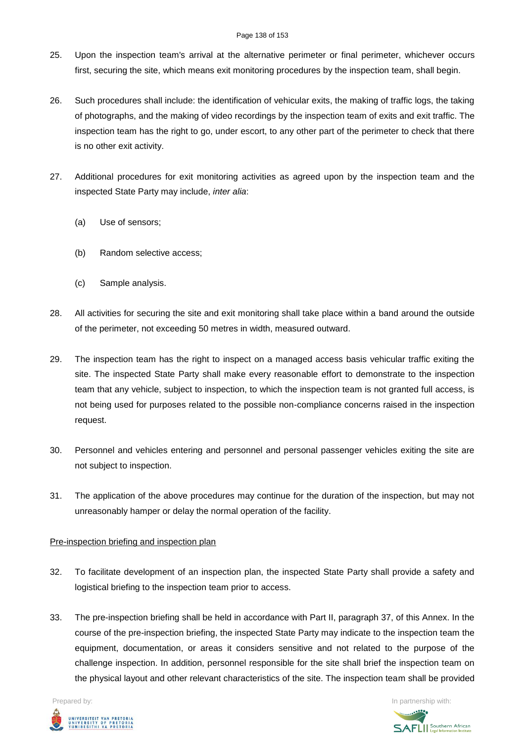#### Page 138 of 153

- 25. Upon the inspection team's arrival at the alternative perimeter or final perimeter, whichever occurs first, securing the site, which means exit monitoring procedures by the inspection team, shall begin.
- 26. Such procedures shall include: the identification of vehicular exits, the making of traffic logs, the taking of photographs, and the making of video recordings by the inspection team of exits and exit traffic. The inspection team has the right to go, under escort, to any other part of the perimeter to check that there is no other exit activity.
- 27. Additional procedures for exit monitoring activities as agreed upon by the inspection team and the inspected State Party may include, *inter alia*:
	- (a) Use of sensors;
	- (b) Random selective access;
	- (c) Sample analysis.
- 28. All activities for securing the site and exit monitoring shall take place within a band around the outside of the perimeter, not exceeding 50 metres in width, measured outward.
- 29. The inspection team has the right to inspect on a managed access basis vehicular traffic exiting the site. The inspected State Party shall make every reasonable effort to demonstrate to the inspection team that any vehicle, subject to inspection, to which the inspection team is not granted full access, is not being used for purposes related to the possible non-compliance concerns raised in the inspection request.
- 30. Personnel and vehicles entering and personnel and personal passenger vehicles exiting the site are not subject to inspection.
- 31. The application of the above procedures may continue for the duration of the inspection, but may not unreasonably hamper or delay the normal operation of the facility.

## Pre-inspection briefing and inspection plan

- 32. To facilitate development of an inspection plan, the inspected State Party shall provide a safety and logistical briefing to the inspection team prior to access.
- 33. The pre-inspection briefing shall be held in accordance with Part II, paragraph 37, of this Annex. In the course of the pre-inspection briefing, the inspected State Party may indicate to the inspection team the equipment, documentation, or areas it considers sensitive and not related to the purpose of the challenge inspection. In addition, personnel responsible for the site shall brief the inspection team on the physical layout and other relevant characteristics of the site. The inspection team shall be provided



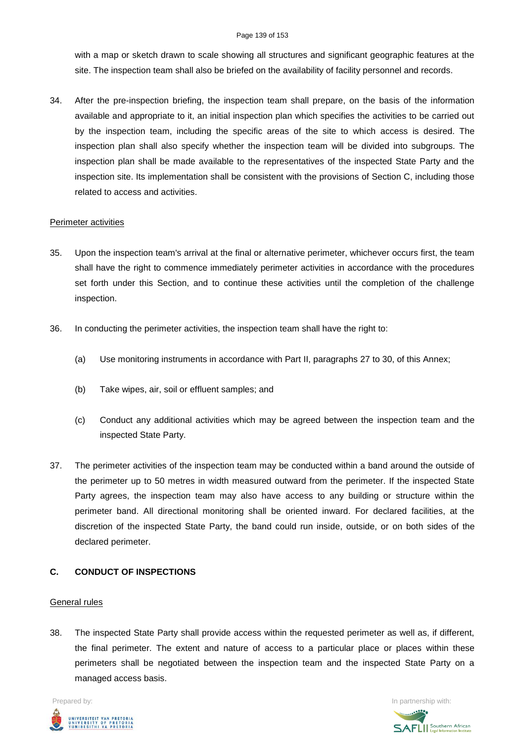with a map or sketch drawn to scale showing all structures and significant geographic features at the site. The inspection team shall also be briefed on the availability of facility personnel and records.

34. After the pre-inspection briefing, the inspection team shall prepare, on the basis of the information available and appropriate to it, an initial inspection plan which specifies the activities to be carried out by the inspection team, including the specific areas of the site to which access is desired. The inspection plan shall also specify whether the inspection team will be divided into subgroups. The inspection plan shall be made available to the representatives of the inspected State Party and the inspection site. Its implementation shall be consistent with the provisions of Section C, including those related to access and activities.

## Perimeter activities

- 35. Upon the inspection team's arrival at the final or alternative perimeter, whichever occurs first, the team shall have the right to commence immediately perimeter activities in accordance with the procedures set forth under this Section, and to continue these activities until the completion of the challenge inspection.
- 36. In conducting the perimeter activities, the inspection team shall have the right to:
	- (a) Use monitoring instruments in accordance with Part II, paragraphs 27 to 30, of this Annex;
	- (b) Take wipes, air, soil or effluent samples; and
	- (c) Conduct any additional activities which may be agreed between the inspection team and the inspected State Party.
- 37. The perimeter activities of the inspection team may be conducted within a band around the outside of the perimeter up to 50 metres in width measured outward from the perimeter. If the inspected State Party agrees, the inspection team may also have access to any building or structure within the perimeter band. All directional monitoring shall be oriented inward. For declared facilities, at the discretion of the inspected State Party, the band could run inside, outside, or on both sides of the declared perimeter.

# **C. CONDUCT OF INSPECTIONS**

## General rules

38. The inspected State Party shall provide access within the requested perimeter as well as, if different, the final perimeter. The extent and nature of access to a particular place or places within these perimeters shall be negotiated between the inspection team and the inspected State Party on a managed access basis.



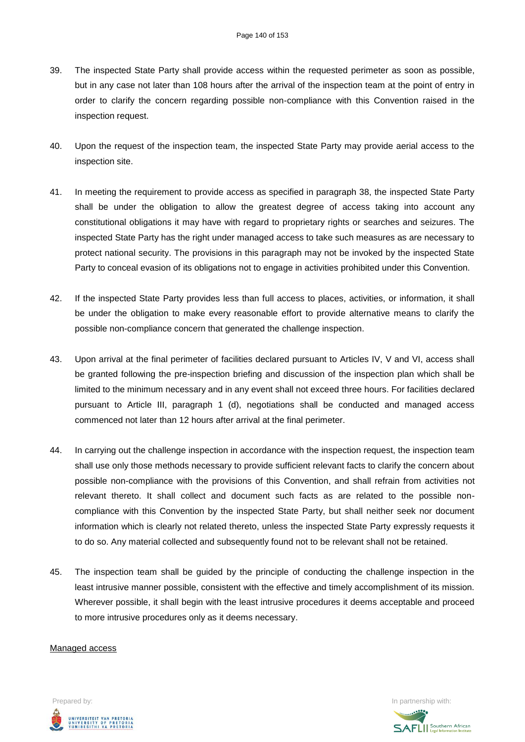- 39. The inspected State Party shall provide access within the requested perimeter as soon as possible, but in any case not later than 108 hours after the arrival of the inspection team at the point of entry in order to clarify the concern regarding possible non-compliance with this Convention raised in the inspection request.
- 40. Upon the request of the inspection team, the inspected State Party may provide aerial access to the inspection site.
- 41. In meeting the requirement to provide access as specified in paragraph 38, the inspected State Party shall be under the obligation to allow the greatest degree of access taking into account any constitutional obligations it may have with regard to proprietary rights or searches and seizures. The inspected State Party has the right under managed access to take such measures as are necessary to protect national security. The provisions in this paragraph may not be invoked by the inspected State Party to conceal evasion of its obligations not to engage in activities prohibited under this Convention.
- 42. If the inspected State Party provides less than full access to places, activities, or information, it shall be under the obligation to make every reasonable effort to provide alternative means to clarify the possible non-compliance concern that generated the challenge inspection.
- 43. Upon arrival at the final perimeter of facilities declared pursuant to Articles IV, V and VI, access shall be granted following the pre-inspection briefing and discussion of the inspection plan which shall be limited to the minimum necessary and in any event shall not exceed three hours. For facilities declared pursuant to Article III, paragraph 1 (d), negotiations shall be conducted and managed access commenced not later than 12 hours after arrival at the final perimeter.
- 44. In carrying out the challenge inspection in accordance with the inspection request, the inspection team shall use only those methods necessary to provide sufficient relevant facts to clarify the concern about possible non-compliance with the provisions of this Convention, and shall refrain from activities not relevant thereto. It shall collect and document such facts as are related to the possible noncompliance with this Convention by the inspected State Party, but shall neither seek nor document information which is clearly not related thereto, unless the inspected State Party expressly requests it to do so. Any material collected and subsequently found not to be relevant shall not be retained.
- 45. The inspection team shall be guided by the principle of conducting the challenge inspection in the least intrusive manner possible, consistent with the effective and timely accomplishment of its mission. Wherever possible, it shall begin with the least intrusive procedures it deems acceptable and proceed to more intrusive procedures only as it deems necessary.

#### Managed access



**SAFLI** Southern African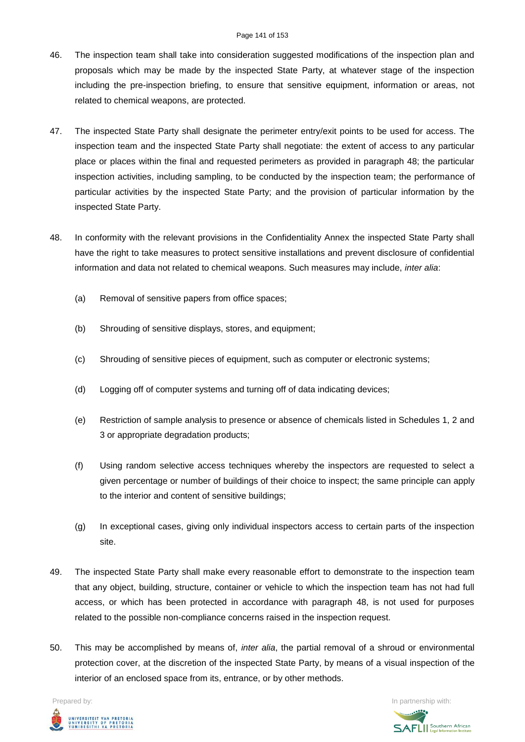#### Page 141 of 153

- 46. The inspection team shall take into consideration suggested modifications of the inspection plan and proposals which may be made by the inspected State Party, at whatever stage of the inspection including the pre-inspection briefing, to ensure that sensitive equipment, information or areas, not related to chemical weapons, are protected.
- 47. The inspected State Party shall designate the perimeter entry/exit points to be used for access. The inspection team and the inspected State Party shall negotiate: the extent of access to any particular place or places within the final and requested perimeters as provided in paragraph 48; the particular inspection activities, including sampling, to be conducted by the inspection team; the performance of particular activities by the inspected State Party; and the provision of particular information by the inspected State Party.
- 48. In conformity with the relevant provisions in the Confidentiality Annex the inspected State Party shall have the right to take measures to protect sensitive installations and prevent disclosure of confidential information and data not related to chemical weapons. Such measures may include, *inter alia*:
	- (a) Removal of sensitive papers from office spaces;
	- (b) Shrouding of sensitive displays, stores, and equipment;
	- (c) Shrouding of sensitive pieces of equipment, such as computer or electronic systems;
	- (d) Logging off of computer systems and turning off of data indicating devices;
	- (e) Restriction of sample analysis to presence or absence of chemicals listed in Schedules 1, 2 and 3 or appropriate degradation products;
	- (f) Using random selective access techniques whereby the inspectors are requested to select a given percentage or number of buildings of their choice to inspect; the same principle can apply to the interior and content of sensitive buildings;
	- (g) In exceptional cases, giving only individual inspectors access to certain parts of the inspection site.
- 49. The inspected State Party shall make every reasonable effort to demonstrate to the inspection team that any object, building, structure, container or vehicle to which the inspection team has not had full access, or which has been protected in accordance with paragraph 48, is not used for purposes related to the possible non-compliance concerns raised in the inspection request.
- 50. This may be accomplished by means of, *inter alia*, the partial removal of a shroud or environmental protection cover, at the discretion of the inspected State Party, by means of a visual inspection of the interior of an enclosed space from its, entrance, or by other methods.



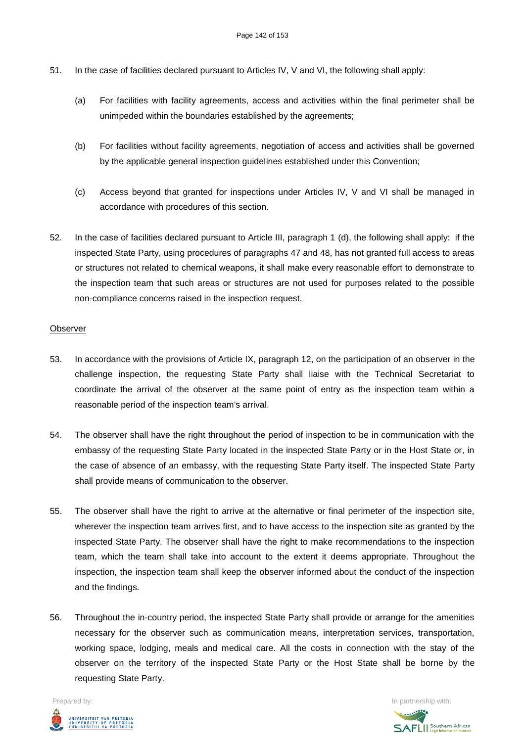- 51. In the case of facilities declared pursuant to Articles IV, V and VI, the following shall apply:
	- (a) For facilities with facility agreements, access and activities within the final perimeter shall be unimpeded within the boundaries established by the agreements;
	- (b) For facilities without facility agreements, negotiation of access and activities shall be governed by the applicable general inspection guidelines established under this Convention;
	- (c) Access beyond that granted for inspections under Articles IV, V and VI shall be managed in accordance with procedures of this section.
- 52. In the case of facilities declared pursuant to Article III, paragraph 1 (d), the following shall apply: if the inspected State Party, using procedures of paragraphs 47 and 48, has not granted full access to areas or structures not related to chemical weapons, it shall make every reasonable effort to demonstrate to the inspection team that such areas or structures are not used for purposes related to the possible non-compliance concerns raised in the inspection request.

#### **Observer**

- 53. In accordance with the provisions of Article IX, paragraph 12, on the participation of an observer in the challenge inspection, the requesting State Party shall liaise with the Technical Secretariat to coordinate the arrival of the observer at the same point of entry as the inspection team within a reasonable period of the inspection team's arrival.
- 54. The observer shall have the right throughout the period of inspection to be in communication with the embassy of the requesting State Party located in the inspected State Party or in the Host State or, in the case of absence of an embassy, with the requesting State Party itself. The inspected State Party shall provide means of communication to the observer.
- 55. The observer shall have the right to arrive at the alternative or final perimeter of the inspection site, wherever the inspection team arrives first, and to have access to the inspection site as granted by the inspected State Party. The observer shall have the right to make recommendations to the inspection team, which the team shall take into account to the extent it deems appropriate. Throughout the inspection, the inspection team shall keep the observer informed about the conduct of the inspection and the findings.
- 56. Throughout the in-country period, the inspected State Party shall provide or arrange for the amenities necessary for the observer such as communication means, interpretation services, transportation, working space, lodging, meals and medical care. All the costs in connection with the stay of the observer on the territory of the inspected State Party or the Host State shall be borne by the requesting State Party.



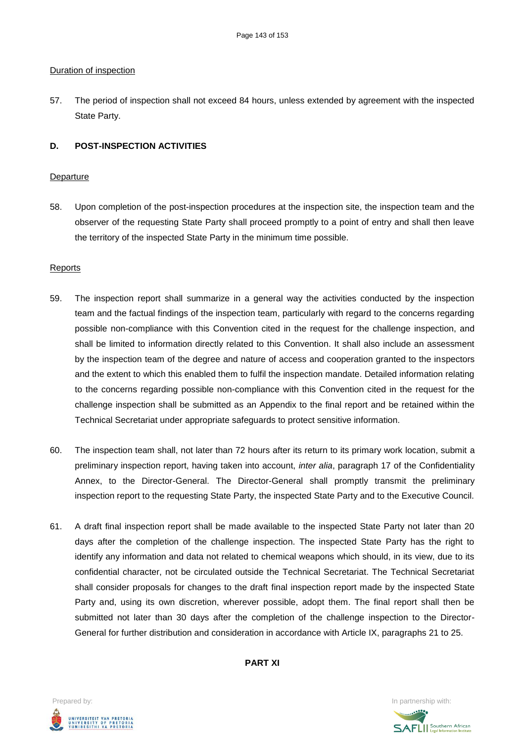## Duration of inspection

57. The period of inspection shall not exceed 84 hours, unless extended by agreement with the inspected State Party.

# **D. POST-INSPECTION ACTIVITIES**

## Departure

58. Upon completion of the post-inspection procedures at the inspection site, the inspection team and the observer of the requesting State Party shall proceed promptly to a point of entry and shall then leave the territory of the inspected State Party in the minimum time possible.

## Reports

- 59. The inspection report shall summarize in a general way the activities conducted by the inspection team and the factual findings of the inspection team, particularly with regard to the concerns regarding possible non-compliance with this Convention cited in the request for the challenge inspection, and shall be limited to information directly related to this Convention. It shall also include an assessment by the inspection team of the degree and nature of access and cooperation granted to the inspectors and the extent to which this enabled them to fulfil the inspection mandate. Detailed information relating to the concerns regarding possible non-compliance with this Convention cited in the request for the challenge inspection shall be submitted as an Appendix to the final report and be retained within the Technical Secretariat under appropriate safeguards to protect sensitive information.
- 60. The inspection team shall, not later than 72 hours after its return to its primary work location, submit a preliminary inspection report, having taken into account, *inter alia*, paragraph 17 of the Confidentiality Annex, to the Director-General. The Director-General shall promptly transmit the preliminary inspection report to the requesting State Party, the inspected State Party and to the Executive Council.
- 61. A draft final inspection report shall be made available to the inspected State Party not later than 20 days after the completion of the challenge inspection. The inspected State Party has the right to identify any information and data not related to chemical weapons which should, in its view, due to its confidential character, not be circulated outside the Technical Secretariat. The Technical Secretariat shall consider proposals for changes to the draft final inspection report made by the inspected State Party and, using its own discretion, wherever possible, adopt them. The final report shall then be submitted not later than 30 days after the completion of the challenge inspection to the Director-General for further distribution and consideration in accordance with Article IX, paragraphs 21 to 25.





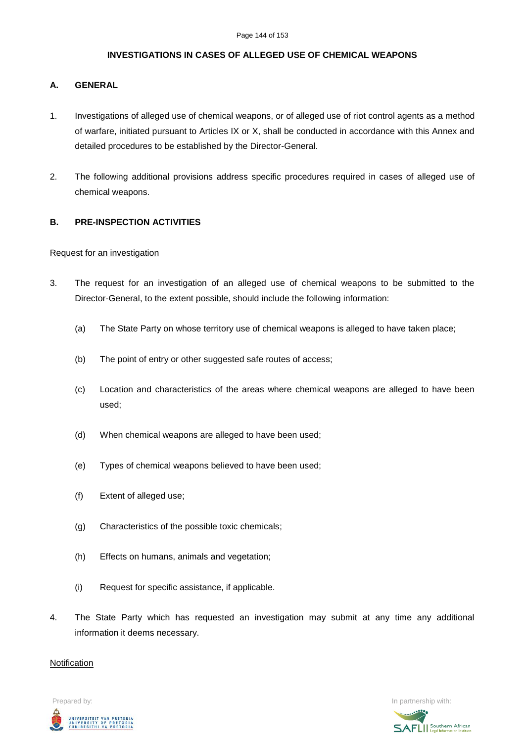## **INVESTIGATIONS IN CASES OF ALLEGED USE OF CHEMICAL WEAPONS**

# **A. GENERAL**

- 1. Investigations of alleged use of chemical weapons, or of alleged use of riot control agents as a method of warfare, initiated pursuant to Articles IX or X, shall be conducted in accordance with this Annex and detailed procedures to be established by the Director-General.
- 2. The following additional provisions address specific procedures required in cases of alleged use of chemical weapons.

## **B. PRE-INSPECTION ACTIVITIES**

## Request for an investigation

- 3. The request for an investigation of an alleged use of chemical weapons to be submitted to the Director-General, to the extent possible, should include the following information:
	- (a) The State Party on whose territory use of chemical weapons is alleged to have taken place;
	- (b) The point of entry or other suggested safe routes of access;
	- (c) Location and characteristics of the areas where chemical weapons are alleged to have been used;
	- (d) When chemical weapons are alleged to have been used;
	- (e) Types of chemical weapons believed to have been used;
	- (f) Extent of alleged use;
	- (g) Characteristics of the possible toxic chemicals;
	- (h) Effects on humans, animals and vegetation;
	- (i) Request for specific assistance, if applicable.
- 4. The State Party which has requested an investigation may submit at any time any additional information it deems necessary.

## **Notification**



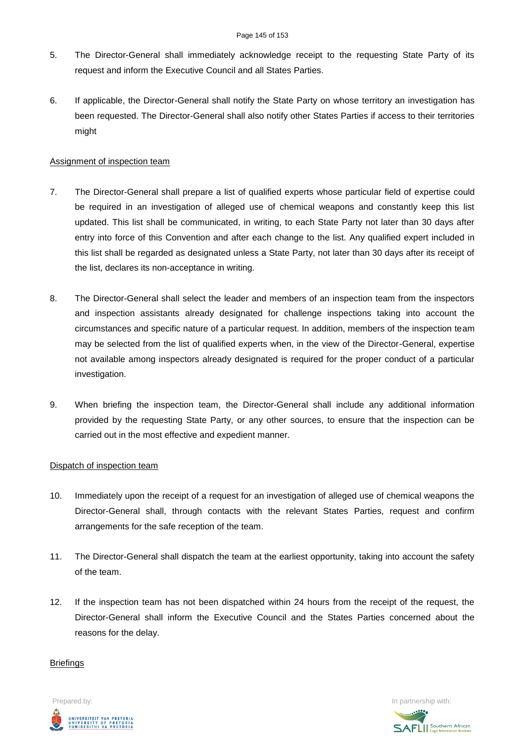- 5. The Director-General shall immediately acknowledge receipt to the requesting State Party of its request and inform the Executive Council and all States Parties.
- 6. If applicable, the Director-General shall notify the State Party on whose territory an investigation has been requested. The Director-General shall also notify other States Parties if access to their territories might

# Assignment of inspection team

- 7. The Director-General shall prepare a list of qualified experts whose particular field of expertise could be required in an investigation of alleged use of chemical weapons and constantly keep this list updated. This list shall be communicated, in writing, to each State Party not later than 30 days after entry into force of this Convention and after each change to the list. Any qualified expert included in this list shall be regarded as designated unless a State Party, not later than 30 days after its receipt of the list, declares its non-acceptance in writing.
- 8. The Director-General shall select the leader and members of an inspection team from the inspectors and inspection assistants already designated for challenge inspections taking into account the circumstances and specific nature of a particular request. In addition, members of the inspection team may be selected from the list of qualified experts when, in the view of the Director-General, expertise not available among inspectors already designated is required for the proper conduct of a particular investigation.
- 9. When briefing the inspection team, the Director-General shall include any additional information provided by the requesting State Party, or any other sources, to ensure that the inspection can be carried out in the most effective and expedient manner.

## Dispatch of inspection team

- 10. Immediately upon the receipt of a request for an investigation of alleged use of chemical weapons the Director-General shall, through contacts with the relevant States Parties, request and confirm arrangements for the safe reception of the team.
- 11. The Director-General shall dispatch the team at the earliest opportunity, taking into account the safety of the team.
- 12. If the inspection team has not been dispatched within 24 hours from the receipt of the request, the Director-General shall inform the Executive Council and the States Parties concerned about the reasons for the delay.

## **Briefings**



**SAFLI** Southern African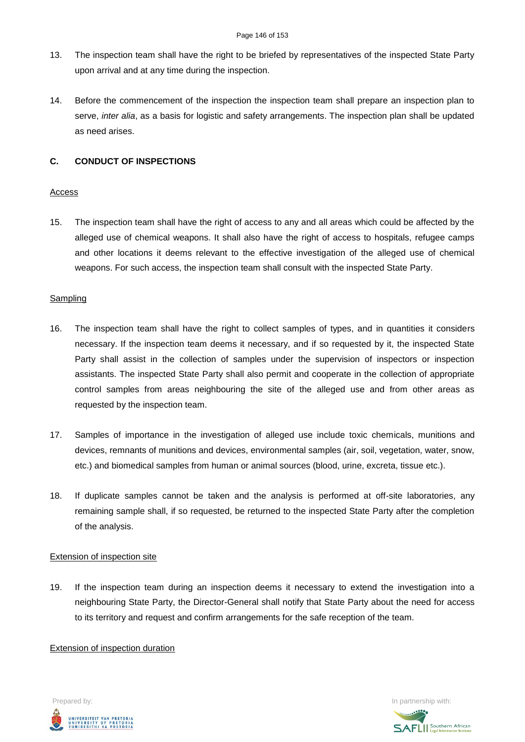- 13. The inspection team shall have the right to be briefed by representatives of the inspected State Party upon arrival and at any time during the inspection.
- 14. Before the commencement of the inspection the inspection team shall prepare an inspection plan to serve, *inter alia*, as a basis for logistic and safety arrangements. The inspection plan shall be updated as need arises.

# **C. CONDUCT OF INSPECTIONS**

## Access

15. The inspection team shall have the right of access to any and all areas which could be affected by the alleged use of chemical weapons. It shall also have the right of access to hospitals, refugee camps and other locations it deems relevant to the effective investigation of the alleged use of chemical weapons. For such access, the inspection team shall consult with the inspected State Party.

## Sampling

- 16. The inspection team shall have the right to collect samples of types, and in quantities it considers necessary. If the inspection team deems it necessary, and if so requested by it, the inspected State Party shall assist in the collection of samples under the supervision of inspectors or inspection assistants. The inspected State Party shall also permit and cooperate in the collection of appropriate control samples from areas neighbouring the site of the alleged use and from other areas as requested by the inspection team.
- 17. Samples of importance in the investigation of alleged use include toxic chemicals, munitions and devices, remnants of munitions and devices, environmental samples (air, soil, vegetation, water, snow, etc.) and biomedical samples from human or animal sources (blood, urine, excreta, tissue etc.).
- 18. If duplicate samples cannot be taken and the analysis is performed at off-site laboratories, any remaining sample shall, if so requested, be returned to the inspected State Party after the completion of the analysis.

## Extension of inspection site

19. If the inspection team during an inspection deems it necessary to extend the investigation into a neighbouring State Party, the Director-General shall notify that State Party about the need for access to its territory and request and confirm arrangements for the safe reception of the team.

## Extension of inspection duration



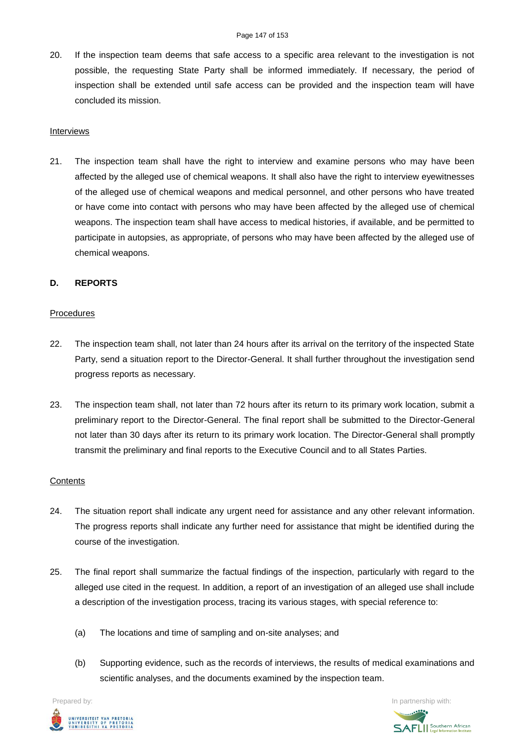20. If the inspection team deems that safe access to a specific area relevant to the investigation is not possible, the requesting State Party shall be informed immediately. If necessary, the period of inspection shall be extended until safe access can be provided and the inspection team will have concluded its mission.

#### Interviews

21. The inspection team shall have the right to interview and examine persons who may have been affected by the alleged use of chemical weapons. It shall also have the right to interview eyewitnesses of the alleged use of chemical weapons and medical personnel, and other persons who have treated or have come into contact with persons who may have been affected by the alleged use of chemical weapons. The inspection team shall have access to medical histories, if available, and be permitted to participate in autopsies, as appropriate, of persons who may have been affected by the alleged use of chemical weapons.

## **D. REPORTS**

#### Procedures

- 22. The inspection team shall, not later than 24 hours after its arrival on the territory of the inspected State Party, send a situation report to the Director-General. It shall further throughout the investigation send progress reports as necessary.
- 23. The inspection team shall, not later than 72 hours after its return to its primary work location, submit a preliminary report to the Director-General. The final report shall be submitted to the Director-General not later than 30 days after its return to its primary work location. The Director-General shall promptly transmit the preliminary and final reports to the Executive Council and to all States Parties.

#### **Contents**

- 24. The situation report shall indicate any urgent need for assistance and any other relevant information. The progress reports shall indicate any further need for assistance that might be identified during the course of the investigation.
- 25. The final report shall summarize the factual findings of the inspection, particularly with regard to the alleged use cited in the request. In addition, a report of an investigation of an alleged use shall include a description of the investigation process, tracing its various stages, with special reference to:
	- (a) The locations and time of sampling and on-site analyses; and
	- (b) Supporting evidence, such as the records of interviews, the results of medical examinations and scientific analyses, and the documents examined by the inspection team.

UNIVERSITEIT VAN PRETORIA<br>UNIVERSITY OF PRETORIA<br>YUNIBESITHI YA PRETORIA

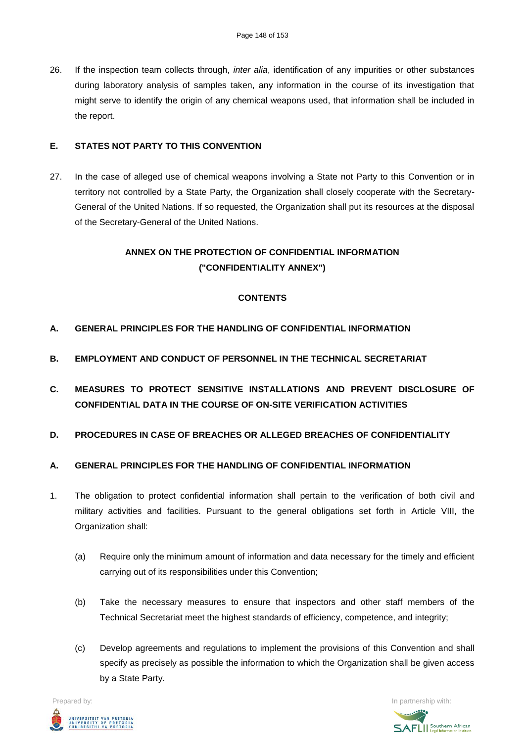26. If the inspection team collects through, *inter alia*, identification of any impurities or other substances during laboratory analysis of samples taken, any information in the course of its investigation that might serve to identify the origin of any chemical weapons used, that information shall be included in the report.

# **E. STATES NOT PARTY TO THIS CONVENTION**

27. In the case of alleged use of chemical weapons involving a State not Party to this Convention or in territory not controlled by a State Party, the Organization shall closely cooperate with the Secretary-General of the United Nations. If so requested, the Organization shall put its resources at the disposal of the Secretary-General of the United Nations.

# **ANNEX ON THE PROTECTION OF CONFIDENTIAL INFORMATION ("CONFIDENTIALITY ANNEX")**

# **CONTENTS**

- **A. GENERAL PRINCIPLES FOR THE HANDLING OF CONFIDENTIAL INFORMATION**
- **B. EMPLOYMENT AND CONDUCT OF PERSONNEL IN THE TECHNICAL SECRETARIAT**
- **C. MEASURES TO PROTECT SENSITIVE INSTALLATIONS AND PREVENT DISCLOSURE OF CONFIDENTIAL DATA IN THE COURSE OF ON-SITE VERIFICATION ACTIVITIES**
- **D. PROCEDURES IN CASE OF BREACHES OR ALLEGED BREACHES OF CONFIDENTIALITY**

## **A. GENERAL PRINCIPLES FOR THE HANDLING OF CONFIDENTIAL INFORMATION**

- 1. The obligation to protect confidential information shall pertain to the verification of both civil and military activities and facilities. Pursuant to the general obligations set forth in Article VIII, the Organization shall:
	- (a) Require only the minimum amount of information and data necessary for the timely and efficient carrying out of its responsibilities under this Convention;
	- (b) Take the necessary measures to ensure that inspectors and other staff members of the Technical Secretariat meet the highest standards of efficiency, competence, and integrity;
	- (c) Develop agreements and regulations to implement the provisions of this Convention and shall specify as precisely as possible the information to which the Organization shall be given access by a State Party.



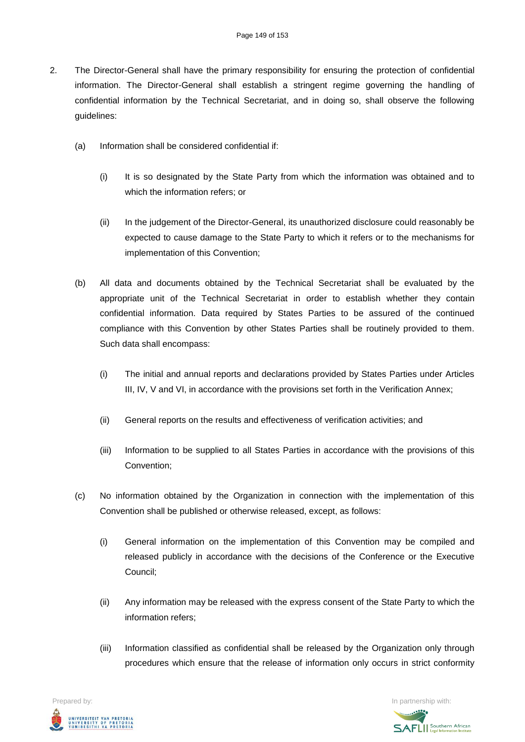- 2. The Director-General shall have the primary responsibility for ensuring the protection of confidential information. The Director-General shall establish a stringent regime governing the handling of confidential information by the Technical Secretariat, and in doing so, shall observe the following guidelines:
	- (a) Information shall be considered confidential if:
		- (i) It is so designated by the State Party from which the information was obtained and to which the information refers; or
		- (ii) In the judgement of the Director-General, its unauthorized disclosure could reasonably be expected to cause damage to the State Party to which it refers or to the mechanisms for implementation of this Convention;
	- (b) All data and documents obtained by the Technical Secretariat shall be evaluated by the appropriate unit of the Technical Secretariat in order to establish whether they contain confidential information. Data required by States Parties to be assured of the continued compliance with this Convention by other States Parties shall be routinely provided to them. Such data shall encompass:
		- (i) The initial and annual reports and declarations provided by States Parties under Articles III, IV, V and VI, in accordance with the provisions set forth in the Verification Annex;
		- (ii) General reports on the results and effectiveness of verification activities; and
		- (iii) Information to be supplied to all States Parties in accordance with the provisions of this Convention;
	- (c) No information obtained by the Organization in connection with the implementation of this Convention shall be published or otherwise released, except, as follows:
		- (i) General information on the implementation of this Convention may be compiled and released publicly in accordance with the decisions of the Conference or the Executive Council;
		- (ii) Any information may be released with the express consent of the State Party to which the information refers;
		- (iii) Information classified as confidential shall be released by the Organization only through procedures which ensure that the release of information only occurs in strict conformity



**SAFLI** Southern African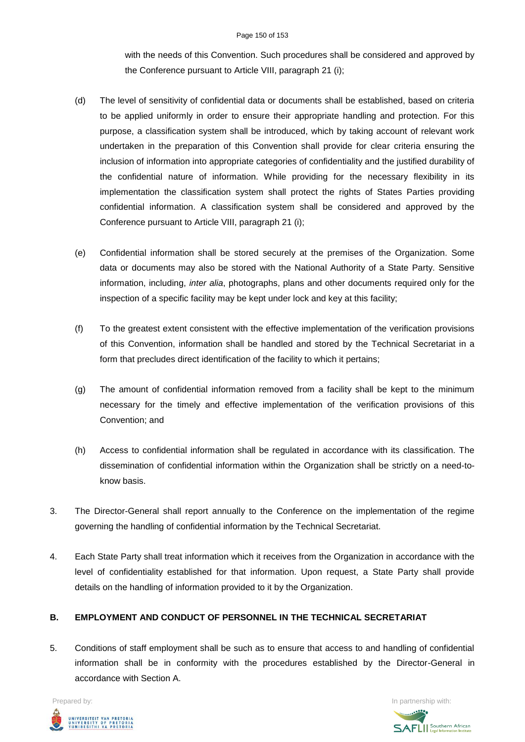with the needs of this Convention. Such procedures shall be considered and approved by the Conference pursuant to Article VIII, paragraph 21 (i);

- (d) The level of sensitivity of confidential data or documents shall be established, based on criteria to be applied uniformly in order to ensure their appropriate handling and protection. For this purpose, a classification system shall be introduced, which by taking account of relevant work undertaken in the preparation of this Convention shall provide for clear criteria ensuring the inclusion of information into appropriate categories of confidentiality and the justified durability of the confidential nature of information. While providing for the necessary flexibility in its implementation the classification system shall protect the rights of States Parties providing confidential information. A classification system shall be considered and approved by the Conference pursuant to Article VIII, paragraph 21 (i);
- (e) Confidential information shall be stored securely at the premises of the Organization. Some data or documents may also be stored with the National Authority of a State Party. Sensitive information, including, *inter alia*, photographs, plans and other documents required only for the inspection of a specific facility may be kept under lock and key at this facility;
- (f) To the greatest extent consistent with the effective implementation of the verification provisions of this Convention, information shall be handled and stored by the Technical Secretariat in a form that precludes direct identification of the facility to which it pertains;
- (g) The amount of confidential information removed from a facility shall be kept to the minimum necessary for the timely and effective implementation of the verification provisions of this Convention; and
- (h) Access to confidential information shall be regulated in accordance with its classification. The dissemination of confidential information within the Organization shall be strictly on a need-toknow basis.
- 3. The Director-General shall report annually to the Conference on the implementation of the regime governing the handling of confidential information by the Technical Secretariat.
- 4. Each State Party shall treat information which it receives from the Organization in accordance with the level of confidentiality established for that information. Upon request, a State Party shall provide details on the handling of information provided to it by the Organization.

# **B. EMPLOYMENT AND CONDUCT OF PERSONNEL IN THE TECHNICAL SECRETARIAT**

5. Conditions of staff employment shall be such as to ensure that access to and handling of confidential information shall be in conformity with the procedures established by the Director-General in accordance with Section A.

Prepared by: **In partnership with:**  $\blacksquare$  **In partnership with:**  $\blacksquare$  **In partnership with:**  $\blacksquare$ UNIVERSITEIT VAN PRETORIA<br>UNIVERSITY OF PRETORIA<br>YUNIBESITHI YA PRETORIA

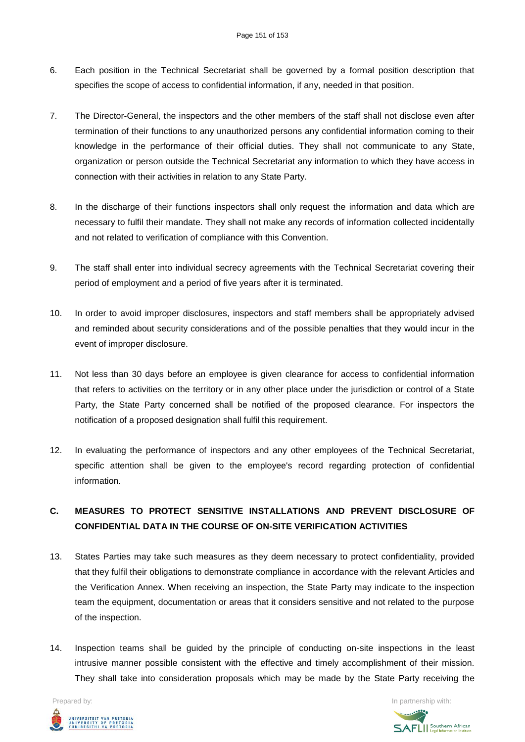- 6. Each position in the Technical Secretariat shall be governed by a formal position description that specifies the scope of access to confidential information, if any, needed in that position.
- 7. The Director-General, the inspectors and the other members of the staff shall not disclose even after termination of their functions to any unauthorized persons any confidential information coming to their knowledge in the performance of their official duties. They shall not communicate to any State, organization or person outside the Technical Secretariat any information to which they have access in connection with their activities in relation to any State Party.
- 8. In the discharge of their functions inspectors shall only request the information and data which are necessary to fulfil their mandate. They shall not make any records of information collected incidentally and not related to verification of compliance with this Convention.
- 9. The staff shall enter into individual secrecy agreements with the Technical Secretariat covering their period of employment and a period of five years after it is terminated.
- 10. In order to avoid improper disclosures, inspectors and staff members shall be appropriately advised and reminded about security considerations and of the possible penalties that they would incur in the event of improper disclosure.
- 11. Not less than 30 days before an employee is given clearance for access to confidential information that refers to activities on the territory or in any other place under the jurisdiction or control of a State Party, the State Party concerned shall be notified of the proposed clearance. For inspectors the notification of a proposed designation shall fulfil this requirement.
- 12. In evaluating the performance of inspectors and any other employees of the Technical Secretariat, specific attention shall be given to the employee's record regarding protection of confidential information.

# **C. MEASURES TO PROTECT SENSITIVE INSTALLATIONS AND PREVENT DISCLOSURE OF CONFIDENTIAL DATA IN THE COURSE OF ON-SITE VERIFICATION ACTIVITIES**

- 13. States Parties may take such measures as they deem necessary to protect confidentiality, provided that they fulfil their obligations to demonstrate compliance in accordance with the relevant Articles and the Verification Annex. When receiving an inspection, the State Party may indicate to the inspection team the equipment, documentation or areas that it considers sensitive and not related to the purpose of the inspection.
- 14. Inspection teams shall be guided by the principle of conducting on-site inspections in the least intrusive manner possible consistent with the effective and timely accomplishment of their mission. They shall take into consideration proposals which may be made by the State Party receiving the

UNIVERSITEIT VAN PRETORIA<br>UNIVERSITY OF PRETORIA<br>YUNIBESITHI YA PRETORIA

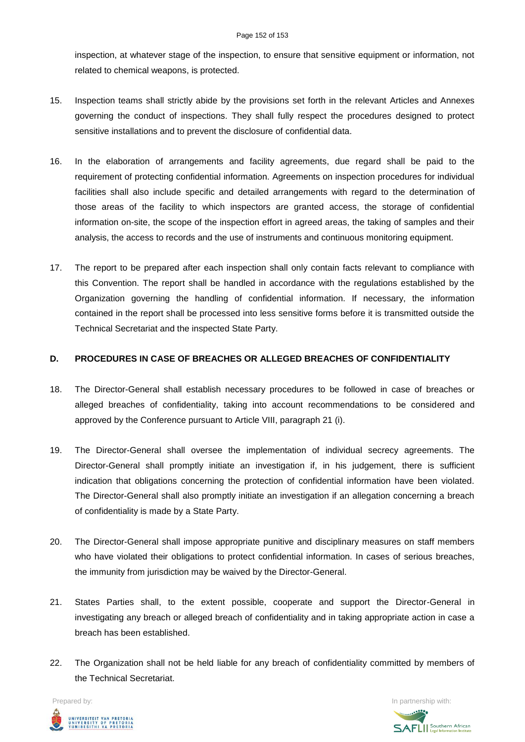inspection, at whatever stage of the inspection, to ensure that sensitive equipment or information, not related to chemical weapons, is protected.

- 15. Inspection teams shall strictly abide by the provisions set forth in the relevant Articles and Annexes governing the conduct of inspections. They shall fully respect the procedures designed to protect sensitive installations and to prevent the disclosure of confidential data.
- 16. In the elaboration of arrangements and facility agreements, due regard shall be paid to the requirement of protecting confidential information. Agreements on inspection procedures for individual facilities shall also include specific and detailed arrangements with regard to the determination of those areas of the facility to which inspectors are granted access, the storage of confidential information on-site, the scope of the inspection effort in agreed areas, the taking of samples and their analysis, the access to records and the use of instruments and continuous monitoring equipment.
- 17. The report to be prepared after each inspection shall only contain facts relevant to compliance with this Convention. The report shall be handled in accordance with the regulations established by the Organization governing the handling of confidential information. If necessary, the information contained in the report shall be processed into less sensitive forms before it is transmitted outside the Technical Secretariat and the inspected State Party.

# **D. PROCEDURES IN CASE OF BREACHES OR ALLEGED BREACHES OF CONFIDENTIALITY**

- 18. The Director-General shall establish necessary procedures to be followed in case of breaches or alleged breaches of confidentiality, taking into account recommendations to be considered and approved by the Conference pursuant to Article VIII, paragraph 21 (i).
- 19. The Director-General shall oversee the implementation of individual secrecy agreements. The Director-General shall promptly initiate an investigation if, in his judgement, there is sufficient indication that obligations concerning the protection of confidential information have been violated. The Director-General shall also promptly initiate an investigation if an allegation concerning a breach of confidentiality is made by a State Party.
- 20. The Director-General shall impose appropriate punitive and disciplinary measures on staff members who have violated their obligations to protect confidential information. In cases of serious breaches, the immunity from jurisdiction may be waived by the Director-General.
- 21. States Parties shall, to the extent possible, cooperate and support the Director-General in investigating any breach or alleged breach of confidentiality and in taking appropriate action in case a breach has been established.
- 22. The Organization shall not be held liable for any breach of confidentiality committed by members of the Technical Secretariat.